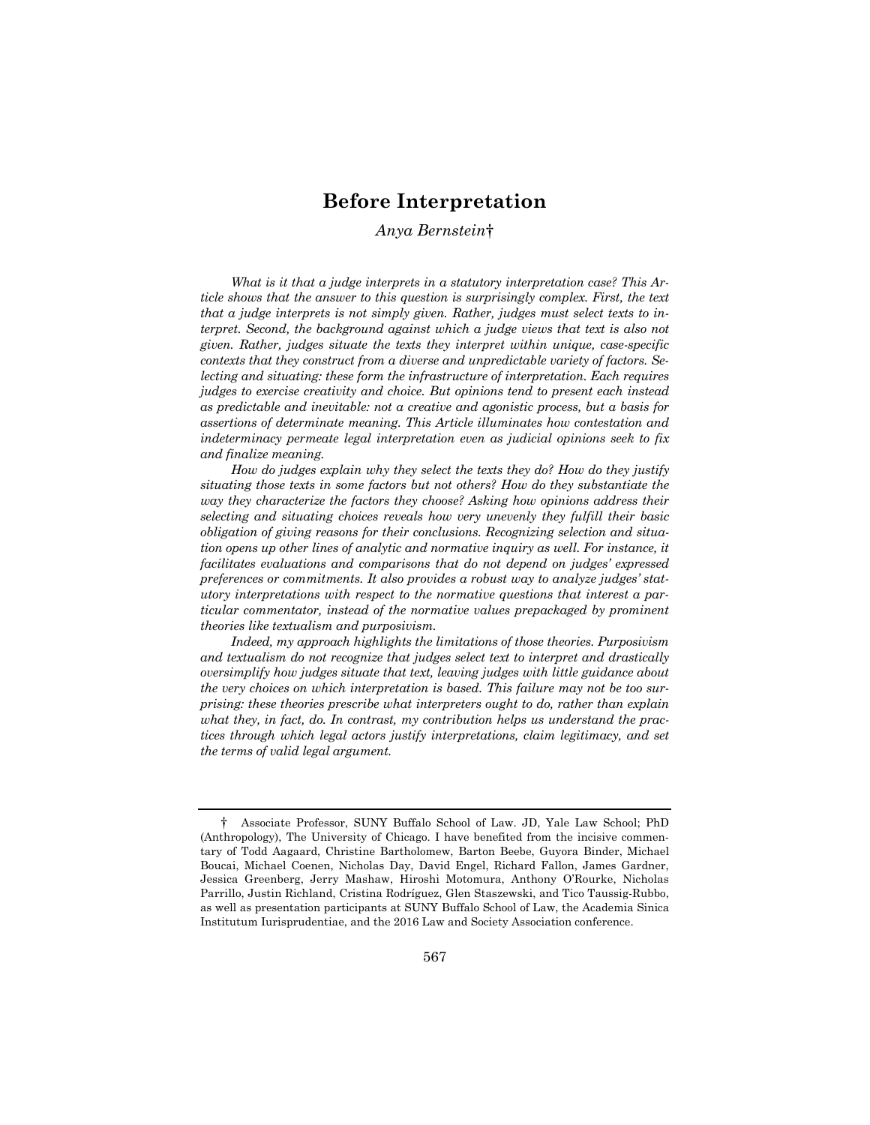# **Before Interpretation**

# *Anya Bernstein*†

*What is it that a judge interprets in a statutory interpretation case? This Article shows that the answer to this question is surprisingly complex. First, the text that a judge interprets is not simply given. Rather, judges must select texts to interpret. Second, the background against which a judge views that text is also not given. Rather, judges situate the texts they interpret within unique, case-specific contexts that they construct from a diverse and unpredictable variety of factors. Selecting and situating: these form the infrastructure of interpretation. Each requires judges to exercise creativity and choice. But opinions tend to present each instead as predictable and inevitable: not a creative and agonistic process, but a basis for assertions of determinate meaning. This Article illuminates how contestation and indeterminacy permeate legal interpretation even as judicial opinions seek to fix and finalize meaning.*

*How do judges explain why they select the texts they do? How do they justify situating those texts in some factors but not others? How do they substantiate the way they characterize the factors they choose? Asking how opinions address their selecting and situating choices reveals how very unevenly they fulfill their basic obligation of giving reasons for their conclusions. Recognizing selection and situation opens up other lines of analytic and normative inquiry as well. For instance, it facilitates evaluations and comparisons that do not depend on judges' expressed preferences or commitments. It also provides a robust way to analyze judges' statutory interpretations with respect to the normative questions that interest a particular commentator, instead of the normative values prepackaged by prominent theories like textualism and purposivism.*

*Indeed, my approach highlights the limitations of those theories. Purposivism and textualism do not recognize that judges select text to interpret and drastically oversimplify how judges situate that text, leaving judges with little guidance about the very choices on which interpretation is based. This failure may not be too surprising: these theories prescribe what interpreters ought to do, rather than explain what they, in fact, do. In contrast, my contribution helps us understand the practices through which legal actors justify interpretations, claim legitimacy, and set the terms of valid legal argument.* 

<sup>†</sup> Associate Professor, SUNY Buffalo School of Law. JD, Yale Law School; PhD (Anthropology), The University of Chicago. I have benefited from the incisive commentary of Todd Aagaard, Christine Bartholomew, Barton Beebe, Guyora Binder, Michael Boucai, Michael Coenen, Nicholas Day, David Engel, Richard Fallon, James Gardner, Jessica Greenberg, Jerry Mashaw, Hiroshi Motomura, Anthony O'Rourke, Nicholas Parrillo, Justin Richland, Cristina Rodríguez, Glen Staszewski, and Tico Taussig-Rubbo, as well as presentation participants at SUNY Buffalo School of Law, the Academia Sinica Institutum Iurisprudentiae, and the 2016 Law and Society Association conference.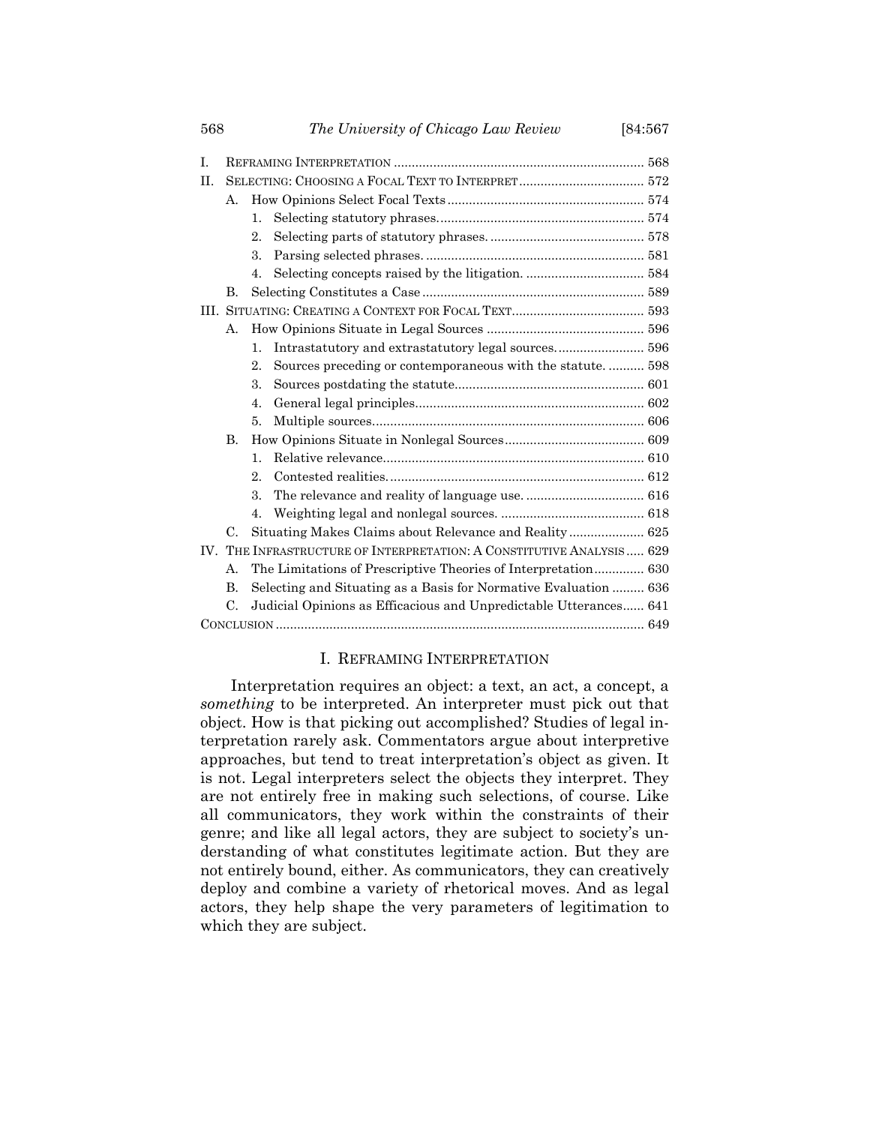| А.                                                                    |                                                                   |                                                           |  |
|-----------------------------------------------------------------------|-------------------------------------------------------------------|-----------------------------------------------------------|--|
|                                                                       | 1.                                                                |                                                           |  |
|                                                                       | $2$ .                                                             |                                                           |  |
|                                                                       | 3.                                                                |                                                           |  |
|                                                                       | 4.                                                                |                                                           |  |
| B.                                                                    |                                                                   |                                                           |  |
|                                                                       |                                                                   |                                                           |  |
| А.                                                                    |                                                                   |                                                           |  |
|                                                                       | $\mathbf{1}$ .                                                    | Intrastatutory and extrastatutory legal sources 596       |  |
|                                                                       | 2.                                                                | Sources preceding or contemporaneous with the statute 598 |  |
|                                                                       | 3.                                                                |                                                           |  |
|                                                                       | $\mathbf{4}$ .                                                    |                                                           |  |
|                                                                       | 5.                                                                |                                                           |  |
| <b>B.</b>                                                             |                                                                   |                                                           |  |
|                                                                       | $\mathbf{1}$ .                                                    |                                                           |  |
|                                                                       | 2                                                                 |                                                           |  |
|                                                                       | 3.                                                                |                                                           |  |
|                                                                       | 4.                                                                |                                                           |  |
| C.                                                                    |                                                                   |                                                           |  |
| IV. THE INFRASTRUCTURE OF INTERPRETATION: A CONSTITUTIVE ANALYSIS 629 |                                                                   |                                                           |  |
| The Limitations of Prescriptive Theories of Interpretation 630<br>А.  |                                                                   |                                                           |  |
| <b>B.</b>                                                             | Selecting and Situating as a Basis for Normative Evaluation  636  |                                                           |  |
| C.                                                                    | Judicial Opinions as Efficacious and Unpredictable Utterances 641 |                                                           |  |
|                                                                       |                                                                   |                                                           |  |
|                                                                       |                                                                   |                                                           |  |

# I. REFRAMING INTERPRETATION

Interpretation requires an object: a text, an act, a concept, a *something* to be interpreted. An interpreter must pick out that object. How is that picking out accomplished? Studies of legal interpretation rarely ask. Commentators argue about interpretive approaches, but tend to treat interpretation's object as given. It is not. Legal interpreters select the objects they interpret. They are not entirely free in making such selections, of course. Like all communicators, they work within the constraints of their genre; and like all legal actors, they are subject to society's understanding of what constitutes legitimate action. But they are not entirely bound, either. As communicators, they can creatively deploy and combine a variety of rhetorical moves. And as legal actors, they help shape the very parameters of legitimation to which they are subject.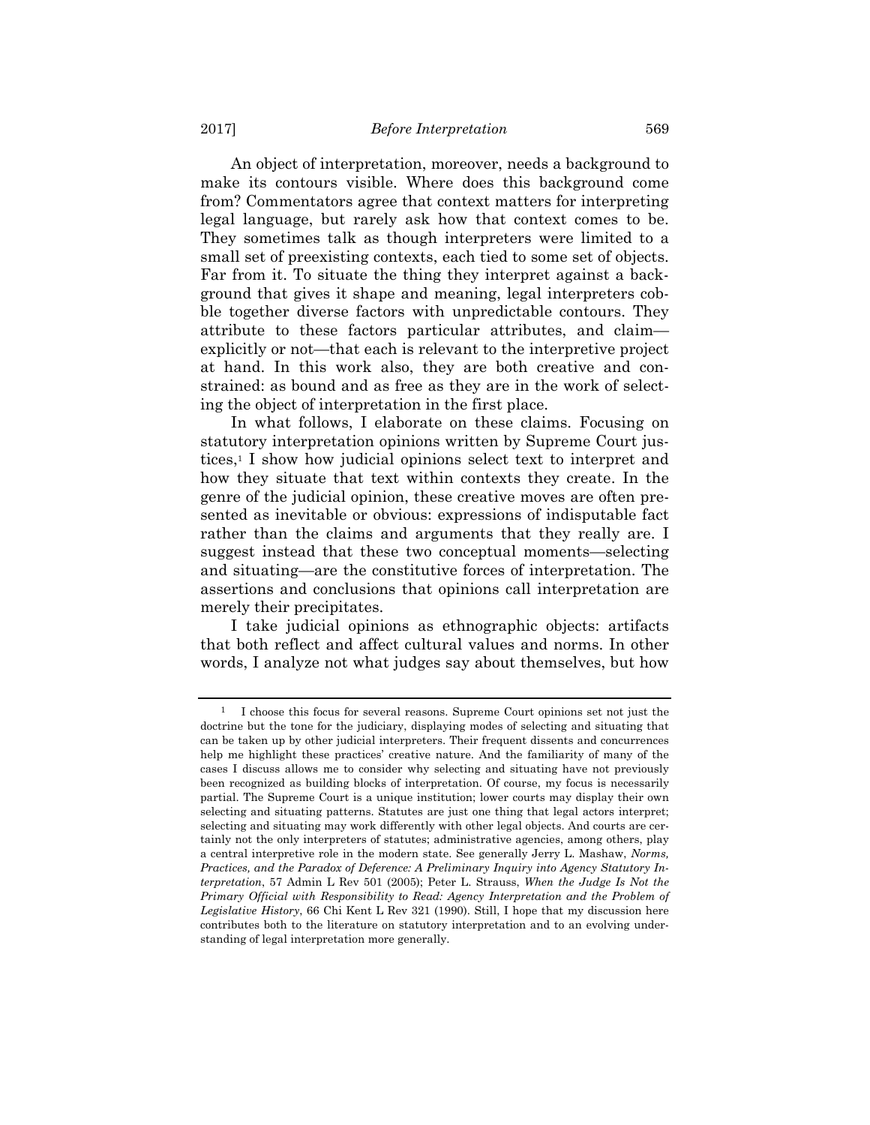An object of interpretation, moreover, needs a background to make its contours visible. Where does this background come from? Commentators agree that context matters for interpreting legal language, but rarely ask how that context comes to be. They sometimes talk as though interpreters were limited to a small set of preexisting contexts, each tied to some set of objects. Far from it. To situate the thing they interpret against a background that gives it shape and meaning, legal interpreters cobble together diverse factors with unpredictable contours. They attribute to these factors particular attributes, and claim explicitly or not—that each is relevant to the interpretive project at hand. In this work also, they are both creative and constrained: as bound and as free as they are in the work of selecting the object of interpretation in the first place.

In what follows, I elaborate on these claims. Focusing on statutory interpretation opinions written by Supreme Court justices,1 I show how judicial opinions select text to interpret and how they situate that text within contexts they create. In the genre of the judicial opinion, these creative moves are often presented as inevitable or obvious: expressions of indisputable fact rather than the claims and arguments that they really are. I suggest instead that these two conceptual moments—selecting and situating—are the constitutive forces of interpretation. The assertions and conclusions that opinions call interpretation are merely their precipitates.

I take judicial opinions as ethnographic objects: artifacts that both reflect and affect cultural values and norms. In other words, I analyze not what judges say about themselves, but how

<sup>1</sup> I choose this focus for several reasons. Supreme Court opinions set not just the doctrine but the tone for the judiciary, displaying modes of selecting and situating that can be taken up by other judicial interpreters. Their frequent dissents and concurrences help me highlight these practices' creative nature. And the familiarity of many of the cases I discuss allows me to consider why selecting and situating have not previously been recognized as building blocks of interpretation. Of course, my focus is necessarily partial. The Supreme Court is a unique institution; lower courts may display their own selecting and situating patterns. Statutes are just one thing that legal actors interpret; selecting and situating may work differently with other legal objects. And courts are certainly not the only interpreters of statutes; administrative agencies, among others, play a central interpretive role in the modern state. See generally Jerry L. Mashaw, *Norms, Practices, and the Paradox of Deference: A Preliminary Inquiry into Agency Statutory Interpretation*, 57 Admin L Rev 501 (2005); Peter L. Strauss, *When the Judge Is Not the Primary Official with Responsibility to Read: Agency Interpretation and the Problem of Legislative History*, 66 Chi Kent L Rev 321 (1990). Still, I hope that my discussion here contributes both to the literature on statutory interpretation and to an evolving understanding of legal interpretation more generally.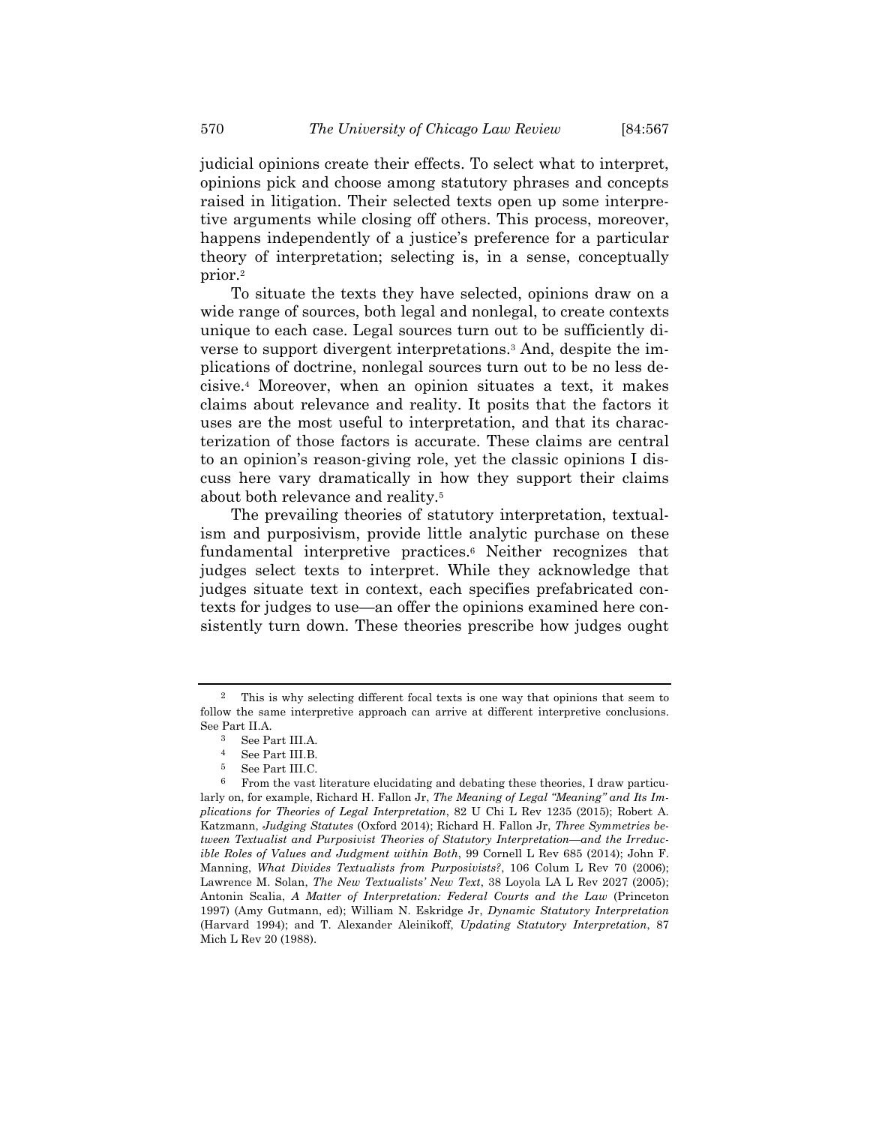judicial opinions create their effects. To select what to interpret, opinions pick and choose among statutory phrases and concepts raised in litigation. Their selected texts open up some interpretive arguments while closing off others. This process, moreover, happens independently of a justice's preference for a particular theory of interpretation; selecting is, in a sense, conceptually prior.2

To situate the texts they have selected, opinions draw on a wide range of sources, both legal and nonlegal, to create contexts unique to each case. Legal sources turn out to be sufficiently diverse to support divergent interpretations.3 And, despite the implications of doctrine, nonlegal sources turn out to be no less decisive.4 Moreover, when an opinion situates a text, it makes claims about relevance and reality. It posits that the factors it uses are the most useful to interpretation, and that its characterization of those factors is accurate. These claims are central to an opinion's reason-giving role, yet the classic opinions I discuss here vary dramatically in how they support their claims about both relevance and reality.5

The prevailing theories of statutory interpretation, textualism and purposivism, provide little analytic purchase on these fundamental interpretive practices.6 Neither recognizes that judges select texts to interpret. While they acknowledge that judges situate text in context, each specifies prefabricated contexts for judges to use—an offer the opinions examined here consistently turn down. These theories prescribe how judges ought

<sup>2</sup> This is why selecting different focal texts is one way that opinions that seem to follow the same interpretive approach can arrive at different interpretive conclusions. See Part II.A.

<sup>3</sup> See Part III.A.

<sup>4</sup> See Part III.B.

<sup>&</sup>lt;sup>5</sup> See Part III.C.<br><sup>6</sup> From the vast

<sup>6</sup> From the vast literature elucidating and debating these theories, I draw particularly on, for example, Richard H. Fallon Jr, *The Meaning of Legal "Meaning" and Its Implications for Theories of Legal Interpretation*, 82 U Chi L Rev 1235 (2015); Robert A. Katzmann, *Judging Statutes* (Oxford 2014); Richard H. Fallon Jr, *Three Symmetries between Textualist and Purposivist Theories of Statutory Interpretation—and the Irreducible Roles of Values and Judgment within Both*, 99 Cornell L Rev 685 (2014); John F. Manning, *What Divides Textualists from Purposivists?*, 106 Colum L Rev 70 (2006); Lawrence M. Solan, *The New Textualists' New Text*, 38 Loyola LA L Rev 2027 (2005); Antonin Scalia, *A Matter of Interpretation: Federal Courts and the Law* (Princeton 1997) (Amy Gutmann, ed); William N. Eskridge Jr, *Dynamic Statutory Interpretation* (Harvard 1994); and T. Alexander Aleinikoff, *Updating Statutory Interpretation*, 87 Mich L Rev 20 (1988).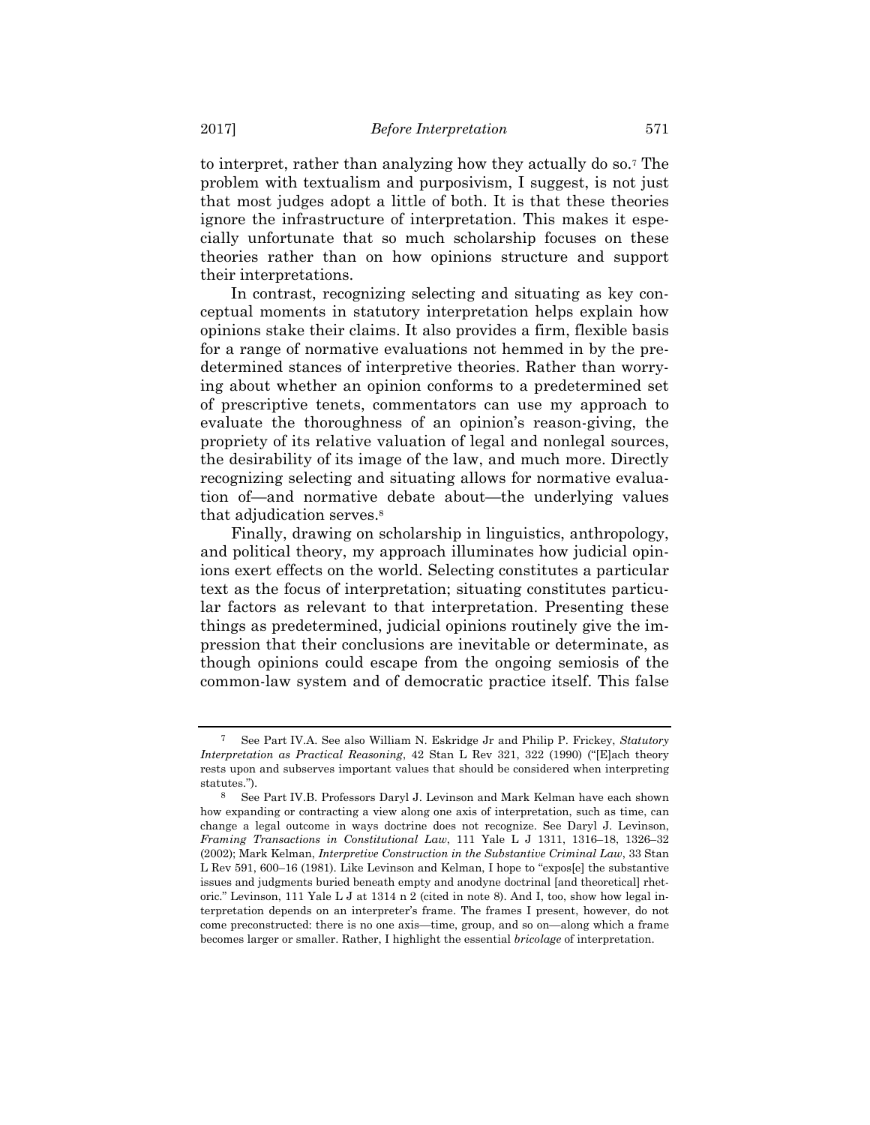to interpret, rather than analyzing how they actually do so.7 The problem with textualism and purposivism, I suggest, is not just that most judges adopt a little of both. It is that these theories ignore the infrastructure of interpretation. This makes it especially unfortunate that so much scholarship focuses on these theories rather than on how opinions structure and support their interpretations.

In contrast, recognizing selecting and situating as key conceptual moments in statutory interpretation helps explain how opinions stake their claims. It also provides a firm, flexible basis for a range of normative evaluations not hemmed in by the predetermined stances of interpretive theories. Rather than worrying about whether an opinion conforms to a predetermined set of prescriptive tenets, commentators can use my approach to evaluate the thoroughness of an opinion's reason-giving, the propriety of its relative valuation of legal and nonlegal sources, the desirability of its image of the law, and much more. Directly recognizing selecting and situating allows for normative evaluation of—and normative debate about—the underlying values that adjudication serves.8

Finally, drawing on scholarship in linguistics, anthropology, and political theory, my approach illuminates how judicial opinions exert effects on the world. Selecting constitutes a particular text as the focus of interpretation; situating constitutes particular factors as relevant to that interpretation. Presenting these things as predetermined, judicial opinions routinely give the impression that their conclusions are inevitable or determinate, as though opinions could escape from the ongoing semiosis of the common-law system and of democratic practice itself. This false

<sup>7</sup> See Part IV.A. See also William N. Eskridge Jr and Philip P. Frickey, *Statutory Interpretation as Practical Reasoning*, 42 Stan L Rev 321, 322 (1990) ("[E]ach theory rests upon and subserves important values that should be considered when interpreting statutes.").

<sup>8</sup> See Part IV.B. Professors Daryl J. Levinson and Mark Kelman have each shown how expanding or contracting a view along one axis of interpretation, such as time, can change a legal outcome in ways doctrine does not recognize. See Daryl J. Levinson, *Framing Transactions in Constitutional Law*, 111 Yale L J 1311, 1316–18, 1326–32 (2002); Mark Kelman, *Interpretive Construction in the Substantive Criminal Law*, 33 Stan L Rev 591, 600–16 (1981). Like Levinson and Kelman, I hope to "expos[e] the substantive issues and judgments buried beneath empty and anodyne doctrinal [and theoretical] rhetoric." Levinson, 111 Yale L J at 1314 n 2 (cited in note 8). And I, too, show how legal interpretation depends on an interpreter's frame. The frames I present, however, do not come preconstructed: there is no one axis—time, group, and so on—along which a frame becomes larger or smaller. Rather, I highlight the essential *bricolage* of interpretation.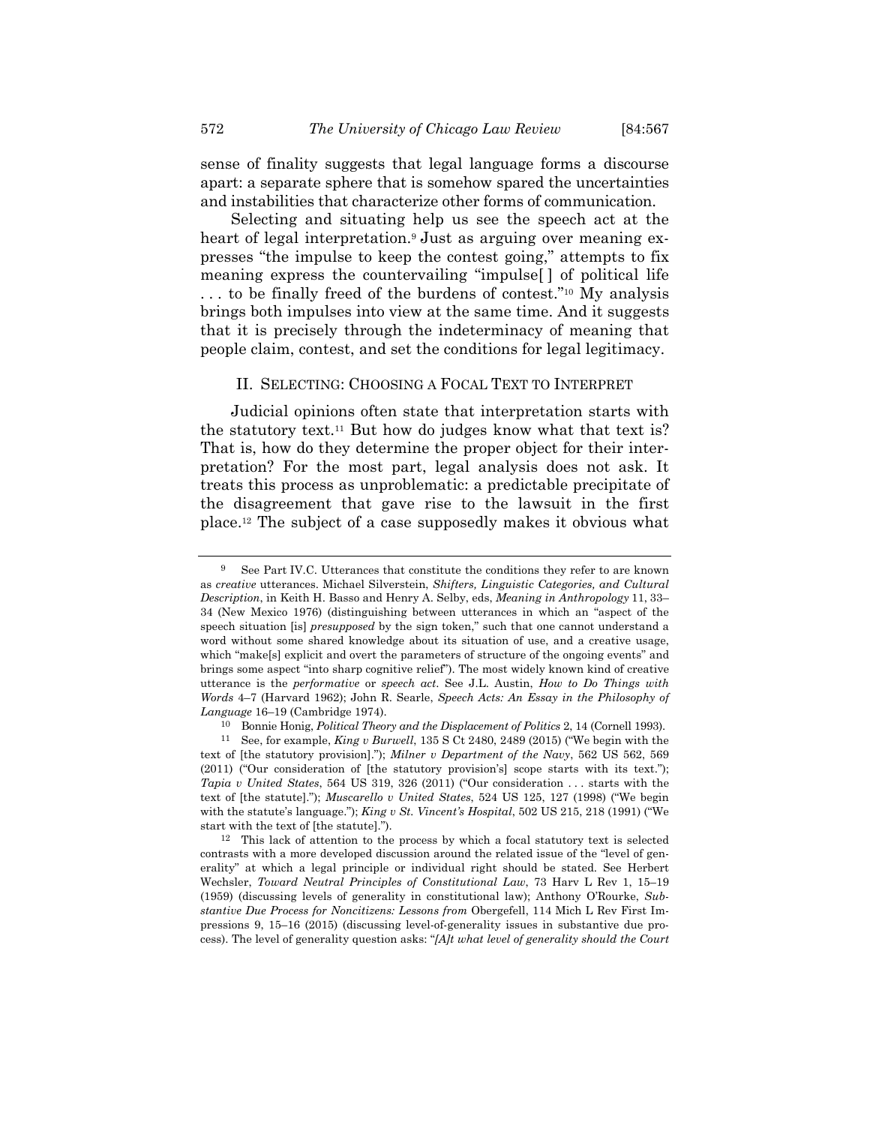sense of finality suggests that legal language forms a discourse apart: a separate sphere that is somehow spared the uncertainties and instabilities that characterize other forms of communication.

Selecting and situating help us see the speech act at the heart of legal interpretation.<sup>9</sup> Just as arguing over meaning expresses "the impulse to keep the contest going," attempts to fix meaning express the countervailing "impulse[ ] of political life . . . to be finally freed of the burdens of contest."10 My analysis brings both impulses into view at the same time. And it suggests that it is precisely through the indeterminacy of meaning that people claim, contest, and set the conditions for legal legitimacy.

#### II. SELECTING: CHOOSING A FOCAL TEXT TO INTERPRET

Judicial opinions often state that interpretation starts with the statutory text.11 But how do judges know what that text is? That is, how do they determine the proper object for their interpretation? For the most part, legal analysis does not ask. It treats this process as unproblematic: a predictable precipitate of the disagreement that gave rise to the lawsuit in the first place.12 The subject of a case supposedly makes it obvious what

10 Bonnie Honig, *Political Theory and the Displacement of Politics* 2, 14 (Cornell 1993).

<sup>9</sup> See Part IV.C. Utterances that constitute the conditions they refer to are known as *creative* utterances. Michael Silverstein, *Shifters, Linguistic Categories, and Cultural Description*, in Keith H. Basso and Henry A. Selby, eds, *Meaning in Anthropology* 11, 33– 34 (New Mexico 1976) (distinguishing between utterances in which an "aspect of the speech situation [is] *presupposed* by the sign token," such that one cannot understand a word without some shared knowledge about its situation of use, and a creative usage, which "make[s] explicit and overt the parameters of structure of the ongoing events" and brings some aspect "into sharp cognitive relief"). The most widely known kind of creative utterance is the *performative* or *speech act*. See J.L. Austin, *How to Do Things with Words* 4–7 (Harvard 1962); John R. Searle, *Speech Acts: An Essay in the Philosophy of Language* 16–19 (Cambridge 1974).

<sup>11</sup> See, for example, *King v Burwell*, 135 S Ct 2480, 2489 (2015) ("We begin with the text of [the statutory provision]."); *Milner v Department of the Navy*, 562 US 562, 569 (2011) ("Our consideration of [the statutory provision's] scope starts with its text."); *Tapia v United States*, 564 US 319, 326 (2011) ("Our consideration . . . starts with the text of [the statute]."); *Muscarello v United States*, 524 US 125, 127 (1998) ("We begin with the statute's language."); *King v St. Vincent's Hospital*, 502 US 215, 218 (1991) ("We start with the text of [the statute].").

<sup>12</sup> This lack of attention to the process by which a focal statutory text is selected contrasts with a more developed discussion around the related issue of the "level of generality" at which a legal principle or individual right should be stated. See Herbert Wechsler, *Toward Neutral Principles of Constitutional Law*, 73 Harv L Rev 1, 15–19 (1959) (discussing levels of generality in constitutional law); Anthony O'Rourke, *Substantive Due Process for Noncitizens: Lessons from* Obergefell, 114 Mich L Rev First Impressions 9, 15–16 (2015) (discussing level-of-generality issues in substantive due process). The level of generality question asks: "*[A]t what level of generality should the Court*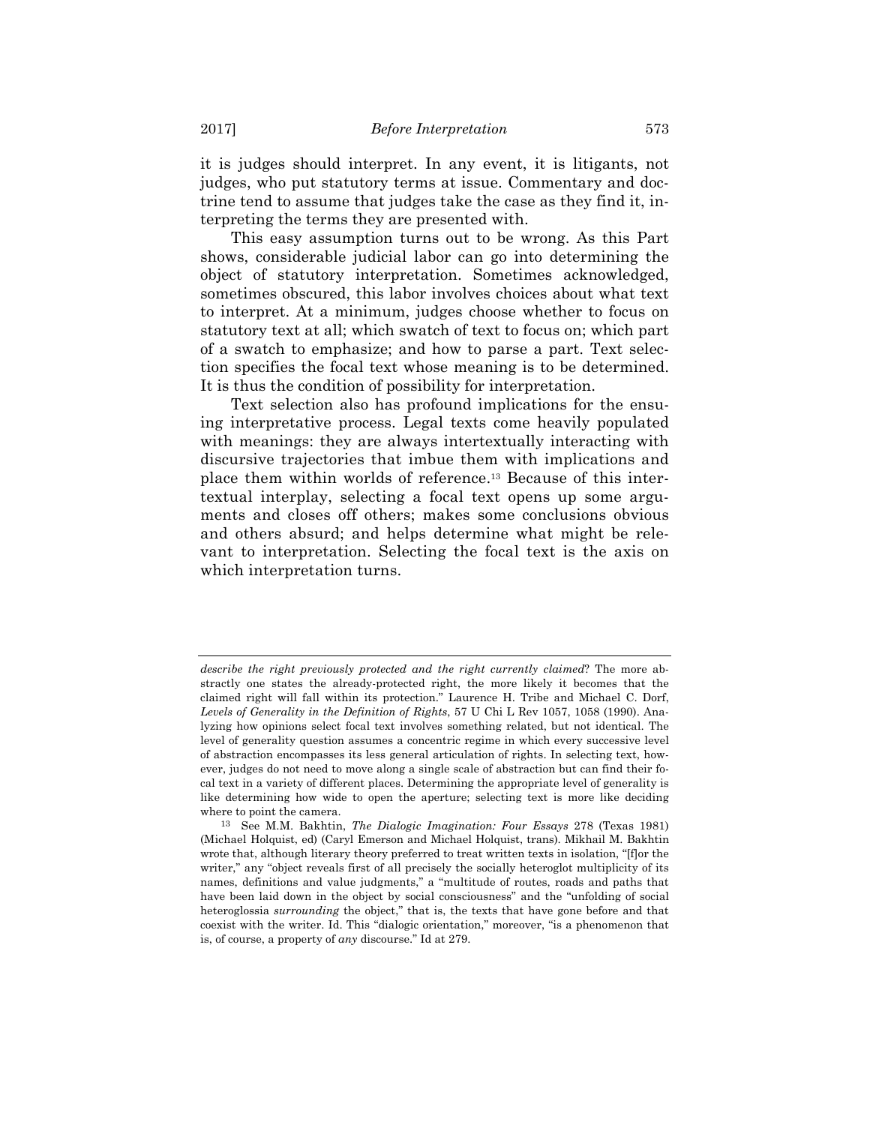it is judges should interpret. In any event, it is litigants, not judges, who put statutory terms at issue. Commentary and doctrine tend to assume that judges take the case as they find it, interpreting the terms they are presented with.

This easy assumption turns out to be wrong. As this Part shows, considerable judicial labor can go into determining the object of statutory interpretation. Sometimes acknowledged, sometimes obscured, this labor involves choices about what text to interpret. At a minimum, judges choose whether to focus on statutory text at all; which swatch of text to focus on; which part of a swatch to emphasize; and how to parse a part. Text selection specifies the focal text whose meaning is to be determined. It is thus the condition of possibility for interpretation.

Text selection also has profound implications for the ensuing interpretative process. Legal texts come heavily populated with meanings: they are always intertextually interacting with discursive trajectories that imbue them with implications and place them within worlds of reference.13 Because of this intertextual interplay, selecting a focal text opens up some arguments and closes off others; makes some conclusions obvious and others absurd; and helps determine what might be relevant to interpretation. Selecting the focal text is the axis on which interpretation turns.

*describe the right previously protected and the right currently claimed*? The more abstractly one states the already-protected right, the more likely it becomes that the claimed right will fall within its protection." Laurence H. Tribe and Michael C. Dorf, *Levels of Generality in the Definition of Rights*, 57 U Chi L Rev 1057, 1058 (1990). Analyzing how opinions select focal text involves something related, but not identical. The level of generality question assumes a concentric regime in which every successive level of abstraction encompasses its less general articulation of rights. In selecting text, however, judges do not need to move along a single scale of abstraction but can find their focal text in a variety of different places. Determining the appropriate level of generality is like determining how wide to open the aperture; selecting text is more like deciding where to point the camera.

<sup>13</sup> See M.M. Bakhtin, *The Dialogic Imagination: Four Essays* 278 (Texas 1981) (Michael Holquist, ed) (Caryl Emerson and Michael Holquist, trans). Mikhail M. Bakhtin wrote that, although literary theory preferred to treat written texts in isolation, "[f]or the writer," any "object reveals first of all precisely the socially heteroglot multiplicity of its names, definitions and value judgments," a "multitude of routes, roads and paths that have been laid down in the object by social consciousness" and the "unfolding of social heteroglossia *surrounding* the object," that is, the texts that have gone before and that coexist with the writer. Id. This "dialogic orientation," moreover, "is a phenomenon that is, of course, a property of *any* discourse." Id at 279.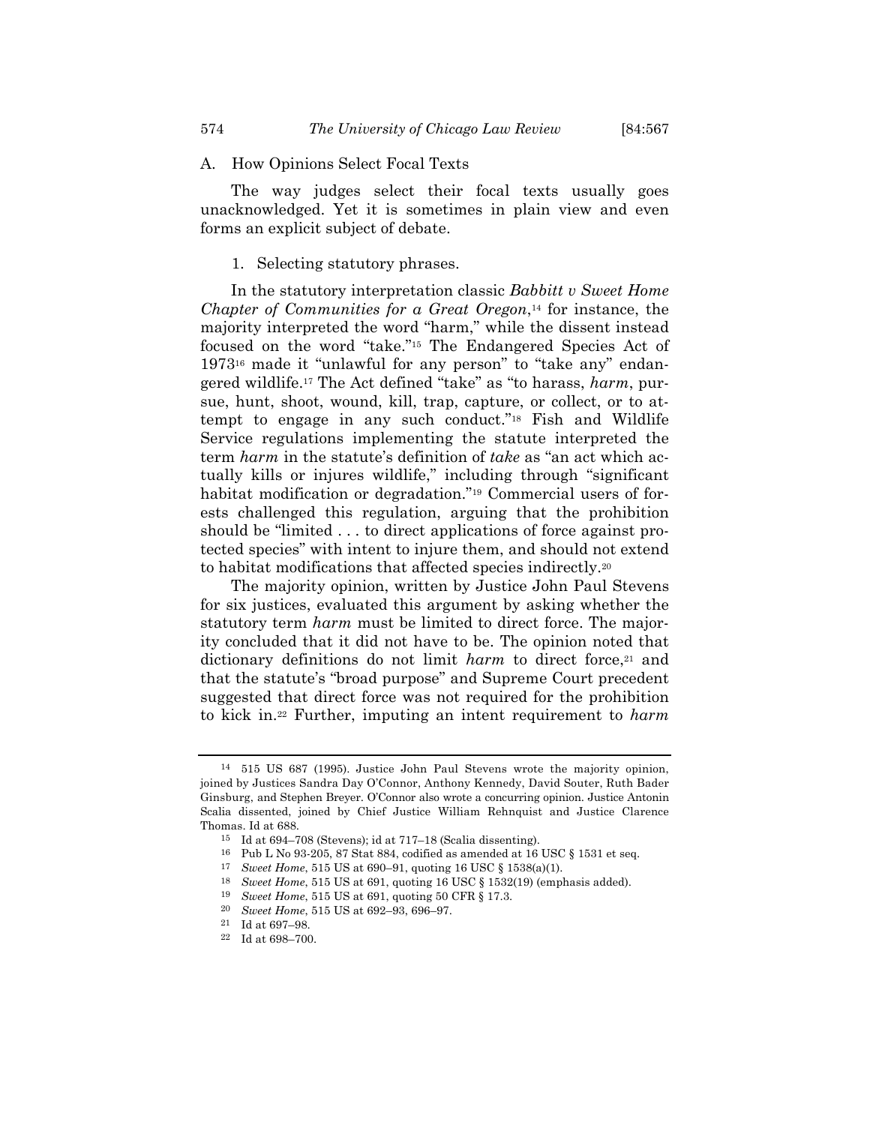#### A. How Opinions Select Focal Texts

The way judges select their focal texts usually goes unacknowledged. Yet it is sometimes in plain view and even forms an explicit subject of debate.

# 1. Selecting statutory phrases.

In the statutory interpretation classic *Babbitt v Sweet Home Chapter of Communities for a Great Oregon*,14 for instance, the majority interpreted the word "harm," while the dissent instead focused on the word "take."15 The Endangered Species Act of 197316 made it "unlawful for any person" to "take any" endangered wildlife.17 The Act defined "take" as "to harass, *harm*, pursue, hunt, shoot, wound, kill, trap, capture, or collect, or to attempt to engage in any such conduct."18 Fish and Wildlife Service regulations implementing the statute interpreted the term *harm* in the statute's definition of *take* as "an act which actually kills or injures wildlife," including through "significant habitat modification or degradation."<sup>19</sup> Commercial users of forests challenged this regulation, arguing that the prohibition should be "limited . . . to direct applications of force against protected species" with intent to injure them, and should not extend to habitat modifications that affected species indirectly.20

The majority opinion, written by Justice John Paul Stevens for six justices, evaluated this argument by asking whether the statutory term *harm* must be limited to direct force. The majority concluded that it did not have to be. The opinion noted that dictionary definitions do not limit *harm* to direct force,<sup>21</sup> and that the statute's "broad purpose" and Supreme Court precedent suggested that direct force was not required for the prohibition to kick in.22 Further, imputing an intent requirement to *harm*

<sup>14 515</sup> US 687 (1995). Justice John Paul Stevens wrote the majority opinion, joined by Justices Sandra Day O'Connor, Anthony Kennedy, David Souter, Ruth Bader Ginsburg, and Stephen Breyer. O'Connor also wrote a concurring opinion. Justice Antonin Scalia dissented, joined by Chief Justice William Rehnquist and Justice Clarence Thomas. Id at 688.

<sup>15</sup> Id at 694–708 (Stevens); id at 717–18 (Scalia dissenting).

 $^{16}$  Pub L No 93-205, 87 Stat 884, codified as amended at 16 USC  $\S$  1531 et seq.

<sup>17</sup> *Sweet Home*, 515 US at 690–91, quoting 16 USC § 1538(a)(1).

<sup>18</sup> *Sweet Home*, 515 US at 691, quoting 16 USC § 1532(19) (emphasis added). 19 *Sweet Home*, 515 US at 691, quoting 50 CFR § 17.3.

<sup>20</sup> *Sweet Home*, 515 US at 692–93, 696–97.

 $^{21}\,$  Id at 697–98.

<sup>22</sup> Id at 698–700.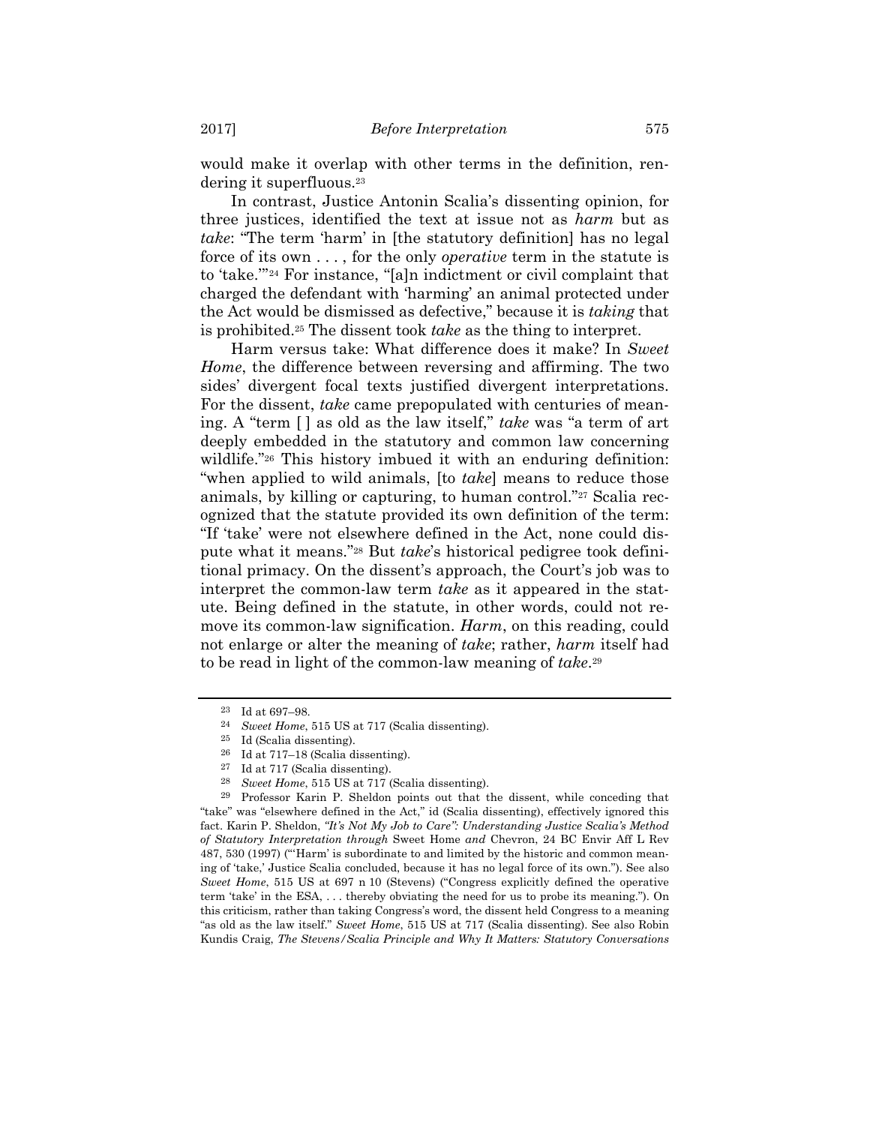would make it overlap with other terms in the definition, rendering it superfluous.23

In contrast, Justice Antonin Scalia's dissenting opinion, for three justices, identified the text at issue not as *harm* but as *take*: "The term 'harm' in [the statutory definition] has no legal force of its own . . . , for the only *operative* term in the statute is to 'take.'"24 For instance, "[a]n indictment or civil complaint that charged the defendant with 'harming' an animal protected under the Act would be dismissed as defective," because it is *taking* that is prohibited.25 The dissent took *take* as the thing to interpret.

Harm versus take: What difference does it make? In *Sweet Home*, the difference between reversing and affirming. The two sides' divergent focal texts justified divergent interpretations. For the dissent, *take* came prepopulated with centuries of meaning. A "term [ ] as old as the law itself," *take* was "a term of art deeply embedded in the statutory and common law concerning wildlife."<sup>26</sup> This history imbued it with an enduring definition: "when applied to wild animals, [to *take*] means to reduce those animals, by killing or capturing, to human control."27 Scalia recognized that the statute provided its own definition of the term: "If 'take' were not elsewhere defined in the Act, none could dispute what it means."28 But *take*'s historical pedigree took definitional primacy. On the dissent's approach, the Court's job was to interpret the common-law term *take* as it appeared in the statute. Being defined in the statute, in other words, could not remove its common-law signification. *Harm*, on this reading, could not enlarge or alter the meaning of *take*; rather, *harm* itself had to be read in light of the common-law meaning of *take*.29

29 Professor Karin P. Sheldon points out that the dissent, while conceding that "take" was "elsewhere defined in the Act," id (Scalia dissenting), effectively ignored this fact. Karin P. Sheldon, *"It's Not My Job to Care": Understanding Justice Scalia's Method of Statutory Interpretation through* Sweet Home *and* Chevron, 24 BC Envir Aff L Rev 487, 530 (1997) ("'Harm' is subordinate to and limited by the historic and common meaning of 'take,' Justice Scalia concluded, because it has no legal force of its own."). See also *Sweet Home*, 515 US at 697 n 10 (Stevens) ("Congress explicitly defined the operative term 'take' in the ESA, . . . thereby obviating the need for us to probe its meaning."). On this criticism, rather than taking Congress's word, the dissent held Congress to a meaning "as old as the law itself." *Sweet Home*, 515 US at 717 (Scalia dissenting). See also Robin Kundis Craig, *The Stevens/Scalia Principle and Why It Matters: Statutory Conversations* 

<sup>23</sup> Id at 697–98.

<sup>24</sup> *Sweet Home*, 515 US at 717 (Scalia dissenting).

<sup>25</sup> Id (Scalia dissenting).

<sup>26</sup> Id at 717–18 (Scalia dissenting).

<sup>27</sup> Id at 717 (Scalia dissenting).

<sup>28</sup> *Sweet Home*, 515 US at 717 (Scalia dissenting).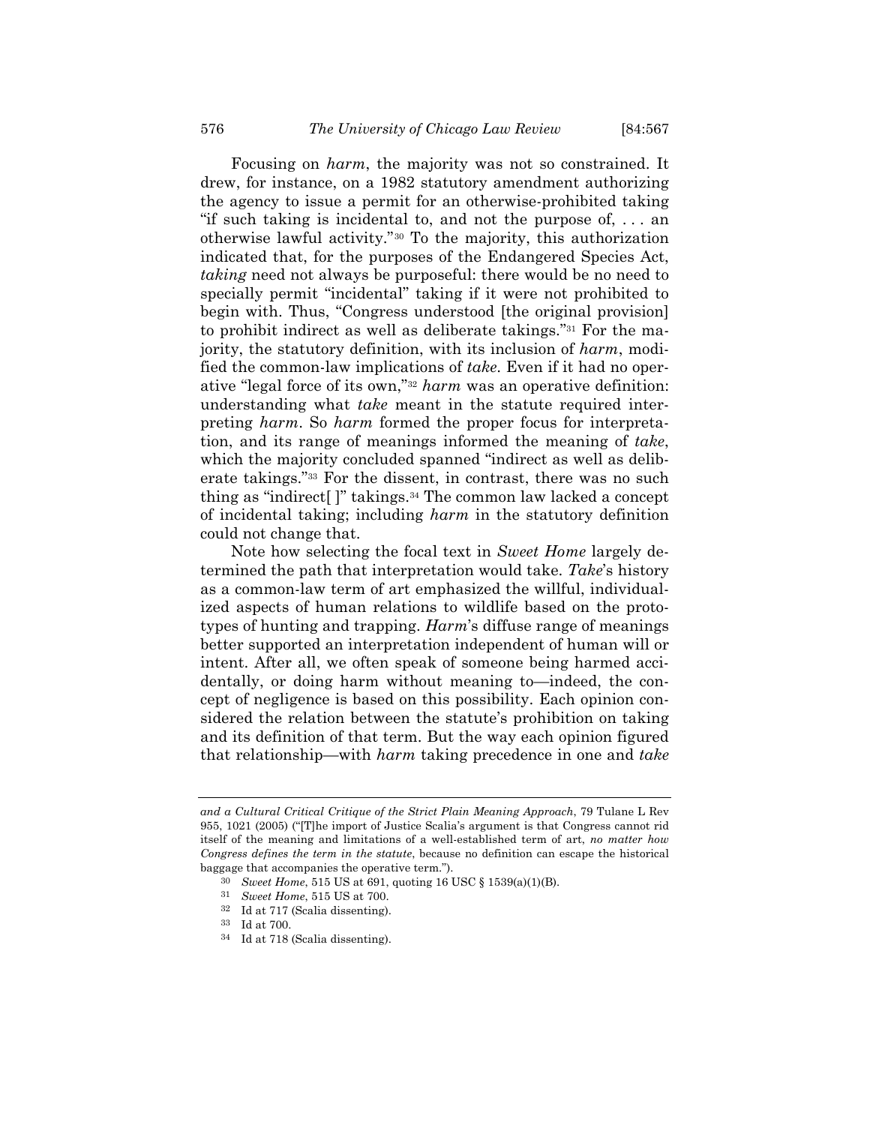Focusing on *harm*, the majority was not so constrained. It drew, for instance, on a 1982 statutory amendment authorizing the agency to issue a permit for an otherwise-prohibited taking "if such taking is incidental to, and not the purpose of, . . . an otherwise lawful activity."30 To the majority, this authorization indicated that, for the purposes of the Endangered Species Act, *taking* need not always be purposeful: there would be no need to specially permit "incidental" taking if it were not prohibited to begin with. Thus, "Congress understood [the original provision] to prohibit indirect as well as deliberate takings."31 For the majority, the statutory definition, with its inclusion of *harm*, modified the common-law implications of *take*. Even if it had no operative "legal force of its own,"32 *harm* was an operative definition: understanding what *take* meant in the statute required interpreting *harm*. So *harm* formed the proper focus for interpretation, and its range of meanings informed the meaning of *take*, which the majority concluded spanned "indirect as well as deliberate takings."33 For the dissent, in contrast, there was no such thing as "indirect[ ]" takings.34 The common law lacked a concept of incidental taking; including *harm* in the statutory definition could not change that.

Note how selecting the focal text in *Sweet Home* largely determined the path that interpretation would take. *Take*'s history as a common-law term of art emphasized the willful, individualized aspects of human relations to wildlife based on the prototypes of hunting and trapping. *Harm*'s diffuse range of meanings better supported an interpretation independent of human will or intent. After all, we often speak of someone being harmed accidentally, or doing harm without meaning to—indeed, the concept of negligence is based on this possibility. Each opinion considered the relation between the statute's prohibition on taking and its definition of that term. But the way each opinion figured that relationship—with *harm* taking precedence in one and *take*

*and a Cultural Critical Critique of the Strict Plain Meaning Approach*, 79 Tulane L Rev 955, 1021 (2005) ("[T]he import of Justice Scalia's argument is that Congress cannot rid itself of the meaning and limitations of a well-established term of art, *no matter how Congress defines the term in the statute*, because no definition can escape the historical baggage that accompanies the operative term.").

<sup>30</sup> *Sweet Home*, 515 US at 691, quoting 16 USC § 1539(a)(1)(B). 31 *Sweet Home*, 515 US at 700.

<sup>32</sup> Id at 717 (Scalia dissenting).

<sup>33</sup> Id at 700.

<sup>34</sup> Id at 718 (Scalia dissenting).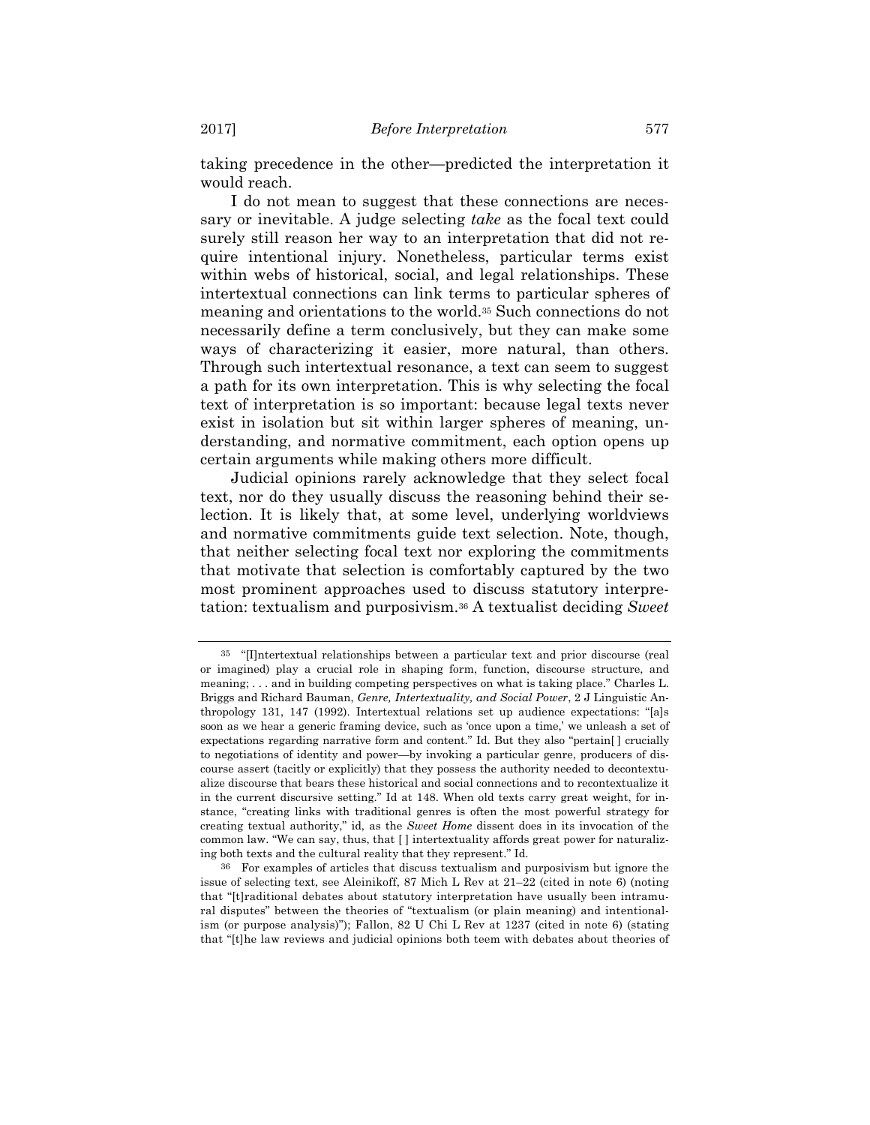taking precedence in the other—predicted the interpretation it would reach.

I do not mean to suggest that these connections are necessary or inevitable. A judge selecting *take* as the focal text could surely still reason her way to an interpretation that did not require intentional injury. Nonetheless, particular terms exist within webs of historical, social, and legal relationships. These intertextual connections can link terms to particular spheres of meaning and orientations to the world.35 Such connections do not necessarily define a term conclusively, but they can make some ways of characterizing it easier, more natural, than others. Through such intertextual resonance, a text can seem to suggest a path for its own interpretation. This is why selecting the focal text of interpretation is so important: because legal texts never exist in isolation but sit within larger spheres of meaning, understanding, and normative commitment, each option opens up certain arguments while making others more difficult.

Judicial opinions rarely acknowledge that they select focal text, nor do they usually discuss the reasoning behind their selection. It is likely that, at some level, underlying worldviews and normative commitments guide text selection. Note, though, that neither selecting focal text nor exploring the commitments that motivate that selection is comfortably captured by the two most prominent approaches used to discuss statutory interpretation: textualism and purposivism.36 A textualist deciding *Sweet* 

<sup>35 &</sup>quot;[I]ntertextual relationships between a particular text and prior discourse (real or imagined) play a crucial role in shaping form, function, discourse structure, and meaning; . . . and in building competing perspectives on what is taking place." Charles L. Briggs and Richard Bauman, *Genre, Intertextuality, and Social Power*, 2 J Linguistic Anthropology 131, 147 (1992). Intertextual relations set up audience expectations: "[a]s soon as we hear a generic framing device, such as 'once upon a time,' we unleash a set of expectations regarding narrative form and content." Id. But they also "pertain[ ] crucially to negotiations of identity and power—by invoking a particular genre, producers of discourse assert (tacitly or explicitly) that they possess the authority needed to decontextualize discourse that bears these historical and social connections and to recontextualize it in the current discursive setting." Id at 148. When old texts carry great weight, for instance, "creating links with traditional genres is often the most powerful strategy for creating textual authority," id, as the *Sweet Home* dissent does in its invocation of the common law. "We can say, thus, that [ ] intertextuality affords great power for naturalizing both texts and the cultural reality that they represent." Id.

<sup>36</sup> For examples of articles that discuss textualism and purposivism but ignore the issue of selecting text, see Aleinikoff, 87 Mich L Rev at 21–22 (cited in note 6) (noting that "[t]raditional debates about statutory interpretation have usually been intramural disputes" between the theories of "textualism (or plain meaning) and intentionalism (or purpose analysis)"); Fallon, 82 U Chi L Rev at 1237 (cited in note 6) (stating that "[t]he law reviews and judicial opinions both teem with debates about theories of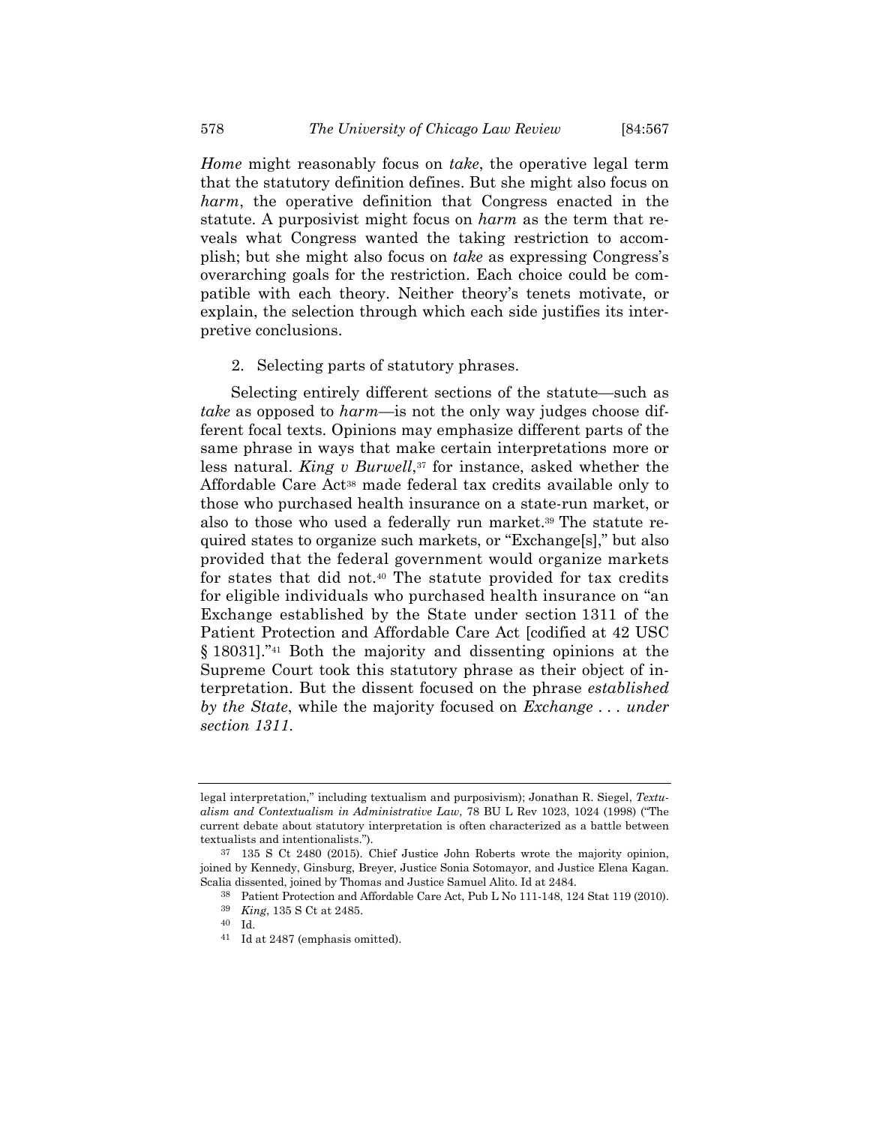*Home* might reasonably focus on *take*, the operative legal term that the statutory definition defines. But she might also focus on *harm*, the operative definition that Congress enacted in the statute. A purposivist might focus on *harm* as the term that reveals what Congress wanted the taking restriction to accomplish; but she might also focus on *take* as expressing Congress's overarching goals for the restriction. Each choice could be compatible with each theory. Neither theory's tenets motivate, or explain, the selection through which each side justifies its interpretive conclusions.

2. Selecting parts of statutory phrases.

Selecting entirely different sections of the statute—such as *take* as opposed to *harm*—is not the only way judges choose different focal texts. Opinions may emphasize different parts of the same phrase in ways that make certain interpretations more or less natural. *King v Burwell*,<sup>37</sup> for instance, asked whether the Affordable Care Act38 made federal tax credits available only to those who purchased health insurance on a state-run market, or also to those who used a federally run market.39 The statute required states to organize such markets, or "Exchange[s]," but also provided that the federal government would organize markets for states that did not.40 The statute provided for tax credits for eligible individuals who purchased health insurance on "an Exchange established by the State under section 1311 of the Patient Protection and Affordable Care Act [codified at 42 USC § 18031]."41 Both the majority and dissenting opinions at the Supreme Court took this statutory phrase as their object of interpretation. But the dissent focused on the phrase *established by the State*, while the majority focused on *Exchange . . . under section 1311*.

legal interpretation," including textualism and purposivism); Jonathan R. Siegel, *Textualism and Contextualism in Administrative Law*, 78 BU L Rev 1023, 1024 (1998) ("The current debate about statutory interpretation is often characterized as a battle between textualists and intentionalists.").

<sup>37 135</sup> S Ct 2480 (2015). Chief Justice John Roberts wrote the majority opinion, joined by Kennedy, Ginsburg, Breyer, Justice Sonia Sotomayor, and Justice Elena Kagan. Scalia dissented, joined by Thomas and Justice Samuel Alito. Id at 2484.

<sup>38</sup> Patient Protection and Affordable Care Act, Pub L No 111-148, 124 Stat 119 (2010).

<sup>39</sup> *King*, 135 S Ct at 2485.

<sup>40</sup> Id.

<sup>41</sup> Id at 2487 (emphasis omitted).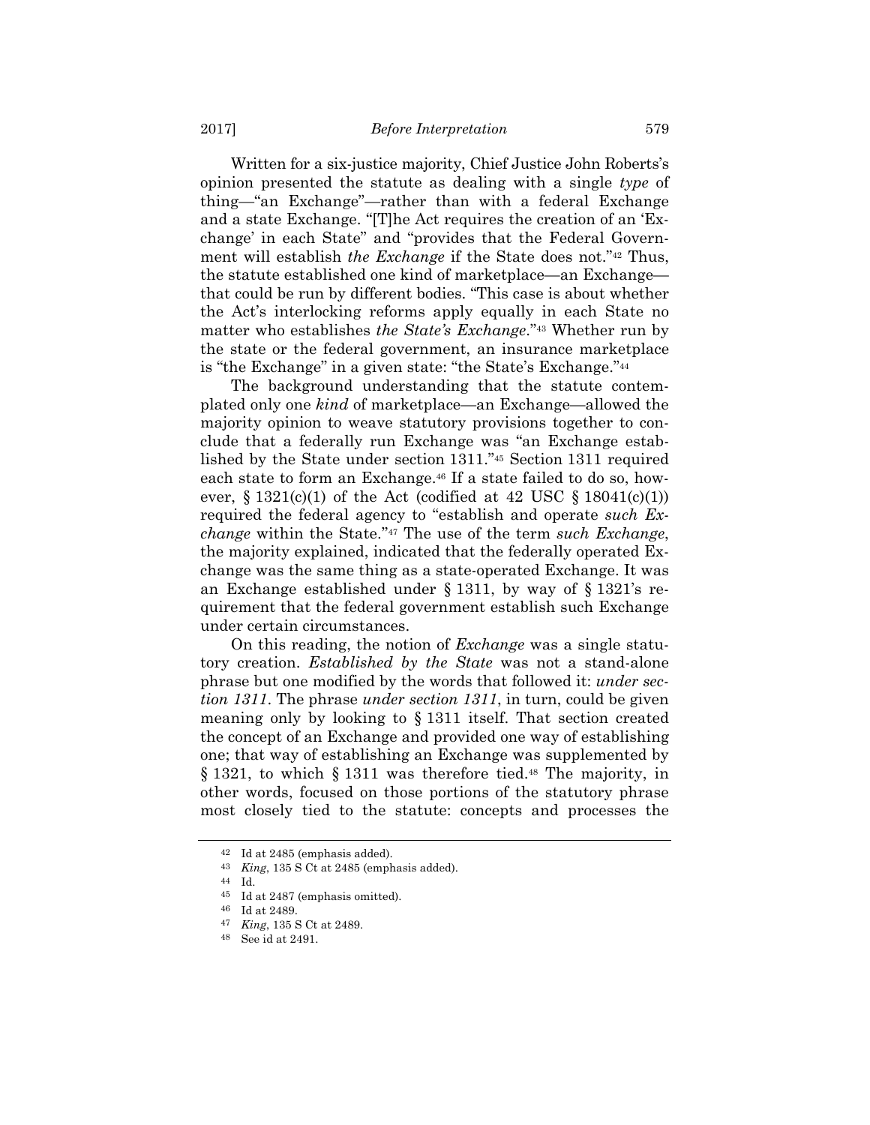Written for a six-justice majority, Chief Justice John Roberts's opinion presented the statute as dealing with a single *type* of thing—"an Exchange"—rather than with a federal Exchange and a state Exchange. "[T]he Act requires the creation of an 'Exchange' in each State" and "provides that the Federal Government will establish *the Exchange* if the State does not."42 Thus, the statute established one kind of marketplace—an Exchange that could be run by different bodies. "This case is about whether the Act's interlocking reforms apply equally in each State no matter who establishes *the State's Exchange*."43 Whether run by the state or the federal government, an insurance marketplace is "the Exchange" in a given state: "the State's Exchange."44

The background understanding that the statute contemplated only one *kind* of marketplace—an Exchange—allowed the majority opinion to weave statutory provisions together to conclude that a federally run Exchange was "an Exchange established by the State under section 1311."45 Section 1311 required each state to form an Exchange.46 If a state failed to do so, however,  $\S 1321(c)(1)$  of the Act (codified at 42 USC  $\S 18041(c)(1)$ ) required the federal agency to "establish and operate *such Exchange* within the State.''47 The use of the term *such Exchange*, the majority explained, indicated that the federally operated Exchange was the same thing as a state-operated Exchange. It was an Exchange established under § 1311, by way of § 1321's requirement that the federal government establish such Exchange under certain circumstances.

On this reading, the notion of *Exchange* was a single statutory creation. *Established by the State* was not a stand-alone phrase but one modified by the words that followed it: *under section 1311*. The phrase *under section 1311*, in turn, could be given meaning only by looking to § 1311 itself. That section created the concept of an Exchange and provided one way of establishing one; that way of establishing an Exchange was supplemented by § 1321, to which § 1311 was therefore tied.<sup>48</sup> The majority, in other words, focused on those portions of the statutory phrase most closely tied to the statute: concepts and processes the

 $42$  Id at 2485 (emphasis added).

<sup>43</sup> *King*, 135 S Ct at 2485 (emphasis added).

<sup>44</sup> Id.

<sup>45</sup> Id at 2487 (emphasis omitted).

<sup>46</sup> Id at 2489.

<sup>47</sup> *King*, 135 S Ct at 2489. 48 See id at 2491.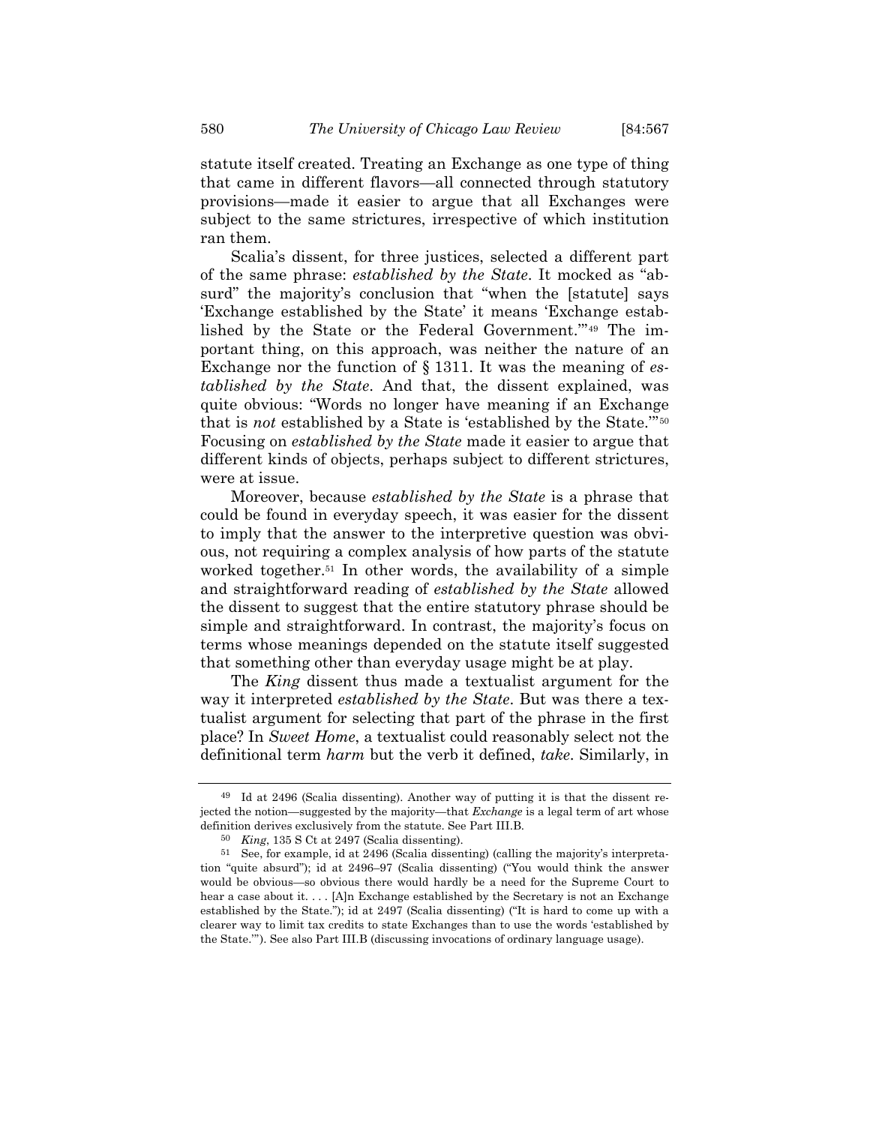statute itself created. Treating an Exchange as one type of thing that came in different flavors—all connected through statutory provisions—made it easier to argue that all Exchanges were subject to the same strictures, irrespective of which institution ran them.

Scalia's dissent, for three justices, selected a different part of the same phrase: *established by the State*. It mocked as "absurd" the majority's conclusion that "when the [statute] says 'Exchange established by the State' it means 'Exchange established by the State or the Federal Government.'"49 The important thing, on this approach, was neither the nature of an Exchange nor the function of § 1311. It was the meaning of *established by the State*. And that, the dissent explained, was quite obvious: "Words no longer have meaning if an Exchange that is *not* established by a State is 'established by the State.'"50 Focusing on *established by the State* made it easier to argue that different kinds of objects, perhaps subject to different strictures, were at issue.

Moreover, because *established by the State* is a phrase that could be found in everyday speech, it was easier for the dissent to imply that the answer to the interpretive question was obvious, not requiring a complex analysis of how parts of the statute worked together.<sup>51</sup> In other words, the availability of a simple and straightforward reading of *established by the State* allowed the dissent to suggest that the entire statutory phrase should be simple and straightforward. In contrast, the majority's focus on terms whose meanings depended on the statute itself suggested that something other than everyday usage might be at play.

The *King* dissent thus made a textualist argument for the way it interpreted *established by the State*. But was there a textualist argument for selecting that part of the phrase in the first place? In *Sweet Home*, a textualist could reasonably select not the definitional term *harm* but the verb it defined, *take*. Similarly, in

<sup>49</sup> Id at 2496 (Scalia dissenting). Another way of putting it is that the dissent rejected the notion—suggested by the majority—that *Exchange* is a legal term of art whose definition derives exclusively from the statute. See Part III.B.

<sup>50</sup> *King*, 135 S Ct at 2497 (Scalia dissenting).

<sup>51</sup> See, for example, id at 2496 (Scalia dissenting) (calling the majority's interpretation "quite absurd"); id at 2496–97 (Scalia dissenting) ("You would think the answer would be obvious—so obvious there would hardly be a need for the Supreme Court to hear a case about it. . . . [A]n Exchange established by the Secretary is not an Exchange established by the State."); id at 2497 (Scalia dissenting) ("It is hard to come up with a clearer way to limit tax credits to state Exchanges than to use the words 'established by the State.'"). See also Part III.B (discussing invocations of ordinary language usage).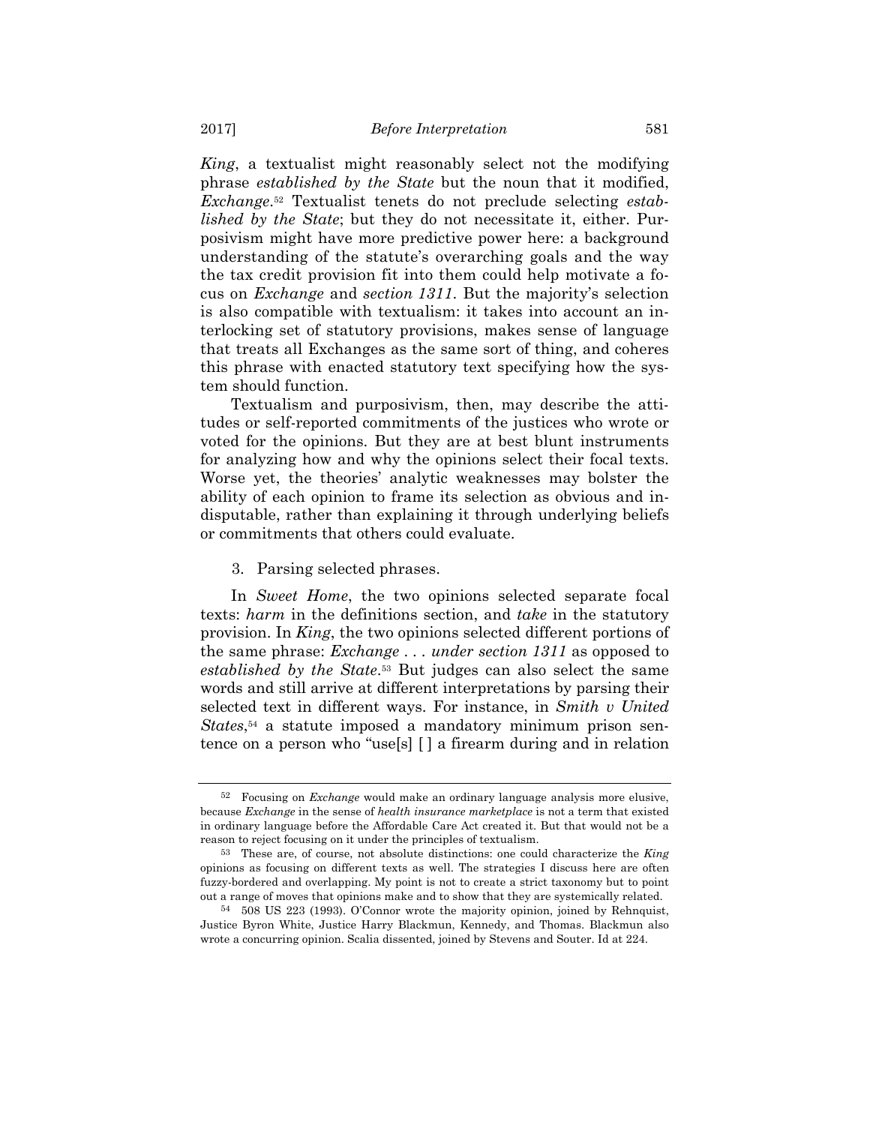*King*, a textualist might reasonably select not the modifying phrase *established by the State* but the noun that it modified, *Exchange*.52 Textualist tenets do not preclude selecting *established by the State*; but they do not necessitate it, either. Purposivism might have more predictive power here: a background understanding of the statute's overarching goals and the way the tax credit provision fit into them could help motivate a focus on *Exchange* and *section 1311*. But the majority's selection is also compatible with textualism: it takes into account an interlocking set of statutory provisions, makes sense of language that treats all Exchanges as the same sort of thing, and coheres this phrase with enacted statutory text specifying how the system should function.

Textualism and purposivism, then, may describe the attitudes or self-reported commitments of the justices who wrote or voted for the opinions. But they are at best blunt instruments for analyzing how and why the opinions select their focal texts. Worse yet, the theories' analytic weaknesses may bolster the ability of each opinion to frame its selection as obvious and indisputable, rather than explaining it through underlying beliefs or commitments that others could evaluate.

# 3. Parsing selected phrases.

In *Sweet Home*, the two opinions selected separate focal texts: *harm* in the definitions section, and *take* in the statutory provision. In *King*, the two opinions selected different portions of the same phrase: *Exchange . . . under section 1311* as opposed to *established by the State*.53 But judges can also select the same words and still arrive at different interpretations by parsing their selected text in different ways. For instance, in *Smith v United States*,54 a statute imposed a mandatory minimum prison sentence on a person who "use[s] [ ] a firearm during and in relation

<sup>52</sup> Focusing on *Exchange* would make an ordinary language analysis more elusive, because *Exchange* in the sense of *health insurance marketplace* is not a term that existed in ordinary language before the Affordable Care Act created it. But that would not be a reason to reject focusing on it under the principles of textualism.

<sup>53</sup> These are, of course, not absolute distinctions: one could characterize the *King* opinions as focusing on different texts as well. The strategies I discuss here are often fuzzy-bordered and overlapping. My point is not to create a strict taxonomy but to point out a range of moves that opinions make and to show that they are systemically related.

<sup>54 508</sup> US 223 (1993). O'Connor wrote the majority opinion, joined by Rehnquist, Justice Byron White, Justice Harry Blackmun, Kennedy, and Thomas. Blackmun also wrote a concurring opinion. Scalia dissented, joined by Stevens and Souter. Id at 224.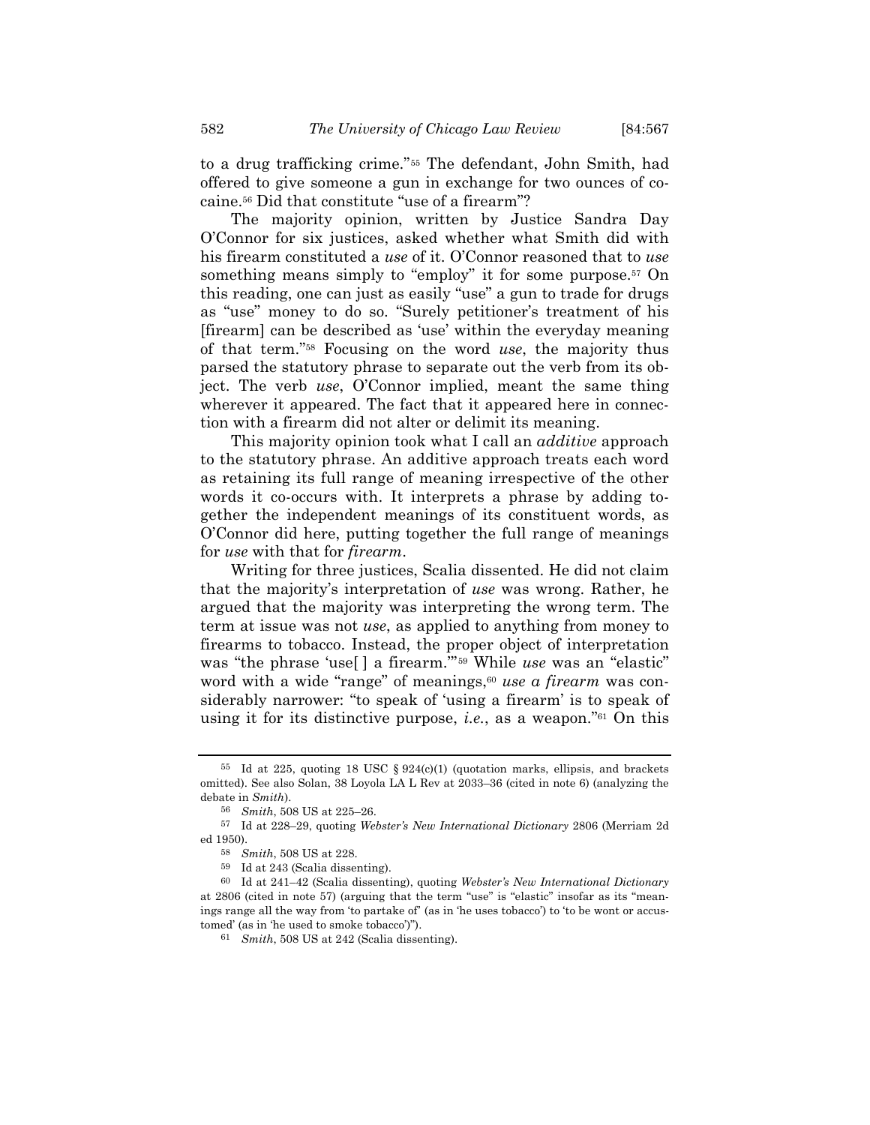to a drug trafficking crime."55 The defendant, John Smith, had offered to give someone a gun in exchange for two ounces of cocaine.56 Did that constitute "use of a firearm"?

The majority opinion, written by Justice Sandra Day O'Connor for six justices, asked whether what Smith did with his firearm constituted a *use* of it. O'Connor reasoned that to *use* something means simply to "employ" it for some purpose.<sup>57</sup> On this reading, one can just as easily "use" a gun to trade for drugs as "use" money to do so. "Surely petitioner's treatment of his [firearm] can be described as 'use' within the everyday meaning of that term."58 Focusing on the word *use*, the majority thus parsed the statutory phrase to separate out the verb from its object. The verb *use*, O'Connor implied, meant the same thing wherever it appeared. The fact that it appeared here in connection with a firearm did not alter or delimit its meaning.

This majority opinion took what I call an *additive* approach to the statutory phrase. An additive approach treats each word as retaining its full range of meaning irrespective of the other words it co-occurs with. It interprets a phrase by adding together the independent meanings of its constituent words, as O'Connor did here, putting together the full range of meanings for *use* with that for *firearm*.

Writing for three justices, Scalia dissented. He did not claim that the majority's interpretation of *use* was wrong. Rather, he argued that the majority was interpreting the wrong term. The term at issue was not *use*, as applied to anything from money to firearms to tobacco. Instead, the proper object of interpretation was "the phrase 'use[ ] a firearm.'"59 While *use* was an "elastic" word with a wide "range" of meanings,<sup>60</sup> use a firearm was considerably narrower: "to speak of 'using a firearm' is to speak of using it for its distinctive purpose, *i.e.*, as a weapon."61 On this

<sup>&</sup>lt;sup>55</sup> Id at 225, quoting 18 USC  $\S 924(c)(1)$  (quotation marks, ellipsis, and brackets omitted). See also Solan, 38 Loyola LA L Rev at 2033–36 (cited in note 6) (analyzing the debate in *Smith*).

<sup>56</sup> *Smith*, 508 US at 225–26.

<sup>57</sup> Id at 228–29, quoting *Webster's New International Dictionary* 2806 (Merriam 2d ed 1950).

<sup>58</sup> *Smith*, 508 US at 228.

<sup>59</sup> Id at 243 (Scalia dissenting).

<sup>60</sup> Id at 241–42 (Scalia dissenting), quoting *Webster's New International Dictionary* at 2806 (cited in note 57) (arguing that the term "use" is "elastic" insofar as its "meanings range all the way from 'to partake of' (as in 'he uses tobacco') to 'to be wont or accustomed' (as in 'he used to smoke tobacco')").

<sup>61</sup> *Smith*, 508 US at 242 (Scalia dissenting).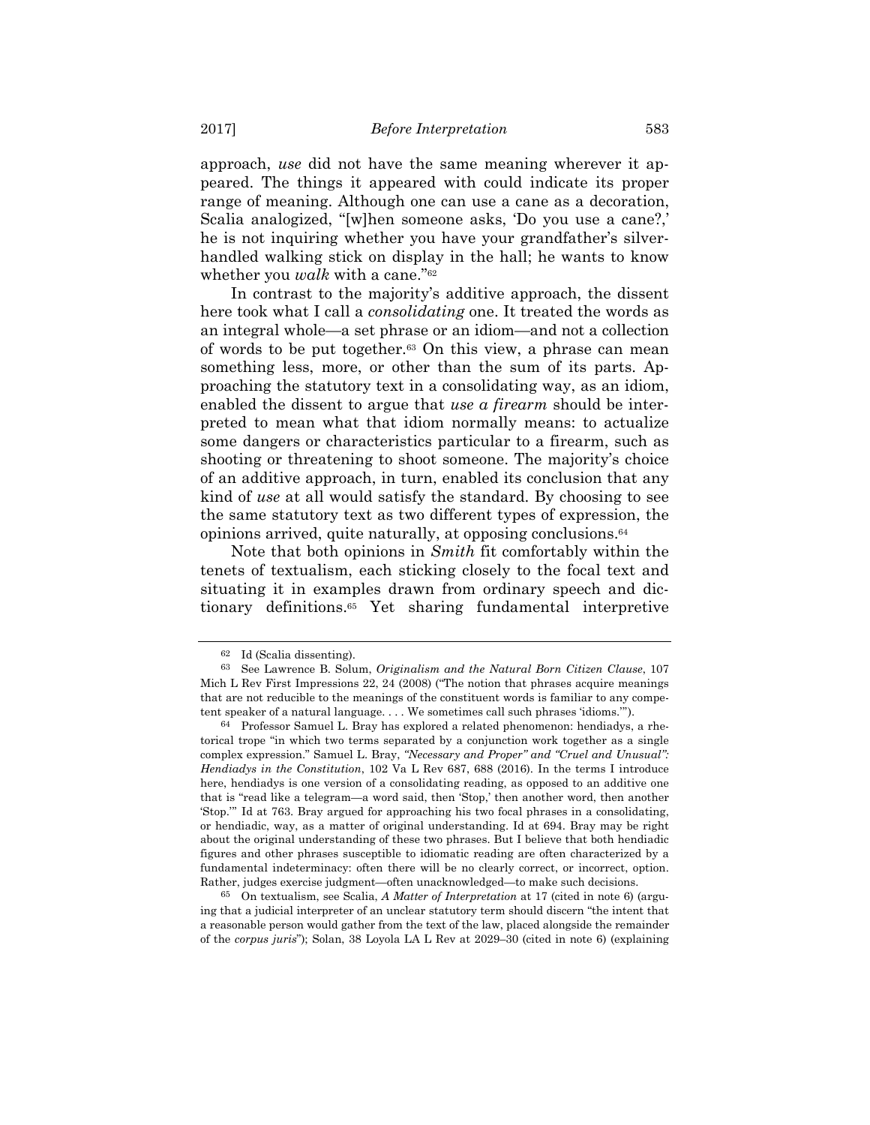approach, *use* did not have the same meaning wherever it appeared. The things it appeared with could indicate its proper range of meaning. Although one can use a cane as a decoration, Scalia analogized, "[w]hen someone asks, 'Do you use a cane?,' he is not inquiring whether you have your grandfather's silverhandled walking stick on display in the hall; he wants to know whether you *walk* with a cane."<sup>62</sup>

In contrast to the majority's additive approach, the dissent here took what I call a *consolidating* one. It treated the words as an integral whole—a set phrase or an idiom—and not a collection of words to be put together.63 On this view, a phrase can mean something less, more, or other than the sum of its parts. Approaching the statutory text in a consolidating way, as an idiom, enabled the dissent to argue that *use a firearm* should be interpreted to mean what that idiom normally means: to actualize some dangers or characteristics particular to a firearm, such as shooting or threatening to shoot someone. The majority's choice of an additive approach, in turn, enabled its conclusion that any kind of *use* at all would satisfy the standard. By choosing to see the same statutory text as two different types of expression, the opinions arrived, quite naturally, at opposing conclusions.64

Note that both opinions in *Smith* fit comfortably within the tenets of textualism, each sticking closely to the focal text and situating it in examples drawn from ordinary speech and dictionary definitions.65 Yet sharing fundamental interpretive

65 On textualism, see Scalia, *A Matter of Interpretation* at 17 (cited in note 6) (arguing that a judicial interpreter of an unclear statutory term should discern "the intent that a reasonable person would gather from the text of the law, placed alongside the remainder of the *corpus juris*"); Solan, 38 Loyola LA L Rev at 2029–30 (cited in note 6) (explaining

<sup>62</sup> Id (Scalia dissenting).

<sup>63</sup> See Lawrence B. Solum, *Originalism and the Natural Born Citizen Clause*, 107 Mich L Rev First Impressions 22, 24 (2008) ("The notion that phrases acquire meanings that are not reducible to the meanings of the constituent words is familiar to any competent speaker of a natural language. . . . We sometimes call such phrases 'idioms.'").

<sup>64</sup> Professor Samuel L. Bray has explored a related phenomenon: hendiadys, a rhetorical trope "in which two terms separated by a conjunction work together as a single complex expression." Samuel L. Bray, *"Necessary and Proper" and "Cruel and Unusual": Hendiadys in the Constitution*, 102 Va L Rev 687, 688 (2016). In the terms I introduce here, hendiadys is one version of a consolidating reading, as opposed to an additive one that is "read like a telegram—a word said, then 'Stop,' then another word, then another 'Stop.'" Id at 763. Bray argued for approaching his two focal phrases in a consolidating, or hendiadic, way, as a matter of original understanding. Id at 694. Bray may be right about the original understanding of these two phrases. But I believe that both hendiadic figures and other phrases susceptible to idiomatic reading are often characterized by a fundamental indeterminacy: often there will be no clearly correct, or incorrect, option. Rather, judges exercise judgment—often unacknowledged—to make such decisions.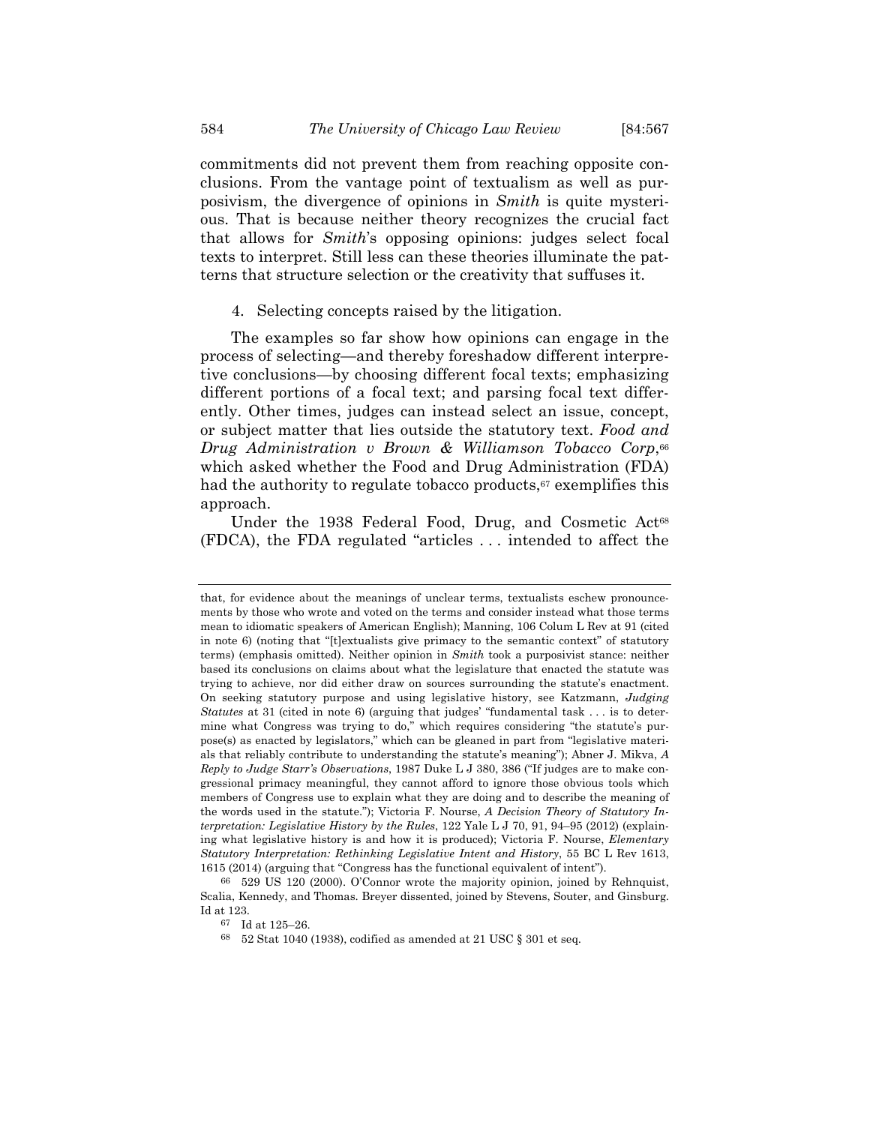commitments did not prevent them from reaching opposite conclusions. From the vantage point of textualism as well as purposivism, the divergence of opinions in *Smith* is quite mysterious. That is because neither theory recognizes the crucial fact that allows for *Smith*'s opposing opinions: judges select focal texts to interpret. Still less can these theories illuminate the patterns that structure selection or the creativity that suffuses it.

#### 4. Selecting concepts raised by the litigation.

The examples so far show how opinions can engage in the process of selecting—and thereby foreshadow different interpretive conclusions—by choosing different focal texts; emphasizing different portions of a focal text; and parsing focal text differently. Other times, judges can instead select an issue, concept, or subject matter that lies outside the statutory text. *Food and Drug Administration v Brown & Williamson Tobacco Corp*,66 which asked whether the Food and Drug Administration (FDA) had the authority to regulate tobacco products, $67$  exemplifies this approach.

Under the 1938 Federal Food, Drug, and Cosmetic Act<sup>68</sup> (FDCA), the FDA regulated "articles . . . intended to affect the

that, for evidence about the meanings of unclear terms, textualists eschew pronouncements by those who wrote and voted on the terms and consider instead what those terms mean to idiomatic speakers of American English); Manning, 106 Colum L Rev at 91 (cited in note 6) (noting that "[t]extualists give primacy to the semantic context" of statutory terms) (emphasis omitted). Neither opinion in *Smith* took a purposivist stance: neither based its conclusions on claims about what the legislature that enacted the statute was trying to achieve, nor did either draw on sources surrounding the statute's enactment. On seeking statutory purpose and using legislative history, see Katzmann, *Judging Statutes* at 31 (cited in note 6) (arguing that judges' "fundamental task . . . is to determine what Congress was trying to do," which requires considering "the statute's purpose(s) as enacted by legislators," which can be gleaned in part from "legislative materials that reliably contribute to understanding the statute's meaning"); Abner J. Mikva, *A Reply to Judge Starr's Observations*, 1987 Duke L J 380, 386 ("If judges are to make congressional primacy meaningful, they cannot afford to ignore those obvious tools which members of Congress use to explain what they are doing and to describe the meaning of the words used in the statute."); Victoria F. Nourse, *A Decision Theory of Statutory Interpretation: Legislative History by the Rules*, 122 Yale L J 70, 91, 94–95 (2012) (explaining what legislative history is and how it is produced); Victoria F. Nourse, *Elementary Statutory Interpretation: Rethinking Legislative Intent and History*, 55 BC L Rev 1613, 1615 (2014) (arguing that "Congress has the functional equivalent of intent").

<sup>66 529</sup> US 120 (2000). O'Connor wrote the majority opinion, joined by Rehnquist, Scalia, Kennedy, and Thomas. Breyer dissented, joined by Stevens, Souter, and Ginsburg. Id at 123.

<sup>67</sup> Id at 125–26.

<sup>68 52</sup> Stat 1040 (1938), codified as amended at 21 USC § 301 et seq.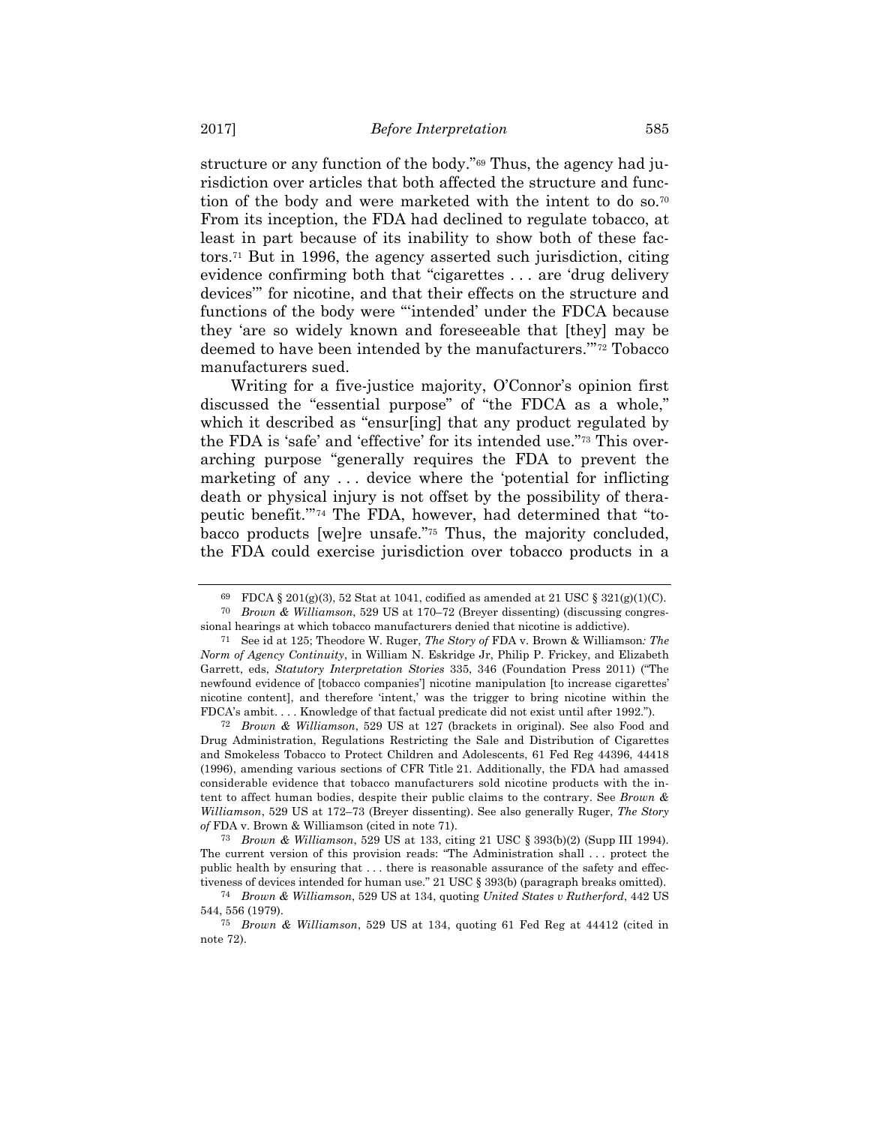structure or any function of the body."69 Thus, the agency had jurisdiction over articles that both affected the structure and function of the body and were marketed with the intent to do so.<sup>70</sup> From its inception, the FDA had declined to regulate tobacco, at least in part because of its inability to show both of these factors.71 But in 1996, the agency asserted such jurisdiction, citing evidence confirming both that "cigarettes . . . are 'drug delivery devices'" for nicotine, and that their effects on the structure and functions of the body were "'intended' under the FDCA because they 'are so widely known and foreseeable that [they] may be deemed to have been intended by the manufacturers.'"72 Tobacco manufacturers sued.

Writing for a five-justice majority, O'Connor's opinion first discussed the "essential purpose" of "the FDCA as a whole," which it described as "ensurling] that any product regulated by the FDA is 'safe' and 'effective' for its intended use."73 This overarching purpose "generally requires the FDA to prevent the marketing of any . . . device where the 'potential for inflicting death or physical injury is not offset by the possibility of therapeutic benefit.'"74 The FDA, however, had determined that "tobacco products [we]re unsafe."75 Thus, the majority concluded, the FDA could exercise jurisdiction over tobacco products in a

72 *Brown & Williamson*, 529 US at 127 (brackets in original). See also Food and Drug Administration, Regulations Restricting the Sale and Distribution of Cigarettes and Smokeless Tobacco to Protect Children and Adolescents, 61 Fed Reg 44396, 44418 (1996), amending various sections of CFR Title 21. Additionally, the FDA had amassed considerable evidence that tobacco manufacturers sold nicotine products with the intent to affect human bodies, despite their public claims to the contrary. See *Brown & Williamson*, 529 US at 172–73 (Breyer dissenting). See also generally Ruger, *The Story of* FDA v. Brown & Williamson (cited in note 71).

73 *Brown & Williamson*, 529 US at 133, citing 21 USC § 393(b)(2) (Supp III 1994). The current version of this provision reads: "The Administration shall . . . protect the public health by ensuring that . . . there is reasonable assurance of the safety and effectiveness of devices intended for human use." 21 USC § 393(b) (paragraph breaks omitted).

<sup>69</sup> FDCA § 201(g)(3), 52 Stat at 1041, codified as amended at 21 USC §  $321(g)(1)(C)$ .

<sup>70</sup> *Brown & Williamson*, 529 US at 170–72 (Breyer dissenting) (discussing congressional hearings at which tobacco manufacturers denied that nicotine is addictive).

<sup>71</sup> See id at 125; Theodore W. Ruger, *The Story of* FDA v. Brown & Williamson*: The Norm of Agency Continuity*, in William N. Eskridge Jr, Philip P. Frickey, and Elizabeth Garrett, eds, *Statutory Interpretation Stories* 335, 346 (Foundation Press 2011) ("The newfound evidence of [tobacco companies'] nicotine manipulation [to increase cigarettes' nicotine content], and therefore 'intent,' was the trigger to bring nicotine within the FDCA's ambit. . . . Knowledge of that factual predicate did not exist until after 1992.").

<sup>74</sup> *Brown & Williamson*, 529 US at 134, quoting *United States v Rutherford*, 442 US 544, 556 (1979).

<sup>75</sup> *Brown & Williamson*, 529 US at 134, quoting 61 Fed Reg at 44412 (cited in note 72).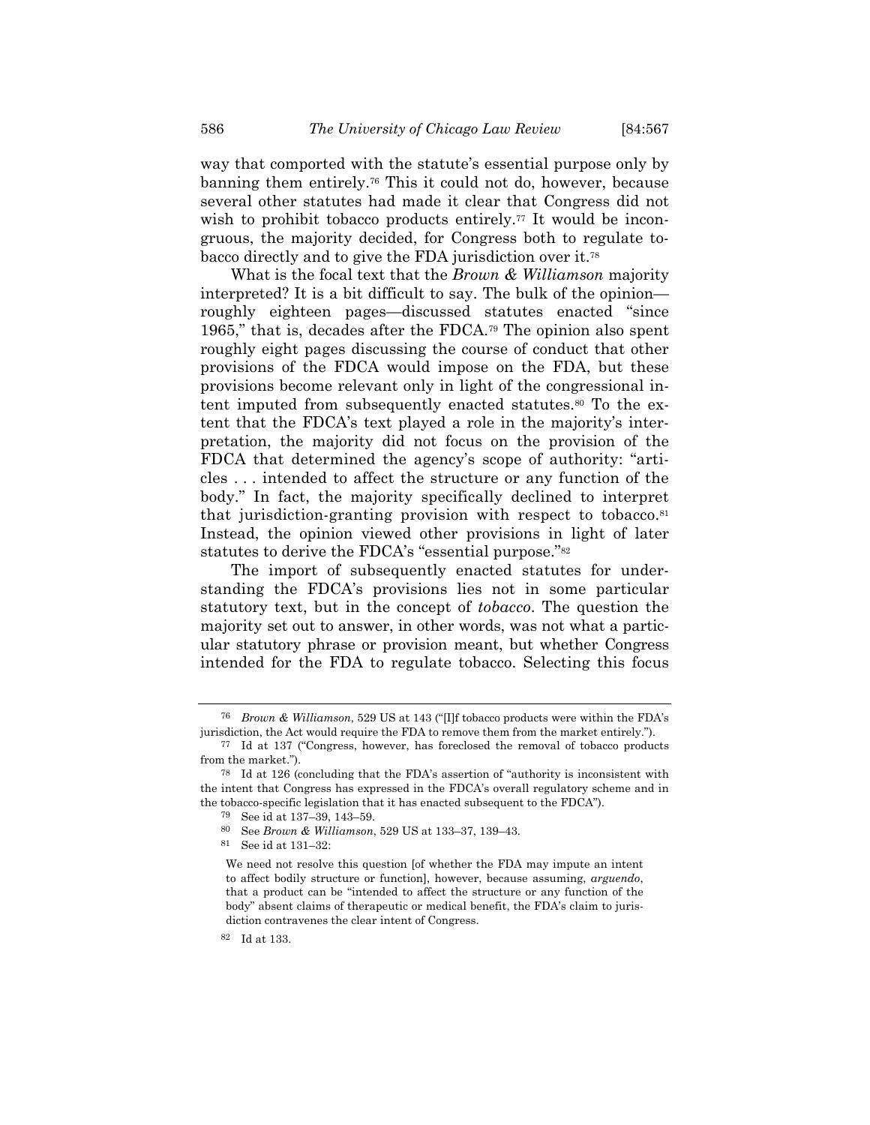way that comported with the statute's essential purpose only by banning them entirely.76 This it could not do, however, because several other statutes had made it clear that Congress did not wish to prohibit tobacco products entirely.<sup>77</sup> It would be incongruous, the majority decided, for Congress both to regulate tobacco directly and to give the FDA jurisdiction over it.78

What is the focal text that the *Brown & Williamson* majority interpreted? It is a bit difficult to say. The bulk of the opinion roughly eighteen pages—discussed statutes enacted "since 1965," that is, decades after the FDCA.79 The opinion also spent roughly eight pages discussing the course of conduct that other provisions of the FDCA would impose on the FDA, but these provisions become relevant only in light of the congressional intent imputed from subsequently enacted statutes.<sup>80</sup> To the extent that the FDCA's text played a role in the majority's interpretation, the majority did not focus on the provision of the FDCA that determined the agency's scope of authority: "articles . . . intended to affect the structure or any function of the body." In fact, the majority specifically declined to interpret that jurisdiction-granting provision with respect to tobacco. $81$ Instead, the opinion viewed other provisions in light of later statutes to derive the FDCA's "essential purpose."82

The import of subsequently enacted statutes for understanding the FDCA's provisions lies not in some particular statutory text, but in the concept of *tobacco*. The question the majority set out to answer, in other words, was not what a particular statutory phrase or provision meant, but whether Congress intended for the FDA to regulate tobacco. Selecting this focus

<sup>76</sup> *Brown & Williamson*, 529 US at 143 ("[I]f tobacco products were within the FDA's jurisdiction, the Act would require the FDA to remove them from the market entirely.").

<sup>77</sup> Id at 137 ("Congress, however, has foreclosed the removal of tobacco products from the market.").

<sup>78</sup> Id at 126 (concluding that the FDA's assertion of "authority is inconsistent with the intent that Congress has expressed in the FDCA's overall regulatory scheme and in the tobacco-specific legislation that it has enacted subsequent to the FDCA").

<sup>79</sup> See id at 137–39, 143–59.

<sup>80</sup> See *Brown & Williamson*, 529 US at 133–37, 139–43. 81 See id at 131–32:

We need not resolve this question [of whether the FDA may impute an intent to affect bodily structure or function], however, because assuming, *arguendo*, that a product can be "intended to affect the structure or any function of the body" absent claims of therapeutic or medical benefit, the FDA's claim to jurisdiction contravenes the clear intent of Congress.

<sup>82</sup> Id at 133.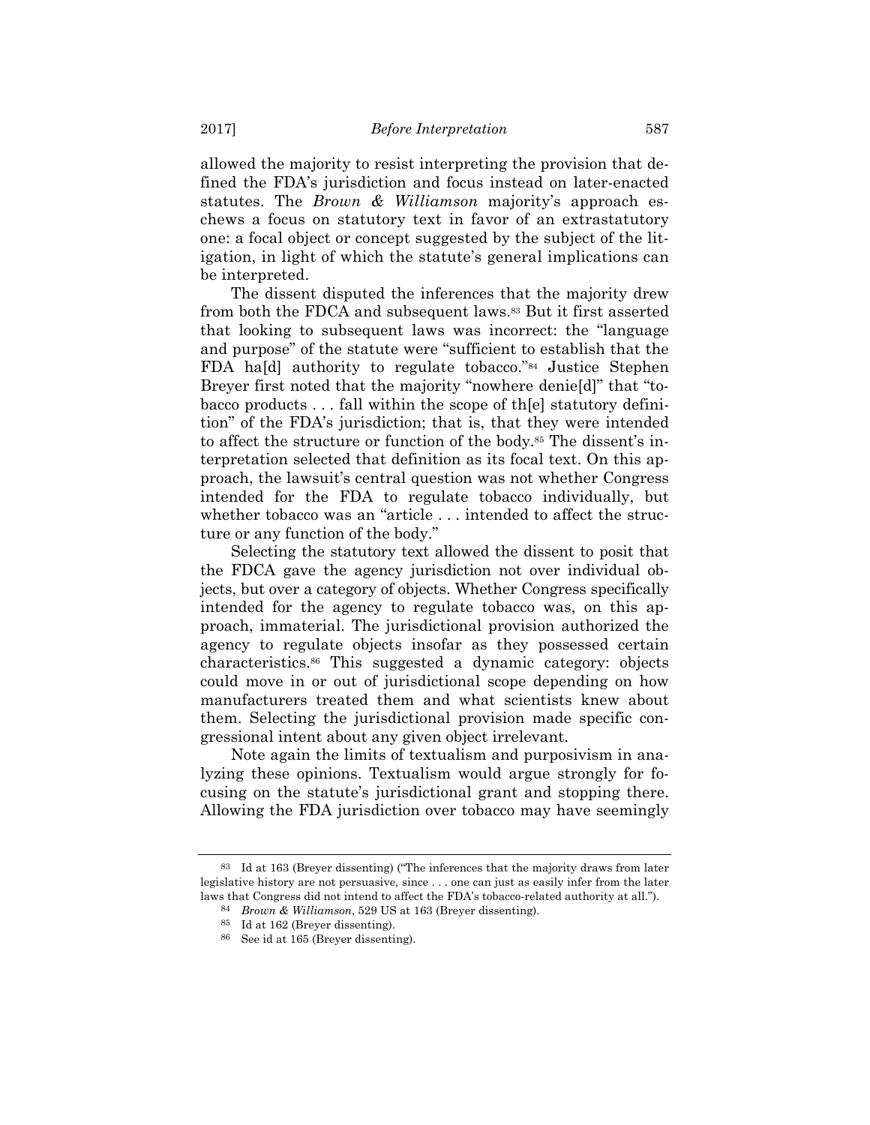allowed the majority to resist interpreting the provision that defined the FDA's jurisdiction and focus instead on later-enacted statutes. The *Brown & Williamson* majority's approach eschews a focus on statutory text in favor of an extrastatutory one: a focal object or concept suggested by the subject of the litigation, in light of which the statute's general implications can be interpreted.

The dissent disputed the inferences that the majority drew from both the FDCA and subsequent laws.<sup>83</sup> But it first asserted that looking to subsequent laws was incorrect: the "language and purpose" of the statute were "sufficient to establish that the FDA ha[d] authority to regulate tobacco."84 Justice Stephen Breyer first noted that the majority "nowhere denie[d]" that "tobacco products . . . fall within the scope of th[e] statutory definition" of the FDA's jurisdiction; that is, that they were intended to affect the structure or function of the body.85 The dissent's interpretation selected that definition as its focal text. On this approach, the lawsuit's central question was not whether Congress intended for the FDA to regulate tobacco individually, but whether tobacco was an "article . . . intended to affect the structure or any function of the body."

Selecting the statutory text allowed the dissent to posit that the FDCA gave the agency jurisdiction not over individual objects, but over a category of objects. Whether Congress specifically intended for the agency to regulate tobacco was, on this approach, immaterial. The jurisdictional provision authorized the agency to regulate objects insofar as they possessed certain characteristics.86 This suggested a dynamic category: objects could move in or out of jurisdictional scope depending on how manufacturers treated them and what scientists knew about them. Selecting the jurisdictional provision made specific congressional intent about any given object irrelevant.

Note again the limits of textualism and purposivism in analyzing these opinions. Textualism would argue strongly for focusing on the statute's jurisdictional grant and stopping there. Allowing the FDA jurisdiction over tobacco may have seemingly

<sup>83</sup> Id at 163 (Breyer dissenting) ("The inferences that the majority draws from later legislative history are not persuasive, since . . . one can just as easily infer from the later laws that Congress did not intend to affect the FDA's tobacco-related authority at all.").

<sup>84</sup> *Brown & Williamson*, 529 US at 163 (Breyer dissenting).

<sup>85</sup> Id at 162 (Breyer dissenting).

<sup>86</sup> See id at 165 (Breyer dissenting).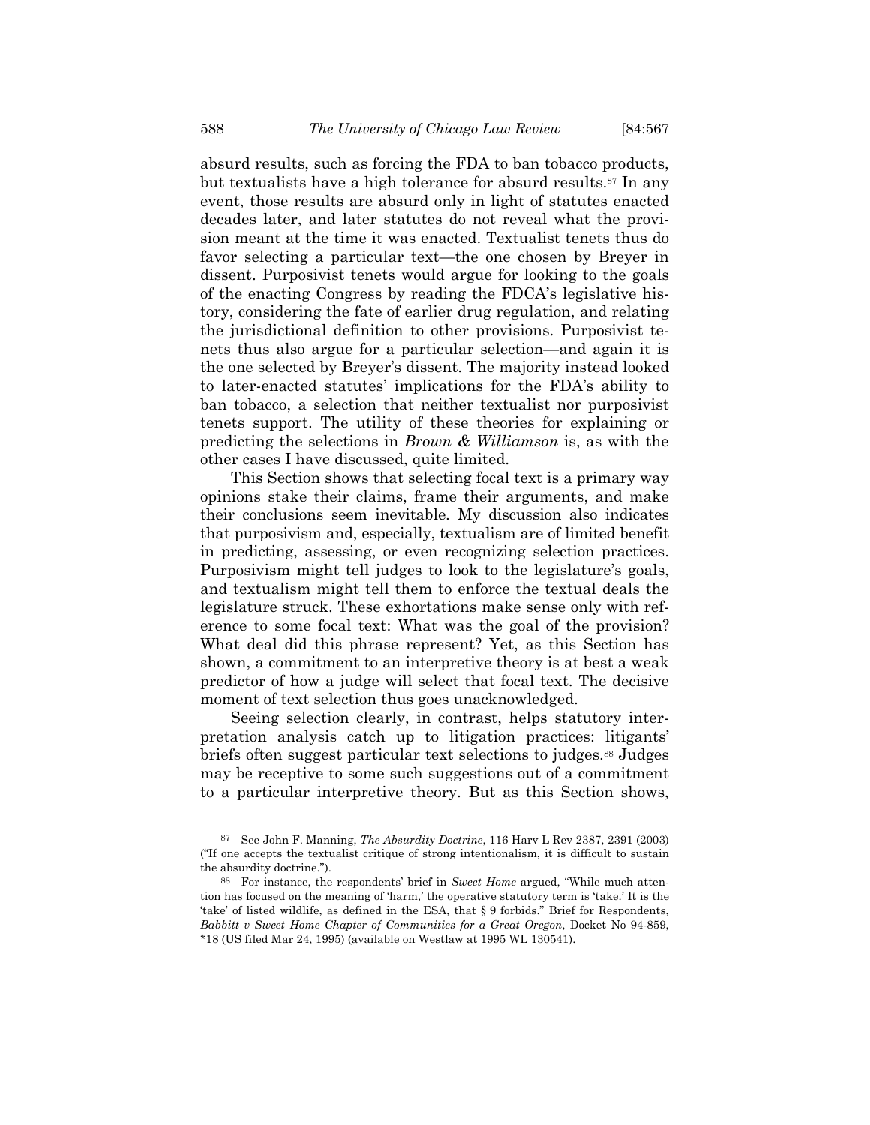absurd results, such as forcing the FDA to ban tobacco products, but textualists have a high tolerance for absurd results.<sup>87</sup> In any event, those results are absurd only in light of statutes enacted decades later, and later statutes do not reveal what the provision meant at the time it was enacted. Textualist tenets thus do favor selecting a particular text—the one chosen by Breyer in dissent. Purposivist tenets would argue for looking to the goals of the enacting Congress by reading the FDCA's legislative history, considering the fate of earlier drug regulation, and relating the jurisdictional definition to other provisions. Purposivist tenets thus also argue for a particular selection—and again it is the one selected by Breyer's dissent. The majority instead looked to later-enacted statutes' implications for the FDA's ability to ban tobacco, a selection that neither textualist nor purposivist tenets support. The utility of these theories for explaining or predicting the selections in *Brown & Williamson* is, as with the other cases I have discussed, quite limited.

This Section shows that selecting focal text is a primary way opinions stake their claims, frame their arguments, and make their conclusions seem inevitable. My discussion also indicates that purposivism and, especially, textualism are of limited benefit in predicting, assessing, or even recognizing selection practices. Purposivism might tell judges to look to the legislature's goals, and textualism might tell them to enforce the textual deals the legislature struck. These exhortations make sense only with reference to some focal text: What was the goal of the provision? What deal did this phrase represent? Yet, as this Section has shown, a commitment to an interpretive theory is at best a weak predictor of how a judge will select that focal text. The decisive moment of text selection thus goes unacknowledged.

Seeing selection clearly, in contrast, helps statutory interpretation analysis catch up to litigation practices: litigants' briefs often suggest particular text selections to judges.88 Judges may be receptive to some such suggestions out of a commitment to a particular interpretive theory. But as this Section shows,

<sup>87</sup> See John F. Manning, *The Absurdity Doctrine*, 116 Harv L Rev 2387, 2391 (2003) ("If one accepts the textualist critique of strong intentionalism, it is difficult to sustain the absurdity doctrine.").

<sup>88</sup> For instance, the respondents' brief in *Sweet Home* argued, "While much attention has focused on the meaning of 'harm,' the operative statutory term is 'take.' It is the 'take' of listed wildlife, as defined in the ESA, that § 9 forbids." Brief for Respondents, *Babbitt v Sweet Home Chapter of Communities for a Great Oregon*, Docket No 94-859, \*18 (US filed Mar 24, 1995) (available on Westlaw at 1995 WL 130541).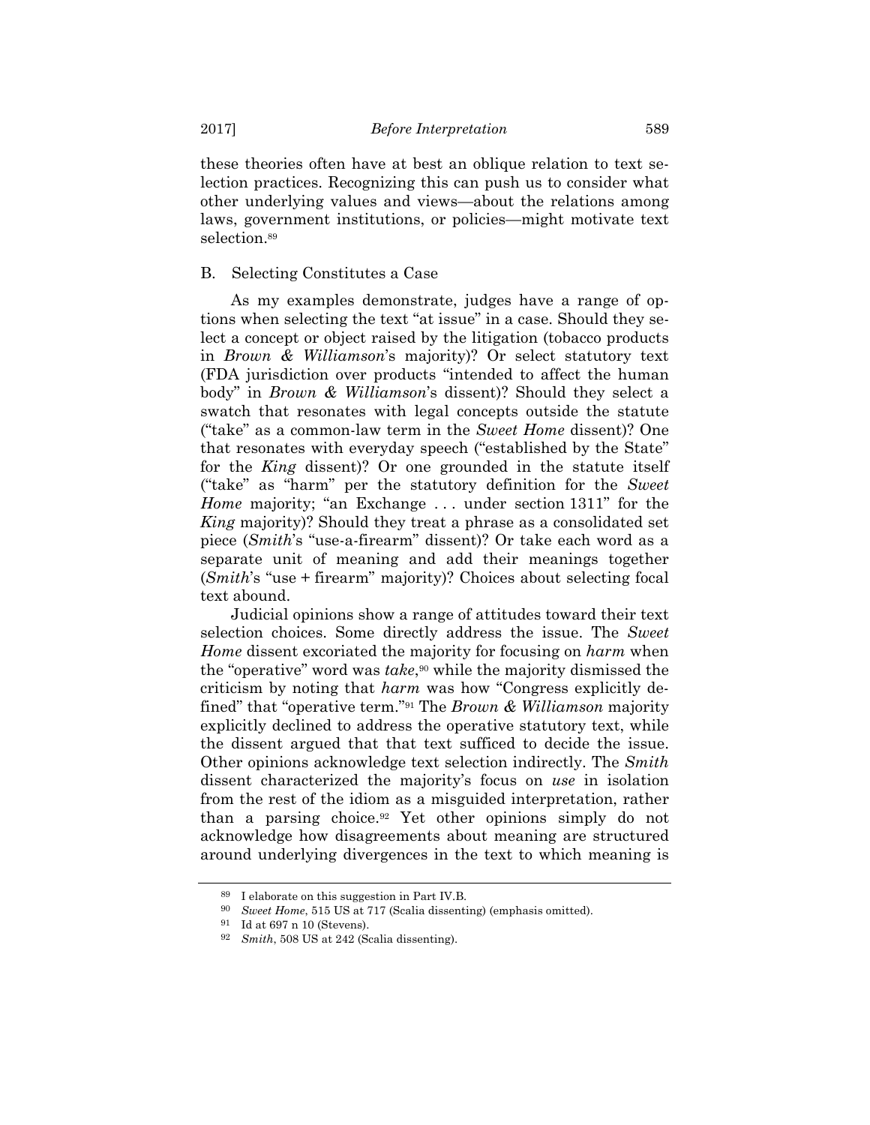these theories often have at best an oblique relation to text selection practices. Recognizing this can push us to consider what other underlying values and views—about the relations among laws, government institutions, or policies—might motivate text selection.<sup>89</sup>

# B. Selecting Constitutes a Case

As my examples demonstrate, judges have a range of options when selecting the text "at issue" in a case. Should they select a concept or object raised by the litigation (tobacco products in *Brown & Williamson*'s majority)? Or select statutory text (FDA jurisdiction over products "intended to affect the human body" in *Brown & Williamson*'s dissent)? Should they select a swatch that resonates with legal concepts outside the statute ("take" as a common-law term in the *Sweet Home* dissent)? One that resonates with everyday speech ("established by the State" for the *King* dissent)? Or one grounded in the statute itself ("take" as "harm" per the statutory definition for the *Sweet Home* majority; "an Exchange ... under section 1311" for the *King* majority)? Should they treat a phrase as a consolidated set piece (*Smith*'s "use-a-firearm" dissent)? Or take each word as a separate unit of meaning and add their meanings together (*Smith*'s "use + firearm" majority)? Choices about selecting focal text abound.

Judicial opinions show a range of attitudes toward their text selection choices. Some directly address the issue. The *Sweet Home* dissent excoriated the majority for focusing on *harm* when the "operative" word was *take*,<sup>90</sup> while the majority dismissed the criticism by noting that *harm* was how "Congress explicitly defined" that "operative term."91 The *Brown & Williamson* majority explicitly declined to address the operative statutory text, while the dissent argued that that text sufficed to decide the issue. Other opinions acknowledge text selection indirectly. The *Smith* dissent characterized the majority's focus on *use* in isolation from the rest of the idiom as a misguided interpretation, rather than a parsing choice.92 Yet other opinions simply do not acknowledge how disagreements about meaning are structured around underlying divergences in the text to which meaning is

<sup>89</sup> I elaborate on this suggestion in Part IV.B.

<sup>90</sup> *Sweet Home*, 515 US at 717 (Scalia dissenting) (emphasis omitted).

<sup>91</sup> Id at 697 n 10 (Stevens).

<sup>92</sup> *Smith*, 508 US at 242 (Scalia dissenting).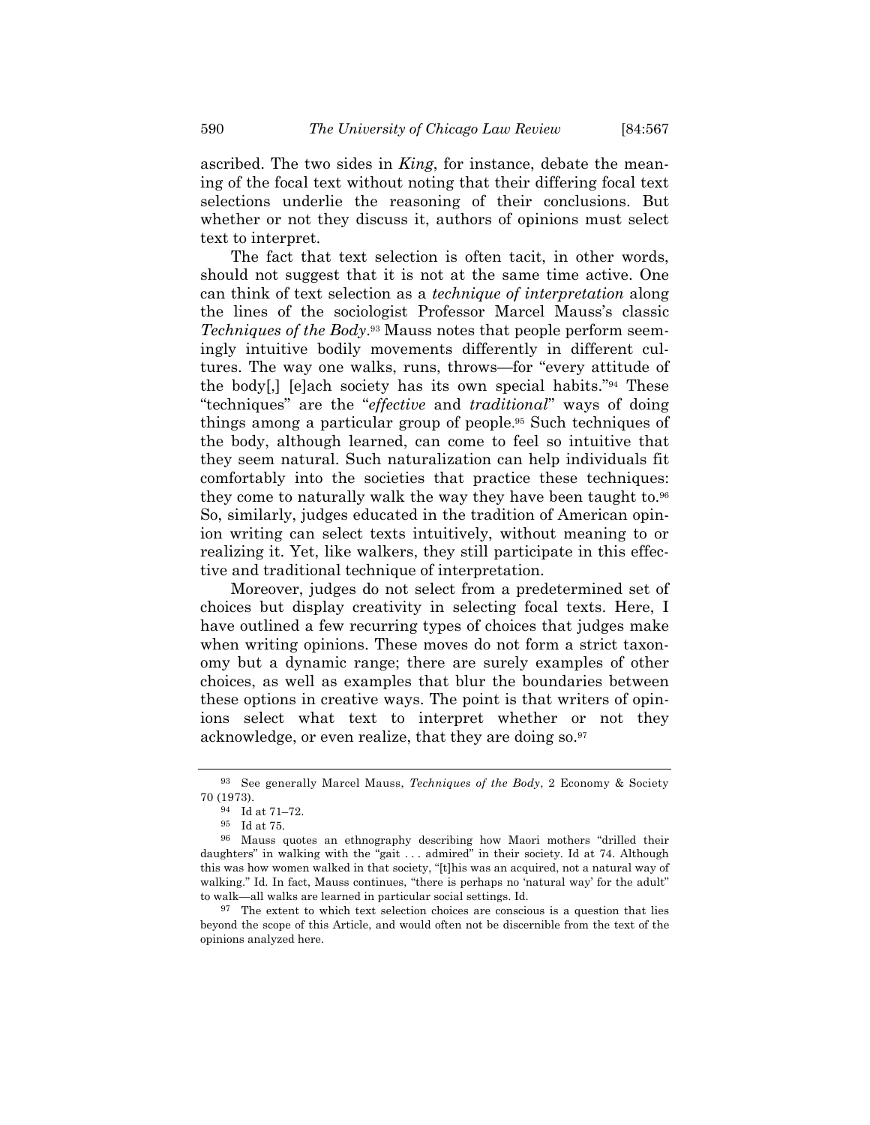ascribed. The two sides in *King*, for instance, debate the meaning of the focal text without noting that their differing focal text selections underlie the reasoning of their conclusions. But whether or not they discuss it, authors of opinions must select text to interpret.

The fact that text selection is often tacit, in other words, should not suggest that it is not at the same time active. One can think of text selection as a *technique of interpretation* along the lines of the sociologist Professor Marcel Mauss's classic *Techniques of the Body*.93 Mauss notes that people perform seemingly intuitive bodily movements differently in different cultures. The way one walks, runs, throws—for "every attitude of the body[,] [e]ach society has its own special habits."94 These "techniques" are the "*effective* and *traditional*" ways of doing things among a particular group of people. 95 Such techniques of the body, although learned, can come to feel so intuitive that they seem natural. Such naturalization can help individuals fit comfortably into the societies that practice these techniques: they come to naturally walk the way they have been taught to.<sup>96</sup> So, similarly, judges educated in the tradition of American opinion writing can select texts intuitively, without meaning to or realizing it. Yet, like walkers, they still participate in this effective and traditional technique of interpretation.

Moreover, judges do not select from a predetermined set of choices but display creativity in selecting focal texts. Here, I have outlined a few recurring types of choices that judges make when writing opinions. These moves do not form a strict taxonomy but a dynamic range; there are surely examples of other choices, as well as examples that blur the boundaries between these options in creative ways. The point is that writers of opinions select what text to interpret whether or not they acknowledge, or even realize, that they are doing so.97

<sup>93</sup> See generally Marcel Mauss, *Techniques of the Body*, 2 Economy & Society 70 (1973).

<sup>94</sup> Id at 71–72.

<sup>95</sup> Id at 75.

<sup>96</sup> Mauss quotes an ethnography describing how Maori mothers "drilled their daughters" in walking with the "gait . . . admired" in their society. Id at 74. Although this was how women walked in that society, "[t]his was an acquired, not a natural way of walking." Id. In fact, Mauss continues, "there is perhaps no 'natural way' for the adult" to walk—all walks are learned in particular social settings. Id.

<sup>97</sup> The extent to which text selection choices are conscious is a question that lies beyond the scope of this Article, and would often not be discernible from the text of the opinions analyzed here.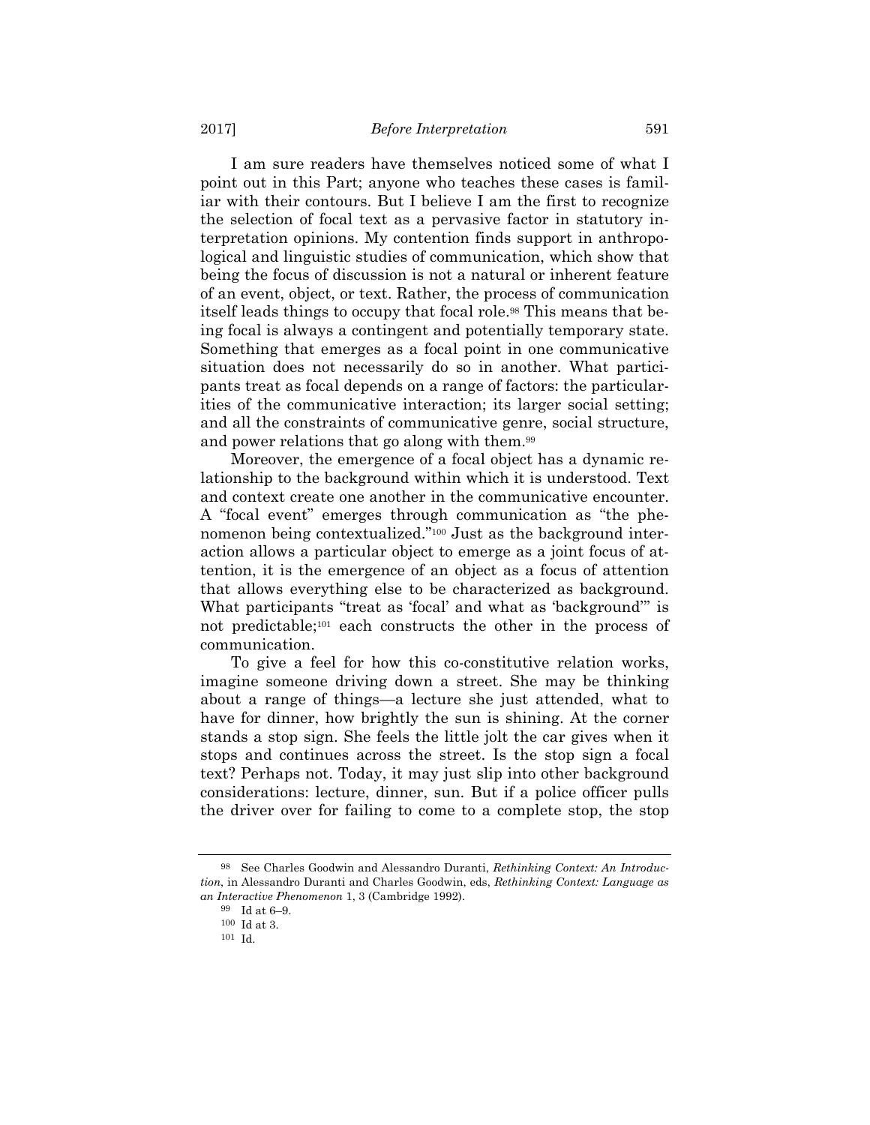I am sure readers have themselves noticed some of what I point out in this Part; anyone who teaches these cases is familiar with their contours. But I believe I am the first to recognize the selection of focal text as a pervasive factor in statutory interpretation opinions. My contention finds support in anthropological and linguistic studies of communication, which show that being the focus of discussion is not a natural or inherent feature of an event, object, or text. Rather, the process of communication itself leads things to occupy that focal role.<sup>98</sup> This means that being focal is always a contingent and potentially temporary state. Something that emerges as a focal point in one communicative situation does not necessarily do so in another. What participants treat as focal depends on a range of factors: the particularities of the communicative interaction; its larger social setting; and all the constraints of communicative genre, social structure, and power relations that go along with them.99

Moreover, the emergence of a focal object has a dynamic relationship to the background within which it is understood. Text and context create one another in the communicative encounter. A "focal event" emerges through communication as "the phenomenon being contextualized."100 Just as the background interaction allows a particular object to emerge as a joint focus of attention, it is the emergence of an object as a focus of attention that allows everything else to be characterized as background. What participants "treat as 'focal' and what as 'background'" is not predictable;101 each constructs the other in the process of communication.

To give a feel for how this co-constitutive relation works, imagine someone driving down a street. She may be thinking about a range of things—a lecture she just attended, what to have for dinner, how brightly the sun is shining. At the corner stands a stop sign. She feels the little jolt the car gives when it stops and continues across the street. Is the stop sign a focal text? Perhaps not. Today, it may just slip into other background considerations: lecture, dinner, sun. But if a police officer pulls the driver over for failing to come to a complete stop, the stop

<sup>98</sup> See Charles Goodwin and Alessandro Duranti, *Rethinking Context: An Introduction*, in Alessandro Duranti and Charles Goodwin, eds, *Rethinking Context: Language as an Interactive Phenomenon* 1, 3 (Cambridge 1992).

<sup>99</sup> Id at 6–9.

 $100$  Id at 3.<br> $101$  Id.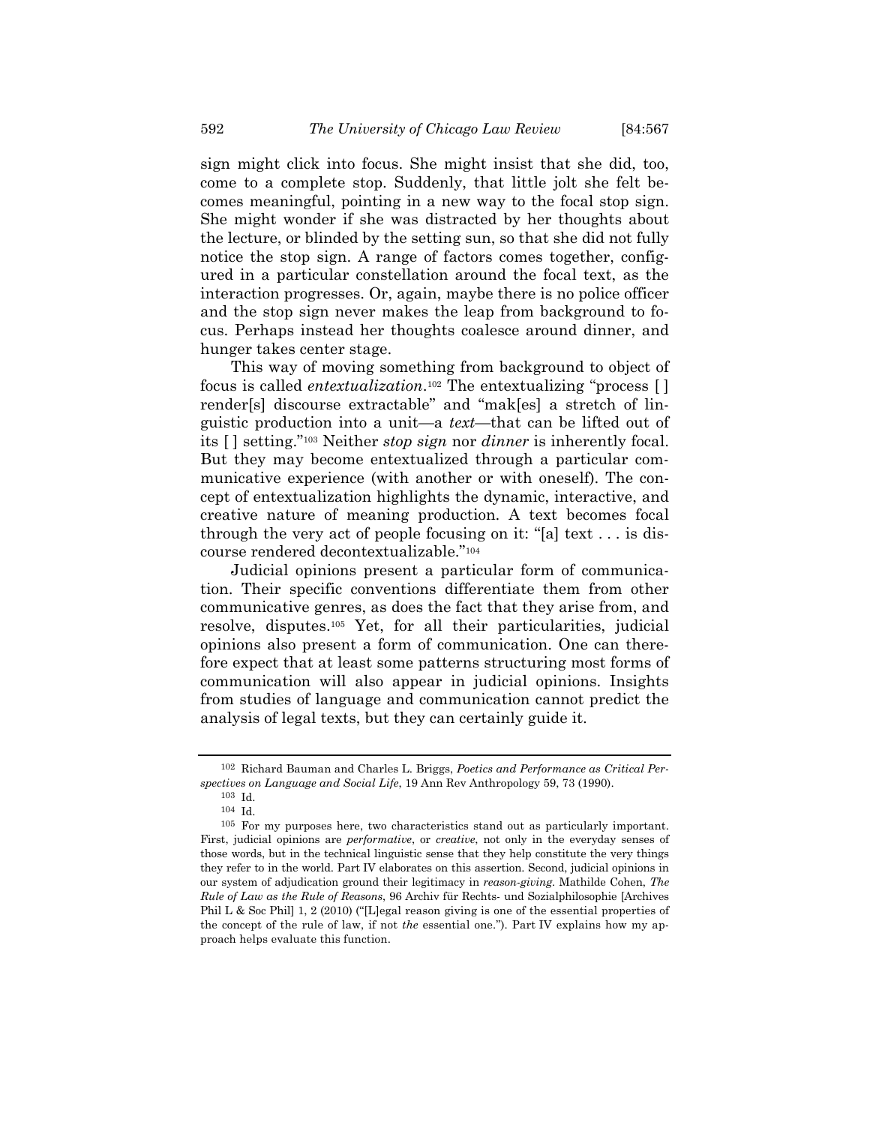sign might click into focus. She might insist that she did, too, come to a complete stop. Suddenly, that little jolt she felt becomes meaningful, pointing in a new way to the focal stop sign. She might wonder if she was distracted by her thoughts about the lecture, or blinded by the setting sun, so that she did not fully notice the stop sign. A range of factors comes together, configured in a particular constellation around the focal text, as the interaction progresses. Or, again, maybe there is no police officer and the stop sign never makes the leap from background to focus. Perhaps instead her thoughts coalesce around dinner, and hunger takes center stage.

This way of moving something from background to object of focus is called *entextualization*.102 The entextualizing "process [ ] render[s] discourse extractable" and "mak[es] a stretch of linguistic production into a unit—a *text*—that can be lifted out of its [ ] setting."103 Neither *stop sign* nor *dinner* is inherently focal. But they may become entextualized through a particular communicative experience (with another or with oneself). The concept of entextualization highlights the dynamic, interactive, and creative nature of meaning production. A text becomes focal through the very act of people focusing on it: "[a] text . . . is discourse rendered decontextualizable."104

Judicial opinions present a particular form of communication. Their specific conventions differentiate them from other communicative genres, as does the fact that they arise from, and resolve, disputes.105 Yet, for all their particularities, judicial opinions also present a form of communication. One can therefore expect that at least some patterns structuring most forms of communication will also appear in judicial opinions. Insights from studies of language and communication cannot predict the analysis of legal texts, but they can certainly guide it.

<sup>102</sup> Richard Bauman and Charles L. Briggs, *Poetics and Performance as Critical Perspectives on Language and Social Life*, 19 Ann Rev Anthropology 59, 73 (1990).

<sup>104</sup> Id.

<sup>105</sup> For my purposes here, two characteristics stand out as particularly important. First, judicial opinions are *performative*, or *creative*, not only in the everyday senses of those words, but in the technical linguistic sense that they help constitute the very things they refer to in the world. Part IV elaborates on this assertion. Second, judicial opinions in our system of adjudication ground their legitimacy in *reason-giving*. Mathilde Cohen, *The Rule of Law as the Rule of Reasons*, 96 Archiv für Rechts- und Sozialphilosophie [Archives Phil L & Soc Phil] 1, 2 (2010) ("[L]egal reason giving is one of the essential properties of the concept of the rule of law, if not *the* essential one."). Part IV explains how my approach helps evaluate this function.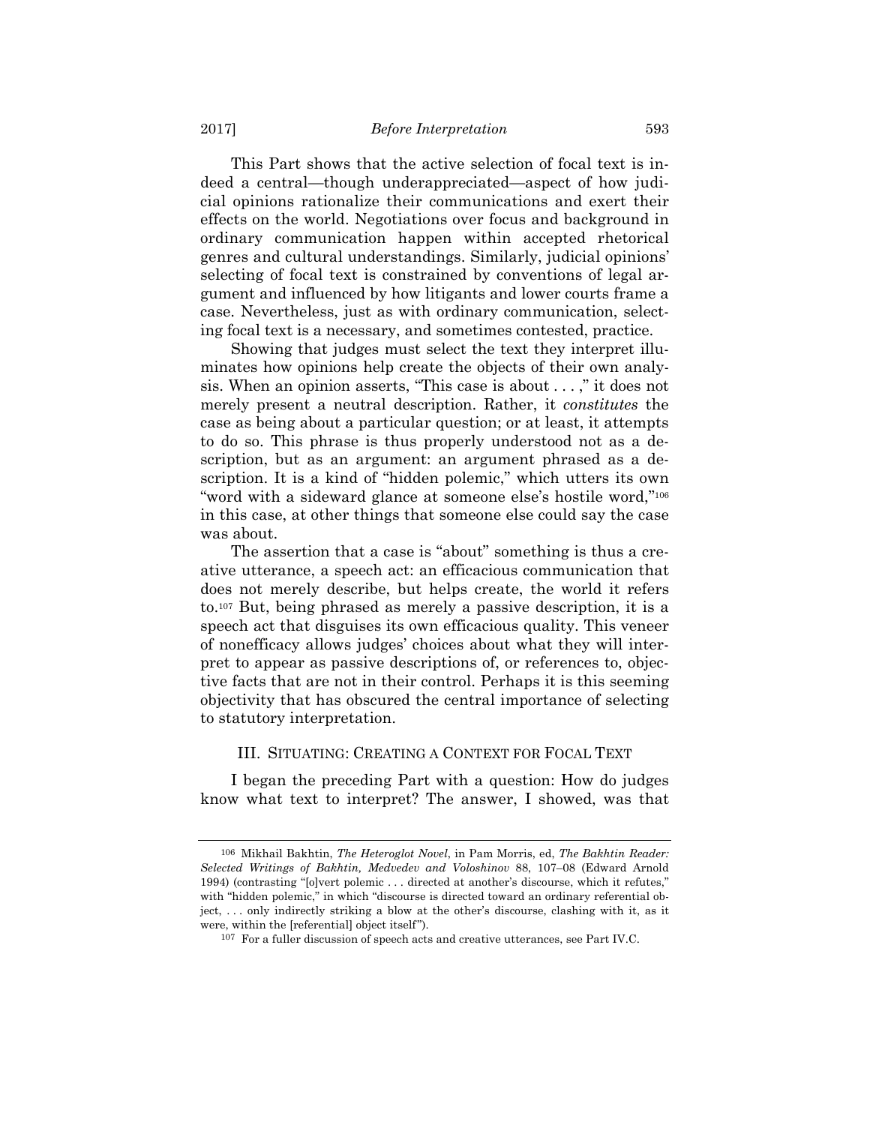This Part shows that the active selection of focal text is indeed a central—though underappreciated—aspect of how judicial opinions rationalize their communications and exert their effects on the world. Negotiations over focus and background in ordinary communication happen within accepted rhetorical genres and cultural understandings. Similarly, judicial opinions' selecting of focal text is constrained by conventions of legal argument and influenced by how litigants and lower courts frame a case. Nevertheless, just as with ordinary communication, selecting focal text is a necessary, and sometimes contested, practice.

Showing that judges must select the text they interpret illuminates how opinions help create the objects of their own analysis. When an opinion asserts, "This case is about . . . ," it does not merely present a neutral description. Rather, it *constitutes* the case as being about a particular question; or at least, it attempts to do so. This phrase is thus properly understood not as a description, but as an argument: an argument phrased as a description. It is a kind of "hidden polemic," which utters its own "word with a sideward glance at someone else's hostile word,"106 in this case, at other things that someone else could say the case was about.

The assertion that a case is "about" something is thus a creative utterance, a speech act: an efficacious communication that does not merely describe, but helps create, the world it refers to.107 But, being phrased as merely a passive description, it is a speech act that disguises its own efficacious quality. This veneer of nonefficacy allows judges' choices about what they will interpret to appear as passive descriptions of, or references to, objective facts that are not in their control. Perhaps it is this seeming objectivity that has obscured the central importance of selecting to statutory interpretation.

#### III. SITUATING: CREATING A CONTEXT FOR FOCAL TEXT

I began the preceding Part with a question: How do judges know what text to interpret? The answer, I showed, was that

<sup>106</sup> Mikhail Bakhtin, *The Heteroglot Novel*, in Pam Morris, ed, *The Bakhtin Reader: Selected Writings of Bakhtin, Medvedev and Voloshinov* 88, 107–08 (Edward Arnold 1994) (contrasting "[o]vert polemic . . . directed at another's discourse, which it refutes," with "hidden polemic," in which "discourse is directed toward an ordinary referential object, . . . only indirectly striking a blow at the other's discourse, clashing with it, as it were, within the [referential] object itself").

<sup>107</sup> For a fuller discussion of speech acts and creative utterances, see Part IV.C.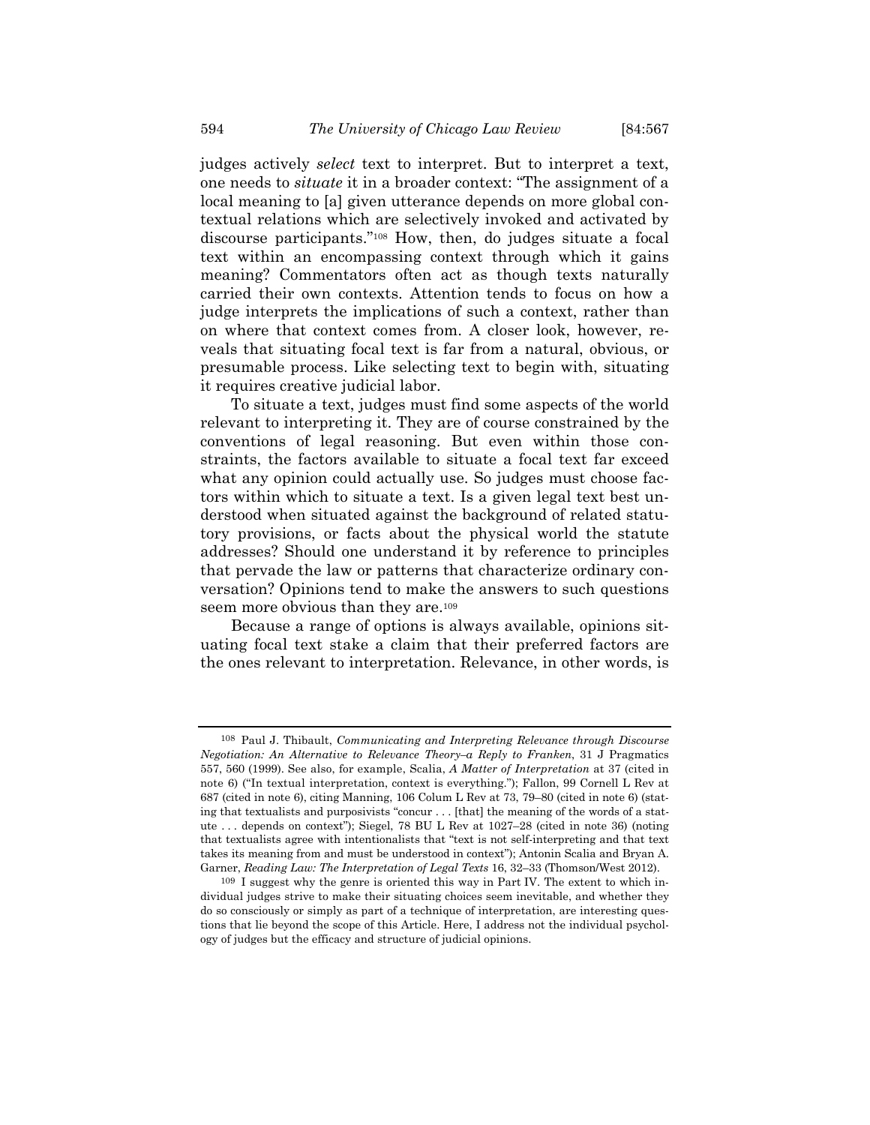judges actively *select* text to interpret. But to interpret a text, one needs to *situate* it in a broader context: "The assignment of a local meaning to [a] given utterance depends on more global contextual relations which are selectively invoked and activated by discourse participants."108 How, then, do judges situate a focal text within an encompassing context through which it gains meaning? Commentators often act as though texts naturally carried their own contexts. Attention tends to focus on how a judge interprets the implications of such a context, rather than on where that context comes from. A closer look, however, reveals that situating focal text is far from a natural, obvious, or presumable process. Like selecting text to begin with, situating it requires creative judicial labor.

To situate a text, judges must find some aspects of the world relevant to interpreting it. They are of course constrained by the conventions of legal reasoning. But even within those constraints, the factors available to situate a focal text far exceed what any opinion could actually use. So judges must choose factors within which to situate a text. Is a given legal text best understood when situated against the background of related statutory provisions, or facts about the physical world the statute addresses? Should one understand it by reference to principles that pervade the law or patterns that characterize ordinary conversation? Opinions tend to make the answers to such questions seem more obvious than they are.<sup>109</sup>

Because a range of options is always available, opinions situating focal text stake a claim that their preferred factors are the ones relevant to interpretation. Relevance, in other words, is

<sup>108</sup> Paul J. Thibault, *Communicating and Interpreting Relevance through Discourse Negotiation: An Alternative to Relevance Theory–a Reply to Franken*, 31 J Pragmatics 557, 560 (1999). See also, for example, Scalia, *A Matter of Interpretation* at 37 (cited in note 6) ("In textual interpretation, context is everything."); Fallon, 99 Cornell L Rev at 687 (cited in note 6), citing Manning, 106 Colum L Rev at 73, 79–80 (cited in note 6) (stating that textualists and purposivists "concur . . . [that] the meaning of the words of a statute . . . depends on context"); Siegel, 78 BU L Rev at 1027–28 (cited in note 36) (noting that textualists agree with intentionalists that "text is not self-interpreting and that text takes its meaning from and must be understood in context"); Antonin Scalia and Bryan A. Garner, *Reading Law: The Interpretation of Legal Texts* 16, 32–33 (Thomson/West 2012).

<sup>109</sup> I suggest why the genre is oriented this way in Part IV. The extent to which individual judges strive to make their situating choices seem inevitable, and whether they do so consciously or simply as part of a technique of interpretation, are interesting questions that lie beyond the scope of this Article. Here, I address not the individual psychology of judges but the efficacy and structure of judicial opinions.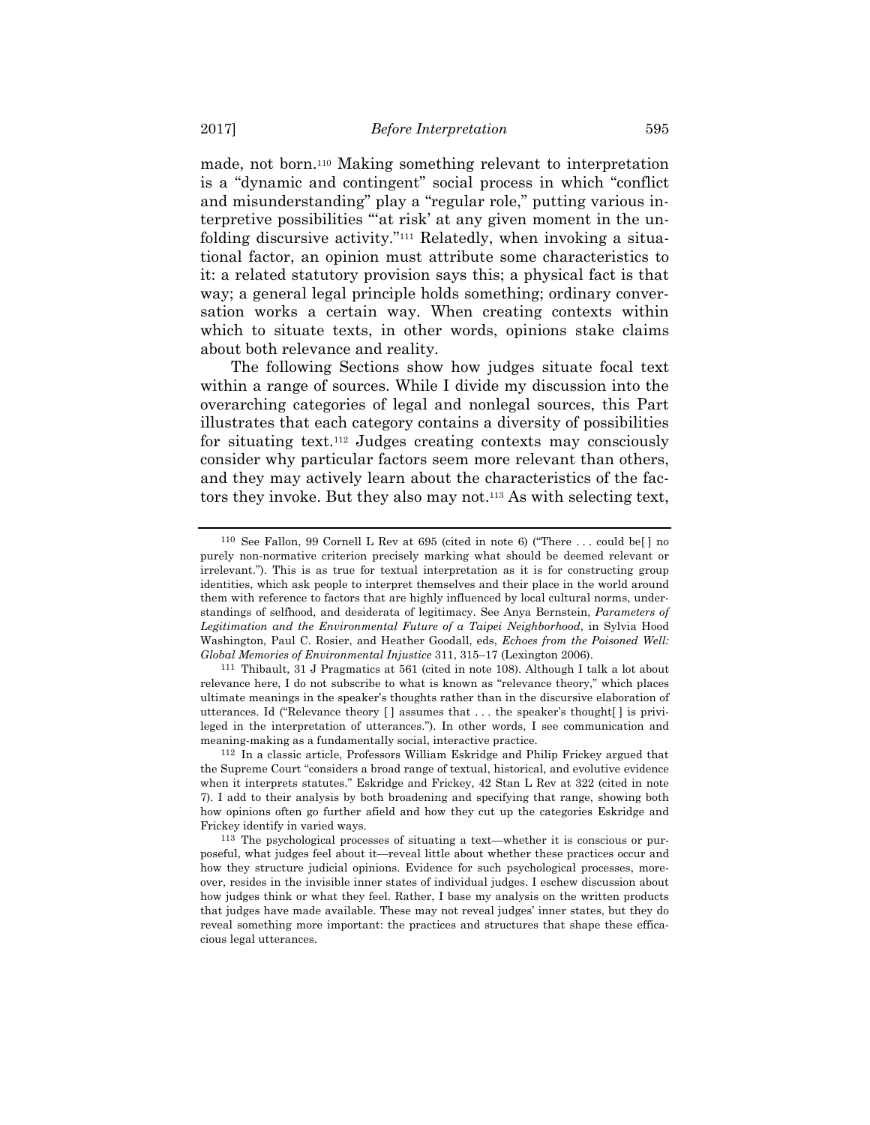made, not born.110 Making something relevant to interpretation is a "dynamic and contingent" social process in which "conflict and misunderstanding" play a "regular role," putting various interpretive possibilities "'at risk' at any given moment in the unfolding discursive activity."111 Relatedly, when invoking a situational factor, an opinion must attribute some characteristics to it: a related statutory provision says this; a physical fact is that way; a general legal principle holds something; ordinary conversation works a certain way. When creating contexts within which to situate texts, in other words, opinions stake claims about both relevance and reality.

The following Sections show how judges situate focal text within a range of sources. While I divide my discussion into the overarching categories of legal and nonlegal sources, this Part illustrates that each category contains a diversity of possibilities for situating text.112 Judges creating contexts may consciously consider why particular factors seem more relevant than others, and they may actively learn about the characteristics of the factors they invoke. But they also may not.113 As with selecting text,

<sup>110</sup> See Fallon, 99 Cornell L Rev at 695 (cited in note 6) ("There . . . could be[ ] no purely non-normative criterion precisely marking what should be deemed relevant or irrelevant."). This is as true for textual interpretation as it is for constructing group identities, which ask people to interpret themselves and their place in the world around them with reference to factors that are highly influenced by local cultural norms, understandings of selfhood, and desiderata of legitimacy. See Anya Bernstein, *Parameters of Legitimation and the Environmental Future of a Taipei Neighborhood*, in Sylvia Hood Washington, Paul C. Rosier, and Heather Goodall, eds, *Echoes from the Poisoned Well: Global Memories of Environmental Injustice* 311, 315–17 (Lexington 2006).

<sup>111</sup> Thibault, 31 J Pragmatics at 561 (cited in note 108). Although I talk a lot about relevance here, I do not subscribe to what is known as "relevance theory," which places ultimate meanings in the speaker's thoughts rather than in the discursive elaboration of utterances. Id ("Relevance theory [ ] assumes that . . . the speaker's thought[ ] is privileged in the interpretation of utterances."). In other words, I see communication and meaning-making as a fundamentally social, interactive practice.

<sup>112</sup> In a classic article, Professors William Eskridge and Philip Frickey argued that the Supreme Court "considers a broad range of textual, historical, and evolutive evidence when it interprets statutes." Eskridge and Frickey, 42 Stan L Rev at 322 (cited in note 7). I add to their analysis by both broadening and specifying that range, showing both how opinions often go further afield and how they cut up the categories Eskridge and Frickey identify in varied ways.

<sup>113</sup> The psychological processes of situating a text—whether it is conscious or purposeful, what judges feel about it—reveal little about whether these practices occur and how they structure judicial opinions. Evidence for such psychological processes, moreover, resides in the invisible inner states of individual judges. I eschew discussion about how judges think or what they feel. Rather, I base my analysis on the written products that judges have made available. These may not reveal judges' inner states, but they do reveal something more important: the practices and structures that shape these efficacious legal utterances.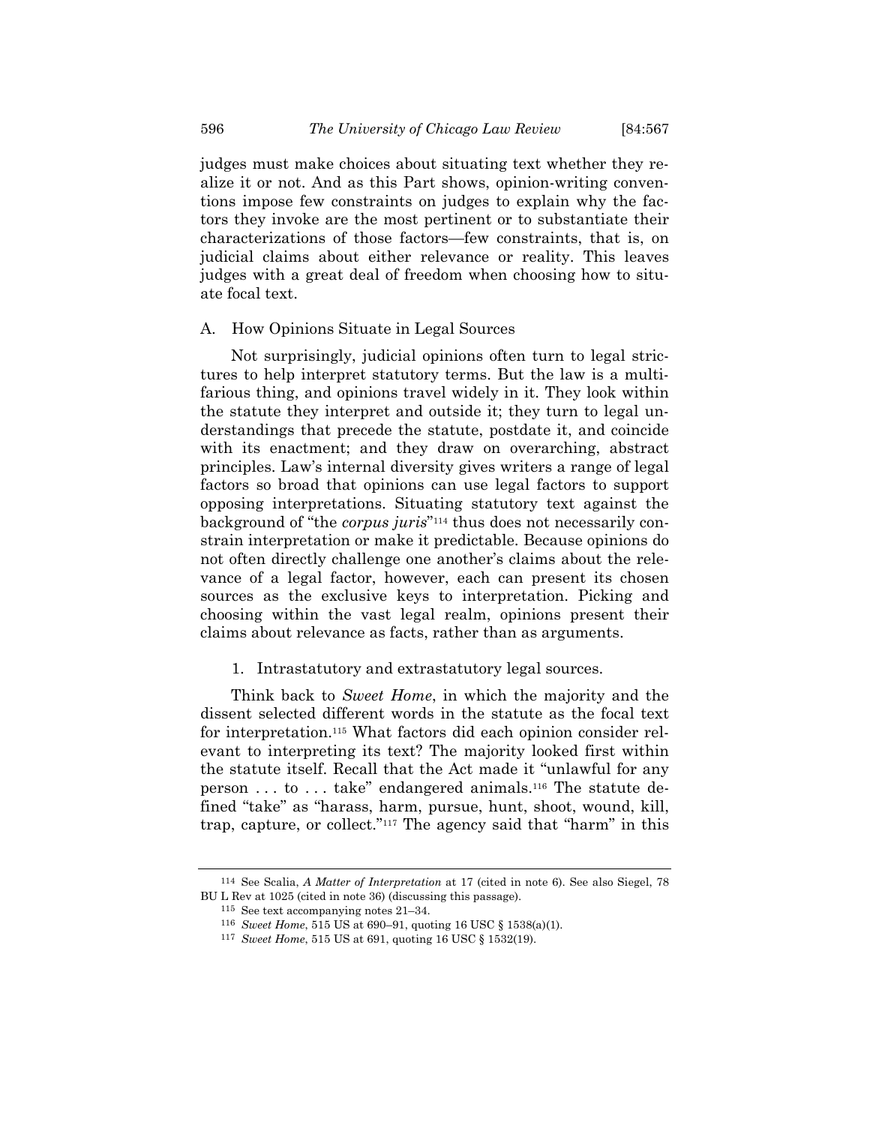judges must make choices about situating text whether they realize it or not. And as this Part shows, opinion-writing conventions impose few constraints on judges to explain why the factors they invoke are the most pertinent or to substantiate their characterizations of those factors—few constraints, that is, on judicial claims about either relevance or reality. This leaves judges with a great deal of freedom when choosing how to situate focal text.

#### A. How Opinions Situate in Legal Sources

Not surprisingly, judicial opinions often turn to legal strictures to help interpret statutory terms. But the law is a multifarious thing, and opinions travel widely in it. They look within the statute they interpret and outside it; they turn to legal understandings that precede the statute, postdate it, and coincide with its enactment; and they draw on overarching, abstract principles. Law's internal diversity gives writers a range of legal factors so broad that opinions can use legal factors to support opposing interpretations. Situating statutory text against the background of "the *corpus juris*"114 thus does not necessarily constrain interpretation or make it predictable. Because opinions do not often directly challenge one another's claims about the relevance of a legal factor, however, each can present its chosen sources as the exclusive keys to interpretation. Picking and choosing within the vast legal realm, opinions present their claims about relevance as facts, rather than as arguments.

# 1. Intrastatutory and extrastatutory legal sources.

Think back to *Sweet Home*, in which the majority and the dissent selected different words in the statute as the focal text for interpretation.115 What factors did each opinion consider relevant to interpreting its text? The majority looked first within the statute itself. Recall that the Act made it "unlawful for any person . . . to . . . take" endangered animals.116 The statute defined "take" as "harass, harm, pursue, hunt, shoot, wound, kill, trap, capture, or collect."117 The agency said that "harm" in this

<sup>114</sup> See Scalia, *A Matter of Interpretation* at 17 (cited in note 6). See also Siegel, 78 BU L Rev at 1025 (cited in note 36) (discussing this passage).

<sup>115</sup> See text accompanying notes 21–34.

<sup>116</sup> *Sweet Home*, 515 US at 690–91, quoting 16 USC § 1538(a)(1). 117 *Sweet Home*, 515 US at 691, quoting 16 USC § 1532(19).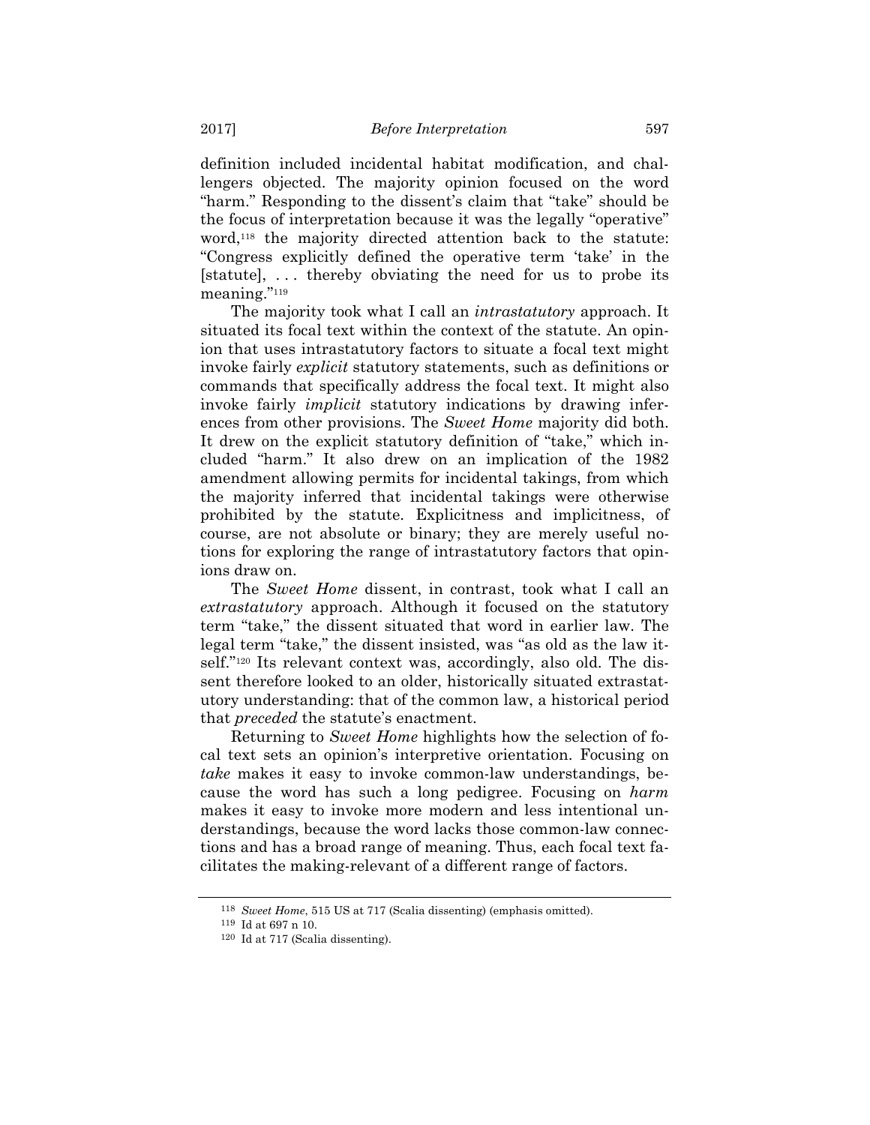definition included incidental habitat modification, and challengers objected. The majority opinion focused on the word "harm." Responding to the dissent's claim that "take" should be the focus of interpretation because it was the legally "operative" word,118 the majority directed attention back to the statute: "Congress explicitly defined the operative term 'take' in the [statute], ... thereby obviating the need for us to probe its meaning."119

The majority took what I call an *intrastatutory* approach. It situated its focal text within the context of the statute. An opinion that uses intrastatutory factors to situate a focal text might invoke fairly *explicit* statutory statements, such as definitions or commands that specifically address the focal text. It might also invoke fairly *implicit* statutory indications by drawing inferences from other provisions. The *Sweet Home* majority did both. It drew on the explicit statutory definition of "take," which included "harm." It also drew on an implication of the 1982 amendment allowing permits for incidental takings, from which the majority inferred that incidental takings were otherwise prohibited by the statute. Explicitness and implicitness, of course, are not absolute or binary; they are merely useful notions for exploring the range of intrastatutory factors that opinions draw on.

The *Sweet Home* dissent, in contrast, took what I call an *extrastatutory* approach. Although it focused on the statutory term "take," the dissent situated that word in earlier law. The legal term "take," the dissent insisted, was "as old as the law itself."<sup>120</sup> Its relevant context was, accordingly, also old. The dissent therefore looked to an older, historically situated extrastatutory understanding: that of the common law, a historical period that *preceded* the statute's enactment.

Returning to *Sweet Home* highlights how the selection of focal text sets an opinion's interpretive orientation. Focusing on *take* makes it easy to invoke common-law understandings, because the word has such a long pedigree. Focusing on *harm* makes it easy to invoke more modern and less intentional understandings, because the word lacks those common-law connections and has a broad range of meaning. Thus, each focal text facilitates the making-relevant of a different range of factors.

<sup>118</sup> *Sweet Home*, 515 US at 717 (Scalia dissenting) (emphasis omitted).

<sup>119</sup> Id at 697 n 10.

<sup>120</sup> Id at 717 (Scalia dissenting).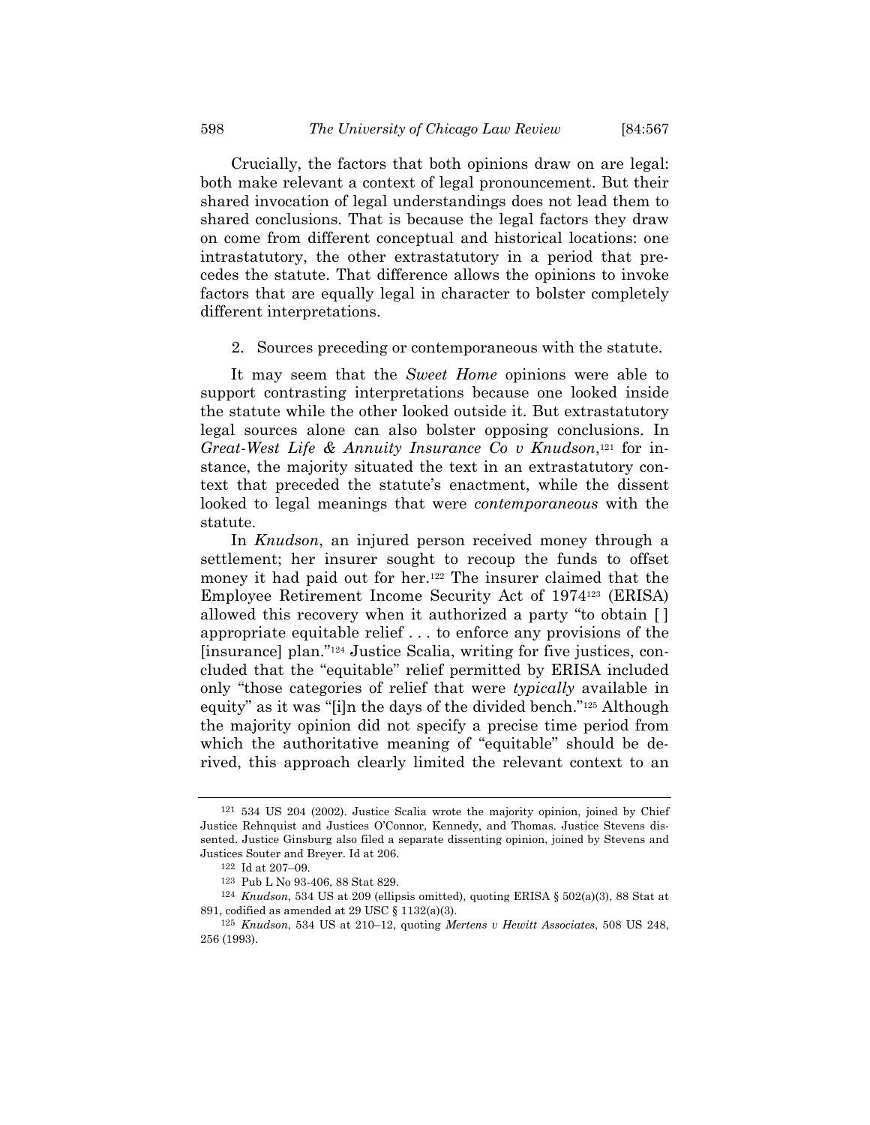Crucially, the factors that both opinions draw on are legal: both make relevant a context of legal pronouncement. But their shared invocation of legal understandings does not lead them to shared conclusions. That is because the legal factors they draw on come from different conceptual and historical locations: one intrastatutory, the other extrastatutory in a period that precedes the statute. That difference allows the opinions to invoke factors that are equally legal in character to bolster completely different interpretations.

2. Sources preceding or contemporaneous with the statute.

It may seem that the *Sweet Home* opinions were able to support contrasting interpretations because one looked inside the statute while the other looked outside it. But extrastatutory legal sources alone can also bolster opposing conclusions. In *Great-West Life & Annuity Insurance Co v Knudson*,121 for instance, the majority situated the text in an extrastatutory context that preceded the statute's enactment, while the dissent looked to legal meanings that were *contemporaneous* with the statute.

In *Knudson*, an injured person received money through a settlement; her insurer sought to recoup the funds to offset money it had paid out for her.<sup>122</sup> The insurer claimed that the Employee Retirement Income Security Act of 1974123 (ERISA) allowed this recovery when it authorized a party "to obtain [ ] appropriate equitable relief . . . to enforce any provisions of the [insurance] plan."124 Justice Scalia, writing for five justices, concluded that the "equitable" relief permitted by ERISA included only "those categories of relief that were *typically* available in equity" as it was "[i]n the days of the divided bench."125 Although the majority opinion did not specify a precise time period from which the authoritative meaning of "equitable" should be derived, this approach clearly limited the relevant context to an

<sup>121 534</sup> US 204 (2002). Justice Scalia wrote the majority opinion, joined by Chief Justice Rehnquist and Justices O'Connor, Kennedy, and Thomas. Justice Stevens dissented. Justice Ginsburg also filed a separate dissenting opinion, joined by Stevens and Justices Souter and Breyer. Id at 206.

 $^{\rm 122}$  Id at 207–09.

<sup>123</sup> Pub L No 93-406, 88 Stat 829. 124 *Knudson*, 534 US at 209 (ellipsis omitted), quoting ERISA § 502(a)(3), 88 Stat at 891, codified as amended at 29 USC § 1132(a)(3).

<sup>125</sup> *Knudson*, 534 US at 210–12, quoting *Mertens v Hewitt Associates*, 508 US 248, 256 (1993).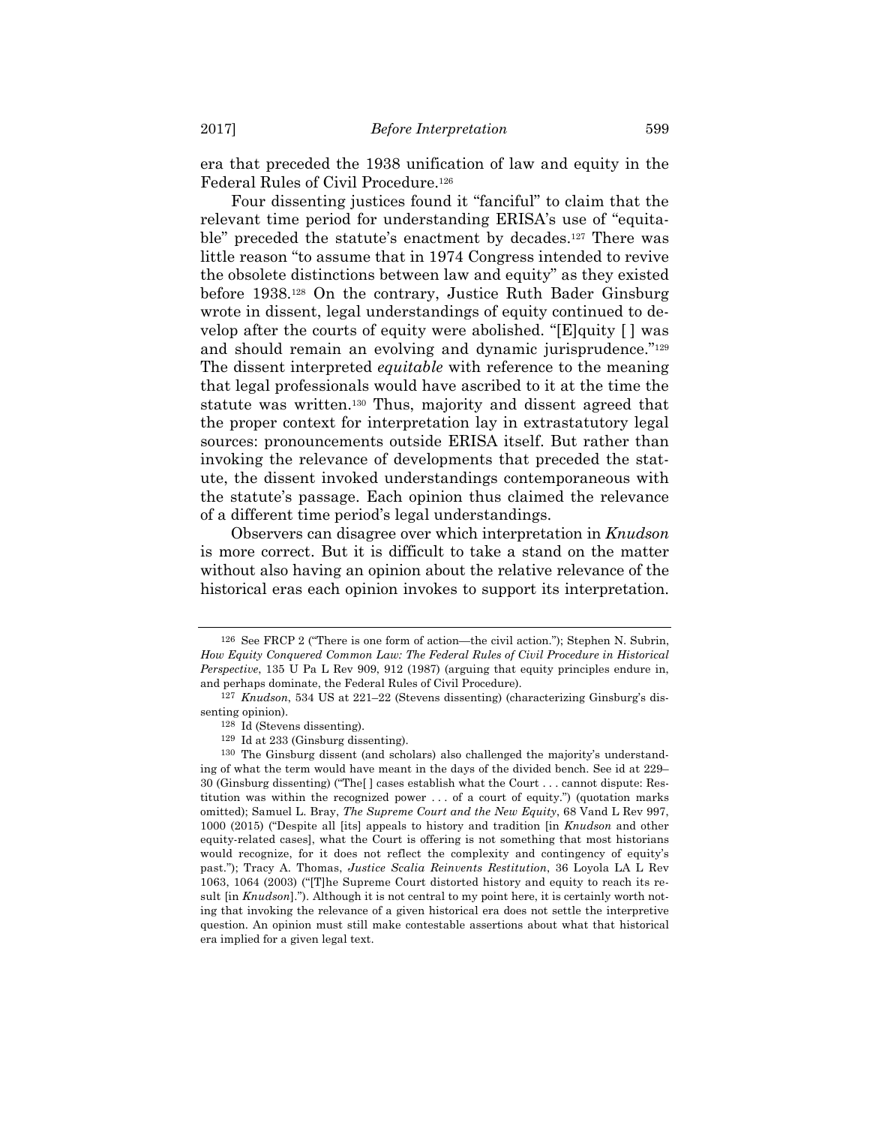era that preceded the 1938 unification of law and equity in the Federal Rules of Civil Procedure.126

Four dissenting justices found it "fanciful" to claim that the relevant time period for understanding ERISA's use of "equitable" preceded the statute's enactment by decades.<sup>127</sup> There was little reason "to assume that in 1974 Congress intended to revive the obsolete distinctions between law and equity" as they existed before 1938.128 On the contrary, Justice Ruth Bader Ginsburg wrote in dissent, legal understandings of equity continued to develop after the courts of equity were abolished. "[E]quity [ ] was and should remain an evolving and dynamic jurisprudence."<sup>129</sup> The dissent interpreted *equitable* with reference to the meaning that legal professionals would have ascribed to it at the time the statute was written.130 Thus, majority and dissent agreed that the proper context for interpretation lay in extrastatutory legal sources: pronouncements outside ERISA itself. But rather than invoking the relevance of developments that preceded the statute, the dissent invoked understandings contemporaneous with the statute's passage. Each opinion thus claimed the relevance of a different time period's legal understandings.

Observers can disagree over which interpretation in *Knudson* is more correct. But it is difficult to take a stand on the matter without also having an opinion about the relative relevance of the historical eras each opinion invokes to support its interpretation.

<sup>126</sup> See FRCP 2 ("There is one form of action—the civil action."); Stephen N. Subrin, *How Equity Conquered Common Law: The Federal Rules of Civil Procedure in Historical Perspective*, 135 U Pa L Rev 909, 912 (1987) (arguing that equity principles endure in, and perhaps dominate, the Federal Rules of Civil Procedure).

<sup>127</sup> *Knudson*, 534 US at 221–22 (Stevens dissenting) (characterizing Ginsburg's dissenting opinion).

<sup>128</sup> Id (Stevens dissenting).

<sup>129</sup> Id at 233 (Ginsburg dissenting).

<sup>130</sup> The Ginsburg dissent (and scholars) also challenged the majority's understanding of what the term would have meant in the days of the divided bench. See id at 229– 30 (Ginsburg dissenting) ("The[ ] cases establish what the Court . . . cannot dispute: Restitution was within the recognized power . . . of a court of equity.") (quotation marks omitted); Samuel L. Bray, *The Supreme Court and the New Equity*, 68 Vand L Rev 997, 1000 (2015) ("Despite all [its] appeals to history and tradition [in *Knudson* and other equity-related cases], what the Court is offering is not something that most historians would recognize, for it does not reflect the complexity and contingency of equity's past."); Tracy A. Thomas, *Justice Scalia Reinvents Restitution*, 36 Loyola LA L Rev 1063, 1064 (2003) ("[T]he Supreme Court distorted history and equity to reach its result [in *Knudson*]."). Although it is not central to my point here, it is certainly worth noting that invoking the relevance of a given historical era does not settle the interpretive question. An opinion must still make contestable assertions about what that historical era implied for a given legal text.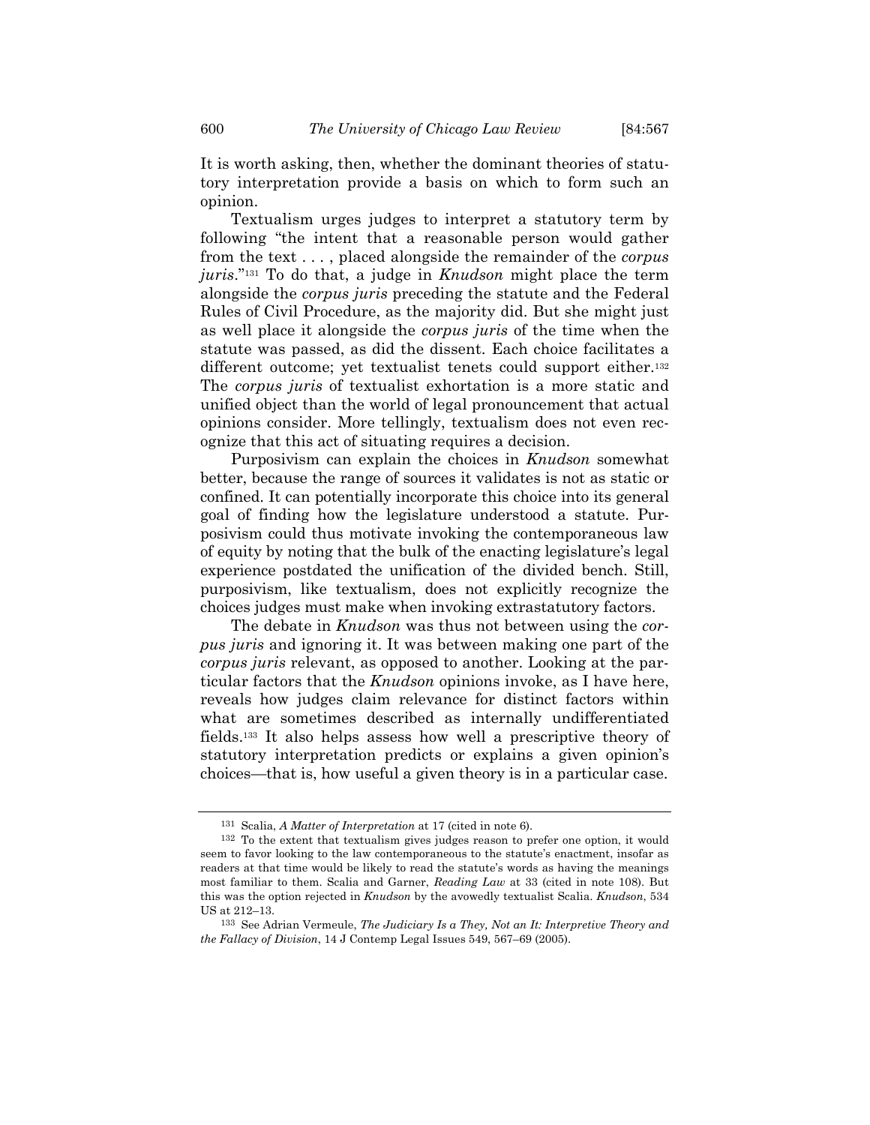It is worth asking, then, whether the dominant theories of statutory interpretation provide a basis on which to form such an opinion.

Textualism urges judges to interpret a statutory term by following "the intent that a reasonable person would gather from the text . . . , placed alongside the remainder of the *corpus juris*."131 To do that, a judge in *Knudson* might place the term alongside the *corpus juris* preceding the statute and the Federal Rules of Civil Procedure, as the majority did. But she might just as well place it alongside the *corpus juris* of the time when the statute was passed, as did the dissent. Each choice facilitates a different outcome; yet textualist tenets could support either.<sup>132</sup> The *corpus juris* of textualist exhortation is a more static and unified object than the world of legal pronouncement that actual opinions consider. More tellingly, textualism does not even recognize that this act of situating requires a decision.

Purposivism can explain the choices in *Knudson* somewhat better, because the range of sources it validates is not as static or confined. It can potentially incorporate this choice into its general goal of finding how the legislature understood a statute. Purposivism could thus motivate invoking the contemporaneous law of equity by noting that the bulk of the enacting legislature's legal experience postdated the unification of the divided bench. Still, purposivism, like textualism, does not explicitly recognize the choices judges must make when invoking extrastatutory factors.

The debate in *Knudson* was thus not between using the *corpus juris* and ignoring it. It was between making one part of the *corpus juris* relevant, as opposed to another. Looking at the particular factors that the *Knudson* opinions invoke, as I have here, reveals how judges claim relevance for distinct factors within what are sometimes described as internally undifferentiated fields.133 It also helps assess how well a prescriptive theory of statutory interpretation predicts or explains a given opinion's choices—that is, how useful a given theory is in a particular case.

<sup>131</sup> Scalia, *A Matter of Interpretation* at 17 (cited in note 6).

<sup>132</sup> To the extent that textualism gives judges reason to prefer one option, it would seem to favor looking to the law contemporaneous to the statute's enactment, insofar as readers at that time would be likely to read the statute's words as having the meanings most familiar to them. Scalia and Garner, *Reading Law* at 33 (cited in note 108). But this was the option rejected in *Knudson* by the avowedly textualist Scalia. *Knudson*, 534 US at 212–13.

<sup>133</sup> See Adrian Vermeule, *The Judiciary Is a They, Not an It: Interpretive Theory and the Fallacy of Division*, 14 J Contemp Legal Issues 549, 567–69 (2005).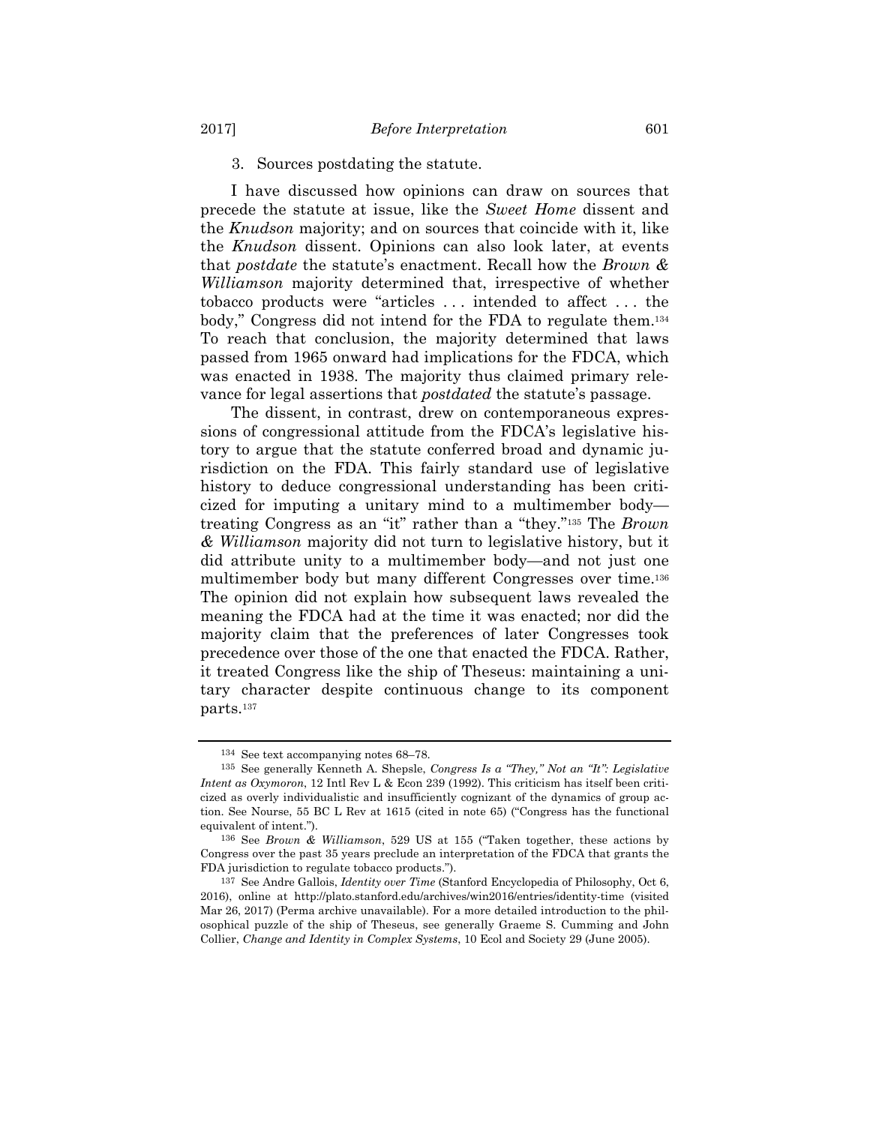#### 3. Sources postdating the statute.

I have discussed how opinions can draw on sources that precede the statute at issue, like the *Sweet Home* dissent and the *Knudson* majority; and on sources that coincide with it, like the *Knudson* dissent. Opinions can also look later, at events that *postdate* the statute's enactment. Recall how the *Brown & Williamson* majority determined that, irrespective of whether tobacco products were "articles . . . intended to affect . . . the body," Congress did not intend for the FDA to regulate them.134 To reach that conclusion, the majority determined that laws passed from 1965 onward had implications for the FDCA, which was enacted in 1938. The majority thus claimed primary relevance for legal assertions that *postdated* the statute's passage.

The dissent, in contrast, drew on contemporaneous expressions of congressional attitude from the FDCA's legislative history to argue that the statute conferred broad and dynamic jurisdiction on the FDA. This fairly standard use of legislative history to deduce congressional understanding has been criticized for imputing a unitary mind to a multimember body treating Congress as an "it" rather than a "they."135 The *Brown & Williamson* majority did not turn to legislative history, but it did attribute unity to a multimember body—and not just one multimember body but many different Congresses over time.136 The opinion did not explain how subsequent laws revealed the meaning the FDCA had at the time it was enacted; nor did the majority claim that the preferences of later Congresses took precedence over those of the one that enacted the FDCA. Rather, it treated Congress like the ship of Theseus: maintaining a unitary character despite continuous change to its component parts.137

<sup>134</sup> See text accompanying notes 68–78.

<sup>135</sup> See generally Kenneth A. Shepsle, *Congress Is a "They," Not an "It": Legislative Intent as Oxymoron*, 12 Intl Rev L & Econ 239 (1992). This criticism has itself been criticized as overly individualistic and insufficiently cognizant of the dynamics of group action. See Nourse, 55 BC L Rev at 1615 (cited in note 65) ("Congress has the functional equivalent of intent.").

<sup>136</sup> See *Brown & Williamson*, 529 US at 155 ("Taken together, these actions by Congress over the past 35 years preclude an interpretation of the FDCA that grants the FDA jurisdiction to regulate tobacco products.").

<sup>137</sup> See Andre Gallois, *Identity over Time* (Stanford Encyclopedia of Philosophy, Oct 6, 2016), online at http://plato.stanford.edu/archives/win2016/entries/identity-time (visited Mar 26, 2017) (Perma archive unavailable). For a more detailed introduction to the philosophical puzzle of the ship of Theseus, see generally Graeme S. Cumming and John Collier, *Change and Identity in Complex Systems*, 10 Ecol and Society 29 (June 2005).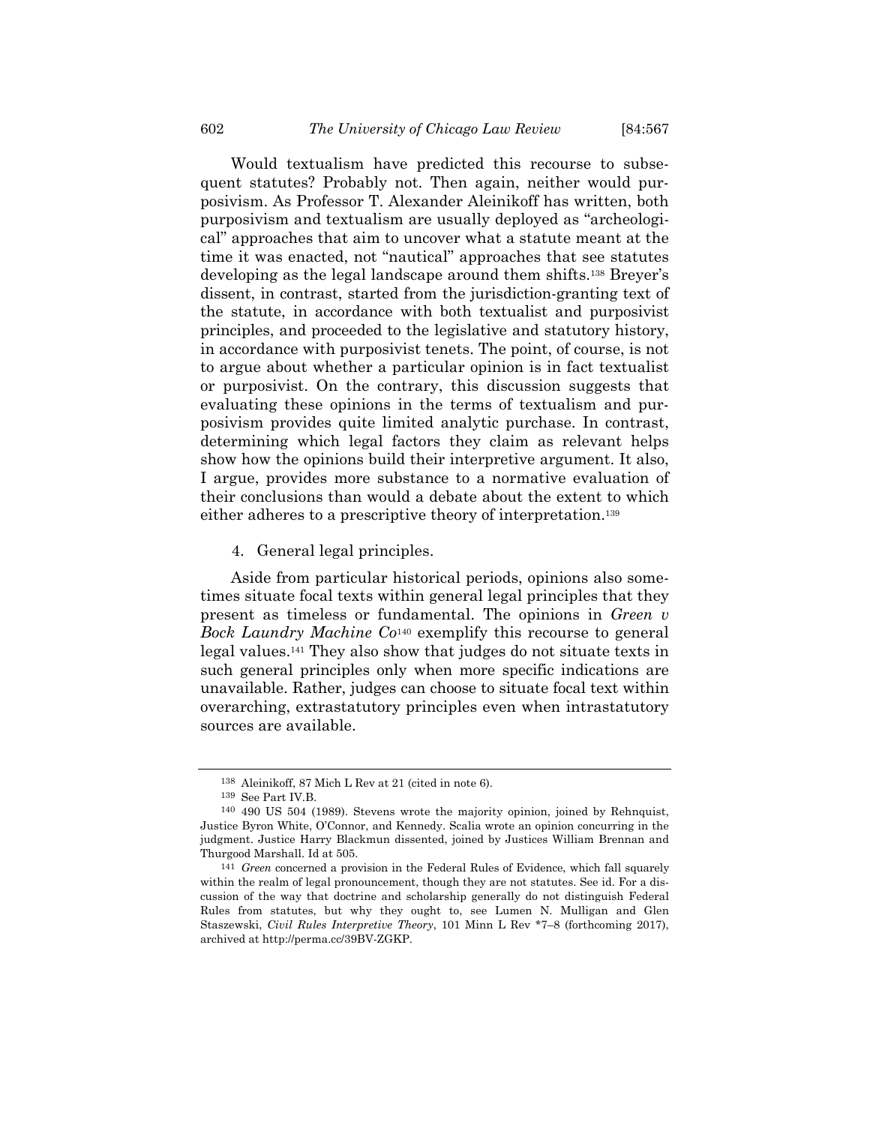Would textualism have predicted this recourse to subsequent statutes? Probably not. Then again, neither would purposivism. As Professor T. Alexander Aleinikoff has written, both purposivism and textualism are usually deployed as "archeological" approaches that aim to uncover what a statute meant at the time it was enacted, not "nautical" approaches that see statutes developing as the legal landscape around them shifts.138 Breyer's dissent, in contrast, started from the jurisdiction-granting text of the statute, in accordance with both textualist and purposivist principles, and proceeded to the legislative and statutory history, in accordance with purposivist tenets. The point, of course, is not to argue about whether a particular opinion is in fact textualist or purposivist. On the contrary, this discussion suggests that evaluating these opinions in the terms of textualism and purposivism provides quite limited analytic purchase. In contrast, determining which legal factors they claim as relevant helps show how the opinions build their interpretive argument. It also, I argue, provides more substance to a normative evaluation of their conclusions than would a debate about the extent to which either adheres to a prescriptive theory of interpretation.139

4. General legal principles.

Aside from particular historical periods, opinions also sometimes situate focal texts within general legal principles that they present as timeless or fundamental. The opinions in *Green v Bock Laundry Machine Co*140 exemplify this recourse to general legal values.141 They also show that judges do not situate texts in such general principles only when more specific indications are unavailable. Rather, judges can choose to situate focal text within overarching, extrastatutory principles even when intrastatutory sources are available.

 $^{138}\,$  Aleinikoff, 87 Mich L Rev at 21 (cited in note 6).  $^{139}\,$  See Part IV.B.

<sup>&</sup>lt;sup>140</sup> 490 US 504 (1989). Stevens wrote the majority opinion, joined by Rehnquist, Justice Byron White, O'Connor, and Kennedy. Scalia wrote an opinion concurring in the judgment. Justice Harry Blackmun dissented, joined by Justices William Brennan and Thurgood Marshall. Id at 505.

<sup>141</sup> *Green* concerned a provision in the Federal Rules of Evidence, which fall squarely within the realm of legal pronouncement, though they are not statutes. See id. For a discussion of the way that doctrine and scholarship generally do not distinguish Federal Rules from statutes, but why they ought to, see Lumen N. Mulligan and Glen Staszewski, *Civil Rules Interpretive Theory*, 101 Minn L Rev \*7–8 (forthcoming 2017), archived at http://perma.cc/39BV-ZGKP.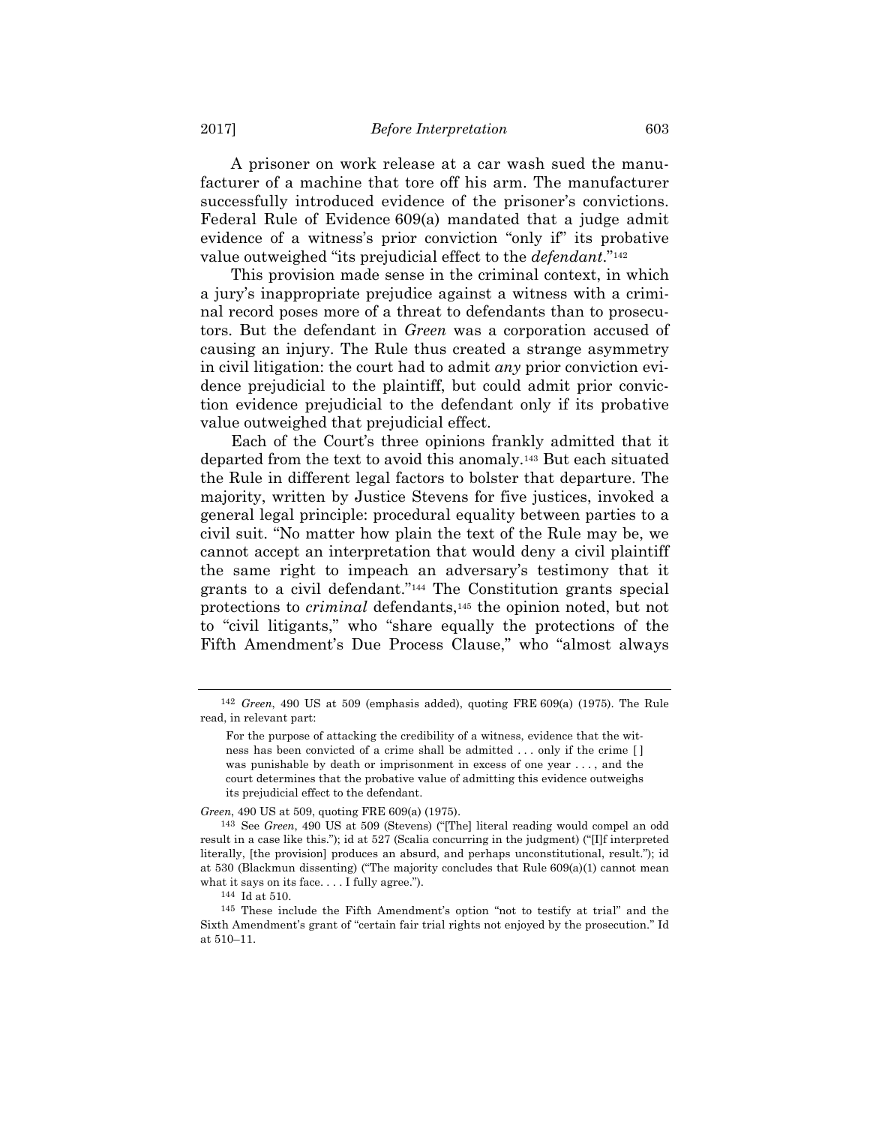A prisoner on work release at a car wash sued the manufacturer of a machine that tore off his arm. The manufacturer successfully introduced evidence of the prisoner's convictions. Federal Rule of Evidence 609(a) mandated that a judge admit evidence of a witness's prior conviction "only if" its probative value outweighed "its prejudicial effect to the *defendant*."142

This provision made sense in the criminal context, in which a jury's inappropriate prejudice against a witness with a criminal record poses more of a threat to defendants than to prosecutors. But the defendant in *Green* was a corporation accused of causing an injury. The Rule thus created a strange asymmetry in civil litigation: the court had to admit *any* prior conviction evidence prejudicial to the plaintiff, but could admit prior conviction evidence prejudicial to the defendant only if its probative value outweighed that prejudicial effect.

Each of the Court's three opinions frankly admitted that it departed from the text to avoid this anomaly.143 But each situated the Rule in different legal factors to bolster that departure. The majority, written by Justice Stevens for five justices, invoked a general legal principle: procedural equality between parties to a civil suit. "No matter how plain the text of the Rule may be, we cannot accept an interpretation that would deny a civil plaintiff the same right to impeach an adversary's testimony that it grants to a civil defendant."144 The Constitution grants special protections to *criminal* defendants,145 the opinion noted, but not to "civil litigants," who "share equally the protections of the Fifth Amendment's Due Process Clause," who "almost always

*Green*, 490 US at 509, quoting FRE 609(a) (1975).

<sup>142</sup> *Green*, 490 US at 509 (emphasis added), quoting FRE 609(a) (1975). The Rule read, in relevant part:

For the purpose of attacking the credibility of a witness, evidence that the witness has been convicted of a crime shall be admitted . . . only if the crime [ ] was punishable by death or imprisonment in excess of one year . . . , and the court determines that the probative value of admitting this evidence outweighs its prejudicial effect to the defendant.

<sup>143</sup> See *Green*, 490 US at 509 (Stevens) ("[The] literal reading would compel an odd result in a case like this."); id at 527 (Scalia concurring in the judgment) ("[I]f interpreted literally, [the provision] produces an absurd, and perhaps unconstitutional, result."); id at 530 (Blackmun dissenting) ("The majority concludes that Rule 609(a)(1) cannot mean what it says on its face. . . . I fully agree.").

<sup>144</sup> Id at 510.

<sup>145</sup> These include the Fifth Amendment's option "not to testify at trial" and the Sixth Amendment's grant of "certain fair trial rights not enjoyed by the prosecution." Id at 510–11.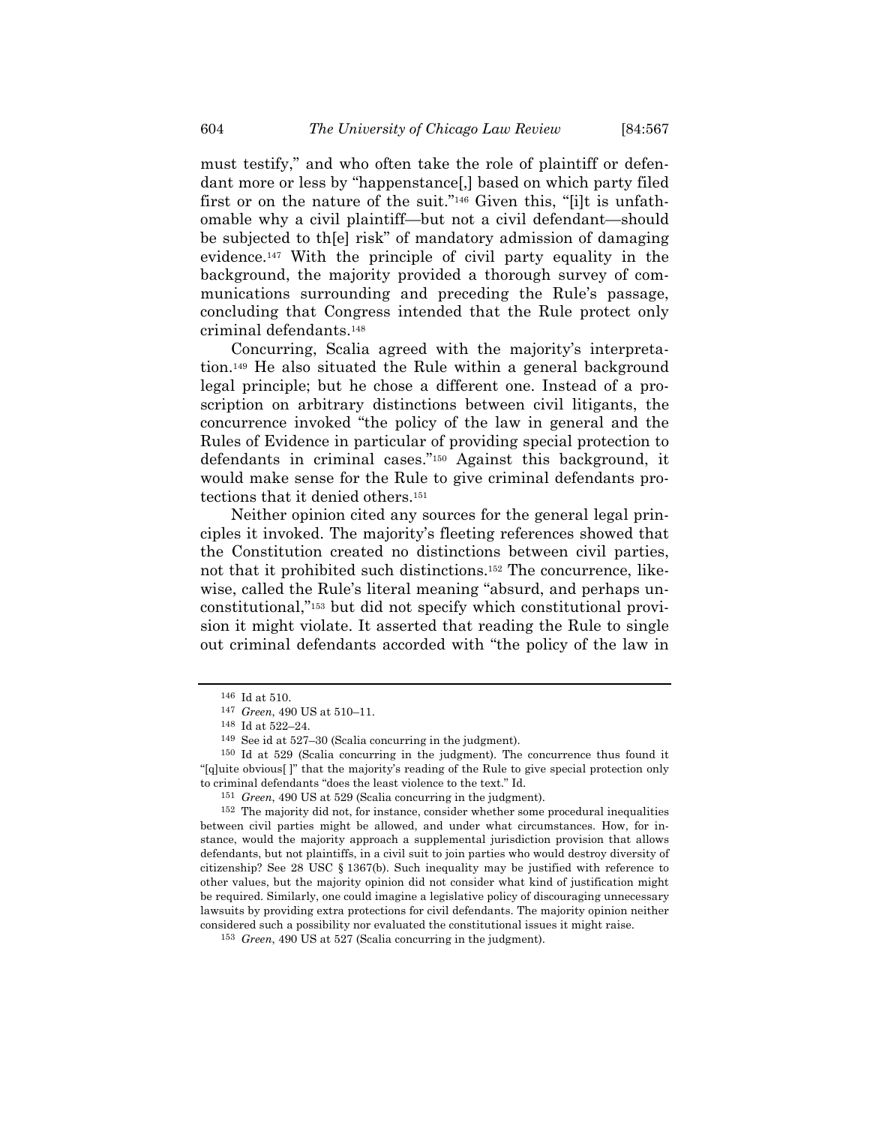must testify," and who often take the role of plaintiff or defendant more or less by "happenstance[,] based on which party filed first or on the nature of the suit."146 Given this, "[i]t is unfathomable why a civil plaintiff—but not a civil defendant—should be subjected to th[e] risk" of mandatory admission of damaging evidence.147 With the principle of civil party equality in the background, the majority provided a thorough survey of communications surrounding and preceding the Rule's passage, concluding that Congress intended that the Rule protect only criminal defendants.148

Concurring, Scalia agreed with the majority's interpretation.149 He also situated the Rule within a general background legal principle; but he chose a different one. Instead of a proscription on arbitrary distinctions between civil litigants, the concurrence invoked "the policy of the law in general and the Rules of Evidence in particular of providing special protection to defendants in criminal cases."150 Against this background, it would make sense for the Rule to give criminal defendants protections that it denied others.151

Neither opinion cited any sources for the general legal principles it invoked. The majority's fleeting references showed that the Constitution created no distinctions between civil parties, not that it prohibited such distinctions.152 The concurrence, likewise, called the Rule's literal meaning "absurd, and perhaps unconstitutional,"153 but did not specify which constitutional provision it might violate. It asserted that reading the Rule to single out criminal defendants accorded with "the policy of the law in

<sup>146</sup> Id at 510.

<sup>147</sup> *Green*, 490 US at 510–11.

<sup>148</sup> Id at 522–24.

<sup>149</sup> See id at 527–30 (Scalia concurring in the judgment).

<sup>150</sup> Id at 529 (Scalia concurring in the judgment). The concurrence thus found it "[q]uite obvious[ ]" that the majority's reading of the Rule to give special protection only to criminal defendants "does the least violence to the text." Id.

<sup>&</sup>lt;sup>151</sup> *Green*, 490 US at 529 (Scalia concurring in the judgment). <sup>152</sup> The majority did not, for instance, consider whether some procedural inequalities between civil parties might be allowed, and under what circumstances. How, for instance, would the majority approach a supplemental jurisdiction provision that allows defendants, but not plaintiffs, in a civil suit to join parties who would destroy diversity of citizenship? See 28 USC § 1367(b). Such inequality may be justified with reference to other values, but the majority opinion did not consider what kind of justification might be required. Similarly, one could imagine a legislative policy of discouraging unnecessary lawsuits by providing extra protections for civil defendants. The majority opinion neither considered such a possibility nor evaluated the constitutional issues it might raise.

<sup>153</sup> *Green*, 490 US at 527 (Scalia concurring in the judgment).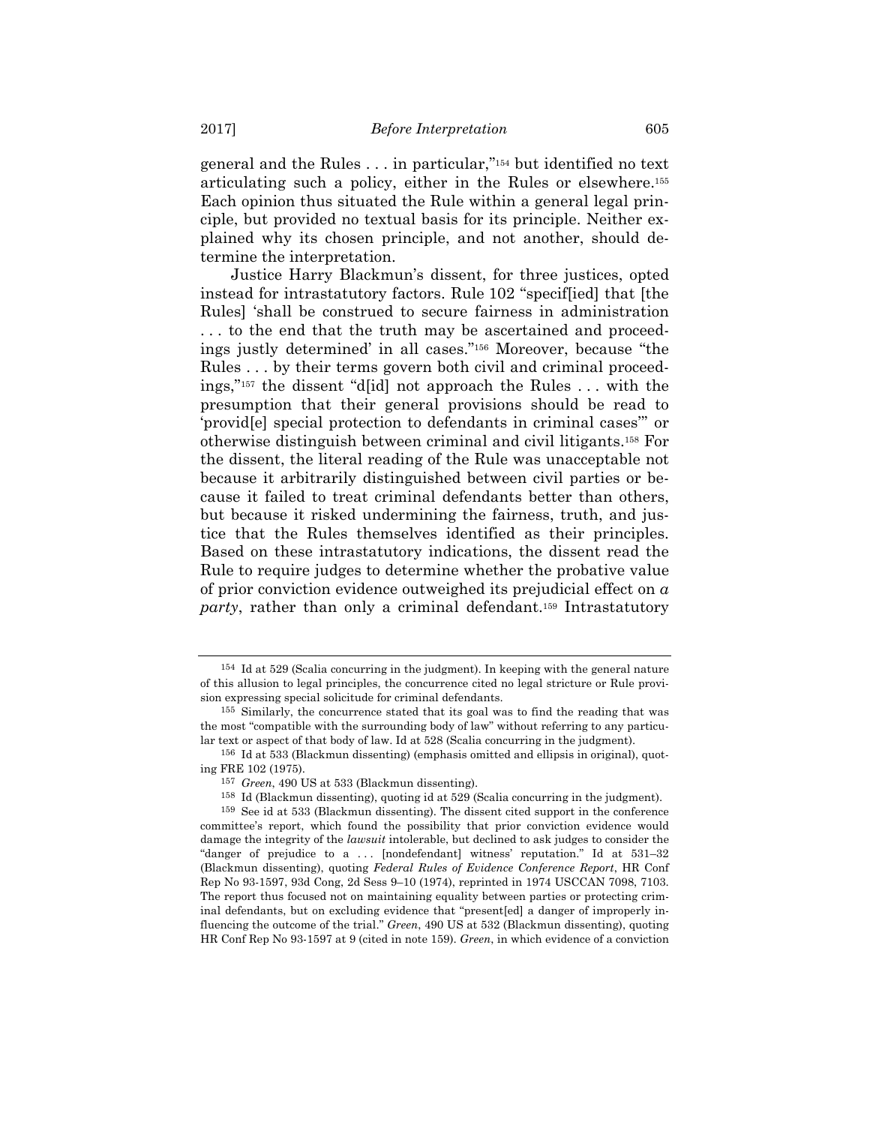general and the Rules . . . in particular,"154 but identified no text articulating such a policy, either in the Rules or elsewhere.155 Each opinion thus situated the Rule within a general legal principle, but provided no textual basis for its principle. Neither explained why its chosen principle, and not another, should determine the interpretation.

Justice Harry Blackmun's dissent, for three justices, opted instead for intrastatutory factors. Rule 102 "specif[ied] that [the Rules] 'shall be construed to secure fairness in administration . . . to the end that the truth may be ascertained and proceedings justly determined' in all cases."156 Moreover, because "the Rules . . . by their terms govern both civil and criminal proceedings,"157 the dissent "d[id] not approach the Rules . . . with the presumption that their general provisions should be read to 'provid[e] special protection to defendants in criminal cases'" or otherwise distinguish between criminal and civil litigants.158 For the dissent, the literal reading of the Rule was unacceptable not because it arbitrarily distinguished between civil parties or because it failed to treat criminal defendants better than others, but because it risked undermining the fairness, truth, and justice that the Rules themselves identified as their principles. Based on these intrastatutory indications, the dissent read the Rule to require judges to determine whether the probative value of prior conviction evidence outweighed its prejudicial effect on *a party*, rather than only a criminal defendant.159 Intrastatutory

<sup>154</sup> Id at 529 (Scalia concurring in the judgment). In keeping with the general nature of this allusion to legal principles, the concurrence cited no legal stricture or Rule provision expressing special solicitude for criminal defendants.

<sup>155</sup> Similarly, the concurrence stated that its goal was to find the reading that was the most "compatible with the surrounding body of law" without referring to any particular text or aspect of that body of law. Id at 528 (Scalia concurring in the judgment).

<sup>156</sup> Id at 533 (Blackmun dissenting) (emphasis omitted and ellipsis in original), quoting FRE 102 (1975).

<sup>157</sup> *Green*, 490 US at 533 (Blackmun dissenting).

<sup>158</sup> Id (Blackmun dissenting), quoting id at 529 (Scalia concurring in the judgment). 159 See id at 533 (Blackmun dissenting). The dissent cited support in the conference committee's report, which found the possibility that prior conviction evidence would damage the integrity of the *lawsuit* intolerable, but declined to ask judges to consider the "danger of prejudice to a ... [nondefendant] witness' reputation." Id at 531–32 (Blackmun dissenting), quoting *Federal Rules of Evidence Conference Report*, HR Conf Rep No 93-1597, 93d Cong, 2d Sess 9–10 (1974), reprinted in 1974 USCCAN 7098, 7103. The report thus focused not on maintaining equality between parties or protecting criminal defendants, but on excluding evidence that "present[ed] a danger of improperly influencing the outcome of the trial." *Green*, 490 US at 532 (Blackmun dissenting), quoting HR Conf Rep No 93-1597 at 9 (cited in note 159). *Green*, in which evidence of a conviction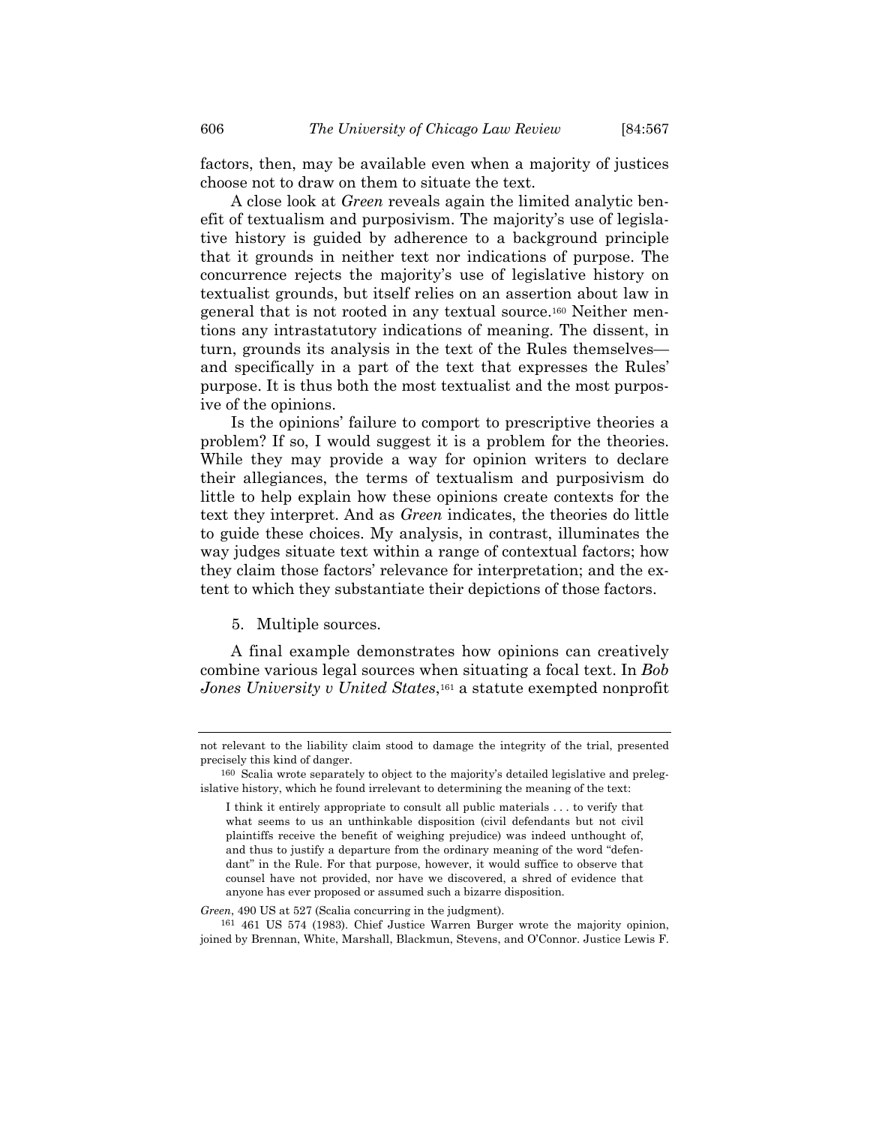factors, then, may be available even when a majority of justices choose not to draw on them to situate the text.

A close look at *Green* reveals again the limited analytic benefit of textualism and purposivism. The majority's use of legislative history is guided by adherence to a background principle that it grounds in neither text nor indications of purpose. The concurrence rejects the majority's use of legislative history on textualist grounds, but itself relies on an assertion about law in general that is not rooted in any textual source.160 Neither mentions any intrastatutory indications of meaning. The dissent, in turn, grounds its analysis in the text of the Rules themselves and specifically in a part of the text that expresses the Rules' purpose. It is thus both the most textualist and the most purposive of the opinions.

Is the opinions' failure to comport to prescriptive theories a problem? If so, I would suggest it is a problem for the theories. While they may provide a way for opinion writers to declare their allegiances, the terms of textualism and purposivism do little to help explain how these opinions create contexts for the text they interpret. And as *Green* indicates, the theories do little to guide these choices. My analysis, in contrast, illuminates the way judges situate text within a range of contextual factors; how they claim those factors' relevance for interpretation; and the extent to which they substantiate their depictions of those factors.

5. Multiple sources.

A final example demonstrates how opinions can creatively combine various legal sources when situating a focal text. In *Bob Jones University v United States*,161 a statute exempted nonprofit

*Green*, 490 US at 527 (Scalia concurring in the judgment).

not relevant to the liability claim stood to damage the integrity of the trial, presented precisely this kind of danger.

<sup>160</sup> Scalia wrote separately to object to the majority's detailed legislative and prelegislative history, which he found irrelevant to determining the meaning of the text:

I think it entirely appropriate to consult all public materials . . . to verify that what seems to us an unthinkable disposition (civil defendants but not civil plaintiffs receive the benefit of weighing prejudice) was indeed unthought of, and thus to justify a departure from the ordinary meaning of the word "defendant" in the Rule. For that purpose, however, it would suffice to observe that counsel have not provided, nor have we discovered, a shred of evidence that anyone has ever proposed or assumed such a bizarre disposition.

<sup>161 461</sup> US 574 (1983). Chief Justice Warren Burger wrote the majority opinion, joined by Brennan, White, Marshall, Blackmun, Stevens, and O'Connor. Justice Lewis F.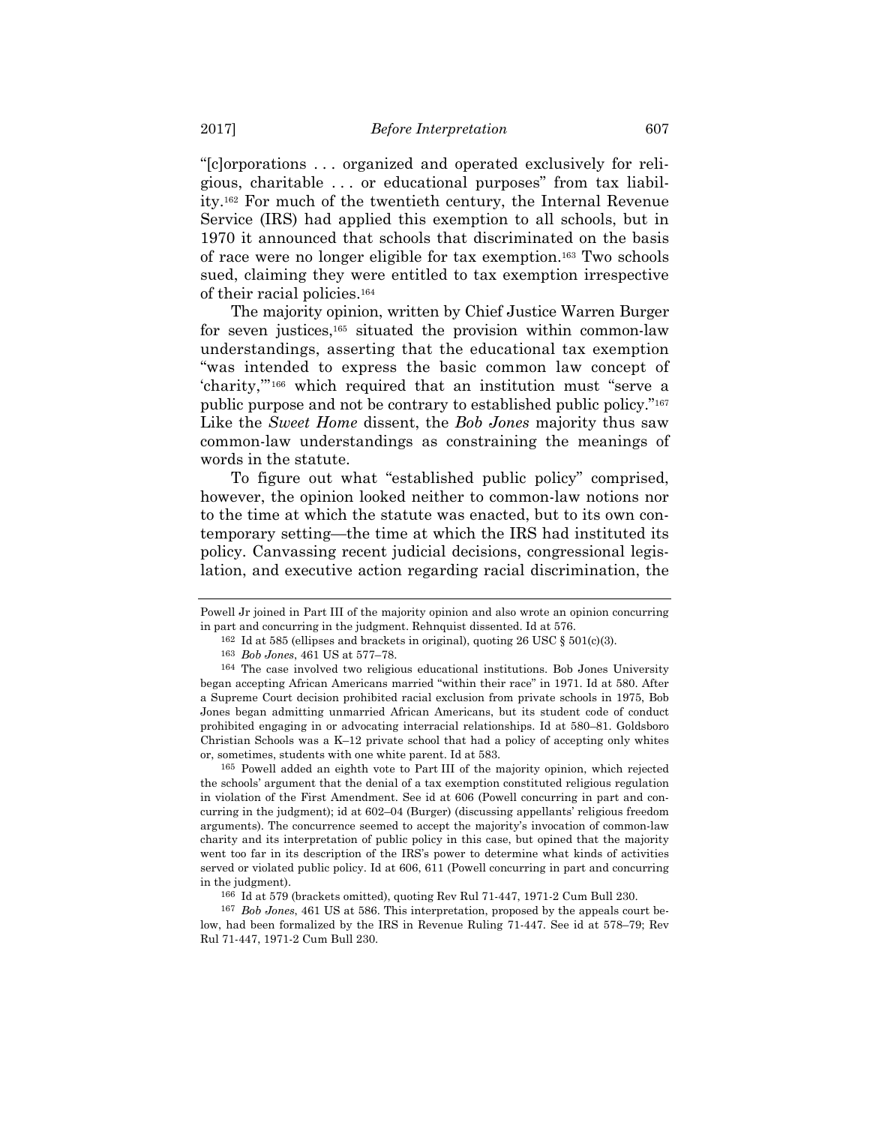"[c]orporations . . . organized and operated exclusively for religious, charitable . . . or educational purposes" from tax liability.162 For much of the twentieth century, the Internal Revenue Service (IRS) had applied this exemption to all schools, but in 1970 it announced that schools that discriminated on the basis of race were no longer eligible for tax exemption.163 Two schools sued, claiming they were entitled to tax exemption irrespective of their racial policies.164

The majority opinion, written by Chief Justice Warren Burger for seven justices,165 situated the provision within common-law understandings, asserting that the educational tax exemption "was intended to express the basic common law concept of 'charity,'"166 which required that an institution must "serve a public purpose and not be contrary to established public policy."167 Like the *Sweet Home* dissent, the *Bob Jones* majority thus saw common-law understandings as constraining the meanings of words in the statute.

To figure out what "established public policy" comprised, however, the opinion looked neither to common-law notions nor to the time at which the statute was enacted, but to its own contemporary setting—the time at which the IRS had instituted its policy. Canvassing recent judicial decisions, congressional legislation, and executive action regarding racial discrimination, the

165 Powell added an eighth vote to Part III of the majority opinion, which rejected the schools' argument that the denial of a tax exemption constituted religious regulation in violation of the First Amendment. See id at 606 (Powell concurring in part and concurring in the judgment); id at 602–04 (Burger) (discussing appellants' religious freedom arguments). The concurrence seemed to accept the majority's invocation of common-law charity and its interpretation of public policy in this case, but opined that the majority went too far in its description of the IRS's power to determine what kinds of activities served or violated public policy. Id at 606, 611 (Powell concurring in part and concurring in the judgment).

Powell Jr joined in Part III of the majority opinion and also wrote an opinion concurring in part and concurring in the judgment. Rehnquist dissented. Id at 576.

<sup>&</sup>lt;sup>162</sup> Id at 585 (ellipses and brackets in original), quoting 26 USC  $\S 501(c)(3)$ .

<sup>163</sup> *Bob Jones*, 461 US at 577–78.

<sup>164</sup> The case involved two religious educational institutions. Bob Jones University began accepting African Americans married "within their race" in 1971. Id at 580. After a Supreme Court decision prohibited racial exclusion from private schools in 1975, Bob Jones began admitting unmarried African Americans, but its student code of conduct prohibited engaging in or advocating interracial relationships. Id at 580–81. Goldsboro Christian Schools was a K–12 private school that had a policy of accepting only whites or, sometimes, students with one white parent. Id at 583.

<sup>166</sup> Id at 579 (brackets omitted), quoting Rev Rul 71-447, 1971-2 Cum Bull 230.

<sup>167</sup> *Bob Jones*, 461 US at 586. This interpretation, proposed by the appeals court below, had been formalized by the IRS in Revenue Ruling 71-447. See id at 578–79; Rev Rul 71-447, 1971-2 Cum Bull 230.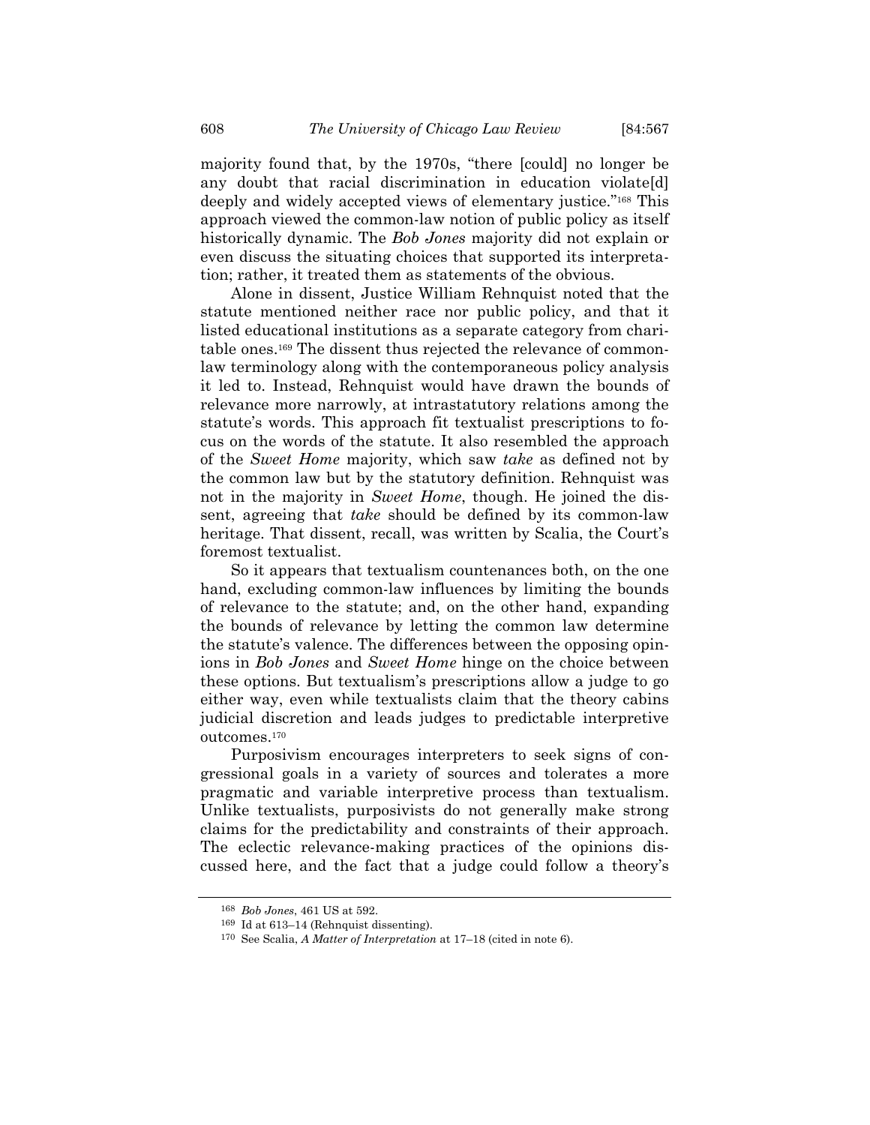majority found that, by the 1970s, "there [could] no longer be any doubt that racial discrimination in education violate[d] deeply and widely accepted views of elementary justice."168 This approach viewed the common-law notion of public policy as itself historically dynamic. The *Bob Jones* majority did not explain or even discuss the situating choices that supported its interpretation; rather, it treated them as statements of the obvious.

Alone in dissent, Justice William Rehnquist noted that the statute mentioned neither race nor public policy, and that it listed educational institutions as a separate category from charitable ones.169 The dissent thus rejected the relevance of commonlaw terminology along with the contemporaneous policy analysis it led to. Instead, Rehnquist would have drawn the bounds of relevance more narrowly, at intrastatutory relations among the statute's words. This approach fit textualist prescriptions to focus on the words of the statute. It also resembled the approach of the *Sweet Home* majority, which saw *take* as defined not by the common law but by the statutory definition. Rehnquist was not in the majority in *Sweet Home*, though. He joined the dissent, agreeing that *take* should be defined by its common-law heritage. That dissent, recall, was written by Scalia, the Court's foremost textualist.

So it appears that textualism countenances both, on the one hand, excluding common-law influences by limiting the bounds of relevance to the statute; and, on the other hand, expanding the bounds of relevance by letting the common law determine the statute's valence. The differences between the opposing opinions in *Bob Jones* and *Sweet Home* hinge on the choice between these options. But textualism's prescriptions allow a judge to go either way, even while textualists claim that the theory cabins judicial discretion and leads judges to predictable interpretive outcomes.170

Purposivism encourages interpreters to seek signs of congressional goals in a variety of sources and tolerates a more pragmatic and variable interpretive process than textualism. Unlike textualists, purposivists do not generally make strong claims for the predictability and constraints of their approach. The eclectic relevance-making practices of the opinions discussed here, and the fact that a judge could follow a theory's

<sup>168</sup> *Bob Jones*, 461 US at 592.

<sup>169</sup> Id at 613–14 (Rehnquist dissenting). 170 See Scalia, *A Matter of Interpretation* at 17–18 (cited in note 6).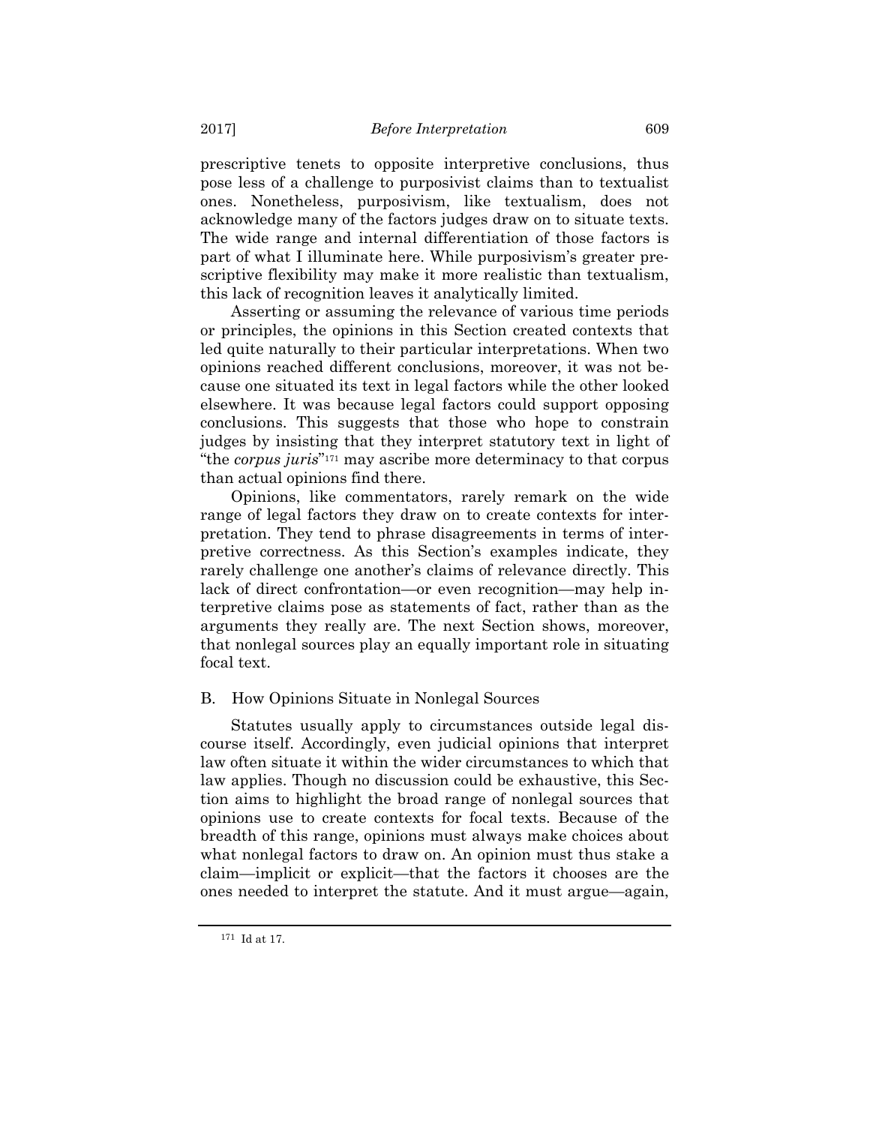prescriptive tenets to opposite interpretive conclusions, thus pose less of a challenge to purposivist claims than to textualist ones. Nonetheless, purposivism, like textualism, does not acknowledge many of the factors judges draw on to situate texts. The wide range and internal differentiation of those factors is part of what I illuminate here. While purposivism's greater prescriptive flexibility may make it more realistic than textualism, this lack of recognition leaves it analytically limited.

Asserting or assuming the relevance of various time periods or principles, the opinions in this Section created contexts that led quite naturally to their particular interpretations. When two opinions reached different conclusions, moreover, it was not because one situated its text in legal factors while the other looked elsewhere. It was because legal factors could support opposing conclusions. This suggests that those who hope to constrain judges by insisting that they interpret statutory text in light of "the *corpus juris*"171 may ascribe more determinacy to that corpus than actual opinions find there.

Opinions, like commentators, rarely remark on the wide range of legal factors they draw on to create contexts for interpretation. They tend to phrase disagreements in terms of interpretive correctness. As this Section's examples indicate, they rarely challenge one another's claims of relevance directly. This lack of direct confrontation—or even recognition—may help interpretive claims pose as statements of fact, rather than as the arguments they really are. The next Section shows, moreover, that nonlegal sources play an equally important role in situating focal text.

## B. How Opinions Situate in Nonlegal Sources

Statutes usually apply to circumstances outside legal discourse itself. Accordingly, even judicial opinions that interpret law often situate it within the wider circumstances to which that law applies. Though no discussion could be exhaustive, this Section aims to highlight the broad range of nonlegal sources that opinions use to create contexts for focal texts. Because of the breadth of this range, opinions must always make choices about what nonlegal factors to draw on. An opinion must thus stake a claim—implicit or explicit—that the factors it chooses are the ones needed to interpret the statute. And it must argue—again,

<sup>171</sup> Id at 17.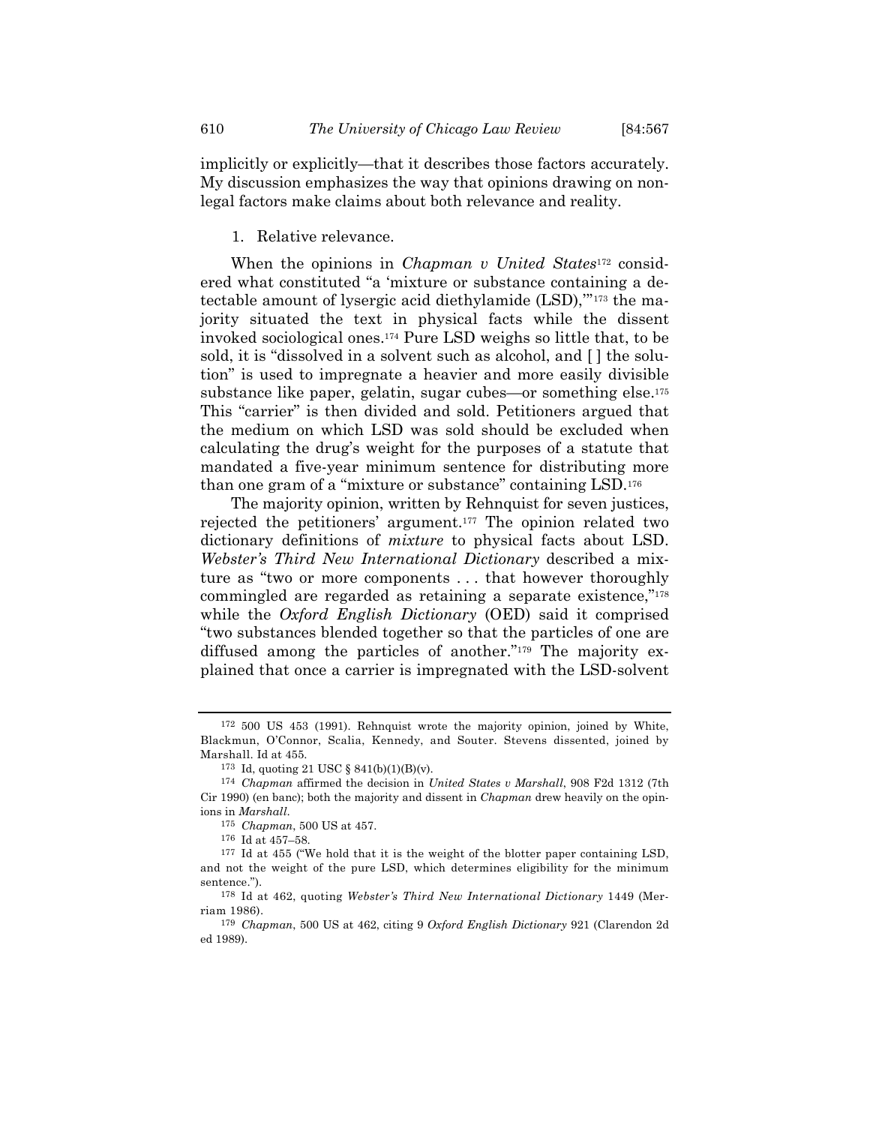implicitly or explicitly—that it describes those factors accurately. My discussion emphasizes the way that opinions drawing on nonlegal factors make claims about both relevance and reality.

## 1. Relative relevance.

When the opinions in *Chapman v United States*172 considered what constituted "a 'mixture or substance containing a detectable amount of lysergic acid diethylamide (LSD),'"173 the majority situated the text in physical facts while the dissent invoked sociological ones.174 Pure LSD weighs so little that, to be sold, it is "dissolved in a solvent such as alcohol, and [ ] the solution" is used to impregnate a heavier and more easily divisible substance like paper, gelatin, sugar cubes—or something else.175 This "carrier" is then divided and sold. Petitioners argued that the medium on which LSD was sold should be excluded when calculating the drug's weight for the purposes of a statute that mandated a five-year minimum sentence for distributing more than one gram of a "mixture or substance" containing LSD.176

The majority opinion, written by Rehnquist for seven justices, rejected the petitioners' argument.177 The opinion related two dictionary definitions of *mixture* to physical facts about LSD. *Webster's Third New International Dictionary* described a mixture as "two or more components . . . that however thoroughly commingled are regarded as retaining a separate existence,"178 while the *Oxford English Dictionary* (OED) said it comprised "two substances blended together so that the particles of one are diffused among the particles of another."179 The majority explained that once a carrier is impregnated with the LSD-solvent

<sup>172 500</sup> US 453 (1991). Rehnquist wrote the majority opinion, joined by White, Blackmun, O'Connor, Scalia, Kennedy, and Souter. Stevens dissented, joined by Marshall. Id at 455.

<sup>&</sup>lt;sup>173</sup> Id, quoting 21 USC §  $841(b)(1)(B)(v)$ .

<sup>174</sup> *Chapman* affirmed the decision in *United States v Marshall*, 908 F2d 1312 (7th Cir 1990) (en banc); both the majority and dissent in *Chapman* drew heavily on the opinions in *Marshall*.

<sup>175</sup> *Chapman*, 500 US at 457.

<sup>&</sup>lt;sup>176</sup> Id at 457–58.<br><sup>177</sup> Id at 455 ("We hold that it is the weight of the blotter paper containing LSD, and not the weight of the pure LSD, which determines eligibility for the minimum sentence.").

<sup>178</sup> Id at 462, quoting *Webster's Third New International Dictionary* 1449 (Merriam 1986).

<sup>179</sup> *Chapman*, 500 US at 462, citing 9 *Oxford English Dictionary* 921 (Clarendon 2d ed 1989).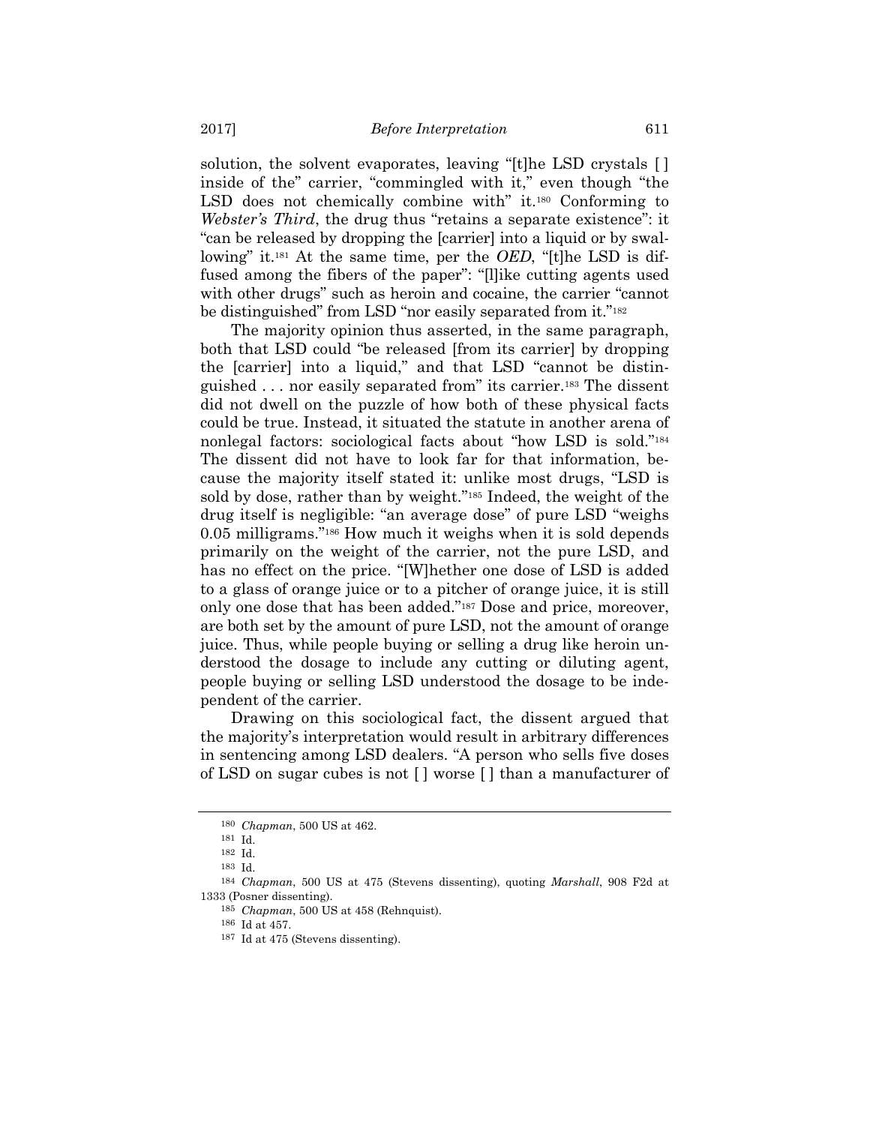solution, the solvent evaporates, leaving "[t]he LSD crystals [ ] inside of the" carrier, "commingled with it," even though "the LSD does not chemically combine with" it.<sup>180</sup> Conforming to *Webster's Third*, the drug thus "retains a separate existence": it "can be released by dropping the [carrier] into a liquid or by swallowing" it.181 At the same time, per the *OED*, "[t]he LSD is diffused among the fibers of the paper": "[l]ike cutting agents used with other drugs" such as heroin and cocaine, the carrier "cannot be distinguished" from LSD "nor easily separated from it."<sup>182</sup>

The majority opinion thus asserted, in the same paragraph, both that LSD could "be released [from its carrier] by dropping the [carrier] into a liquid," and that LSD "cannot be distinguished . . . nor easily separated from" its carrier.183 The dissent did not dwell on the puzzle of how both of these physical facts could be true. Instead, it situated the statute in another arena of nonlegal factors: sociological facts about "how LSD is sold."184 The dissent did not have to look far for that information, because the majority itself stated it: unlike most drugs, "LSD is sold by dose, rather than by weight."185 Indeed, the weight of the drug itself is negligible: "an average dose" of pure LSD "weighs 0.05 milligrams."186 How much it weighs when it is sold depends primarily on the weight of the carrier, not the pure LSD, and has no effect on the price. "[W]hether one dose of LSD is added to a glass of orange juice or to a pitcher of orange juice, it is still only one dose that has been added."187 Dose and price, moreover, are both set by the amount of pure LSD, not the amount of orange juice. Thus, while people buying or selling a drug like heroin understood the dosage to include any cutting or diluting agent, people buying or selling LSD understood the dosage to be independent of the carrier.

Drawing on this sociological fact, the dissent argued that the majority's interpretation would result in arbitrary differences in sentencing among LSD dealers. "A person who sells five doses of LSD on sugar cubes is not [ ] worse [ ] than a manufacturer of

<sup>180</sup> *Chapman*, 500 US at 462.

<sup>181</sup> Id. 182 Id.

<sup>183</sup> Id.

<sup>184</sup> *Chapman*, 500 US at 475 (Stevens dissenting), quoting *Marshall*, 908 F2d at 1333 (Posner dissenting).

<sup>185</sup> *Chapman*, 500 US at 458 (Rehnquist).

 $187$  Id at 475 (Stevens dissenting).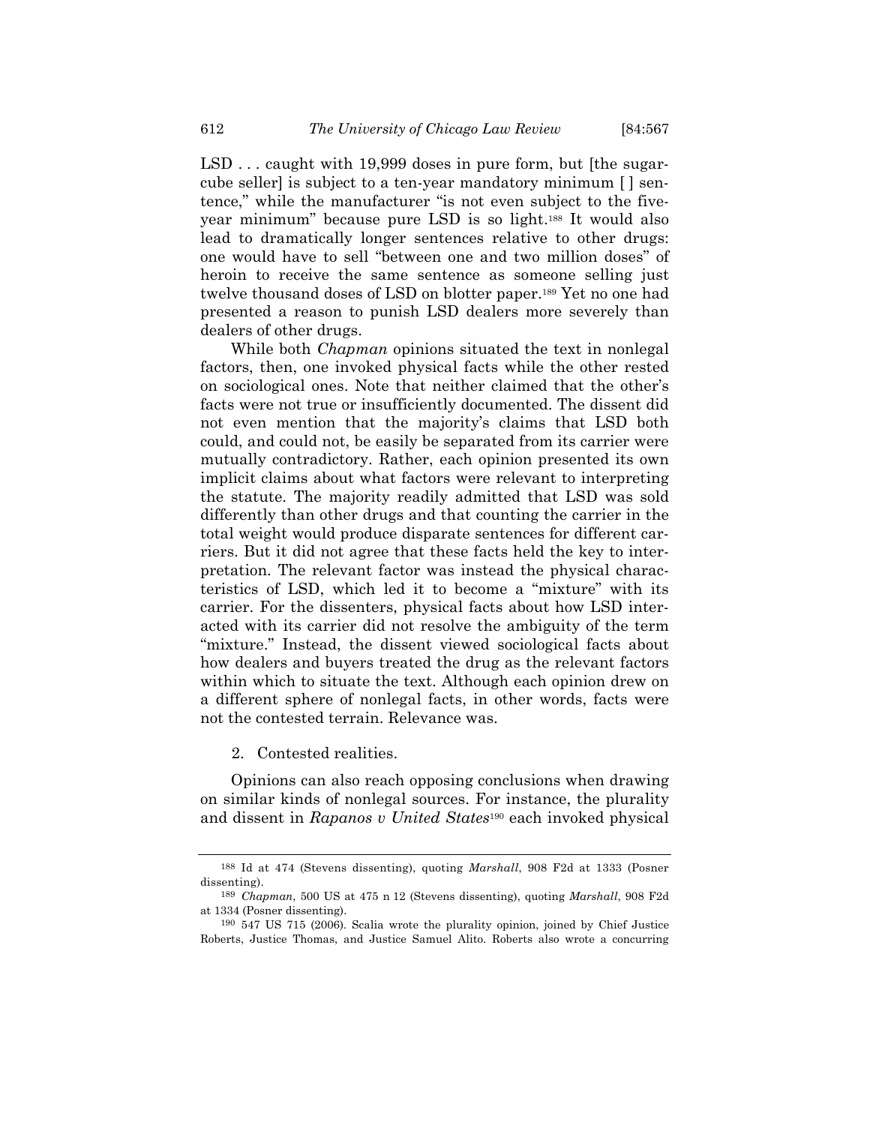LSD . . . caught with 19,999 doses in pure form, but [the sugarcube seller] is subject to a ten-year mandatory minimum [ ] sentence," while the manufacturer "is not even subject to the fiveyear minimum" because pure LSD is so light.188 It would also lead to dramatically longer sentences relative to other drugs: one would have to sell "between one and two million doses" of heroin to receive the same sentence as someone selling just twelve thousand doses of LSD on blotter paper.189 Yet no one had presented a reason to punish LSD dealers more severely than dealers of other drugs.

While both *Chapman* opinions situated the text in nonlegal factors, then, one invoked physical facts while the other rested on sociological ones. Note that neither claimed that the other's facts were not true or insufficiently documented. The dissent did not even mention that the majority's claims that LSD both could, and could not, be easily be separated from its carrier were mutually contradictory. Rather, each opinion presented its own implicit claims about what factors were relevant to interpreting the statute. The majority readily admitted that LSD was sold differently than other drugs and that counting the carrier in the total weight would produce disparate sentences for different carriers. But it did not agree that these facts held the key to interpretation. The relevant factor was instead the physical characteristics of LSD, which led it to become a "mixture" with its carrier. For the dissenters, physical facts about how LSD interacted with its carrier did not resolve the ambiguity of the term "mixture." Instead, the dissent viewed sociological facts about how dealers and buyers treated the drug as the relevant factors within which to situate the text. Although each opinion drew on a different sphere of nonlegal facts, in other words, facts were not the contested terrain. Relevance was.

2. Contested realities.

Opinions can also reach opposing conclusions when drawing on similar kinds of nonlegal sources. For instance, the plurality and dissent in *Rapanos v United States*190 each invoked physical

<sup>188</sup> Id at 474 (Stevens dissenting), quoting *Marshall*, 908 F2d at 1333 (Posner dissenting).

<sup>189</sup> *Chapman*, 500 US at 475 n 12 (Stevens dissenting), quoting *Marshall*, 908 F2d at 1334 (Posner dissenting).

<sup>190 547</sup> US 715 (2006). Scalia wrote the plurality opinion, joined by Chief Justice Roberts, Justice Thomas, and Justice Samuel Alito. Roberts also wrote a concurring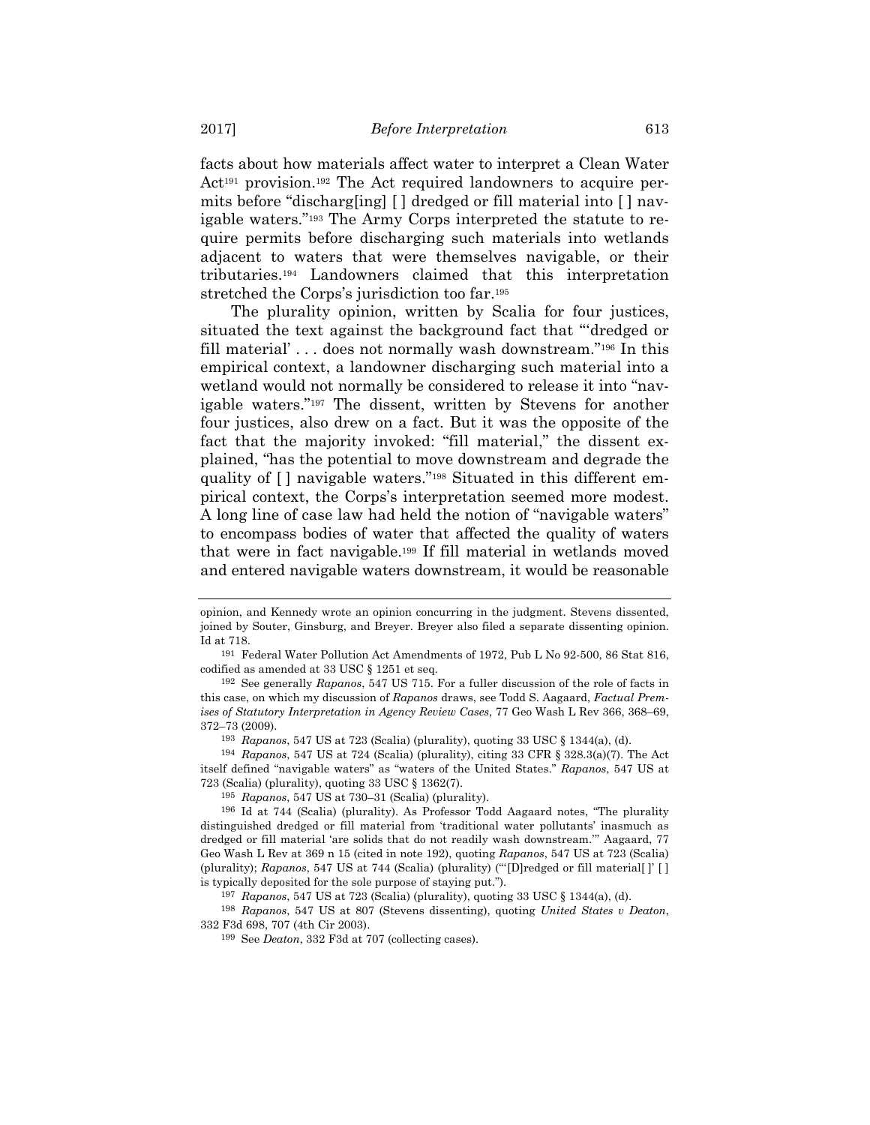facts about how materials affect water to interpret a Clean Water Act<sup>191</sup> provision.<sup>192</sup> The Act required landowners to acquire permits before "discharg[ing] [ ] dredged or fill material into [ ] navigable waters."193 The Army Corps interpreted the statute to require permits before discharging such materials into wetlands adjacent to waters that were themselves navigable, or their tributaries.194 Landowners claimed that this interpretation stretched the Corps's jurisdiction too far.195

The plurality opinion, written by Scalia for four justices, situated the text against the background fact that "'dredged or fill material' . . . does not normally wash downstream."196 In this empirical context, a landowner discharging such material into a wetland would not normally be considered to release it into "navigable waters."197 The dissent, written by Stevens for another four justices, also drew on a fact. But it was the opposite of the fact that the majority invoked: "fill material," the dissent explained, "has the potential to move downstream and degrade the quality of [ ] navigable waters."198 Situated in this different empirical context, the Corps's interpretation seemed more modest. A long line of case law had held the notion of "navigable waters" to encompass bodies of water that affected the quality of waters that were in fact navigable.199 If fill material in wetlands moved and entered navigable waters downstream, it would be reasonable

193 *Rapanos*, 547 US at 723 (Scalia) (plurality), quoting 33 USC § 1344(a), (d).

194 *Rapanos*, 547 US at 724 (Scalia) (plurality), citing 33 CFR § 328.3(a)(7). The Act itself defined "navigable waters" as "waters of the United States." *Rapanos*, 547 US at 723 (Scalia) (plurality), quoting 33 USC § 1362(7).

198 *Rapanos*, 547 US at 807 (Stevens dissenting), quoting *United States v Deaton*, 332 F3d 698, 707 (4th Cir 2003).

opinion, and Kennedy wrote an opinion concurring in the judgment. Stevens dissented, joined by Souter, Ginsburg, and Breyer. Breyer also filed a separate dissenting opinion. Id at 718.

<sup>191</sup> Federal Water Pollution Act Amendments of 1972, Pub L No 92-500, 86 Stat 816, codified as amended at 33 USC § 1251 et seq.

<sup>192</sup> See generally *Rapanos*, 547 US 715. For a fuller discussion of the role of facts in this case, on which my discussion of *Rapanos* draws, see Todd S. Aagaard, *Factual Premises of Statutory Interpretation in Agency Review Cases*, 77 Geo Wash L Rev 366, 368–69, 372–73 (2009).

<sup>195</sup> *Rapanos*, 547 US at 730–31 (Scalia) (plurality). 196 Id at 744 (Scalia) (plurality). As Professor Todd Aagaard notes, "The plurality distinguished dredged or fill material from 'traditional water pollutants' inasmuch as dredged or fill material 'are solids that do not readily wash downstream.'" Aagaard, 77 Geo Wash L Rev at 369 n 15 (cited in note 192), quoting *Rapanos*, 547 US at 723 (Scalia) (plurality); *Rapanos*, 547 US at 744 (Scalia) (plurality) ("'[D]redged or fill material[ ]' [ ] is typically deposited for the sole purpose of staying put.").

<sup>197</sup> *Rapanos*, 547 US at 723 (Scalia) (plurality), quoting 33 USC § 1344(a), (d).

<sup>199</sup> See *Deaton*, 332 F3d at 707 (collecting cases).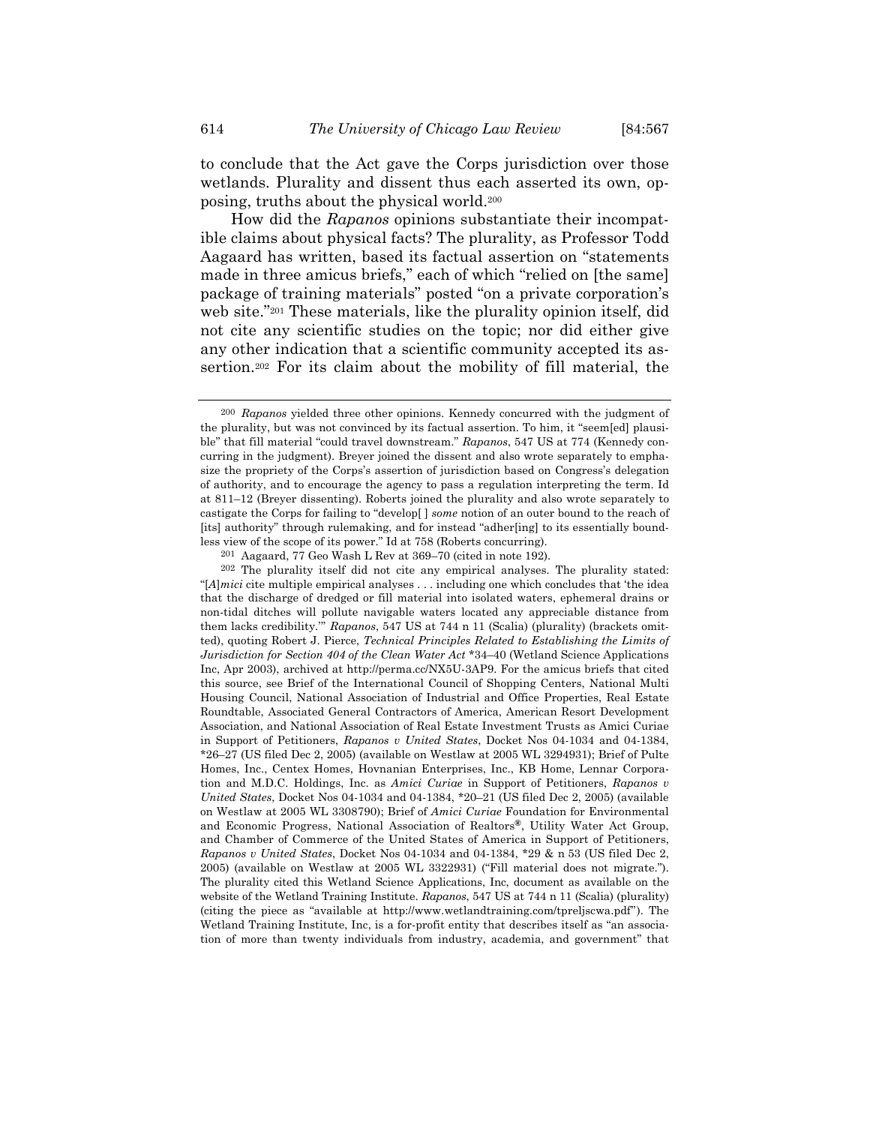to conclude that the Act gave the Corps jurisdiction over those wetlands. Plurality and dissent thus each asserted its own, opposing, truths about the physical world.200

How did the *Rapanos* opinions substantiate their incompatible claims about physical facts? The plurality, as Professor Todd Aagaard has written, based its factual assertion on "statements made in three amicus briefs," each of which "relied on [the same] package of training materials" posted "on a private corporation's web site."201 These materials, like the plurality opinion itself, did not cite any scientific studies on the topic; nor did either give any other indication that a scientific community accepted its assertion.202 For its claim about the mobility of fill material, the

201 Aagaard, 77 Geo Wash L Rev at 369–70 (cited in note 192).

202 The plurality itself did not cite any empirical analyses. The plurality stated: "[*A*]*mici* cite multiple empirical analyses . . . including one which concludes that 'the idea that the discharge of dredged or fill material into isolated waters, ephemeral drains or non-tidal ditches will pollute navigable waters located any appreciable distance from them lacks credibility.'" *Rapanos*, 547 US at 744 n 11 (Scalia) (plurality) (brackets omitted), quoting Robert J. Pierce, *Technical Principles Related to Establishing the Limits of Jurisdiction for Section 404 of the Clean Water Act* \*34–40 (Wetland Science Applications Inc, Apr 2003), archived at http://perma.cc/NX5U-3AP9. For the amicus briefs that cited this source, see Brief of the International Council of Shopping Centers, National Multi Housing Council, National Association of Industrial and Office Properties, Real Estate Roundtable, Associated General Contractors of America, American Resort Development Association, and National Association of Real Estate Investment Trusts as Amici Curiae in Support of Petitioners, *Rapanos v United States*, Docket Nos 04-1034 and 04-1384, \*26–27 (US filed Dec 2, 2005) (available on Westlaw at 2005 WL 3294931); Brief of Pulte Homes, Inc., Centex Homes, Hovnanian Enterprises, Inc., KB Home, Lennar Corporation and M.D.C. Holdings, Inc. as *Amici Curiae* in Support of Petitioners, *Rapanos v United States*, Docket Nos 04-1034 and 04-1384, \*20–21 (US filed Dec 2, 2005) (available on Westlaw at 2005 WL 3308790); Brief of *Amici Curiae* Foundation for Environmental and Economic Progress, National Association of Realtors**®**, Utility Water Act Group, and Chamber of Commerce of the United States of America in Support of Petitioners, *Rapanos v United States*, Docket Nos 04-1034 and 04-1384, \*29 & n 53 (US filed Dec 2, 2005) (available on Westlaw at 2005 WL 3322931) ("Fill material does not migrate."). The plurality cited this Wetland Science Applications, Inc, document as available on the website of the Wetland Training Institute. *Rapanos*, 547 US at 744 n 11 (Scalia) (plurality) (citing the piece as "available at http://www.wetlandtraining.com/tpreljscwa.pdf"). The Wetland Training Institute, Inc, is a for-profit entity that describes itself as "an association of more than twenty individuals from industry, academia, and government" that

<sup>200</sup> *Rapanos* yielded three other opinions. Kennedy concurred with the judgment of the plurality, but was not convinced by its factual assertion. To him, it "seem[ed] plausible" that fill material "could travel downstream." *Rapanos*, 547 US at 774 (Kennedy concurring in the judgment). Breyer joined the dissent and also wrote separately to emphasize the propriety of the Corps's assertion of jurisdiction based on Congress's delegation of authority, and to encourage the agency to pass a regulation interpreting the term. Id at 811–12 (Breyer dissenting). Roberts joined the plurality and also wrote separately to castigate the Corps for failing to "develop[ ] *some* notion of an outer bound to the reach of [its] authority" through rulemaking, and for instead "adher[ing] to its essentially boundless view of the scope of its power." Id at 758 (Roberts concurring).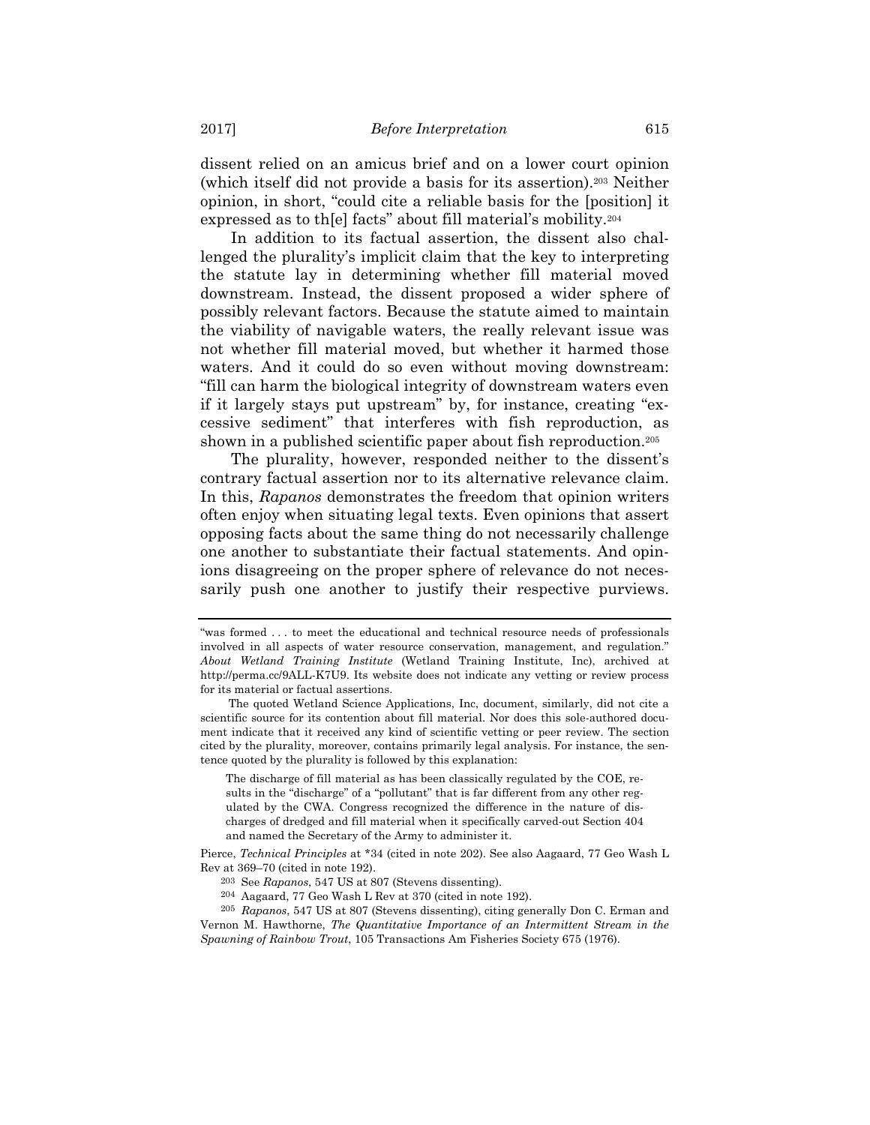dissent relied on an amicus brief and on a lower court opinion (which itself did not provide a basis for its assertion).203 Neither opinion, in short, "could cite a reliable basis for the [position] it expressed as to th[e] facts" about fill material's mobility.204

In addition to its factual assertion, the dissent also challenged the plurality's implicit claim that the key to interpreting the statute lay in determining whether fill material moved downstream. Instead, the dissent proposed a wider sphere of possibly relevant factors. Because the statute aimed to maintain the viability of navigable waters, the really relevant issue was not whether fill material moved, but whether it harmed those waters. And it could do so even without moving downstream: "fill can harm the biological integrity of downstream waters even if it largely stays put upstream" by, for instance, creating "excessive sediment" that interferes with fish reproduction, as shown in a published scientific paper about fish reproduction.<sup>205</sup>

The plurality, however, responded neither to the dissent's contrary factual assertion nor to its alternative relevance claim. In this, *Rapanos* demonstrates the freedom that opinion writers often enjoy when situating legal texts. Even opinions that assert opposing facts about the same thing do not necessarily challenge one another to substantiate their factual statements. And opinions disagreeing on the proper sphere of relevance do not necessarily push one another to justify their respective purviews.

The discharge of fill material as has been classically regulated by the COE, results in the "discharge" of a "pollutant" that is far different from any other regulated by the CWA. Congress recognized the difference in the nature of discharges of dredged and fill material when it specifically carved-out Section 404 and named the Secretary of the Army to administer it.

<sup>&</sup>quot;was formed . . . to meet the educational and technical resource needs of professionals involved in all aspects of water resource conservation, management, and regulation." *About Wetland Training Institute* (Wetland Training Institute, Inc), archived at http://perma.cc/9ALL-K7U9. Its website does not indicate any vetting or review process for its material or factual assertions.

The quoted Wetland Science Applications, Inc, document, similarly, did not cite a scientific source for its contention about fill material. Nor does this sole-authored document indicate that it received any kind of scientific vetting or peer review. The section cited by the plurality, moreover, contains primarily legal analysis. For instance, the sentence quoted by the plurality is followed by this explanation:

Pierce, *Technical Principles* at \*34 (cited in note 202). See also Aagaard, 77 Geo Wash L Rev at 369–70 (cited in note 192).

<sup>203</sup> See *Rapanos*, 547 US at 807 (Stevens dissenting). 204 Aagaard, 77 Geo Wash L Rev at 370 (cited in note 192).

<sup>205</sup> *Rapanos*, 547 US at 807 (Stevens dissenting), citing generally Don C. Erman and Vernon M. Hawthorne, *The Quantitative Importance of an Intermittent Stream in the Spawning of Rainbow Trout*, 105 Transactions Am Fisheries Society 675 (1976).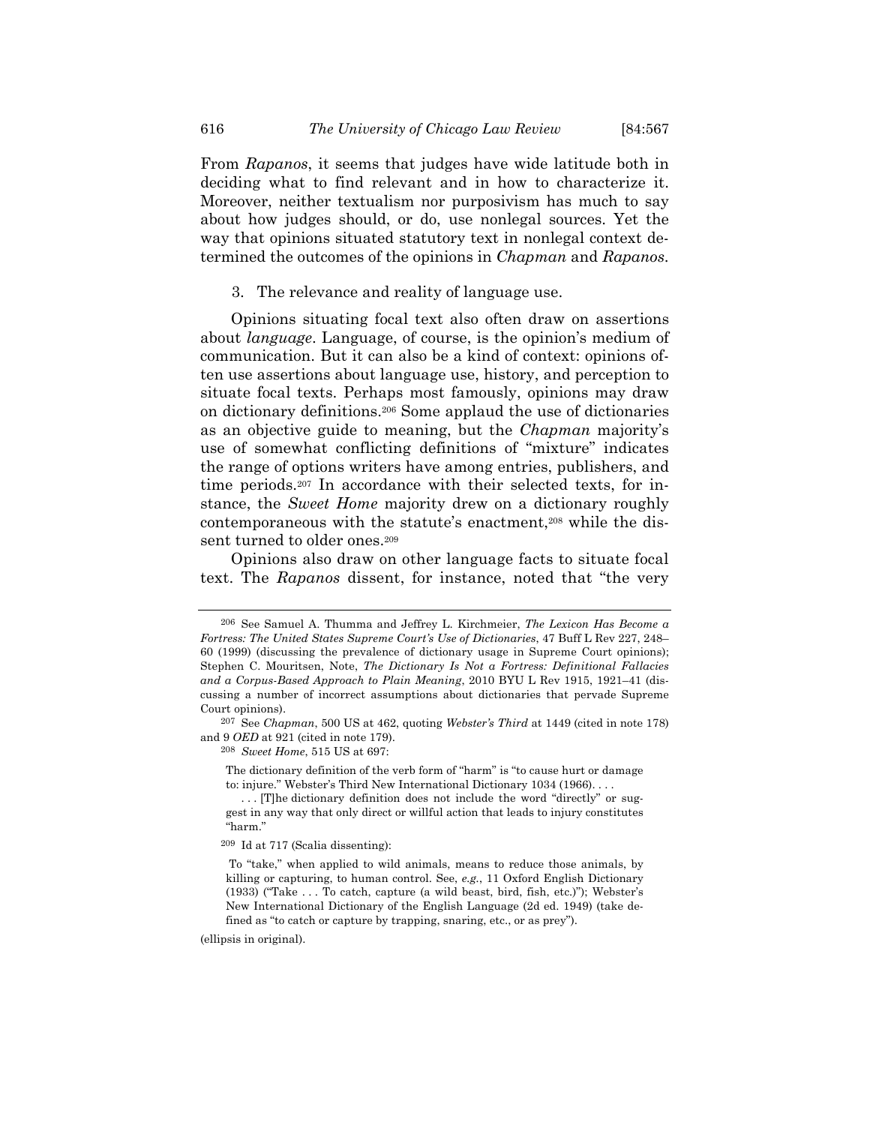From *Rapanos*, it seems that judges have wide latitude both in deciding what to find relevant and in how to characterize it. Moreover, neither textualism nor purposivism has much to say about how judges should, or do, use nonlegal sources. Yet the way that opinions situated statutory text in nonlegal context determined the outcomes of the opinions in *Chapman* and *Rapanos*.

3. The relevance and reality of language use.

Opinions situating focal text also often draw on assertions about *language*. Language, of course, is the opinion's medium of communication. But it can also be a kind of context: opinions often use assertions about language use, history, and perception to situate focal texts. Perhaps most famously, opinions may draw on dictionary definitions.206 Some applaud the use of dictionaries as an objective guide to meaning, but the *Chapman* majority's use of somewhat conflicting definitions of "mixture" indicates the range of options writers have among entries, publishers, and time periods.207 In accordance with their selected texts, for instance, the *Sweet Home* majority drew on a dictionary roughly contemporaneous with the statute's enactment,<sup>208</sup> while the dissent turned to older ones.<sup>209</sup>

Opinions also draw on other language facts to situate focal text. The *Rapanos* dissent, for instance, noted that "the very

208 *Sweet Home*, 515 US at 697:

(ellipsis in original).

<sup>206</sup> See Samuel A. Thumma and Jeffrey L. Kirchmeier, *The Lexicon Has Become a Fortress: The United States Supreme Court's Use of Dictionaries*, 47 Buff L Rev 227, 248– 60 (1999) (discussing the prevalence of dictionary usage in Supreme Court opinions); Stephen C. Mouritsen, Note, *The Dictionary Is Not a Fortress: Definitional Fallacies and a Corpus-Based Approach to Plain Meaning*, 2010 BYU L Rev 1915, 1921–41 (discussing a number of incorrect assumptions about dictionaries that pervade Supreme Court opinions).

<sup>207</sup> See *Chapman*, 500 US at 462, quoting *Webster's Third* at 1449 (cited in note 178) and 9 *OED* at 921 (cited in note 179).

The dictionary definition of the verb form of "harm" is "to cause hurt or damage to: injure." Webster's Third New International Dictionary 1034 (1966). . . .

<sup>... [</sup>T]he dictionary definition does not include the word "directly" or suggest in any way that only direct or willful action that leads to injury constitutes "harm."

<sup>209</sup> Id at 717 (Scalia dissenting):

To "take," when applied to wild animals, means to reduce those animals, by killing or capturing, to human control. See, *e.g.*, 11 Oxford English Dictionary (1933) ("Take . . . To catch, capture (a wild beast, bird, fish, etc.)"); Webster's New International Dictionary of the English Language (2d ed. 1949) (take defined as "to catch or capture by trapping, snaring, etc., or as prey").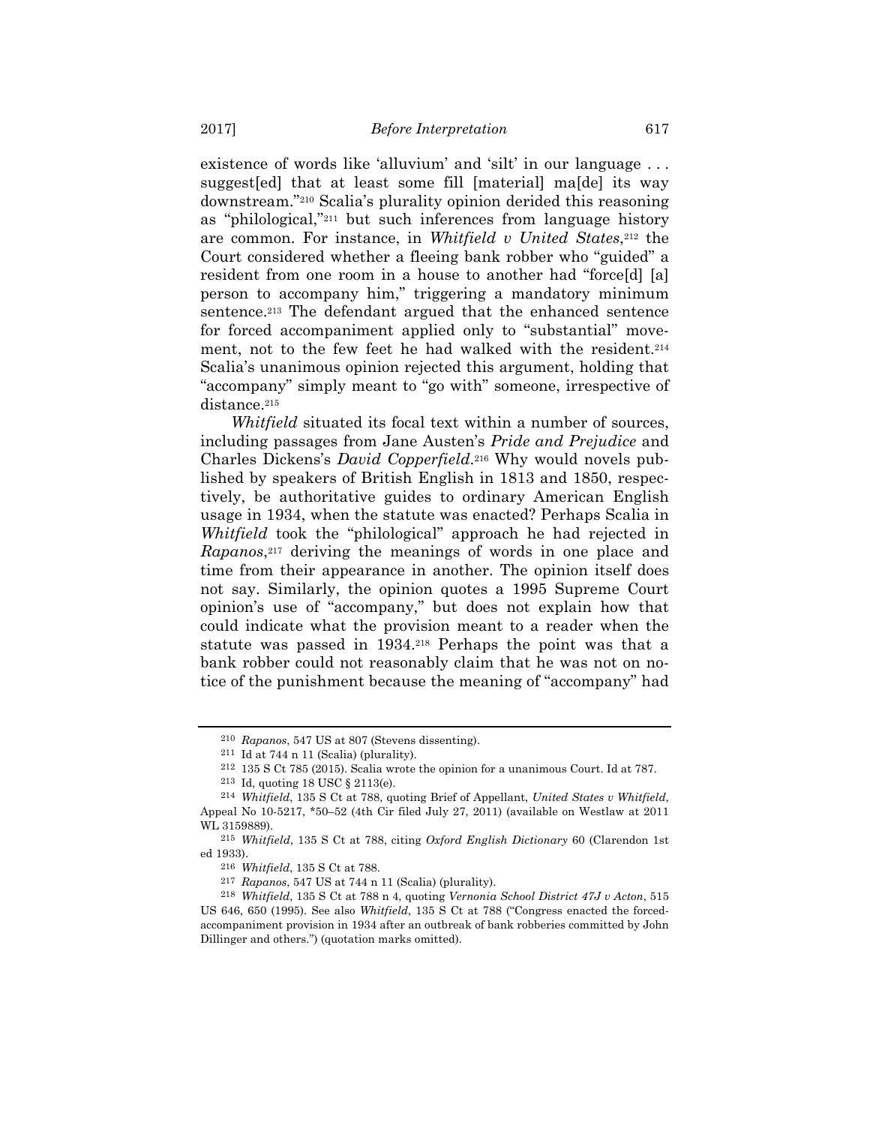existence of words like 'alluvium' and 'silt' in our language . . . suggest[ed] that at least some fill [material] ma[de] its way downstream."210 Scalia's plurality opinion derided this reasoning as "philological,"211 but such inferences from language history are common. For instance, in *Whitfield v United States*,<sup>212</sup> the Court considered whether a fleeing bank robber who "guided" a resident from one room in a house to another had "force[d] [a] person to accompany him," triggering a mandatory minimum sentence.213 The defendant argued that the enhanced sentence for forced accompaniment applied only to "substantial" movement, not to the few feet he had walked with the resident.<sup>214</sup> Scalia's unanimous opinion rejected this argument, holding that "accompany" simply meant to "go with" someone, irrespective of distance.<sup>215</sup>

*Whitfield* situated its focal text within a number of sources, including passages from Jane Austen's *Pride and Prejudice* and Charles Dickens's *David Copperfield*.216 Why would novels published by speakers of British English in 1813 and 1850, respectively, be authoritative guides to ordinary American English usage in 1934, when the statute was enacted? Perhaps Scalia in *Whitfield* took the "philological" approach he had rejected in *Rapanos*<sup>217</sup> deriving the meanings of words in one place and time from their appearance in another. The opinion itself does not say. Similarly, the opinion quotes a 1995 Supreme Court opinion's use of "accompany," but does not explain how that could indicate what the provision meant to a reader when the statute was passed in 1934.218 Perhaps the point was that a bank robber could not reasonably claim that he was not on notice of the punishment because the meaning of "accompany" had

212 135 S Ct 785 (2015). Scalia wrote the opinion for a unanimous Court. Id at 787.

<sup>210</sup> *Rapanos*, 547 US at 807 (Stevens dissenting).

 $211$  Id at 744 n 11 (Scalia) (plurality).

<sup>213</sup> Id, quoting 18 USC § 2113(e).

<sup>214</sup> *Whitfield*, 135 S Ct at 788, quoting Brief of Appellant, *United States v Whitfield*, Appeal No 10-5217, \*50–52 (4th Cir filed July 27, 2011) (available on Westlaw at 2011 WL 3159889).

<sup>215</sup> *Whitfield*, 135 S Ct at 788, citing *Oxford English Dictionary* 60 (Clarendon 1st ed 1933).

<sup>216</sup> *Whitfield*, 135 S Ct at 788.

<sup>217</sup> *Rapanos*, 547 US at 744 n 11 (Scalia) (plurality). 218 *Whitfield*, 135 S Ct at 788 n 4, quoting *Vernonia School District 47J v Acton*, 515 US 646, 650 (1995). See also *Whitfield*, 135 S Ct at 788 ("Congress enacted the forcedaccompaniment provision in 1934 after an outbreak of bank robberies committed by John Dillinger and others.") (quotation marks omitted).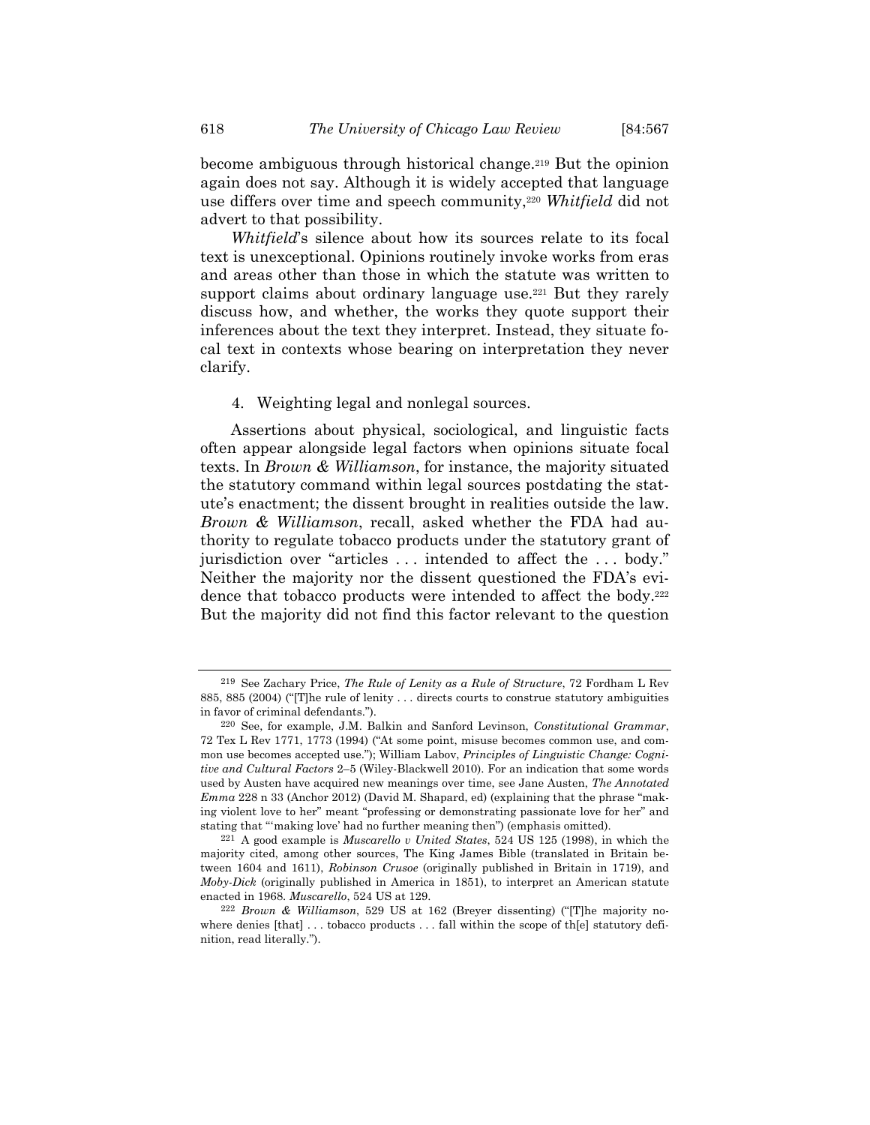become ambiguous through historical change.219 But the opinion again does not say. Although it is widely accepted that language use differs over time and speech community,220 *Whitfield* did not advert to that possibility.

*Whitfield*'s silence about how its sources relate to its focal text is unexceptional. Opinions routinely invoke works from eras and areas other than those in which the statute was written to support claims about ordinary language use.<sup>221</sup> But they rarely discuss how, and whether, the works they quote support their inferences about the text they interpret. Instead, they situate focal text in contexts whose bearing on interpretation they never clarify.

4. Weighting legal and nonlegal sources.

Assertions about physical, sociological, and linguistic facts often appear alongside legal factors when opinions situate focal texts. In *Brown & Williamson*, for instance, the majority situated the statutory command within legal sources postdating the statute's enactment; the dissent brought in realities outside the law. *Brown & Williamson*, recall, asked whether the FDA had authority to regulate tobacco products under the statutory grant of jurisdiction over "articles . . . intended to affect the . . . body." Neither the majority nor the dissent questioned the FDA's evidence that tobacco products were intended to affect the body.<sup>222</sup> But the majority did not find this factor relevant to the question

<sup>219</sup> See Zachary Price, *The Rule of Lenity as a Rule of Structure*, 72 Fordham L Rev 885, 885 (2004) ("[T]he rule of lenity . . . directs courts to construe statutory ambiguities in favor of criminal defendants.").

<sup>220</sup> See, for example, J.M. Balkin and Sanford Levinson, *Constitutional Grammar*, 72 Tex L Rev 1771, 1773 (1994) ("At some point, misuse becomes common use, and common use becomes accepted use."); William Labov, *Principles of Linguistic Change: Cognitive and Cultural Factors* 2–5 (Wiley-Blackwell 2010). For an indication that some words used by Austen have acquired new meanings over time, see Jane Austen, *The Annotated Emma* 228 n 33 (Anchor 2012) (David M. Shapard, ed) (explaining that the phrase "making violent love to her" meant "professing or demonstrating passionate love for her" and stating that "'making love' had no further meaning then") (emphasis omitted).

<sup>221</sup> A good example is *Muscarello v United States*, 524 US 125 (1998), in which the majority cited, among other sources, The King James Bible (translated in Britain between 1604 and 1611), *Robinson Crusoe* (originally published in Britain in 1719), and *Moby-Dick* (originally published in America in 1851), to interpret an American statute enacted in 1968. *Muscarello*, 524 US at 129.

<sup>222</sup> *Brown & Williamson*, 529 US at 162 (Breyer dissenting) ("[T]he majority nowhere denies  $[that] \dots$  tobacco products  $\dots$  fall within the scope of the statutory definition, read literally.").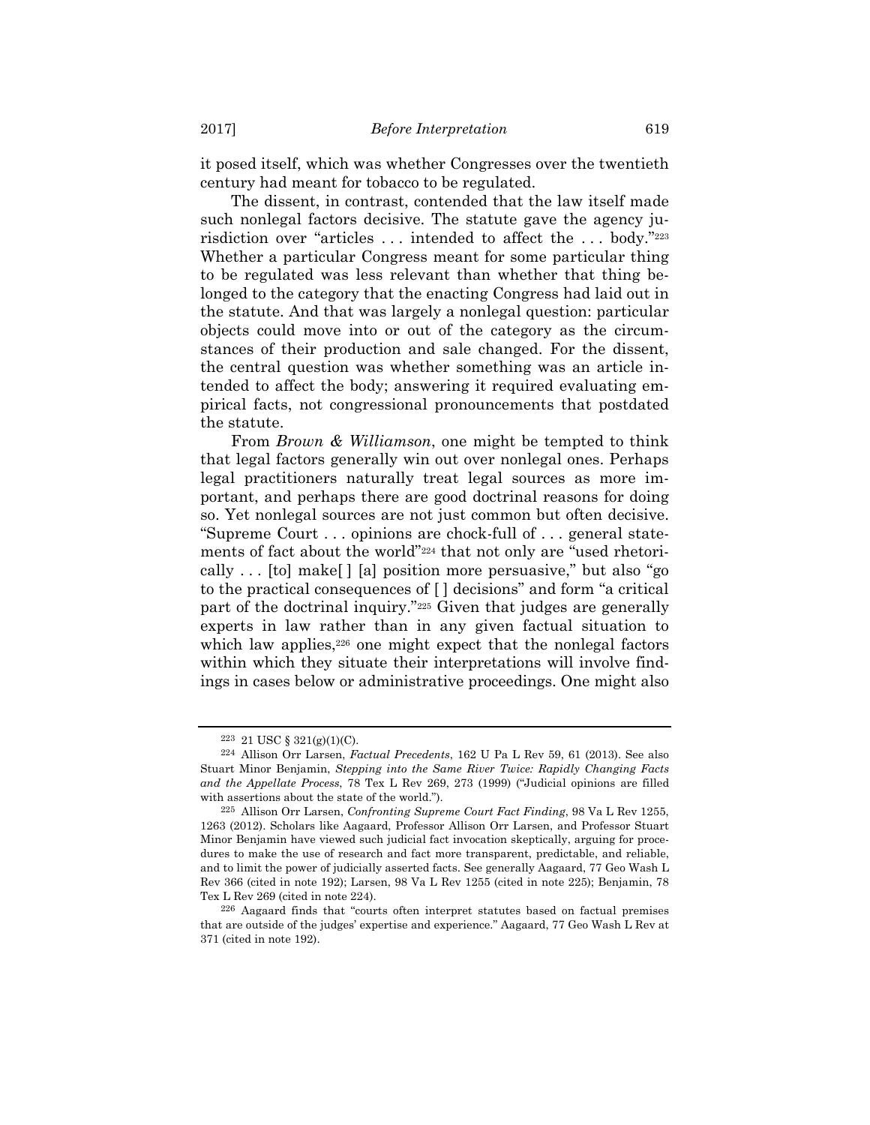it posed itself, which was whether Congresses over the twentieth century had meant for tobacco to be regulated.

The dissent, in contrast, contended that the law itself made such nonlegal factors decisive. The statute gave the agency jurisdiction over "articles . . . intended to affect the . . . body."223 Whether a particular Congress meant for some particular thing to be regulated was less relevant than whether that thing belonged to the category that the enacting Congress had laid out in the statute. And that was largely a nonlegal question: particular objects could move into or out of the category as the circumstances of their production and sale changed. For the dissent, the central question was whether something was an article intended to affect the body; answering it required evaluating empirical facts, not congressional pronouncements that postdated the statute.

From *Brown & Williamson*, one might be tempted to think that legal factors generally win out over nonlegal ones. Perhaps legal practitioners naturally treat legal sources as more important, and perhaps there are good doctrinal reasons for doing so. Yet nonlegal sources are not just common but often decisive. "Supreme Court . . . opinions are chock-full of . . . general statements of fact about the world"224 that not only are "used rhetorically . . . [to] make[ ] [a] position more persuasive," but also "go to the practical consequences of [ ] decisions" and form "a critical part of the doctrinal inquiry."225 Given that judges are generally experts in law rather than in any given factual situation to which law applies,<sup>226</sup> one might expect that the nonlegal factors within which they situate their interpretations will involve findings in cases below or administrative proceedings. One might also

<sup>223 21</sup> USC § 321(g)(1)(C).

<sup>224</sup> Allison Orr Larsen, *Factual Precedents*, 162 U Pa L Rev 59, 61 (2013). See also Stuart Minor Benjamin, *Stepping into the Same River Twice: Rapidly Changing Facts and the Appellate Process*, 78 Tex L Rev 269, 273 (1999) ("Judicial opinions are filled with assertions about the state of the world.").

<sup>225</sup> Allison Orr Larsen, *Confronting Supreme Court Fact Finding*, 98 Va L Rev 1255, 1263 (2012). Scholars like Aagaard, Professor Allison Orr Larsen, and Professor Stuart Minor Benjamin have viewed such judicial fact invocation skeptically, arguing for procedures to make the use of research and fact more transparent, predictable, and reliable, and to limit the power of judicially asserted facts. See generally Aagaard, 77 Geo Wash L Rev 366 (cited in note 192); Larsen, 98 Va L Rev 1255 (cited in note 225); Benjamin, 78 Tex L Rev 269 (cited in note 224).

<sup>226</sup> Aagaard finds that "courts often interpret statutes based on factual premises that are outside of the judges' expertise and experience." Aagaard, 77 Geo Wash L Rev at 371 (cited in note 192).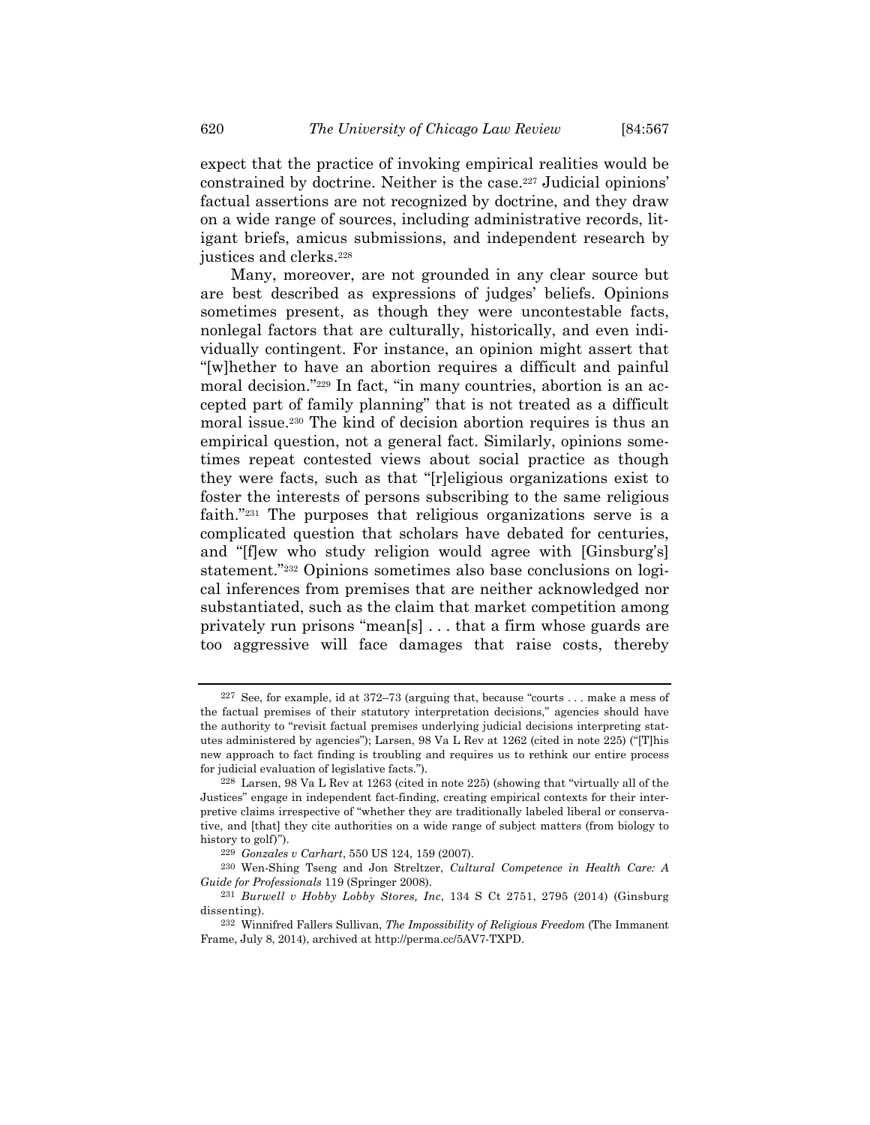expect that the practice of invoking empirical realities would be constrained by doctrine. Neither is the case.227 Judicial opinions' factual assertions are not recognized by doctrine, and they draw on a wide range of sources, including administrative records, litigant briefs, amicus submissions, and independent research by justices and clerks.<sup>228</sup>

Many, moreover, are not grounded in any clear source but are best described as expressions of judges' beliefs. Opinions sometimes present, as though they were uncontestable facts, nonlegal factors that are culturally, historically, and even individually contingent. For instance, an opinion might assert that "[w]hether to have an abortion requires a difficult and painful moral decision."229 In fact, "in many countries, abortion is an accepted part of family planning" that is not treated as a difficult moral issue.230 The kind of decision abortion requires is thus an empirical question, not a general fact. Similarly, opinions sometimes repeat contested views about social practice as though they were facts, such as that "[r]eligious organizations exist to foster the interests of persons subscribing to the same religious faith."231 The purposes that religious organizations serve is a complicated question that scholars have debated for centuries, and "[f]ew who study religion would agree with [Ginsburg's] statement."232 Opinions sometimes also base conclusions on logical inferences from premises that are neither acknowledged nor substantiated, such as the claim that market competition among privately run prisons "mean[s] . . . that a firm whose guards are too aggressive will face damages that raise costs, thereby

<sup>227</sup> See, for example, id at 372–73 (arguing that, because "courts . . . make a mess of the factual premises of their statutory interpretation decisions," agencies should have the authority to "revisit factual premises underlying judicial decisions interpreting statutes administered by agencies"); Larsen, 98 Va L Rev at 1262 (cited in note 225) ("[T]his new approach to fact finding is troubling and requires us to rethink our entire process for judicial evaluation of legislative facts.").

<sup>228</sup> Larsen, 98 Va L Rev at 1263 (cited in note 225) (showing that "virtually all of the Justices" engage in independent fact-finding, creating empirical contexts for their interpretive claims irrespective of "whether they are traditionally labeled liberal or conservative, and [that] they cite authorities on a wide range of subject matters (from biology to history to golf)").

<sup>229</sup> *Gonzales v Carhart*, 550 US 124, 159 (2007).

<sup>230</sup> Wen-Shing Tseng and Jon Streltzer, *Cultural Competence in Health Care: A Guide for Professionals* 119 (Springer 2008).

<sup>231</sup> *Burwell v Hobby Lobby Stores, Inc*, 134 S Ct 2751, 2795 (2014) (Ginsburg dissenting).

<sup>232</sup> Winnifred Fallers Sullivan, *The Impossibility of Religious Freedom* (The Immanent Frame, July 8, 2014), archived at http://perma.cc/5AV7-TXPD.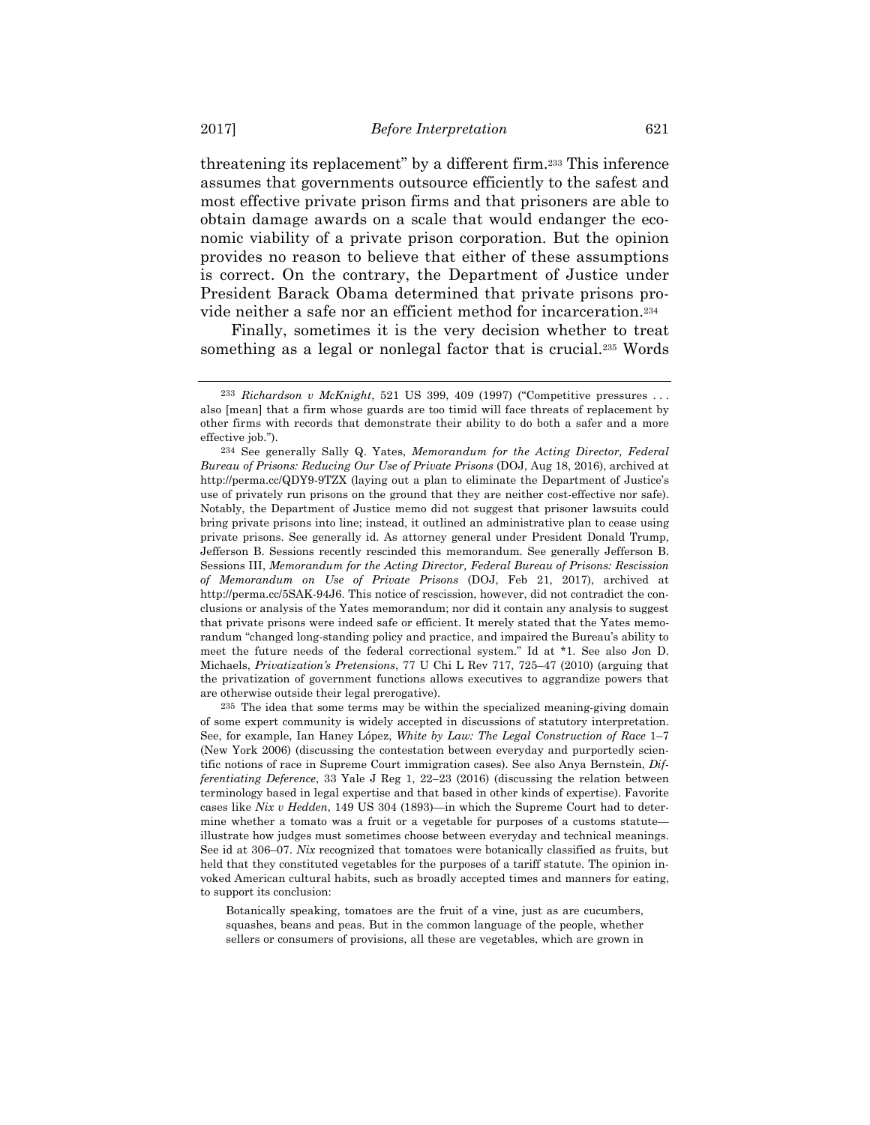threatening its replacement" by a different firm.233 This inference assumes that governments outsource efficiently to the safest and most effective private prison firms and that prisoners are able to obtain damage awards on a scale that would endanger the economic viability of a private prison corporation. But the opinion provides no reason to believe that either of these assumptions is correct. On the contrary, the Department of Justice under President Barack Obama determined that private prisons provide neither a safe nor an efficient method for incarceration.234

Finally, sometimes it is the very decision whether to treat something as a legal or nonlegal factor that is crucial.235 Words

235 The idea that some terms may be within the specialized meaning-giving domain of some expert community is widely accepted in discussions of statutory interpretation. See, for example, Ian Haney López, *White by Law: The Legal Construction of Race* 1–7 (New York 2006) (discussing the contestation between everyday and purportedly scientific notions of race in Supreme Court immigration cases). See also Anya Bernstein, *Differentiating Deference*, 33 Yale J Reg 1, 22–23 (2016) (discussing the relation between terminology based in legal expertise and that based in other kinds of expertise). Favorite cases like *Nix v Hedden*, 149 US 304 (1893)—in which the Supreme Court had to determine whether a tomato was a fruit or a vegetable for purposes of a customs statute illustrate how judges must sometimes choose between everyday and technical meanings. See id at 306–07. *Nix* recognized that tomatoes were botanically classified as fruits, but held that they constituted vegetables for the purposes of a tariff statute. The opinion invoked American cultural habits, such as broadly accepted times and manners for eating, to support its conclusion:

Botanically speaking, tomatoes are the fruit of a vine, just as are cucumbers, squashes, beans and peas. But in the common language of the people, whether sellers or consumers of provisions, all these are vegetables, which are grown in

<sup>233</sup> *Richardson v McKnight*, 521 US 399, 409 (1997) ("Competitive pressures . . . also [mean] that a firm whose guards are too timid will face threats of replacement by other firms with records that demonstrate their ability to do both a safer and a more effective job.").

<sup>234</sup> See generally Sally Q. Yates, *Memorandum for the Acting Director, Federal Bureau of Prisons: Reducing Our Use of Private Prisons* (DOJ, Aug 18, 2016), archived at http://perma.cc/QDY9-9TZX (laying out a plan to eliminate the Department of Justice's use of privately run prisons on the ground that they are neither cost-effective nor safe). Notably, the Department of Justice memo did not suggest that prisoner lawsuits could bring private prisons into line; instead, it outlined an administrative plan to cease using private prisons. See generally id. As attorney general under President Donald Trump, Jefferson B. Sessions recently rescinded this memorandum. See generally Jefferson B. Sessions III, *Memorandum for the Acting Director, Federal Bureau of Prisons: Rescission of Memorandum on Use of Private Prisons* (DOJ, Feb 21, 2017), archived at http://perma.cc/5SAK-94J6. This notice of rescission, however, did not contradict the conclusions or analysis of the Yates memorandum; nor did it contain any analysis to suggest that private prisons were indeed safe or efficient. It merely stated that the Yates memorandum "changed long-standing policy and practice, and impaired the Bureau's ability to meet the future needs of the federal correctional system." Id at \*1. See also Jon D. Michaels, *Privatization's Pretensions*, 77 U Chi L Rev 717, 725–47 (2010) (arguing that the privatization of government functions allows executives to aggrandize powers that are otherwise outside their legal prerogative).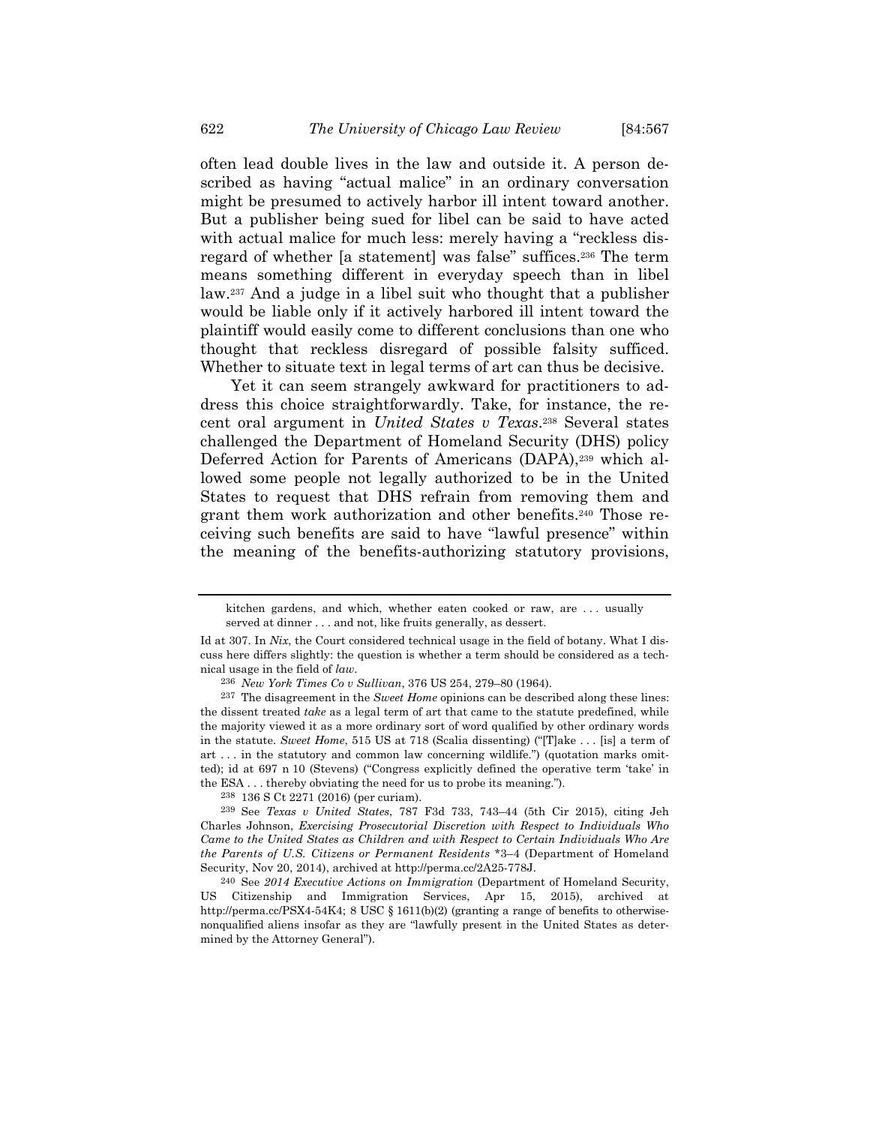often lead double lives in the law and outside it. A person described as having "actual malice" in an ordinary conversation might be presumed to actively harbor ill intent toward another. But a publisher being sued for libel can be said to have acted with actual malice for much less: merely having a "reckless disregard of whether [a statement] was false" suffices.236 The term means something different in everyday speech than in libel law.237 And a judge in a libel suit who thought that a publisher would be liable only if it actively harbored ill intent toward the plaintiff would easily come to different conclusions than one who thought that reckless disregard of possible falsity sufficed. Whether to situate text in legal terms of art can thus be decisive.

Yet it can seem strangely awkward for practitioners to address this choice straightforwardly. Take, for instance, the recent oral argument in *United States v Texas*.238 Several states challenged the Department of Homeland Security (DHS) policy Deferred Action for Parents of Americans (DAPA),239 which allowed some people not legally authorized to be in the United States to request that DHS refrain from removing them and grant them work authorization and other benefits.240 Those receiving such benefits are said to have "lawful presence" within the meaning of the benefits-authorizing statutory provisions,

kitchen gardens, and which, whether eaten cooked or raw, are . . . usually served at dinner . . . and not, like fruits generally, as dessert.

Id at 307. In *Nix*, the Court considered technical usage in the field of botany. What I discuss here differs slightly: the question is whether a term should be considered as a technical usage in the field of *law*.

<sup>236</sup> *New York Times Co v Sullivan*, 376 US 254, 279–80 (1964).

<sup>237</sup> The disagreement in the *Sweet Home* opinions can be described along these lines: the dissent treated *take* as a legal term of art that came to the statute predefined, while the majority viewed it as a more ordinary sort of word qualified by other ordinary words in the statute. *Sweet Home*, 515 US at 718 (Scalia dissenting) ("[T]ake . . . [is] a term of art  $\dots$  in the statutory and common law concerning wildlife.") (quotation marks omitted); id at 697 n 10 (Stevens) ("Congress explicitly defined the operative term 'take' in the ESA . . . thereby obviating the need for us to probe its meaning.").

<sup>238 136</sup> S Ct 2271 (2016) (per curiam). 239 See *Texas v United States*, 787 F3d 733, 743–44 (5th Cir 2015), citing Jeh Charles Johnson, *Exercising Prosecutorial Discretion with Respect to Individuals Who Came to the United States as Children and with Respect to Certain Individuals Who Are the Parents of U.S. Citizens or Permanent Residents* \*3–4 (Department of Homeland Security, Nov 20, 2014), archived at http://perma.cc/2A25-778J.

<sup>240</sup> See *2014 Executive Actions on Immigration* (Department of Homeland Security, US Citizenship and Immigration Services, Apr 15, 2015), archived at http://perma.cc/PSX4-54K4; 8 USC § 1611(b)(2) (granting a range of benefits to otherwisenonqualified aliens insofar as they are "lawfully present in the United States as determined by the Attorney General").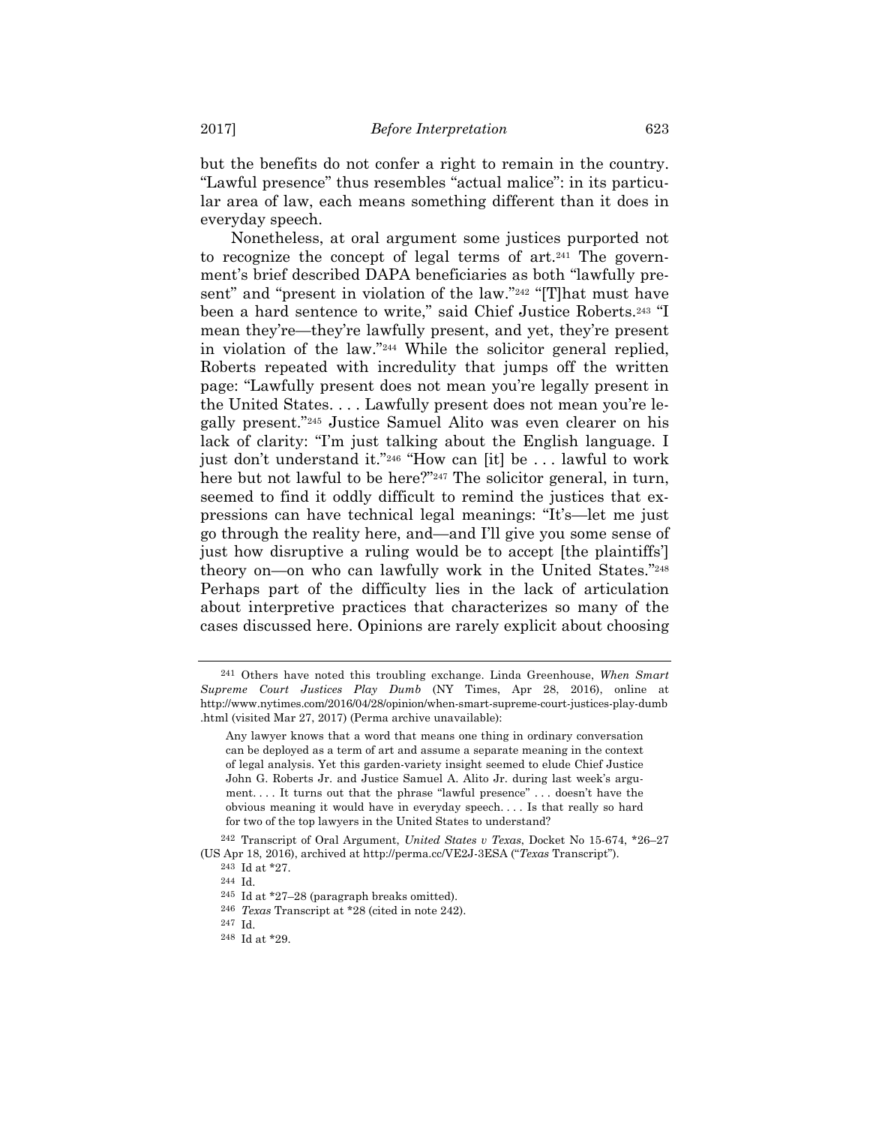but the benefits do not confer a right to remain in the country. "Lawful presence" thus resembles "actual malice": in its particular area of law, each means something different than it does in everyday speech.

Nonetheless, at oral argument some justices purported not to recognize the concept of legal terms of art.<sup>241</sup> The government's brief described DAPA beneficiaries as both "lawfully present" and "present in violation of the law."242 "[T]hat must have been a hard sentence to write," said Chief Justice Roberts.243 "I mean they're—they're lawfully present, and yet, they're present in violation of the law."244 While the solicitor general replied, Roberts repeated with incredulity that jumps off the written page: "Lawfully present does not mean you're legally present in the United States. . . . Lawfully present does not mean you're legally present."245 Justice Samuel Alito was even clearer on his lack of clarity: "I'm just talking about the English language. I just don't understand it."<sup>246</sup> "How can [it] be ... lawful to work here but not lawful to be here?"<sup>247</sup> The solicitor general, in turn, seemed to find it oddly difficult to remind the justices that expressions can have technical legal meanings: "It's—let me just go through the reality here, and—and I'll give you some sense of just how disruptive a ruling would be to accept [the plaintiffs'] theory on—on who can lawfully work in the United States."248 Perhaps part of the difficulty lies in the lack of articulation about interpretive practices that characterizes so many of the cases discussed here. Opinions are rarely explicit about choosing

<sup>241</sup> Others have noted this troubling exchange. Linda Greenhouse, *When Smart Supreme Court Justices Play Dumb* (NY Times, Apr 28, 2016), online at http://www.nytimes.com/2016/04/28/opinion/when-smart-supreme-court-justices-play-dumb .html (visited Mar 27, 2017) (Perma archive unavailable):

Any lawyer knows that a word that means one thing in ordinary conversation can be deployed as a term of art and assume a separate meaning in the context of legal analysis. Yet this garden-variety insight seemed to elude Chief Justice John G. Roberts Jr. and Justice Samuel A. Alito Jr. during last week's argument. . . . It turns out that the phrase "lawful presence" . . . doesn't have the obvious meaning it would have in everyday speech. . . . Is that really so hard for two of the top lawyers in the United States to understand?

<sup>242</sup> Transcript of Oral Argument, *United States v Texas*, Docket No 15-674, \*26–27 (US Apr 18, 2016), archived at http://perma.cc/VE2J-3ESA ("*Texas* Transcript").

 $^{243}$  Id at \*27.<br><sup>244</sup> Id.

 $245$  Id at  $27-28$  (paragraph breaks omitted).

<sup>246</sup> *Texas* Transcript at \*28 (cited in note 242).

 $248$  Id at  $*29$ .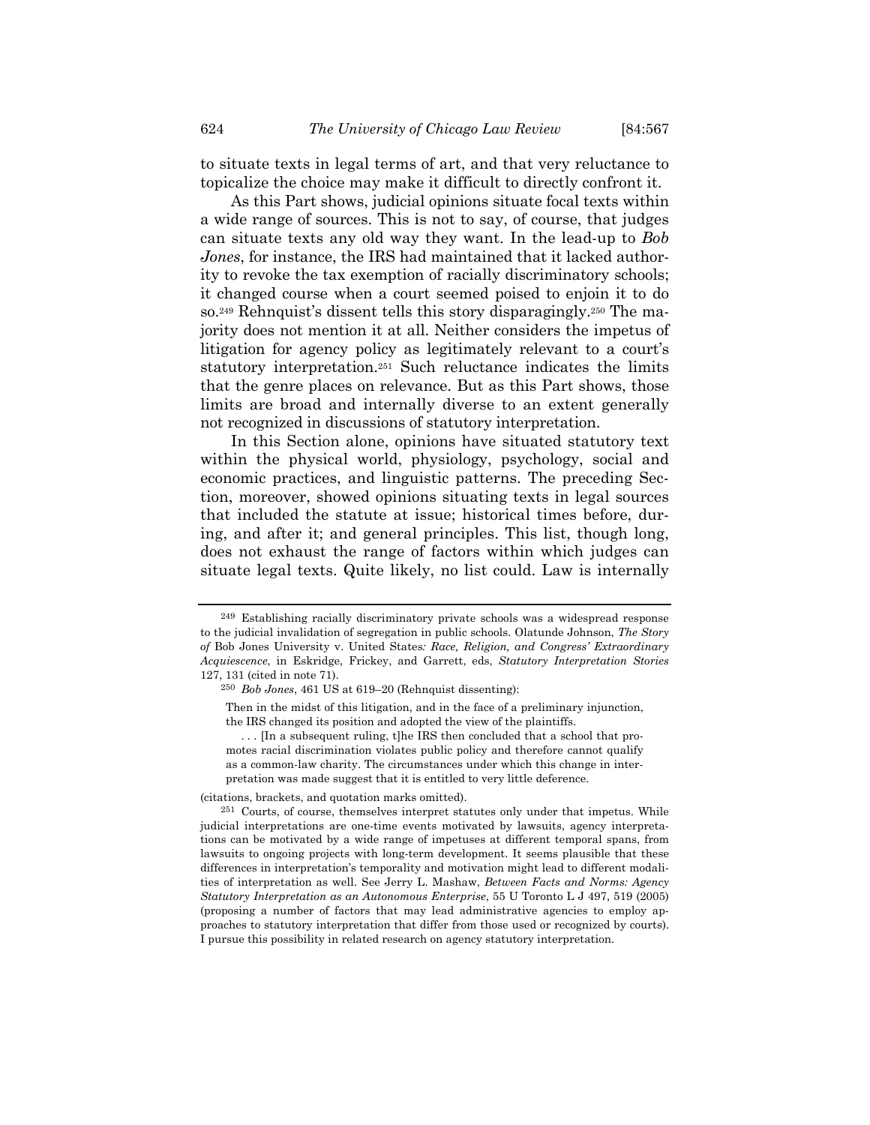to situate texts in legal terms of art, and that very reluctance to topicalize the choice may make it difficult to directly confront it.

As this Part shows, judicial opinions situate focal texts within a wide range of sources. This is not to say, of course, that judges can situate texts any old way they want. In the lead-up to *Bob Jones*, for instance, the IRS had maintained that it lacked authority to revoke the tax exemption of racially discriminatory schools; it changed course when a court seemed poised to enjoin it to do so.249 Rehnquist's dissent tells this story disparagingly.250 The majority does not mention it at all. Neither considers the impetus of litigation for agency policy as legitimately relevant to a court's statutory interpretation.251 Such reluctance indicates the limits that the genre places on relevance. But as this Part shows, those limits are broad and internally diverse to an extent generally not recognized in discussions of statutory interpretation.

In this Section alone, opinions have situated statutory text within the physical world, physiology, psychology, social and economic practices, and linguistic patterns. The preceding Section, moreover, showed opinions situating texts in legal sources that included the statute at issue; historical times before, during, and after it; and general principles. This list, though long, does not exhaust the range of factors within which judges can situate legal texts. Quite likely, no list could. Law is internally

(citations, brackets, and quotation marks omitted).

<sup>249</sup> Establishing racially discriminatory private schools was a widespread response to the judicial invalidation of segregation in public schools. Olatunde Johnson, *The Story of* Bob Jones University v. United States*: Race, Religion, and Congress' Extraordinary Acquiescence*, in Eskridge, Frickey, and Garrett, eds, *Statutory Interpretation Stories* 127, 131 (cited in note 71).

<sup>250</sup> *Bob Jones*, 461 US at 619–20 (Rehnquist dissenting):

Then in the midst of this litigation, and in the face of a preliminary injunction, the IRS changed its position and adopted the view of the plaintiffs.

<sup>... [</sup>In a subsequent ruling, t]he IRS then concluded that a school that promotes racial discrimination violates public policy and therefore cannot qualify as a common-law charity. The circumstances under which this change in interpretation was made suggest that it is entitled to very little deference.

<sup>251</sup> Courts, of course, themselves interpret statutes only under that impetus. While judicial interpretations are one-time events motivated by lawsuits, agency interpretations can be motivated by a wide range of impetuses at different temporal spans, from lawsuits to ongoing projects with long-term development. It seems plausible that these differences in interpretation's temporality and motivation might lead to different modalities of interpretation as well. See Jerry L. Mashaw, *Between Facts and Norms: Agency Statutory Interpretation as an Autonomous Enterprise*, 55 U Toronto L J 497, 519 (2005) (proposing a number of factors that may lead administrative agencies to employ approaches to statutory interpretation that differ from those used or recognized by courts). I pursue this possibility in related research on agency statutory interpretation.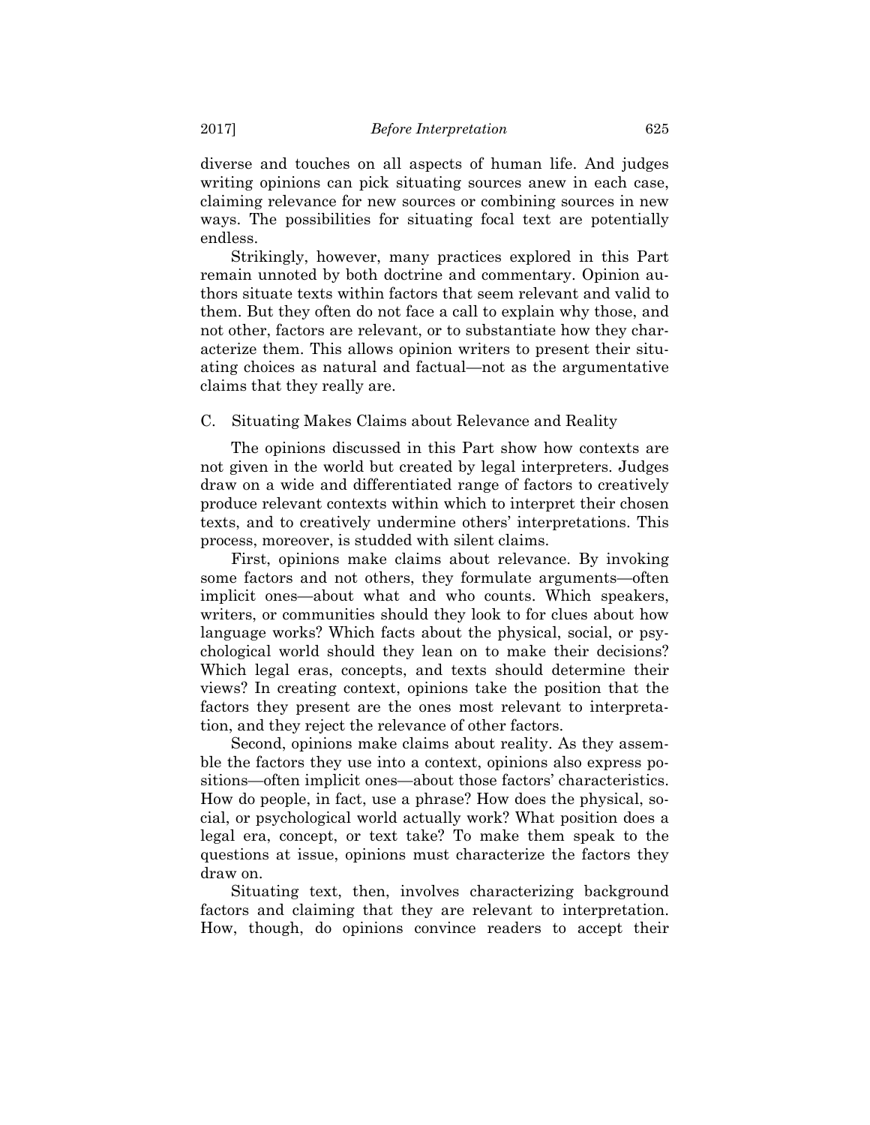diverse and touches on all aspects of human life. And judges writing opinions can pick situating sources anew in each case, claiming relevance for new sources or combining sources in new ways. The possibilities for situating focal text are potentially endless.

Strikingly, however, many practices explored in this Part remain unnoted by both doctrine and commentary. Opinion authors situate texts within factors that seem relevant and valid to them. But they often do not face a call to explain why those, and not other, factors are relevant, or to substantiate how they characterize them. This allows opinion writers to present their situating choices as natural and factual—not as the argumentative claims that they really are.

C. Situating Makes Claims about Relevance and Reality

The opinions discussed in this Part show how contexts are not given in the world but created by legal interpreters. Judges draw on a wide and differentiated range of factors to creatively produce relevant contexts within which to interpret their chosen texts, and to creatively undermine others' interpretations. This process, moreover, is studded with silent claims.

First, opinions make claims about relevance. By invoking some factors and not others, they formulate arguments—often implicit ones—about what and who counts. Which speakers, writers, or communities should they look to for clues about how language works? Which facts about the physical, social, or psychological world should they lean on to make their decisions? Which legal eras, concepts, and texts should determine their views? In creating context, opinions take the position that the factors they present are the ones most relevant to interpretation, and they reject the relevance of other factors.

Second, opinions make claims about reality. As they assemble the factors they use into a context, opinions also express positions—often implicit ones—about those factors' characteristics. How do people, in fact, use a phrase? How does the physical, social, or psychological world actually work? What position does a legal era, concept, or text take? To make them speak to the questions at issue, opinions must characterize the factors they draw on.

Situating text, then, involves characterizing background factors and claiming that they are relevant to interpretation. How, though, do opinions convince readers to accept their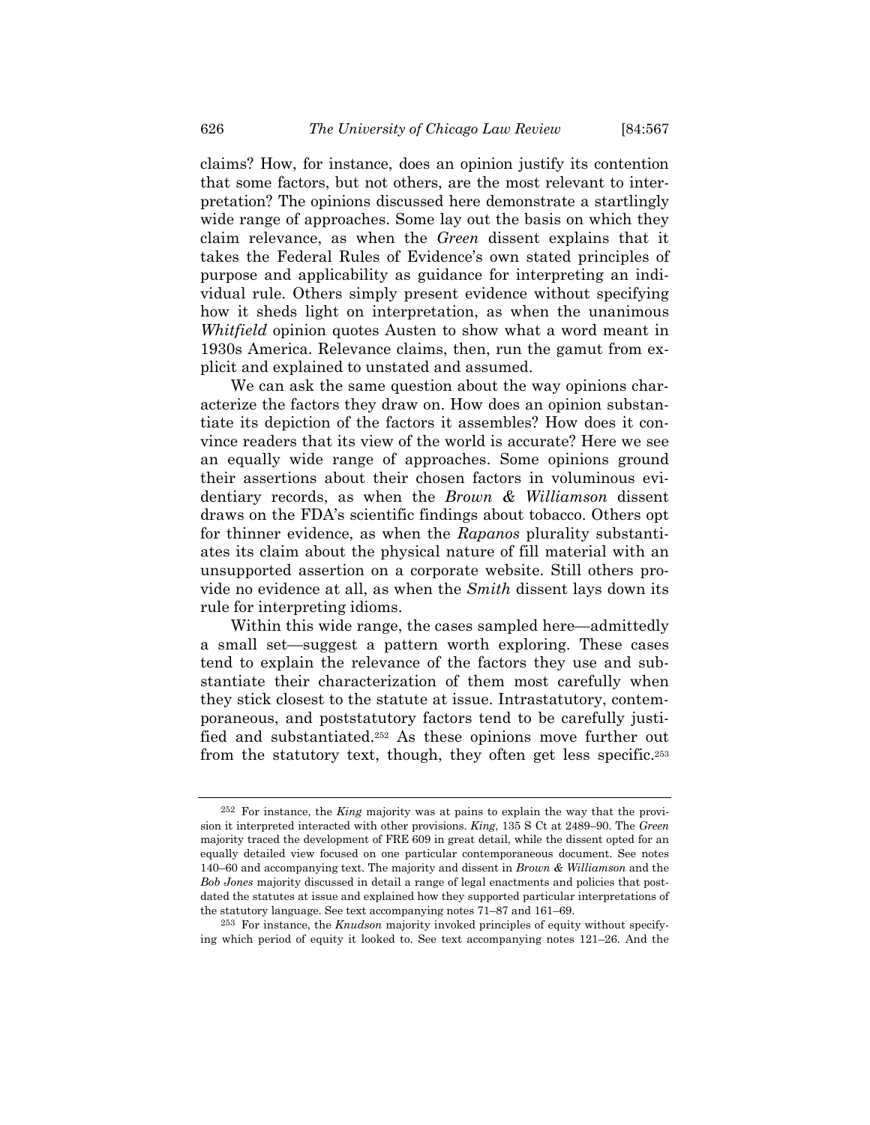claims? How, for instance, does an opinion justify its contention that some factors, but not others, are the most relevant to interpretation? The opinions discussed here demonstrate a startlingly wide range of approaches. Some lay out the basis on which they claim relevance, as when the *Green* dissent explains that it takes the Federal Rules of Evidence's own stated principles of purpose and applicability as guidance for interpreting an individual rule. Others simply present evidence without specifying how it sheds light on interpretation, as when the unanimous *Whitfield* opinion quotes Austen to show what a word meant in 1930s America. Relevance claims, then, run the gamut from explicit and explained to unstated and assumed.

We can ask the same question about the way opinions characterize the factors they draw on. How does an opinion substantiate its depiction of the factors it assembles? How does it convince readers that its view of the world is accurate? Here we see an equally wide range of approaches. Some opinions ground their assertions about their chosen factors in voluminous evidentiary records, as when the *Brown & Williamson* dissent draws on the FDA's scientific findings about tobacco. Others opt for thinner evidence, as when the *Rapanos* plurality substantiates its claim about the physical nature of fill material with an unsupported assertion on a corporate website. Still others provide no evidence at all, as when the *Smith* dissent lays down its rule for interpreting idioms.

Within this wide range, the cases sampled here—admittedly a small set—suggest a pattern worth exploring. These cases tend to explain the relevance of the factors they use and substantiate their characterization of them most carefully when they stick closest to the statute at issue. Intrastatutory, contemporaneous, and poststatutory factors tend to be carefully justified and substantiated.252 As these opinions move further out from the statutory text, though, they often get less specific.253

<sup>252</sup> For instance, the *King* majority was at pains to explain the way that the provision it interpreted interacted with other provisions. *King*, 135 S Ct at 2489–90. The *Green* majority traced the development of FRE 609 in great detail, while the dissent opted for an equally detailed view focused on one particular contemporaneous document. See notes 140–60 and accompanying text. The majority and dissent in *Brown & Williamson* and the *Bob Jones* majority discussed in detail a range of legal enactments and policies that postdated the statutes at issue and explained how they supported particular interpretations of the statutory language. See text accompanying notes 71–87 and 161–69.

<sup>253</sup> For instance, the *Knudson* majority invoked principles of equity without specifying which period of equity it looked to. See text accompanying notes 121–26. And the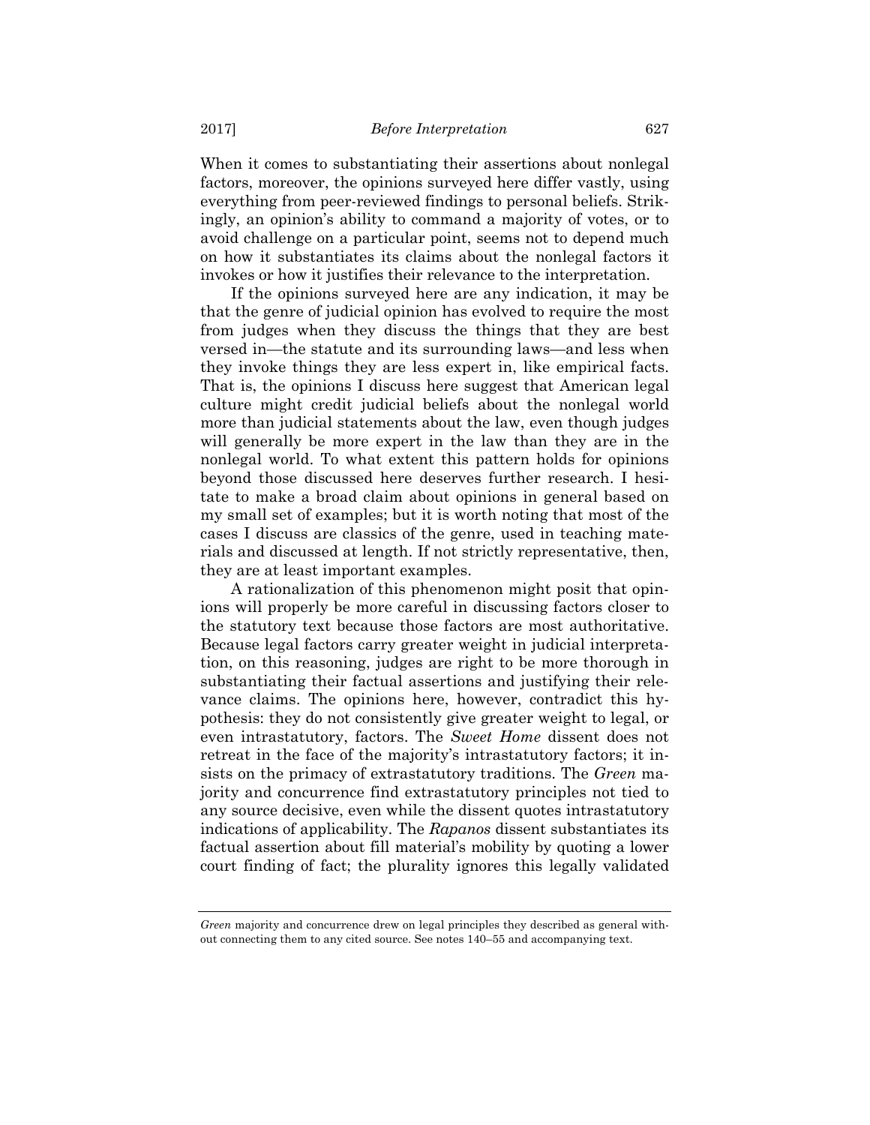When it comes to substantiating their assertions about nonlegal factors, moreover, the opinions surveyed here differ vastly, using everything from peer-reviewed findings to personal beliefs. Strikingly, an opinion's ability to command a majority of votes, or to avoid challenge on a particular point, seems not to depend much on how it substantiates its claims about the nonlegal factors it invokes or how it justifies their relevance to the interpretation.

If the opinions surveyed here are any indication, it may be that the genre of judicial opinion has evolved to require the most from judges when they discuss the things that they are best versed in—the statute and its surrounding laws—and less when they invoke things they are less expert in, like empirical facts. That is, the opinions I discuss here suggest that American legal culture might credit judicial beliefs about the nonlegal world more than judicial statements about the law, even though judges will generally be more expert in the law than they are in the nonlegal world. To what extent this pattern holds for opinions beyond those discussed here deserves further research. I hesitate to make a broad claim about opinions in general based on my small set of examples; but it is worth noting that most of the cases I discuss are classics of the genre, used in teaching materials and discussed at length. If not strictly representative, then, they are at least important examples.

A rationalization of this phenomenon might posit that opinions will properly be more careful in discussing factors closer to the statutory text because those factors are most authoritative. Because legal factors carry greater weight in judicial interpretation, on this reasoning, judges are right to be more thorough in substantiating their factual assertions and justifying their relevance claims. The opinions here, however, contradict this hypothesis: they do not consistently give greater weight to legal, or even intrastatutory, factors. The *Sweet Home* dissent does not retreat in the face of the majority's intrastatutory factors; it insists on the primacy of extrastatutory traditions. The *Green* majority and concurrence find extrastatutory principles not tied to any source decisive, even while the dissent quotes intrastatutory indications of applicability. The *Rapanos* dissent substantiates its factual assertion about fill material's mobility by quoting a lower court finding of fact; the plurality ignores this legally validated

*Green* majority and concurrence drew on legal principles they described as general without connecting them to any cited source. See notes 140–55 and accompanying text.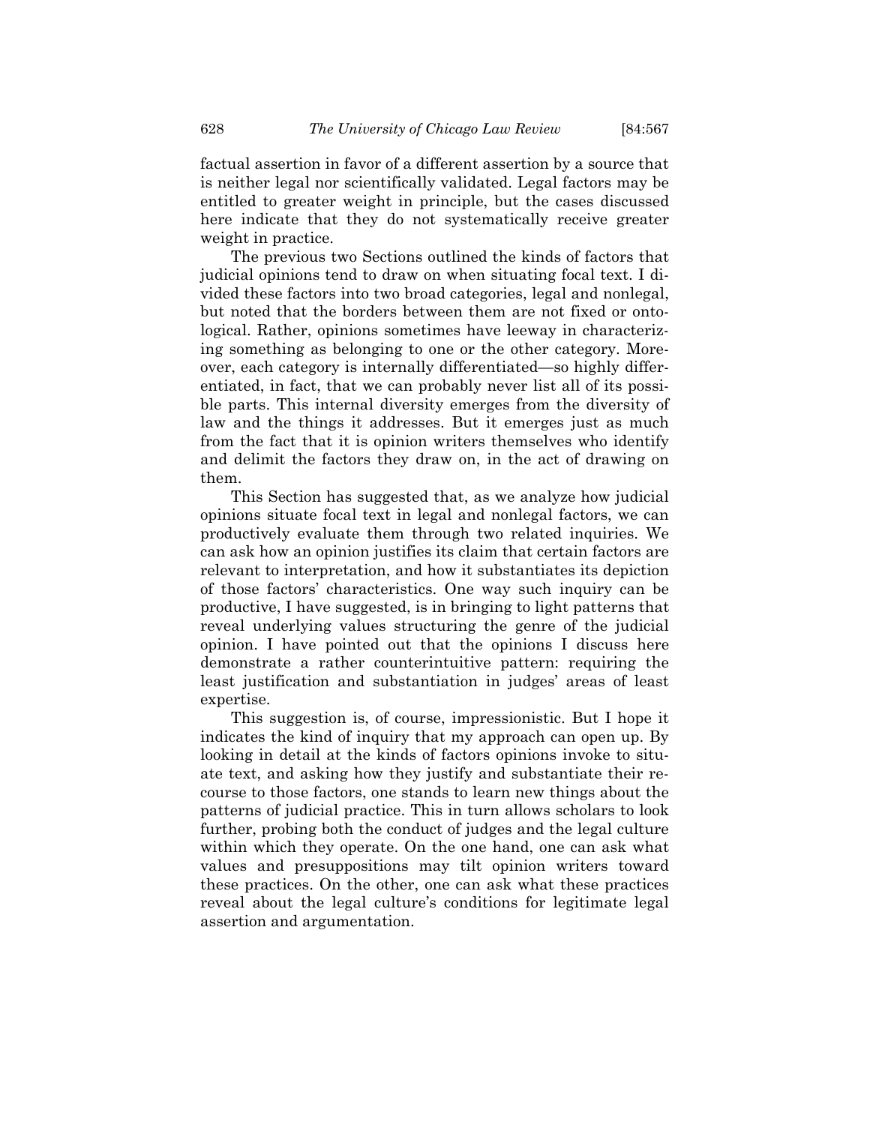factual assertion in favor of a different assertion by a source that is neither legal nor scientifically validated. Legal factors may be entitled to greater weight in principle, but the cases discussed here indicate that they do not systematically receive greater weight in practice.

The previous two Sections outlined the kinds of factors that judicial opinions tend to draw on when situating focal text. I divided these factors into two broad categories, legal and nonlegal, but noted that the borders between them are not fixed or ontological. Rather, opinions sometimes have leeway in characterizing something as belonging to one or the other category. Moreover, each category is internally differentiated—so highly differentiated, in fact, that we can probably never list all of its possible parts. This internal diversity emerges from the diversity of law and the things it addresses. But it emerges just as much from the fact that it is opinion writers themselves who identify and delimit the factors they draw on, in the act of drawing on them.

This Section has suggested that, as we analyze how judicial opinions situate focal text in legal and nonlegal factors, we can productively evaluate them through two related inquiries. We can ask how an opinion justifies its claim that certain factors are relevant to interpretation, and how it substantiates its depiction of those factors' characteristics. One way such inquiry can be productive, I have suggested, is in bringing to light patterns that reveal underlying values structuring the genre of the judicial opinion. I have pointed out that the opinions I discuss here demonstrate a rather counterintuitive pattern: requiring the least justification and substantiation in judges' areas of least expertise.

This suggestion is, of course, impressionistic. But I hope it indicates the kind of inquiry that my approach can open up. By looking in detail at the kinds of factors opinions invoke to situate text, and asking how they justify and substantiate their recourse to those factors, one stands to learn new things about the patterns of judicial practice. This in turn allows scholars to look further, probing both the conduct of judges and the legal culture within which they operate. On the one hand, one can ask what values and presuppositions may tilt opinion writers toward these practices. On the other, one can ask what these practices reveal about the legal culture's conditions for legitimate legal assertion and argumentation.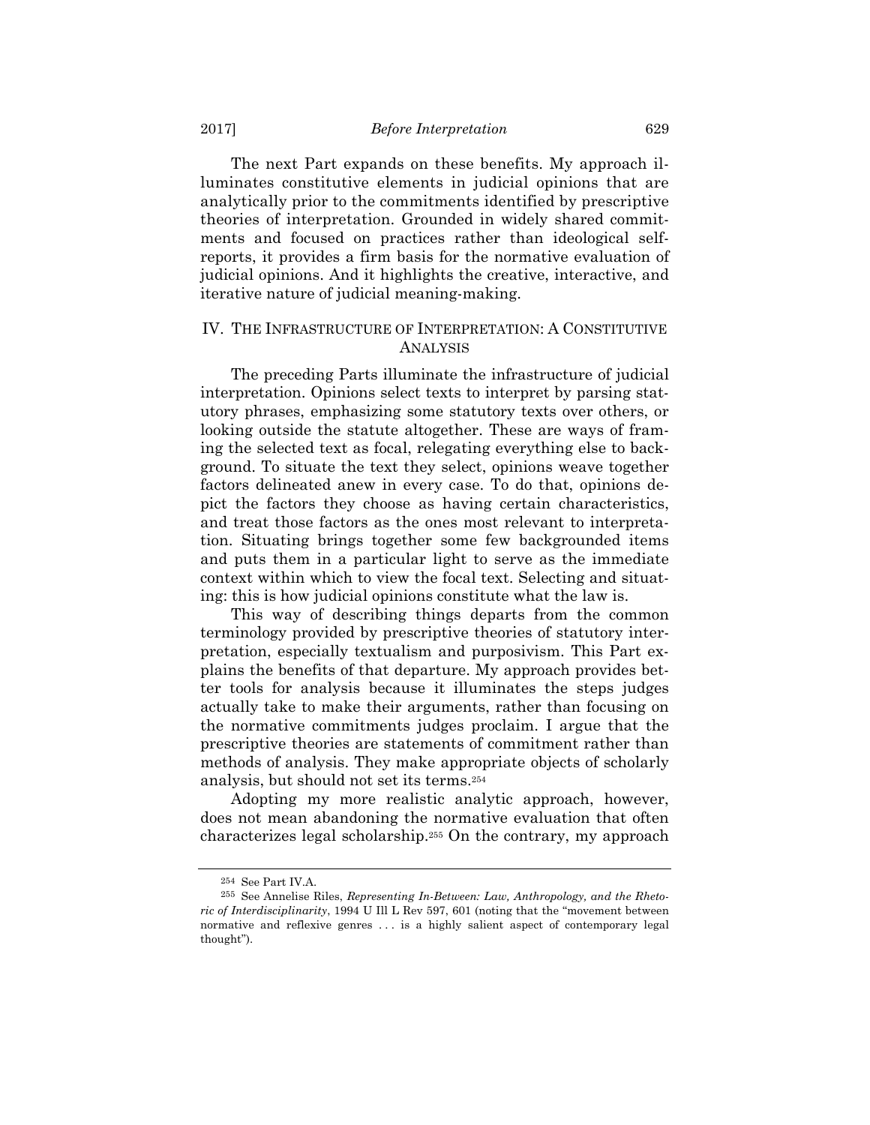The next Part expands on these benefits. My approach illuminates constitutive elements in judicial opinions that are analytically prior to the commitments identified by prescriptive theories of interpretation. Grounded in widely shared commitments and focused on practices rather than ideological selfreports, it provides a firm basis for the normative evaluation of judicial opinions. And it highlights the creative, interactive, and iterative nature of judicial meaning-making.

## IV. THE INFRASTRUCTURE OF INTERPRETATION: A CONSTITUTIVE ANALYSIS

The preceding Parts illuminate the infrastructure of judicial interpretation. Opinions select texts to interpret by parsing statutory phrases, emphasizing some statutory texts over others, or looking outside the statute altogether. These are ways of framing the selected text as focal, relegating everything else to background. To situate the text they select, opinions weave together factors delineated anew in every case. To do that, opinions depict the factors they choose as having certain characteristics, and treat those factors as the ones most relevant to interpretation. Situating brings together some few backgrounded items and puts them in a particular light to serve as the immediate context within which to view the focal text. Selecting and situating: this is how judicial opinions constitute what the law is.

This way of describing things departs from the common terminology provided by prescriptive theories of statutory interpretation, especially textualism and purposivism. This Part explains the benefits of that departure. My approach provides better tools for analysis because it illuminates the steps judges actually take to make their arguments, rather than focusing on the normative commitments judges proclaim. I argue that the prescriptive theories are statements of commitment rather than methods of analysis. They make appropriate objects of scholarly analysis, but should not set its terms.254

Adopting my more realistic analytic approach, however, does not mean abandoning the normative evaluation that often characterizes legal scholarship.255 On the contrary, my approach

<sup>&</sup>lt;sup>254</sup> See Part IV.A.<br><sup>255</sup> See Annelise Riles, *Representing In-Between: Law, Anthropology, and the Rhetoric of Interdisciplinarity*, 1994 U Ill L Rev 597, 601 (noting that the "movement between normative and reflexive genres . . . is a highly salient aspect of contemporary legal thought").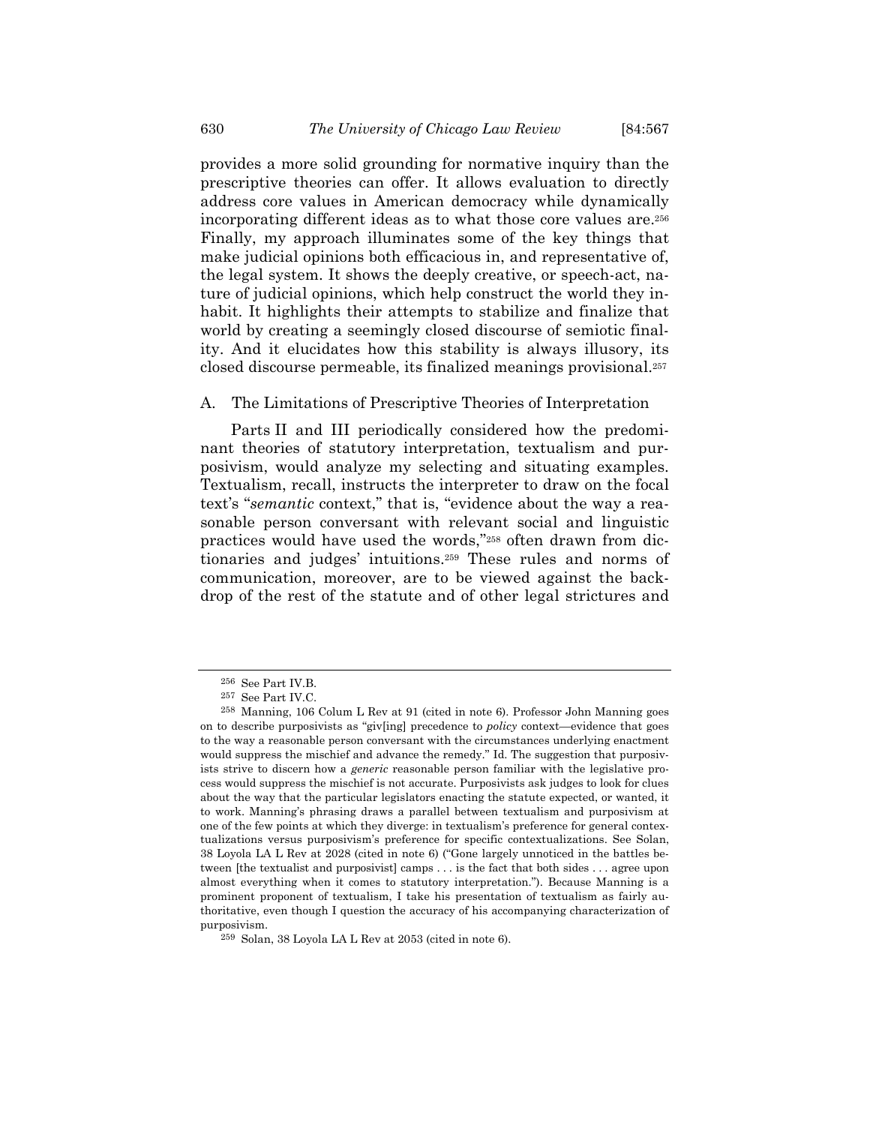provides a more solid grounding for normative inquiry than the prescriptive theories can offer. It allows evaluation to directly address core values in American democracy while dynamically incorporating different ideas as to what those core values are.256 Finally, my approach illuminates some of the key things that make judicial opinions both efficacious in, and representative of, the legal system. It shows the deeply creative, or speech-act, nature of judicial opinions, which help construct the world they inhabit. It highlights their attempts to stabilize and finalize that world by creating a seemingly closed discourse of semiotic finality. And it elucidates how this stability is always illusory, its closed discourse permeable, its finalized meanings provisional.257

## A. The Limitations of Prescriptive Theories of Interpretation

Parts II and III periodically considered how the predominant theories of statutory interpretation, textualism and purposivism, would analyze my selecting and situating examples. Textualism, recall, instructs the interpreter to draw on the focal text's "*semantic* context," that is, "evidence about the way a reasonable person conversant with relevant social and linguistic practices would have used the words,"258 often drawn from dictionaries and judges' intuitions.259 These rules and norms of communication, moreover, are to be viewed against the backdrop of the rest of the statute and of other legal strictures and

<sup>256</sup> See Part IV.B.

<sup>257</sup> See Part IV.C.

<sup>258</sup> Manning, 106 Colum L Rev at 91 (cited in note 6). Professor John Manning goes on to describe purposivists as "giv[ing] precedence to *policy* context—evidence that goes to the way a reasonable person conversant with the circumstances underlying enactment would suppress the mischief and advance the remedy." Id. The suggestion that purposivists strive to discern how a *generic* reasonable person familiar with the legislative process would suppress the mischief is not accurate. Purposivists ask judges to look for clues about the way that the particular legislators enacting the statute expected, or wanted, it to work. Manning's phrasing draws a parallel between textualism and purposivism at one of the few points at which they diverge: in textualism's preference for general contextualizations versus purposivism's preference for specific contextualizations. See Solan, 38 Loyola LA L Rev at 2028 (cited in note 6) ("Gone largely unnoticed in the battles between [the textualist and purposivist] camps . . . is the fact that both sides . . . agree upon almost everything when it comes to statutory interpretation."). Because Manning is a prominent proponent of textualism, I take his presentation of textualism as fairly authoritative, even though I question the accuracy of his accompanying characterization of purposivism.

<sup>259</sup> Solan, 38 Loyola LA L Rev at 2053 (cited in note 6).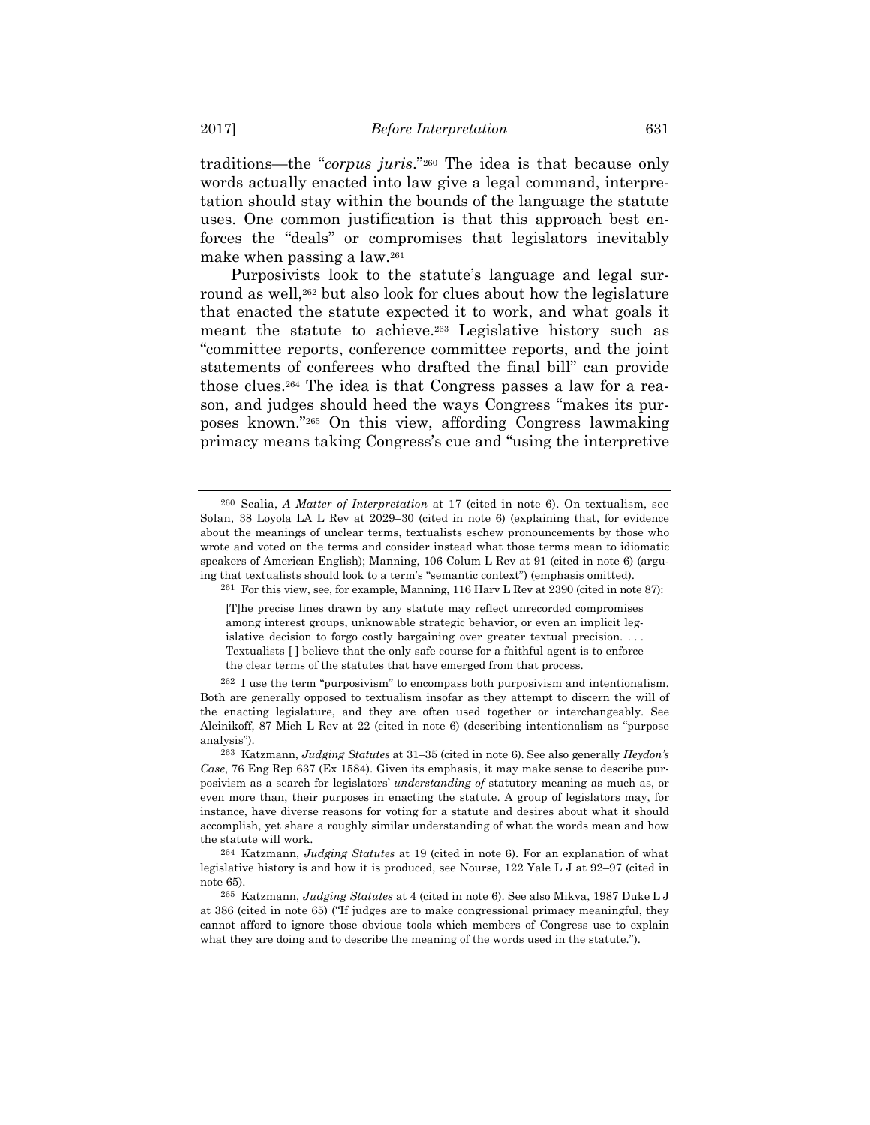traditions—the "*corpus juris*."260 The idea is that because only words actually enacted into law give a legal command, interpretation should stay within the bounds of the language the statute uses. One common justification is that this approach best enforces the "deals" or compromises that legislators inevitably make when passing a law.261

Purposivists look to the statute's language and legal surround as well,<sup>262</sup> but also look for clues about how the legislature that enacted the statute expected it to work, and what goals it meant the statute to achieve.263 Legislative history such as "committee reports, conference committee reports, and the joint statements of conferees who drafted the final bill" can provide those clues.264 The idea is that Congress passes a law for a reason, and judges should heed the ways Congress "makes its purposes known."265 On this view, affording Congress lawmaking primacy means taking Congress's cue and "using the interpretive

261 For this view, see, for example, Manning, 116 Harv L Rev at 2390 (cited in note 87):

<sup>260</sup> Scalia, *A Matter of Interpretation* at 17 (cited in note 6). On textualism, see Solan, 38 Loyola LA L Rev at 2029–30 (cited in note 6) (explaining that, for evidence about the meanings of unclear terms, textualists eschew pronouncements by those who wrote and voted on the terms and consider instead what those terms mean to idiomatic speakers of American English); Manning, 106 Colum L Rev at 91 (cited in note 6) (arguing that textualists should look to a term's "semantic context") (emphasis omitted).

<sup>[</sup>T]he precise lines drawn by any statute may reflect unrecorded compromises among interest groups, unknowable strategic behavior, or even an implicit legislative decision to forgo costly bargaining over greater textual precision. . . . Textualists [ ] believe that the only safe course for a faithful agent is to enforce the clear terms of the statutes that have emerged from that process.

 $262$  I use the term "purposivism" to encompass both purposivism and intentionalism. Both are generally opposed to textualism insofar as they attempt to discern the will of the enacting legislature, and they are often used together or interchangeably. See Aleinikoff, 87 Mich L Rev at 22 (cited in note 6) (describing intentionalism as "purpose analysis").

<sup>263</sup> Katzmann, *Judging Statutes* at 31–35 (cited in note 6). See also generally *Heydon's Case*, 76 Eng Rep 637 (Ex 1584). Given its emphasis, it may make sense to describe purposivism as a search for legislators' *understanding of* statutory meaning as much as, or even more than, their purposes in enacting the statute. A group of legislators may, for instance, have diverse reasons for voting for a statute and desires about what it should accomplish, yet share a roughly similar understanding of what the words mean and how the statute will work.

<sup>264</sup> Katzmann, *Judging Statutes* at 19 (cited in note 6). For an explanation of what legislative history is and how it is produced, see Nourse, 122 Yale L J at 92–97 (cited in note 65).

<sup>265</sup> Katzmann, *Judging Statutes* at 4 (cited in note 6). See also Mikva, 1987 Duke L J at 386 (cited in note 65) ("If judges are to make congressional primacy meaningful, they cannot afford to ignore those obvious tools which members of Congress use to explain what they are doing and to describe the meaning of the words used in the statute.").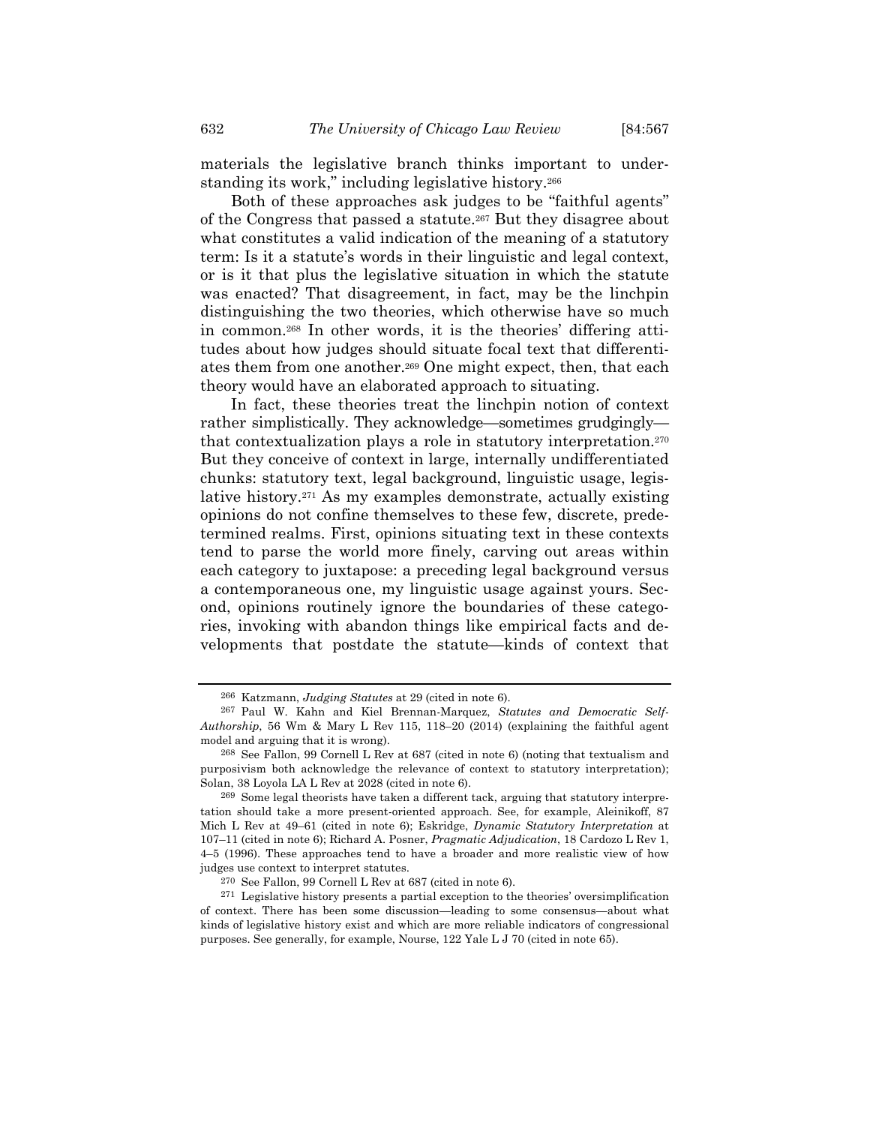materials the legislative branch thinks important to understanding its work," including legislative history.266

Both of these approaches ask judges to be "faithful agents" of the Congress that passed a statute.267 But they disagree about what constitutes a valid indication of the meaning of a statutory term: Is it a statute's words in their linguistic and legal context, or is it that plus the legislative situation in which the statute was enacted? That disagreement, in fact, may be the linchpin distinguishing the two theories, which otherwise have so much in common.268 In other words, it is the theories' differing attitudes about how judges should situate focal text that differentiates them from one another.269 One might expect, then, that each theory would have an elaborated approach to situating.

In fact, these theories treat the linchpin notion of context rather simplistically. They acknowledge—sometimes grudgingly that contextualization plays a role in statutory interpretation.270 But they conceive of context in large, internally undifferentiated chunks: statutory text, legal background, linguistic usage, legislative history.271 As my examples demonstrate, actually existing opinions do not confine themselves to these few, discrete, predetermined realms. First, opinions situating text in these contexts tend to parse the world more finely, carving out areas within each category to juxtapose: a preceding legal background versus a contemporaneous one, my linguistic usage against yours. Second, opinions routinely ignore the boundaries of these categories, invoking with abandon things like empirical facts and developments that postdate the statute—kinds of context that

<sup>266</sup> Katzmann, *Judging Statutes* at 29 (cited in note 6).

<sup>267</sup> Paul W. Kahn and Kiel Brennan-Marquez, *Statutes and Democratic Self-Authorship*, 56 Wm & Mary L Rev 115, 118–20 (2014) (explaining the faithful agent model and arguing that it is wrong).

<sup>268</sup> See Fallon, 99 Cornell L Rev at 687 (cited in note 6) (noting that textualism and purposivism both acknowledge the relevance of context to statutory interpretation); Solan, 38 Loyola LA L Rev at 2028 (cited in note 6).

<sup>269</sup> Some legal theorists have taken a different tack, arguing that statutory interpretation should take a more present-oriented approach. See, for example, Aleinikoff, 87 Mich L Rev at 49–61 (cited in note 6); Eskridge, *Dynamic Statutory Interpretation* at 107–11 (cited in note 6); Richard A. Posner, *Pragmatic Adjudication*, 18 Cardozo L Rev 1, 4–5 (1996). These approaches tend to have a broader and more realistic view of how judges use context to interpret statutes.

<sup>&</sup>lt;sup>270</sup> See Fallon, 99 Cornell L Rev at 687 (cited in note 6).<br><sup>271</sup> Legislative history presents a partial exception to the theories' oversimplification of context. There has been some discussion—leading to some consensus—about what kinds of legislative history exist and which are more reliable indicators of congressional purposes. See generally, for example, Nourse, 122 Yale L J 70 (cited in note 65).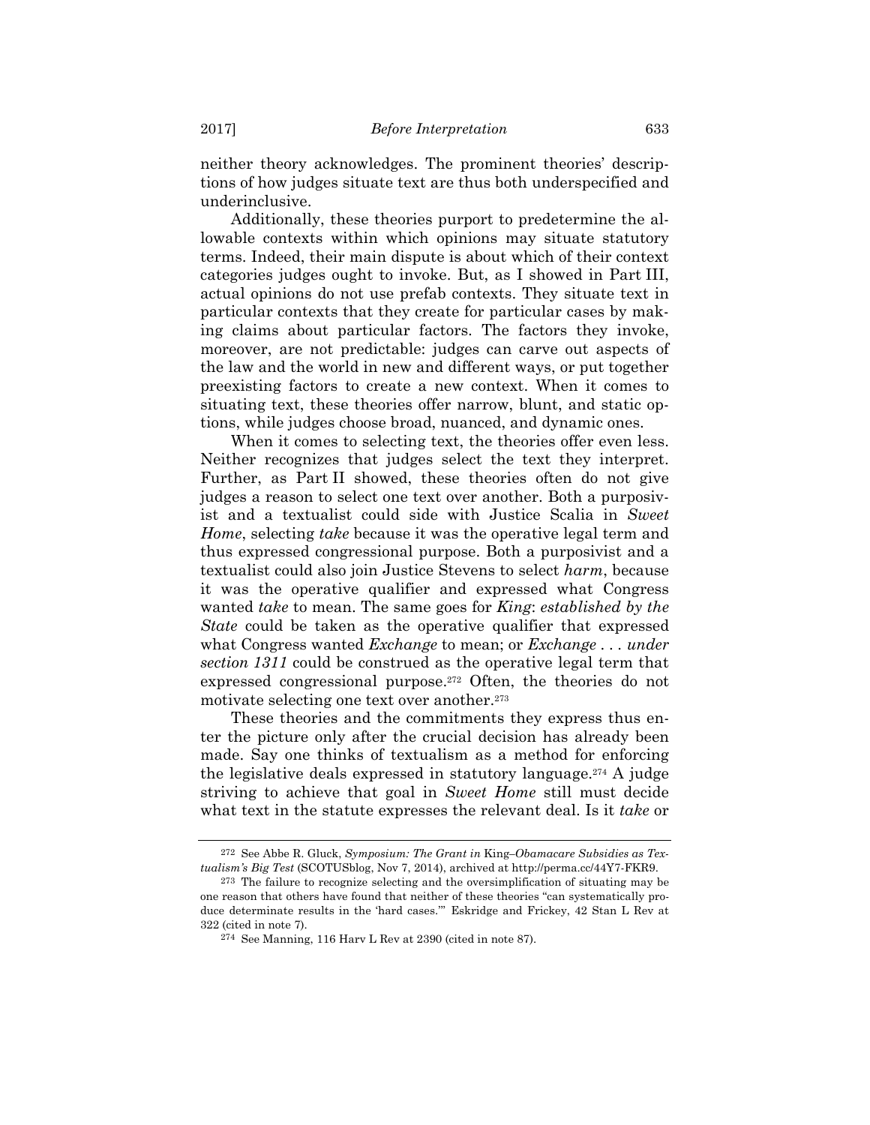neither theory acknowledges. The prominent theories' descriptions of how judges situate text are thus both underspecified and underinclusive.

Additionally, these theories purport to predetermine the allowable contexts within which opinions may situate statutory terms. Indeed, their main dispute is about which of their context categories judges ought to invoke. But, as I showed in Part III, actual opinions do not use prefab contexts. They situate text in particular contexts that they create for particular cases by making claims about particular factors. The factors they invoke, moreover, are not predictable: judges can carve out aspects of the law and the world in new and different ways, or put together preexisting factors to create a new context. When it comes to situating text, these theories offer narrow, blunt, and static options, while judges choose broad, nuanced, and dynamic ones.

When it comes to selecting text, the theories offer even less. Neither recognizes that judges select the text they interpret. Further, as Part II showed, these theories often do not give judges a reason to select one text over another. Both a purposivist and a textualist could side with Justice Scalia in *Sweet Home*, selecting *take* because it was the operative legal term and thus expressed congressional purpose. Both a purposivist and a textualist could also join Justice Stevens to select *harm*, because it was the operative qualifier and expressed what Congress wanted *take* to mean. The same goes for *King*: *established by the State* could be taken as the operative qualifier that expressed what Congress wanted *Exchange* to mean; or *Exchange . . . under section 1311* could be construed as the operative legal term that expressed congressional purpose.<sup>272</sup> Often, the theories do not motivate selecting one text over another.<sup>273</sup>

These theories and the commitments they express thus enter the picture only after the crucial decision has already been made. Say one thinks of textualism as a method for enforcing the legislative deals expressed in statutory language.274 A judge striving to achieve that goal in *Sweet Home* still must decide what text in the statute expresses the relevant deal. Is it *take* or

<sup>272</sup> See Abbe R. Gluck, *Symposium: The Grant in* King*–Obamacare Subsidies as Textualism's Big Test* (SCOTUSblog, Nov 7, 2014), archived at http://perma.cc/44Y7-FKR9.

<sup>273</sup> The failure to recognize selecting and the oversimplification of situating may be one reason that others have found that neither of these theories "can systematically produce determinate results in the 'hard cases.'" Eskridge and Frickey, 42 Stan L Rev at 322 (cited in note 7).

<sup>274</sup> See Manning, 116 Harv L Rev at 2390 (cited in note 87).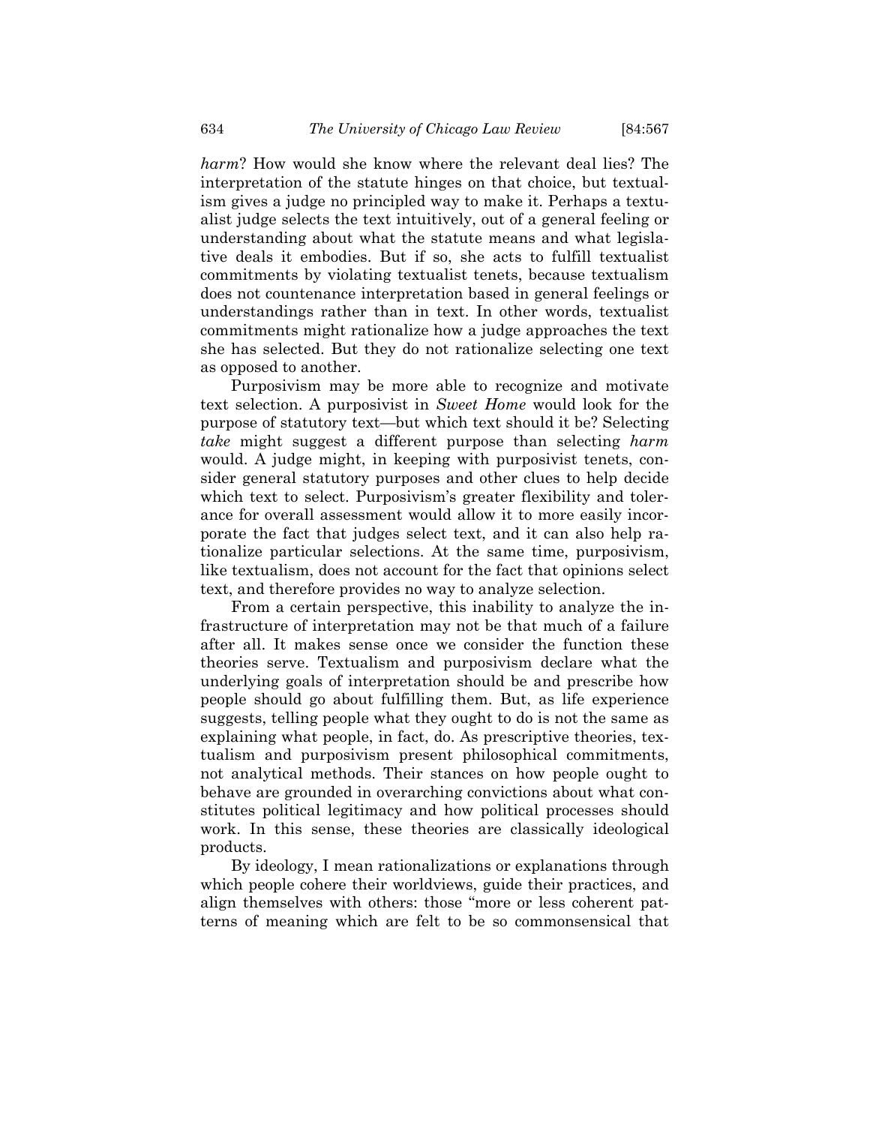*harm*? How would she know where the relevant deal lies? The interpretation of the statute hinges on that choice, but textualism gives a judge no principled way to make it. Perhaps a textualist judge selects the text intuitively, out of a general feeling or understanding about what the statute means and what legislative deals it embodies. But if so, she acts to fulfill textualist commitments by violating textualist tenets, because textualism does not countenance interpretation based in general feelings or understandings rather than in text. In other words, textualist commitments might rationalize how a judge approaches the text she has selected. But they do not rationalize selecting one text as opposed to another.

Purposivism may be more able to recognize and motivate text selection. A purposivist in *Sweet Home* would look for the purpose of statutory text—but which text should it be? Selecting *take* might suggest a different purpose than selecting *harm* would. A judge might, in keeping with purposivist tenets, consider general statutory purposes and other clues to help decide which text to select. Purposivism's greater flexibility and tolerance for overall assessment would allow it to more easily incorporate the fact that judges select text, and it can also help rationalize particular selections. At the same time, purposivism, like textualism, does not account for the fact that opinions select text, and therefore provides no way to analyze selection.

From a certain perspective, this inability to analyze the infrastructure of interpretation may not be that much of a failure after all. It makes sense once we consider the function these theories serve. Textualism and purposivism declare what the underlying goals of interpretation should be and prescribe how people should go about fulfilling them. But, as life experience suggests, telling people what they ought to do is not the same as explaining what people, in fact, do. As prescriptive theories, textualism and purposivism present philosophical commitments, not analytical methods. Their stances on how people ought to behave are grounded in overarching convictions about what constitutes political legitimacy and how political processes should work. In this sense, these theories are classically ideological products.

By ideology, I mean rationalizations or explanations through which people cohere their worldviews, guide their practices, and align themselves with others: those "more or less coherent patterns of meaning which are felt to be so commonsensical that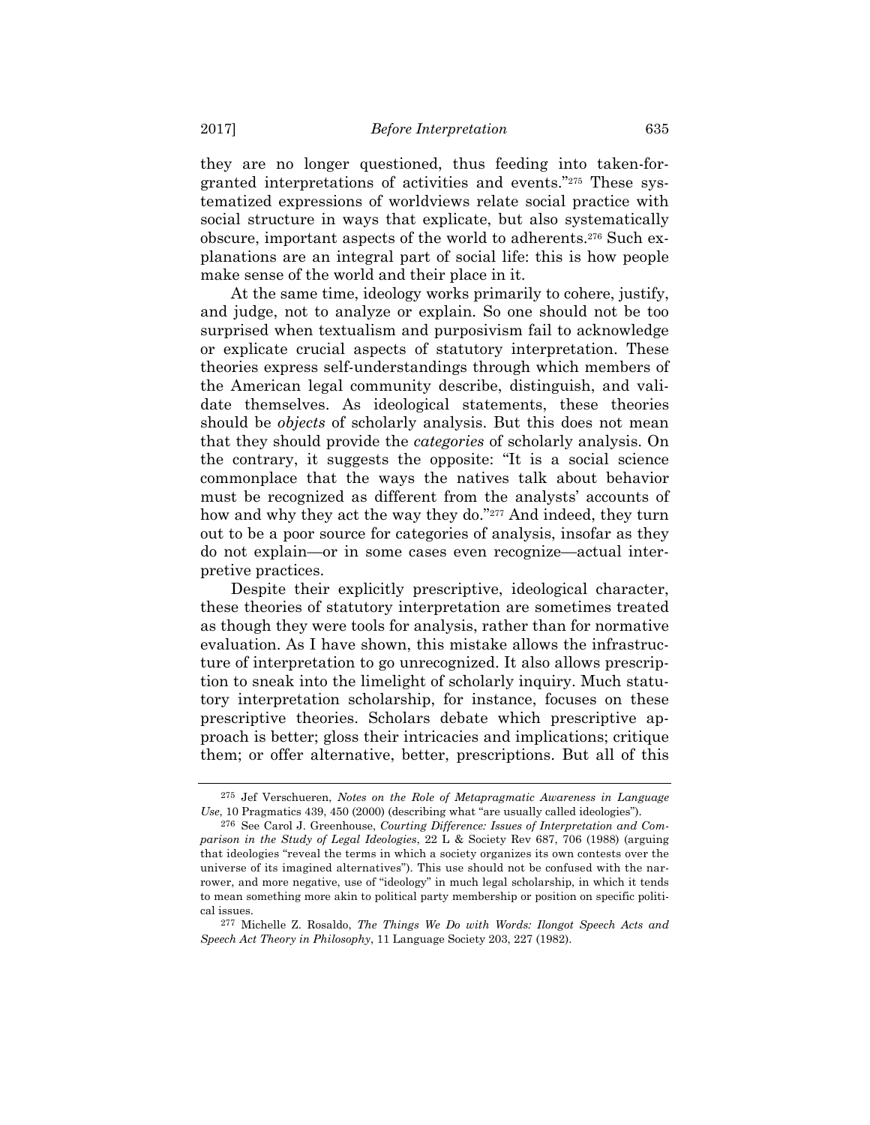they are no longer questioned, thus feeding into taken-forgranted interpretations of activities and events."275 These systematized expressions of worldviews relate social practice with social structure in ways that explicate, but also systematically obscure, important aspects of the world to adherents.276 Such explanations are an integral part of social life: this is how people make sense of the world and their place in it.

At the same time, ideology works primarily to cohere, justify, and judge, not to analyze or explain. So one should not be too surprised when textualism and purposivism fail to acknowledge or explicate crucial aspects of statutory interpretation. These theories express self-understandings through which members of the American legal community describe, distinguish, and validate themselves. As ideological statements, these theories should be *objects* of scholarly analysis. But this does not mean that they should provide the *categories* of scholarly analysis. On the contrary, it suggests the opposite: "It is a social science commonplace that the ways the natives talk about behavior must be recognized as different from the analysts' accounts of how and why they act the way they do."<sup>277</sup> And indeed, they turn out to be a poor source for categories of analysis, insofar as they do not explain—or in some cases even recognize—actual interpretive practices.

Despite their explicitly prescriptive, ideological character, these theories of statutory interpretation are sometimes treated as though they were tools for analysis, rather than for normative evaluation. As I have shown, this mistake allows the infrastructure of interpretation to go unrecognized. It also allows prescription to sneak into the limelight of scholarly inquiry. Much statutory interpretation scholarship, for instance, focuses on these prescriptive theories. Scholars debate which prescriptive approach is better; gloss their intricacies and implications; critique them; or offer alternative, better, prescriptions. But all of this

<sup>275</sup> Jef Verschueren, *Notes on the Role of Metapragmatic Awareness in Language Use*, 10 Pragmatics 439, 450 (2000) (describing what "are usually called ideologies").

<sup>276</sup> See Carol J. Greenhouse, *Courting Difference: Issues of Interpretation and Comparison in the Study of Legal Ideologies*, 22 L & Society Rev 687, 706 (1988) (arguing that ideologies "reveal the terms in which a society organizes its own contests over the universe of its imagined alternatives"). This use should not be confused with the narrower, and more negative, use of "ideology" in much legal scholarship, in which it tends to mean something more akin to political party membership or position on specific political issues.

<sup>277</sup> Michelle Z. Rosaldo, *The Things We Do with Words: Ilongot Speech Acts and Speech Act Theory in Philosophy*, 11 Language Society 203, 227 (1982).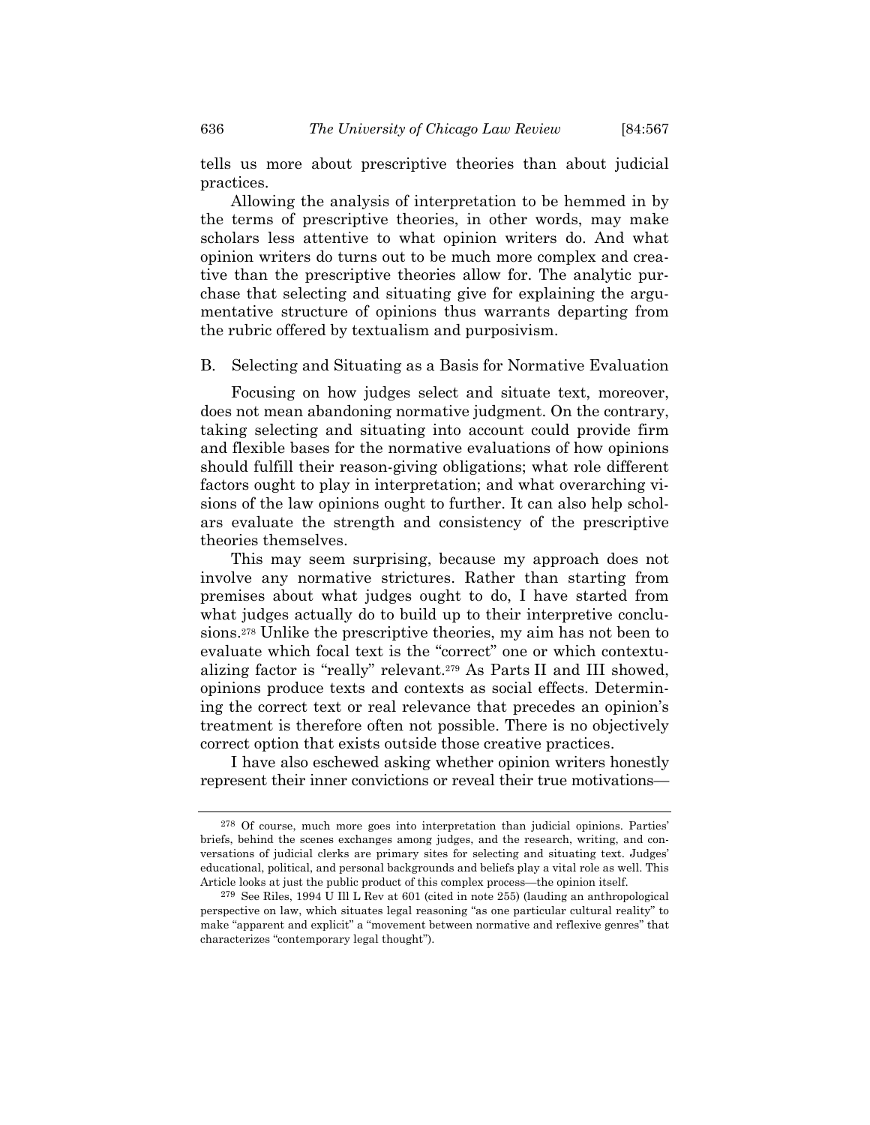tells us more about prescriptive theories than about judicial practices.

Allowing the analysis of interpretation to be hemmed in by the terms of prescriptive theories, in other words, may make scholars less attentive to what opinion writers do. And what opinion writers do turns out to be much more complex and creative than the prescriptive theories allow for. The analytic purchase that selecting and situating give for explaining the argumentative structure of opinions thus warrants departing from the rubric offered by textualism and purposivism.

B. Selecting and Situating as a Basis for Normative Evaluation

Focusing on how judges select and situate text, moreover, does not mean abandoning normative judgment. On the contrary, taking selecting and situating into account could provide firm and flexible bases for the normative evaluations of how opinions should fulfill their reason-giving obligations; what role different factors ought to play in interpretation; and what overarching visions of the law opinions ought to further. It can also help scholars evaluate the strength and consistency of the prescriptive theories themselves.

This may seem surprising, because my approach does not involve any normative strictures. Rather than starting from premises about what judges ought to do, I have started from what judges actually do to build up to their interpretive conclusions.278 Unlike the prescriptive theories, my aim has not been to evaluate which focal text is the "correct" one or which contextualizing factor is "really" relevant.279 As Parts II and III showed, opinions produce texts and contexts as social effects. Determining the correct text or real relevance that precedes an opinion's treatment is therefore often not possible. There is no objectively correct option that exists outside those creative practices.

I have also eschewed asking whether opinion writers honestly represent their inner convictions or reveal their true motivations—

<sup>278</sup> Of course, much more goes into interpretation than judicial opinions. Parties' briefs, behind the scenes exchanges among judges, and the research, writing, and conversations of judicial clerks are primary sites for selecting and situating text. Judges' educational, political, and personal backgrounds and beliefs play a vital role as well. This Article looks at just the public product of this complex process—the opinion itself.

<sup>279</sup> See Riles, 1994 U Ill L Rev at 601 (cited in note 255) (lauding an anthropological perspective on law, which situates legal reasoning "as one particular cultural reality" to make "apparent and explicit" a "movement between normative and reflexive genres" that characterizes "contemporary legal thought").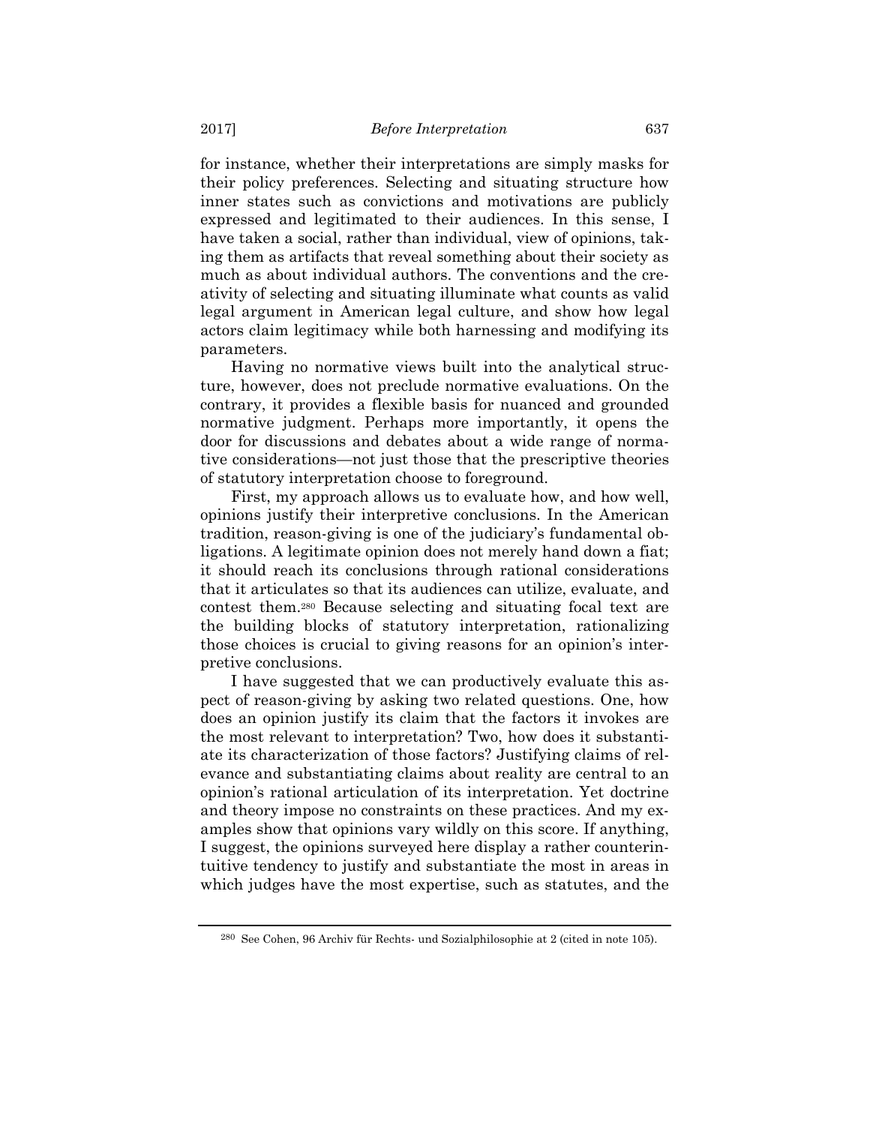for instance, whether their interpretations are simply masks for their policy preferences. Selecting and situating structure how inner states such as convictions and motivations are publicly expressed and legitimated to their audiences. In this sense, I have taken a social, rather than individual, view of opinions, taking them as artifacts that reveal something about their society as much as about individual authors. The conventions and the creativity of selecting and situating illuminate what counts as valid legal argument in American legal culture, and show how legal actors claim legitimacy while both harnessing and modifying its parameters.

Having no normative views built into the analytical structure, however, does not preclude normative evaluations. On the contrary, it provides a flexible basis for nuanced and grounded normative judgment. Perhaps more importantly, it opens the door for discussions and debates about a wide range of normative considerations—not just those that the prescriptive theories of statutory interpretation choose to foreground.

First, my approach allows us to evaluate how, and how well, opinions justify their interpretive conclusions. In the American tradition, reason-giving is one of the judiciary's fundamental obligations. A legitimate opinion does not merely hand down a fiat; it should reach its conclusions through rational considerations that it articulates so that its audiences can utilize, evaluate, and contest them.280 Because selecting and situating focal text are the building blocks of statutory interpretation, rationalizing those choices is crucial to giving reasons for an opinion's interpretive conclusions.

I have suggested that we can productively evaluate this aspect of reason-giving by asking two related questions. One, how does an opinion justify its claim that the factors it invokes are the most relevant to interpretation? Two, how does it substantiate its characterization of those factors? Justifying claims of relevance and substantiating claims about reality are central to an opinion's rational articulation of its interpretation. Yet doctrine and theory impose no constraints on these practices. And my examples show that opinions vary wildly on this score. If anything, I suggest, the opinions surveyed here display a rather counterintuitive tendency to justify and substantiate the most in areas in which judges have the most expertise, such as statutes, and the

<sup>280</sup> See Cohen, 96 Archiv für Rechts- und Sozialphilosophie at 2 (cited in note 105).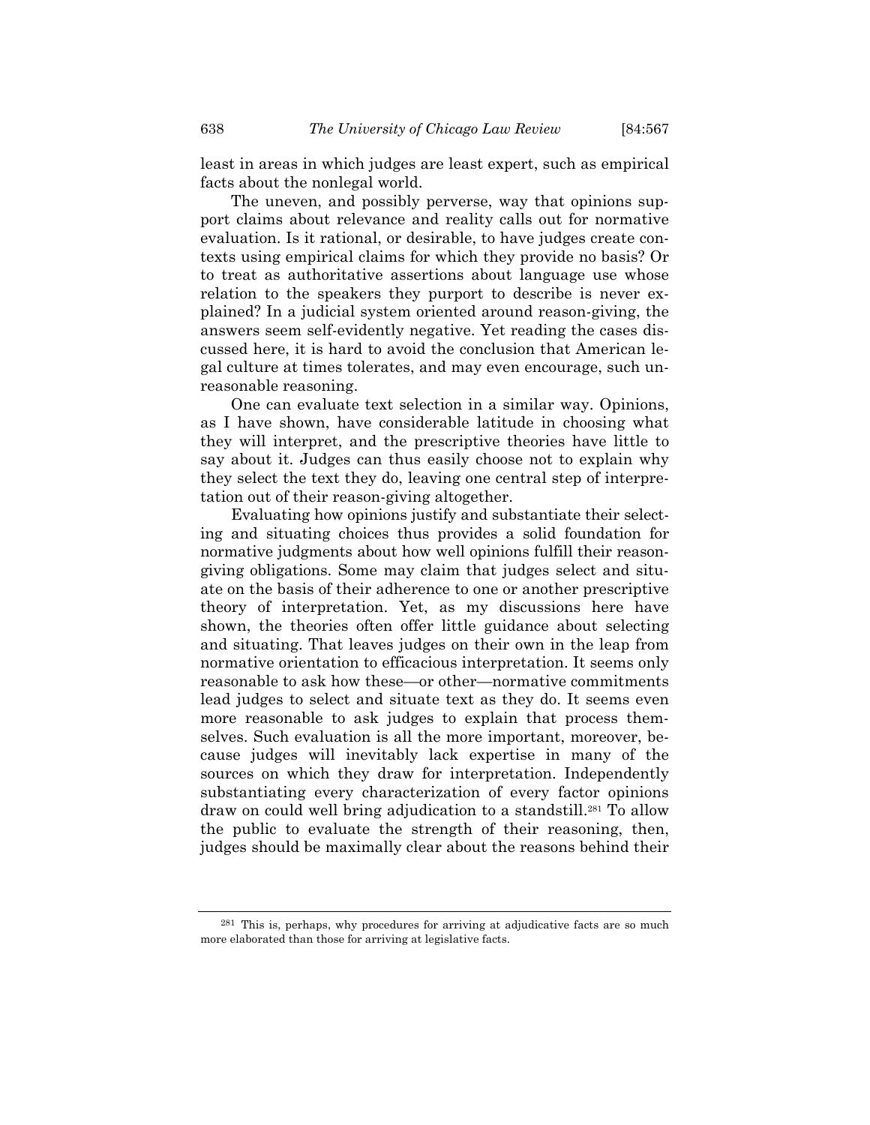least in areas in which judges are least expert, such as empirical facts about the nonlegal world.

The uneven, and possibly perverse, way that opinions support claims about relevance and reality calls out for normative evaluation. Is it rational, or desirable, to have judges create contexts using empirical claims for which they provide no basis? Or to treat as authoritative assertions about language use whose relation to the speakers they purport to describe is never explained? In a judicial system oriented around reason-giving, the answers seem self-evidently negative. Yet reading the cases discussed here, it is hard to avoid the conclusion that American legal culture at times tolerates, and may even encourage, such unreasonable reasoning.

One can evaluate text selection in a similar way. Opinions, as I have shown, have considerable latitude in choosing what they will interpret, and the prescriptive theories have little to say about it. Judges can thus easily choose not to explain why they select the text they do, leaving one central step of interpretation out of their reason-giving altogether.

Evaluating how opinions justify and substantiate their selecting and situating choices thus provides a solid foundation for normative judgments about how well opinions fulfill their reasongiving obligations. Some may claim that judges select and situate on the basis of their adherence to one or another prescriptive theory of interpretation. Yet, as my discussions here have shown, the theories often offer little guidance about selecting and situating. That leaves judges on their own in the leap from normative orientation to efficacious interpretation. It seems only reasonable to ask how these—or other—normative commitments lead judges to select and situate text as they do. It seems even more reasonable to ask judges to explain that process themselves. Such evaluation is all the more important, moreover, because judges will inevitably lack expertise in many of the sources on which they draw for interpretation. Independently substantiating every characterization of every factor opinions draw on could well bring adjudication to a standstill.281 To allow the public to evaluate the strength of their reasoning, then, judges should be maximally clear about the reasons behind their

<sup>281</sup> This is, perhaps, why procedures for arriving at adjudicative facts are so much more elaborated than those for arriving at legislative facts.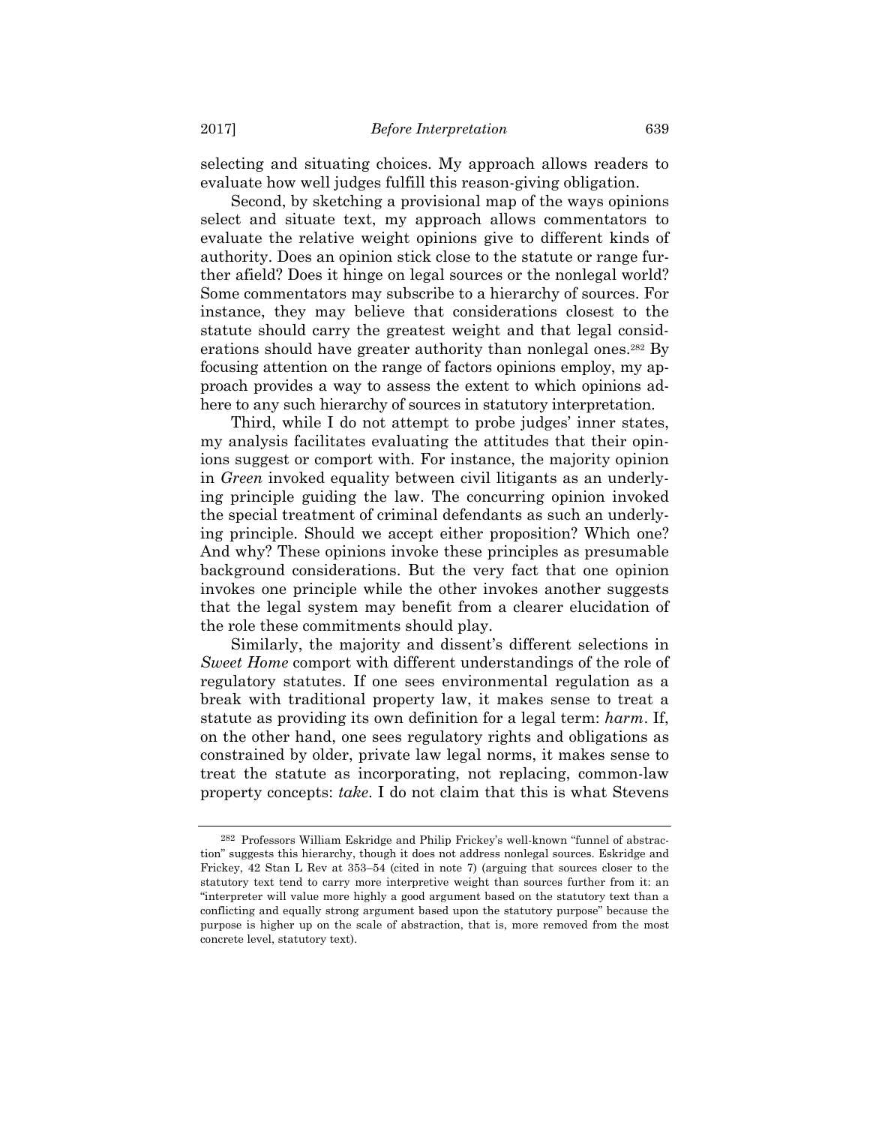selecting and situating choices. My approach allows readers to evaluate how well judges fulfill this reason-giving obligation.

Second, by sketching a provisional map of the ways opinions select and situate text, my approach allows commentators to evaluate the relative weight opinions give to different kinds of authority. Does an opinion stick close to the statute or range further afield? Does it hinge on legal sources or the nonlegal world? Some commentators may subscribe to a hierarchy of sources. For instance, they may believe that considerations closest to the statute should carry the greatest weight and that legal considerations should have greater authority than nonlegal ones.282 By focusing attention on the range of factors opinions employ, my approach provides a way to assess the extent to which opinions adhere to any such hierarchy of sources in statutory interpretation.

Third, while I do not attempt to probe judges' inner states, my analysis facilitates evaluating the attitudes that their opinions suggest or comport with. For instance, the majority opinion in *Green* invoked equality between civil litigants as an underlying principle guiding the law. The concurring opinion invoked the special treatment of criminal defendants as such an underlying principle. Should we accept either proposition? Which one? And why? These opinions invoke these principles as presumable background considerations. But the very fact that one opinion invokes one principle while the other invokes another suggests that the legal system may benefit from a clearer elucidation of the role these commitments should play.

Similarly, the majority and dissent's different selections in *Sweet Home* comport with different understandings of the role of regulatory statutes. If one sees environmental regulation as a break with traditional property law, it makes sense to treat a statute as providing its own definition for a legal term: *harm*. If, on the other hand, one sees regulatory rights and obligations as constrained by older, private law legal norms, it makes sense to treat the statute as incorporating, not replacing, common-law property concepts: *take*. I do not claim that this is what Stevens

<sup>282</sup> Professors William Eskridge and Philip Frickey's well-known "funnel of abstraction" suggests this hierarchy, though it does not address nonlegal sources. Eskridge and Frickey, 42 Stan L Rev at 353–54 (cited in note 7) (arguing that sources closer to the statutory text tend to carry more interpretive weight than sources further from it: an "interpreter will value more highly a good argument based on the statutory text than a conflicting and equally strong argument based upon the statutory purpose" because the purpose is higher up on the scale of abstraction, that is, more removed from the most concrete level, statutory text).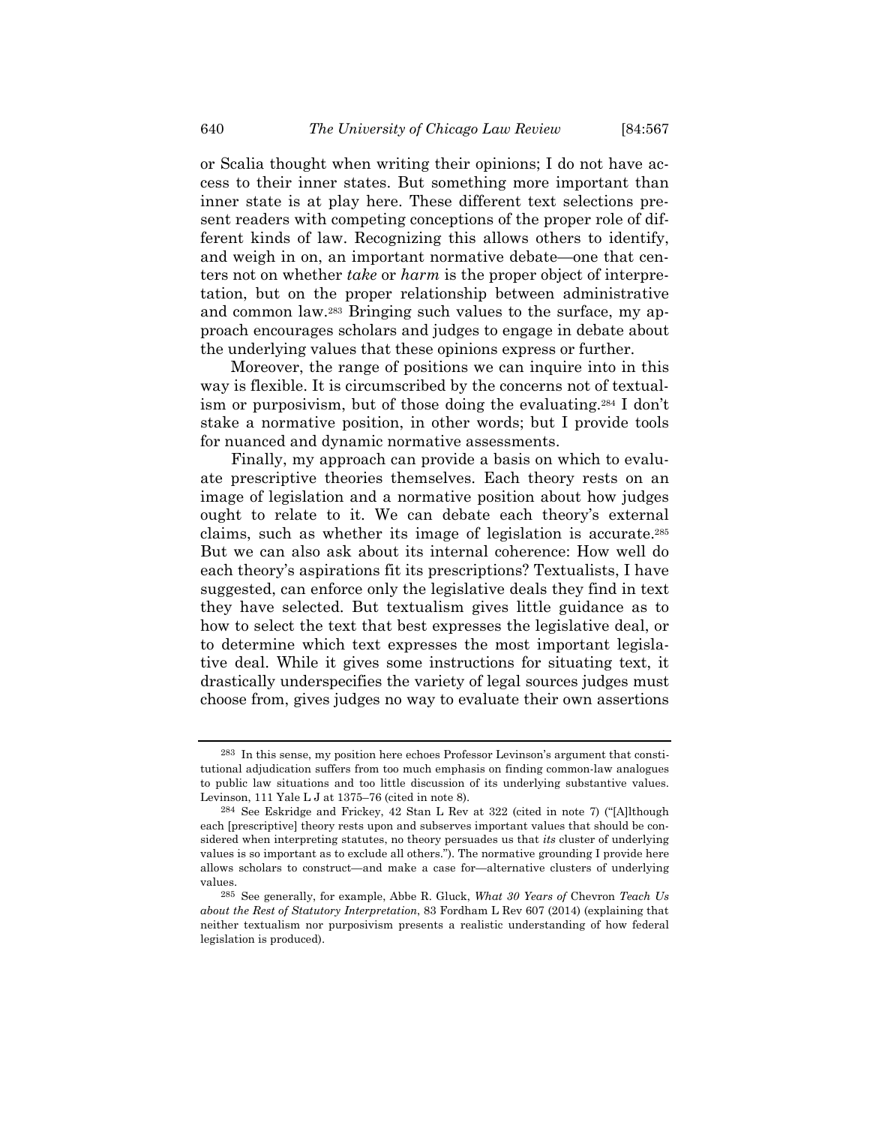or Scalia thought when writing their opinions; I do not have access to their inner states. But something more important than inner state is at play here. These different text selections present readers with competing conceptions of the proper role of different kinds of law. Recognizing this allows others to identify, and weigh in on, an important normative debate—one that centers not on whether *take* or *harm* is the proper object of interpretation, but on the proper relationship between administrative and common law.283 Bringing such values to the surface, my approach encourages scholars and judges to engage in debate about the underlying values that these opinions express or further.

Moreover, the range of positions we can inquire into in this way is flexible. It is circumscribed by the concerns not of textualism or purposivism, but of those doing the evaluating.284 I don't stake a normative position, in other words; but I provide tools for nuanced and dynamic normative assessments.

Finally, my approach can provide a basis on which to evaluate prescriptive theories themselves. Each theory rests on an image of legislation and a normative position about how judges ought to relate to it. We can debate each theory's external claims, such as whether its image of legislation is accurate.285 But we can also ask about its internal coherence: How well do each theory's aspirations fit its prescriptions? Textualists, I have suggested, can enforce only the legislative deals they find in text they have selected. But textualism gives little guidance as to how to select the text that best expresses the legislative deal, or to determine which text expresses the most important legislative deal. While it gives some instructions for situating text, it drastically underspecifies the variety of legal sources judges must choose from, gives judges no way to evaluate their own assertions

<sup>283</sup> In this sense, my position here echoes Professor Levinson's argument that constitutional adjudication suffers from too much emphasis on finding common-law analogues to public law situations and too little discussion of its underlying substantive values. Levinson, 111 Yale L J at 1375–76 (cited in note 8).

<sup>284</sup> See Eskridge and Frickey, 42 Stan L Rev at 322 (cited in note 7) ("[A]lthough each [prescriptive] theory rests upon and subserves important values that should be considered when interpreting statutes, no theory persuades us that *its* cluster of underlying values is so important as to exclude all others."). The normative grounding I provide here allows scholars to construct—and make a case for—alternative clusters of underlying values.

<sup>285</sup> See generally, for example, Abbe R. Gluck, *What 30 Years of* Chevron *Teach Us about the Rest of Statutory Interpretation*, 83 Fordham L Rev 607 (2014) (explaining that neither textualism nor purposivism presents a realistic understanding of how federal legislation is produced).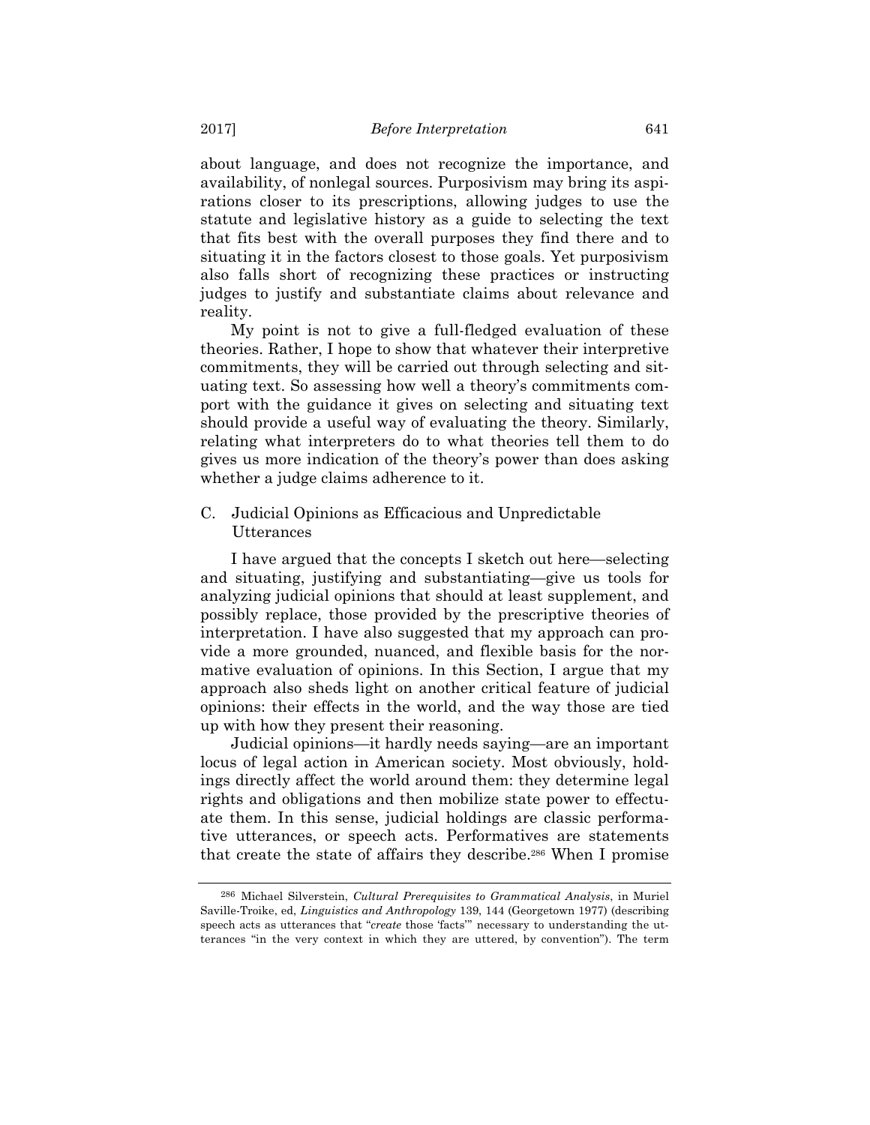about language, and does not recognize the importance, and availability, of nonlegal sources. Purposivism may bring its aspirations closer to its prescriptions, allowing judges to use the statute and legislative history as a guide to selecting the text that fits best with the overall purposes they find there and to situating it in the factors closest to those goals. Yet purposivism also falls short of recognizing these practices or instructing judges to justify and substantiate claims about relevance and reality.

My point is not to give a full-fledged evaluation of these theories. Rather, I hope to show that whatever their interpretive commitments, they will be carried out through selecting and situating text. So assessing how well a theory's commitments comport with the guidance it gives on selecting and situating text should provide a useful way of evaluating the theory. Similarly, relating what interpreters do to what theories tell them to do gives us more indication of the theory's power than does asking whether a judge claims adherence to it.

## C. Judicial Opinions as Efficacious and Unpredictable Utterances

I have argued that the concepts I sketch out here—selecting and situating, justifying and substantiating—give us tools for analyzing judicial opinions that should at least supplement, and possibly replace, those provided by the prescriptive theories of interpretation. I have also suggested that my approach can provide a more grounded, nuanced, and flexible basis for the normative evaluation of opinions. In this Section, I argue that my approach also sheds light on another critical feature of judicial opinions: their effects in the world, and the way those are tied up with how they present their reasoning.

Judicial opinions—it hardly needs saying—are an important locus of legal action in American society. Most obviously, holdings directly affect the world around them: they determine legal rights and obligations and then mobilize state power to effectuate them. In this sense, judicial holdings are classic performative utterances, or speech acts. Performatives are statements that create the state of affairs they describe.286 When I promise

<sup>286</sup> Michael Silverstein, *Cultural Prerequisites to Grammatical Analysis*, in Muriel Saville-Troike, ed, *Linguistics and Anthropology* 139, 144 (Georgetown 1977) (describing speech acts as utterances that "*create* those 'facts'" necessary to understanding the utterances "in the very context in which they are uttered, by convention"). The term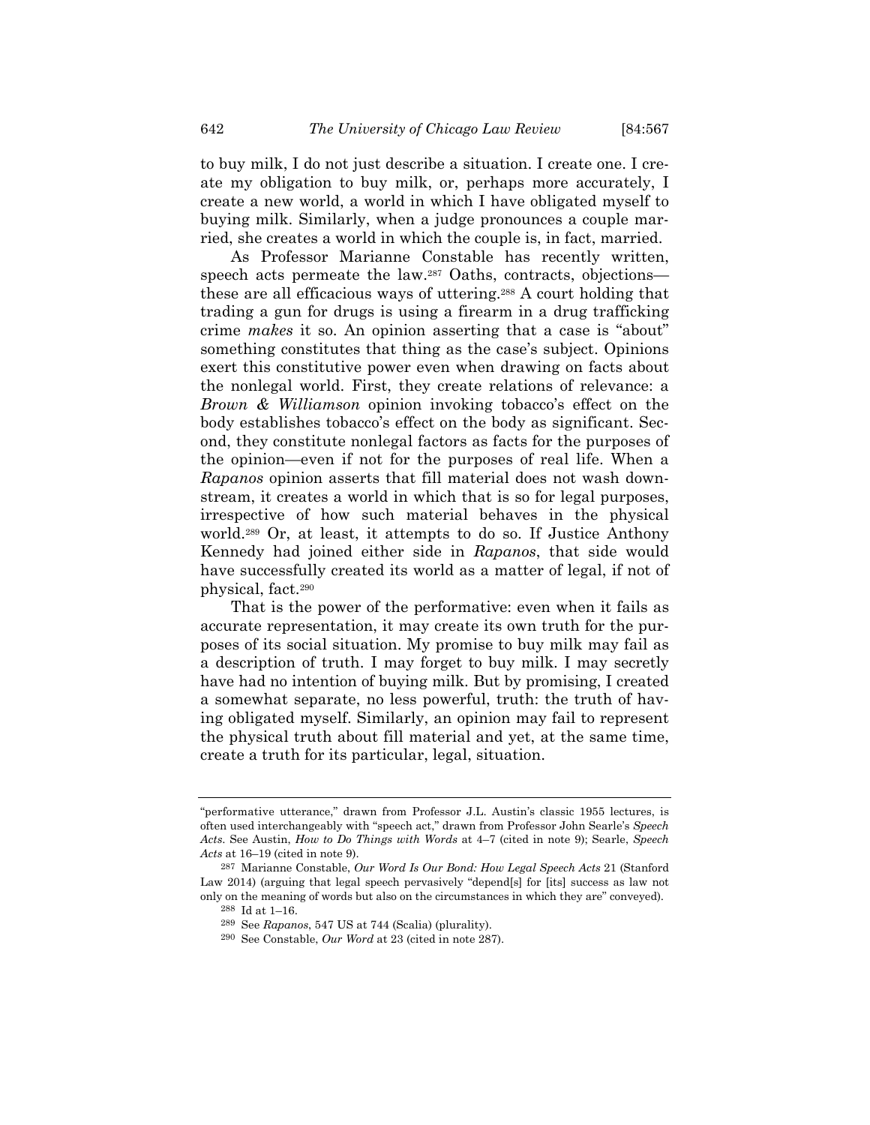to buy milk, I do not just describe a situation. I create one. I create my obligation to buy milk, or, perhaps more accurately, I create a new world, a world in which I have obligated myself to buying milk. Similarly, when a judge pronounces a couple married, she creates a world in which the couple is, in fact, married.

As Professor Marianne Constable has recently written, speech acts permeate the law.<sup>287</sup> Oaths, contracts, objections these are all efficacious ways of uttering.288 A court holding that trading a gun for drugs is using a firearm in a drug trafficking crime *makes* it so. An opinion asserting that a case is "about" something constitutes that thing as the case's subject. Opinions exert this constitutive power even when drawing on facts about the nonlegal world. First, they create relations of relevance: a *Brown & Williamson* opinion invoking tobacco's effect on the body establishes tobacco's effect on the body as significant. Second, they constitute nonlegal factors as facts for the purposes of the opinion—even if not for the purposes of real life. When a *Rapanos* opinion asserts that fill material does not wash downstream, it creates a world in which that is so for legal purposes, irrespective of how such material behaves in the physical world.289 Or, at least, it attempts to do so. If Justice Anthony Kennedy had joined either side in *Rapanos*, that side would have successfully created its world as a matter of legal, if not of physical, fact.290

That is the power of the performative: even when it fails as accurate representation, it may create its own truth for the purposes of its social situation. My promise to buy milk may fail as a description of truth. I may forget to buy milk. I may secretly have had no intention of buying milk. But by promising, I created a somewhat separate, no less powerful, truth: the truth of having obligated myself. Similarly, an opinion may fail to represent the physical truth about fill material and yet, at the same time, create a truth for its particular, legal, situation.

<sup>&</sup>quot;performative utterance," drawn from Professor J.L. Austin's classic 1955 lectures, is often used interchangeably with "speech act," drawn from Professor John Searle's *Speech Acts*. See Austin, *How to Do Things with Words* at 4–7 (cited in note 9); Searle, *Speech Acts* at 16–19 (cited in note 9).

<sup>287</sup> Marianne Constable, *Our Word Is Our Bond: How Legal Speech Acts* 21 (Stanford Law 2014) (arguing that legal speech pervasively "depend[s] for [its] success as law not only on the meaning of words but also on the circumstances in which they are" conveyed).

<sup>288</sup> Id at 1–16.

<sup>289</sup> See *Rapanos*, 547 US at 744 (Scalia) (plurality). 290 See Constable, *Our Word* at 23 (cited in note 287).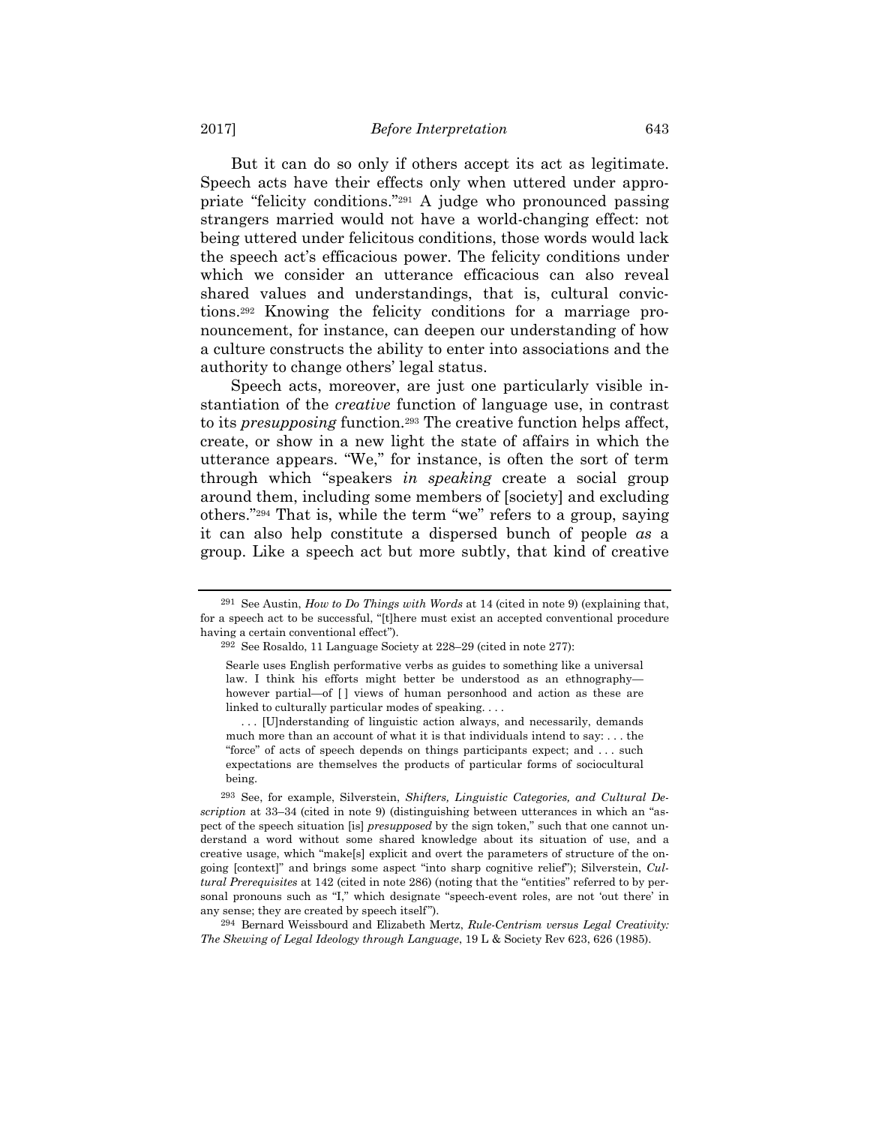But it can do so only if others accept its act as legitimate. Speech acts have their effects only when uttered under appropriate "felicity conditions."291 A judge who pronounced passing strangers married would not have a world-changing effect: not being uttered under felicitous conditions, those words would lack the speech act's efficacious power. The felicity conditions under which we consider an utterance efficacious can also reveal shared values and understandings, that is, cultural convictions.292 Knowing the felicity conditions for a marriage pronouncement, for instance, can deepen our understanding of how a culture constructs the ability to enter into associations and the authority to change others' legal status.

Speech acts, moreover, are just one particularly visible instantiation of the *creative* function of language use, in contrast to its *presupposing* function.293 The creative function helps affect, create, or show in a new light the state of affairs in which the utterance appears. "We," for instance, is often the sort of term through which "speakers *in speaking* create a social group around them, including some members of [society] and excluding others."294 That is, while the term "we" refers to a group, saying it can also help constitute a dispersed bunch of people *as* a group. Like a speech act but more subtly, that kind of creative

<sup>291</sup> See Austin, *How to Do Things with Words* at 14 (cited in note 9) (explaining that, for a speech act to be successful, "[t]here must exist an accepted conventional procedure having a certain conventional effect").

<sup>292</sup> See Rosaldo, 11 Language Society at 228–29 (cited in note 277):

Searle uses English performative verbs as guides to something like a universal law. I think his efforts might better be understood as an ethnography however partial—of [] views of human personhood and action as these are linked to culturally particular modes of speaking....

 <sup>. . . [</sup>U]nderstanding of linguistic action always, and necessarily, demands much more than an account of what it is that individuals intend to say: . . . the "force" of acts of speech depends on things participants expect; and . . . such expectations are themselves the products of particular forms of sociocultural being.

<sup>293</sup> See, for example, Silverstein, *Shifters, Linguistic Categories, and Cultural Description* at 33–34 (cited in note 9) (distinguishing between utterances in which an "aspect of the speech situation [is] *presupposed* by the sign token," such that one cannot understand a word without some shared knowledge about its situation of use, and a creative usage, which "make[s] explicit and overt the parameters of structure of the ongoing [context]" and brings some aspect "into sharp cognitive relief"); Silverstein, *Cultural Prerequisites* at 142 (cited in note 286) (noting that the "entities" referred to by personal pronouns such as "I," which designate "speech-event roles, are not 'out there' in any sense; they are created by speech itself").

<sup>294</sup> Bernard Weissbourd and Elizabeth Mertz, *Rule-Centrism versus Legal Creativity: The Skewing of Legal Ideology through Language*, 19 L & Society Rev 623, 626 (1985).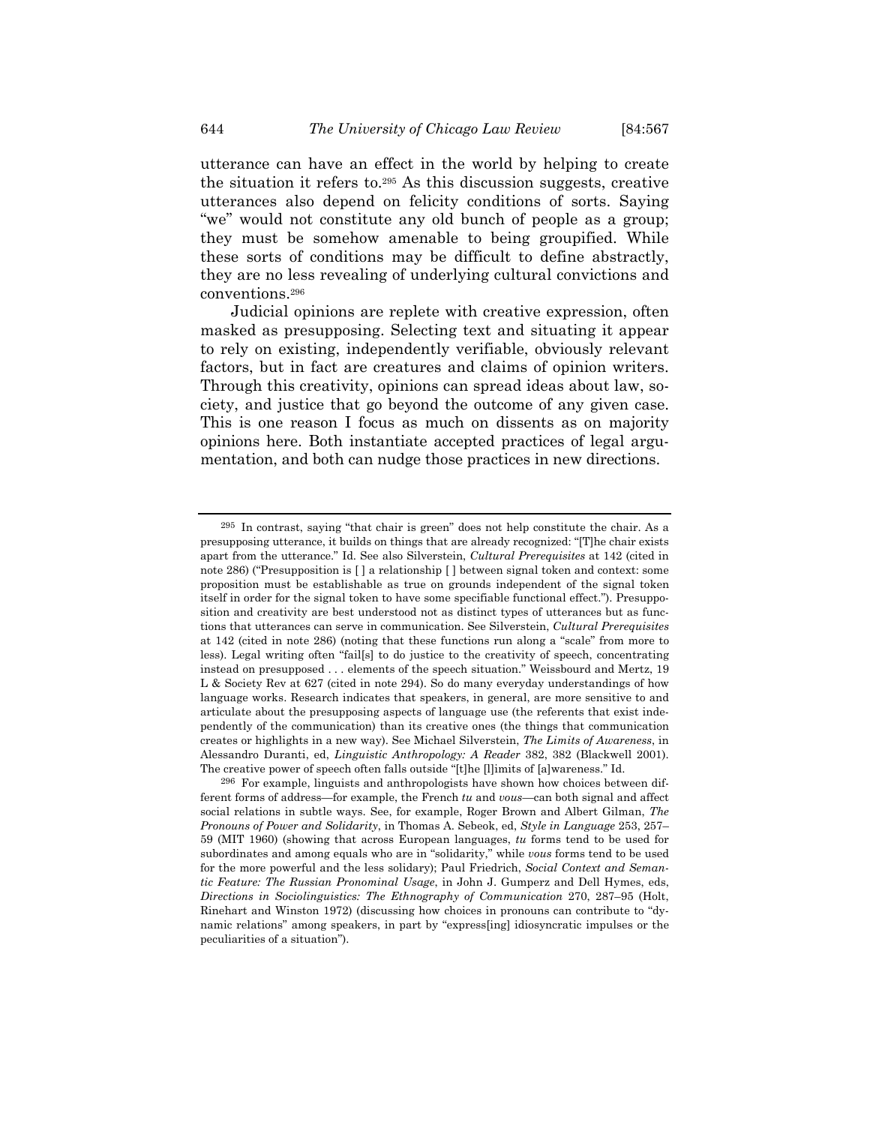utterances also depend on felicity conditions of sorts. Saying "we" would not constitute any old bunch of people as a group; they must be somehow amenable to being groupified. While these sorts of conditions may be difficult to define abstractly, they are no less revealing of underlying cultural convictions and conventions.296

Judicial opinions are replete with creative expression, often masked as presupposing. Selecting text and situating it appear to rely on existing, independently verifiable, obviously relevant factors, but in fact are creatures and claims of opinion writers. Through this creativity, opinions can spread ideas about law, society, and justice that go beyond the outcome of any given case. This is one reason I focus as much on dissents as on majority opinions here. Both instantiate accepted practices of legal argumentation, and both can nudge those practices in new directions.

<sup>295</sup> In contrast, saying "that chair is green" does not help constitute the chair. As a presupposing utterance, it builds on things that are already recognized: "[T]he chair exists apart from the utterance." Id. See also Silverstein, *Cultural Prerequisites* at 142 (cited in note 286) ("Presupposition is [ ] a relationship [ ] between signal token and context: some proposition must be establishable as true on grounds independent of the signal token itself in order for the signal token to have some specifiable functional effect."). Presupposition and creativity are best understood not as distinct types of utterances but as functions that utterances can serve in communication. See Silverstein, *Cultural Prerequisites* at 142 (cited in note 286) (noting that these functions run along a "scale" from more to less). Legal writing often "fail[s] to do justice to the creativity of speech, concentrating instead on presupposed . . . elements of the speech situation." Weissbourd and Mertz, 19 L & Society Rev at 627 (cited in note 294). So do many everyday understandings of how language works. Research indicates that speakers, in general, are more sensitive to and articulate about the presupposing aspects of language use (the referents that exist independently of the communication) than its creative ones (the things that communication creates or highlights in a new way). See Michael Silverstein, *The Limits of Awareness*, in Alessandro Duranti, ed, *Linguistic Anthropology: A Reader* 382, 382 (Blackwell 2001). The creative power of speech often falls outside "[t]he [l]imits of [a]wareness." Id.

<sup>296</sup> For example, linguists and anthropologists have shown how choices between different forms of address—for example, the French *tu* and *vous*—can both signal and affect social relations in subtle ways. See, for example, Roger Brown and Albert Gilman, *The Pronouns of Power and Solidarity*, in Thomas A. Sebeok, ed, *Style in Language* 253, 257– 59 (MIT 1960) (showing that across European languages, *tu* forms tend to be used for subordinates and among equals who are in "solidarity," while *vous* forms tend to be used for the more powerful and the less solidary); Paul Friedrich, *Social Context and Semantic Feature: The Russian Pronominal Usage*, in John J. Gumperz and Dell Hymes, eds, *Directions in Sociolinguistics: The Ethnography of Communication* 270, 287–95 (Holt, Rinehart and Winston 1972) (discussing how choices in pronouns can contribute to "dynamic relations" among speakers, in part by "express[ing] idiosyncratic impulses or the peculiarities of a situation").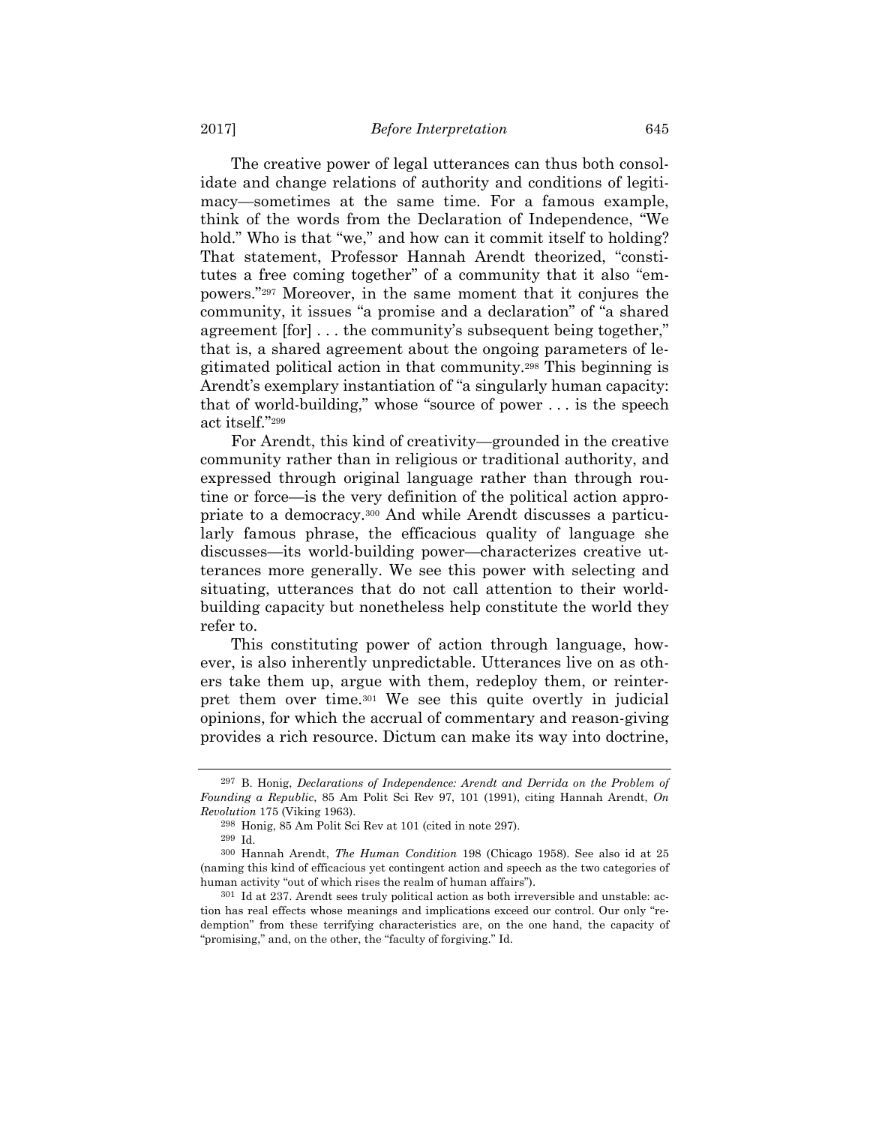The creative power of legal utterances can thus both consolidate and change relations of authority and conditions of legitimacy—sometimes at the same time. For a famous example, think of the words from the Declaration of Independence, "We hold." Who is that "we," and how can it commit itself to holding? That statement, Professor Hannah Arendt theorized, "constitutes a free coming together" of a community that it also "empowers."297 Moreover, in the same moment that it conjures the community, it issues "a promise and a declaration" of "a shared agreement [for] . . . the community's subsequent being together," that is, a shared agreement about the ongoing parameters of legitimated political action in that community.298 This beginning is Arendt's exemplary instantiation of "a singularly human capacity: that of world-building," whose "source of power . . . is the speech act itself."299

For Arendt, this kind of creativity—grounded in the creative community rather than in religious or traditional authority, and expressed through original language rather than through routine or force—is the very definition of the political action appropriate to a democracy.300 And while Arendt discusses a particularly famous phrase, the efficacious quality of language she discusses—its world-building power—characterizes creative utterances more generally. We see this power with selecting and situating, utterances that do not call attention to their worldbuilding capacity but nonetheless help constitute the world they refer to.

This constituting power of action through language, however, is also inherently unpredictable. Utterances live on as others take them up, argue with them, redeploy them, or reinterpret them over time.301 We see this quite overtly in judicial opinions, for which the accrual of commentary and reason-giving provides a rich resource. Dictum can make its way into doctrine,

<sup>297</sup> B. Honig, *Declarations of Independence: Arendt and Derrida on the Problem of Founding a Republic*, 85 Am Polit Sci Rev 97, 101 (1991), citing Hannah Arendt, *On Revolution* 175 (Viking 1963).

<sup>298</sup> Honig, 85 Am Polit Sci Rev at 101 (cited in note 297).

<sup>299</sup> Id.

<sup>300</sup> Hannah Arendt, *The Human Condition* 198 (Chicago 1958). See also id at 25 (naming this kind of efficacious yet contingent action and speech as the two categories of human activity "out of which rises the realm of human affairs").

<sup>301</sup> Id at 237. Arendt sees truly political action as both irreversible and unstable: action has real effects whose meanings and implications exceed our control. Our only "redemption" from these terrifying characteristics are, on the one hand, the capacity of "promising," and, on the other, the "faculty of forgiving." Id.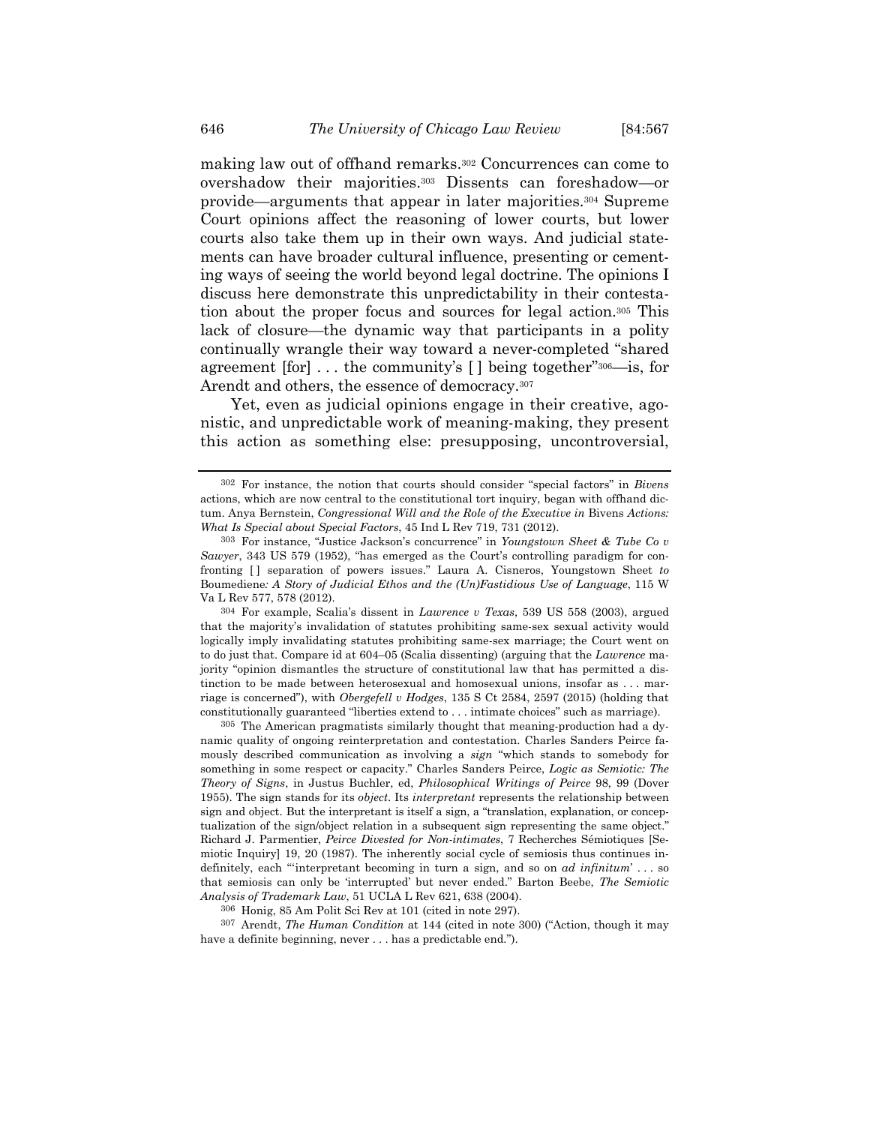making law out of offhand remarks.302 Concurrences can come to overshadow their majorities.303 Dissents can foreshadow—or provide—arguments that appear in later majorities.304 Supreme Court opinions affect the reasoning of lower courts, but lower courts also take them up in their own ways. And judicial statements can have broader cultural influence, presenting or cementing ways of seeing the world beyond legal doctrine. The opinions I discuss here demonstrate this unpredictability in their contestation about the proper focus and sources for legal action.305 This lack of closure—the dynamic way that participants in a polity continually wrangle their way toward a never-completed "shared agreement [for] . . . the community's [ ] being together"306—is, for Arendt and others, the essence of democracy.<sup>307</sup>

Yet, even as judicial opinions engage in their creative, agonistic, and unpredictable work of meaning-making, they present this action as something else: presupposing, uncontroversial,

304 For example, Scalia's dissent in *Lawrence v Texas*, 539 US 558 (2003), argued that the majority's invalidation of statutes prohibiting same-sex sexual activity would logically imply invalidating statutes prohibiting same-sex marriage; the Court went on to do just that. Compare id at 604–05 (Scalia dissenting) (arguing that the *Lawrence* majority "opinion dismantles the structure of constitutional law that has permitted a distinction to be made between heterosexual and homosexual unions, insofar as . . . marriage is concerned"), with *Obergefell v Hodges*, 135 S Ct 2584, 2597 (2015) (holding that constitutionally guaranteed "liberties extend to . . . intimate choices" such as marriage).

305 The American pragmatists similarly thought that meaning-production had a dynamic quality of ongoing reinterpretation and contestation. Charles Sanders Peirce famously described communication as involving a *sign* "which stands to somebody for something in some respect or capacity." Charles Sanders Peirce, *Logic as Semiotic: The Theory of Signs*, in Justus Buchler, ed, *Philosophical Writings of Peirce* 98, 99 (Dover 1955). The sign stands for its *object*. Its *interpretant* represents the relationship between sign and object. But the interpretant is itself a sign, a "translation, explanation, or conceptualization of the sign/object relation in a subsequent sign representing the same object." Richard J. Parmentier, *Peirce Divested for Non-intimates*, 7 Recherches Sémiotiques [Semiotic Inquiry] 19, 20 (1987). The inherently social cycle of semiosis thus continues indefinitely, each "'interpretant becoming in turn a sign, and so on *ad infinitum*' . . . so that semiosis can only be 'interrupted' but never ended." Barton Beebe, *The Semiotic Analysis of Trademark Law*, 51 UCLA L Rev 621, 638 (2004).

306 Honig, 85 Am Polit Sci Rev at 101 (cited in note 297).

307 Arendt, *The Human Condition* at 144 (cited in note 300) ("Action, though it may have a definite beginning, never . . . has a predictable end.").

<sup>302</sup> For instance, the notion that courts should consider "special factors" in *Bivens* actions, which are now central to the constitutional tort inquiry, began with offhand dictum. Anya Bernstein, *Congressional Will and the Role of the Executive in* Bivens *Actions: What Is Special about Special Factors*, 45 Ind L Rev 719, 731 (2012).

<sup>303</sup> For instance, "Justice Jackson's concurrence" in *Youngstown Sheet & Tube Co v Sawyer*, 343 US 579 (1952), "has emerged as the Court's controlling paradigm for confronting [ ] separation of powers issues." Laura A. Cisneros, Youngstown Sheet *to*  Boumediene*: A Story of Judicial Ethos and the (Un)Fastidious Use of Language*, 115 W Va L Rev 577, 578 (2012).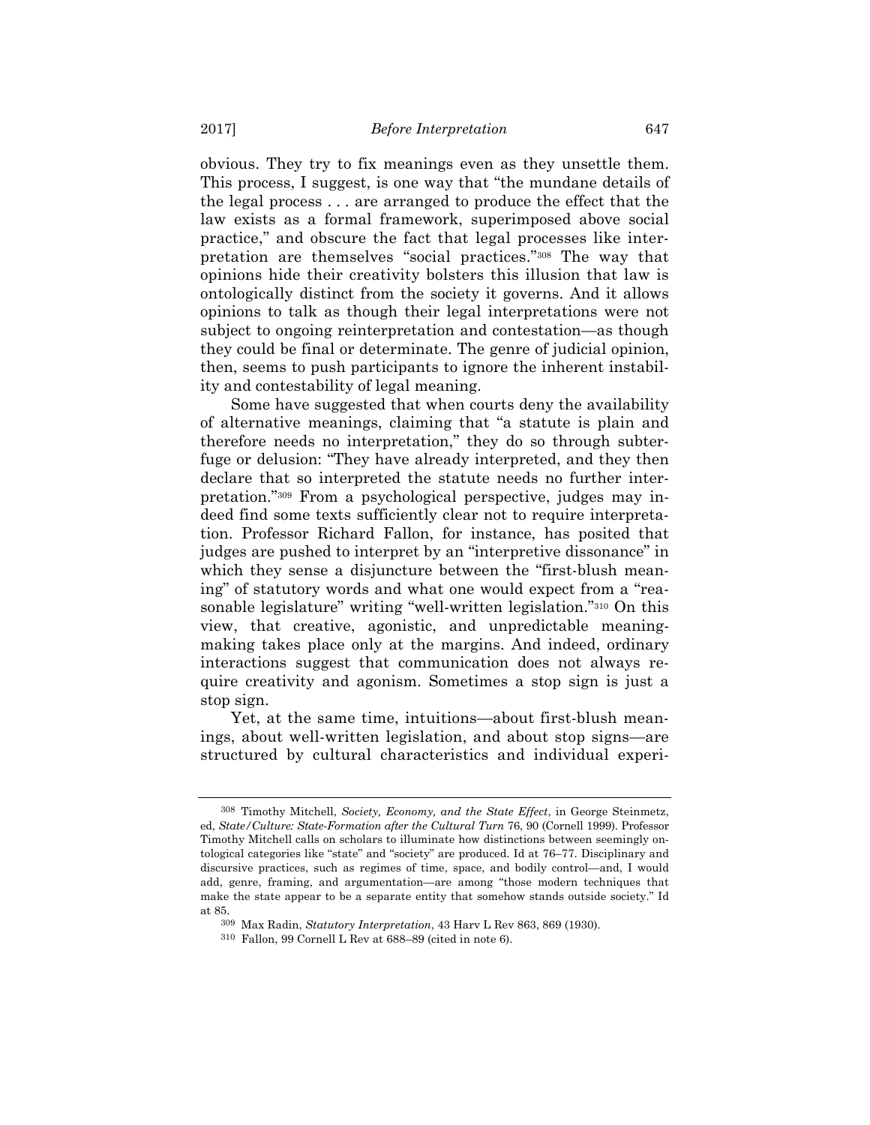obvious. They try to fix meanings even as they unsettle them. This process, I suggest, is one way that "the mundane details of the legal process . . . are arranged to produce the effect that the law exists as a formal framework, superimposed above social practice," and obscure the fact that legal processes like interpretation are themselves "social practices."308 The way that opinions hide their creativity bolsters this illusion that law is ontologically distinct from the society it governs. And it allows opinions to talk as though their legal interpretations were not subject to ongoing reinterpretation and contestation—as though they could be final or determinate. The genre of judicial opinion, then, seems to push participants to ignore the inherent instability and contestability of legal meaning.

Some have suggested that when courts deny the availability of alternative meanings, claiming that "a statute is plain and therefore needs no interpretation," they do so through subterfuge or delusion: "They have already interpreted, and they then declare that so interpreted the statute needs no further interpretation."309 From a psychological perspective, judges may indeed find some texts sufficiently clear not to require interpretation. Professor Richard Fallon, for instance, has posited that judges are pushed to interpret by an "interpretive dissonance" in which they sense a disjuncture between the "first-blush meaning" of statutory words and what one would expect from a "reasonable legislature" writing "well-written legislation."310 On this view, that creative, agonistic, and unpredictable meaningmaking takes place only at the margins. And indeed, ordinary interactions suggest that communication does not always require creativity and agonism. Sometimes a stop sign is just a stop sign.

Yet, at the same time, intuitions—about first-blush meanings, about well-written legislation, and about stop signs—are structured by cultural characteristics and individual experi-

<sup>308</sup> Timothy Mitchell, *Society, Economy, and the State Effect*, in George Steinmetz, ed, *State/Culture: State-Formation after the Cultural Turn* 76, 90 (Cornell 1999). Professor Timothy Mitchell calls on scholars to illuminate how distinctions between seemingly ontological categories like "state" and "society" are produced. Id at 76–77. Disciplinary and discursive practices, such as regimes of time, space, and bodily control—and, I would add, genre, framing, and argumentation—are among "those modern techniques that make the state appear to be a separate entity that somehow stands outside society." Id at 85.

<sup>309</sup> Max Radin, *Statutory Interpretation*, 43 Harv L Rev 863, 869 (1930).

<sup>310</sup> Fallon, 99 Cornell L Rev at 688–89 (cited in note 6).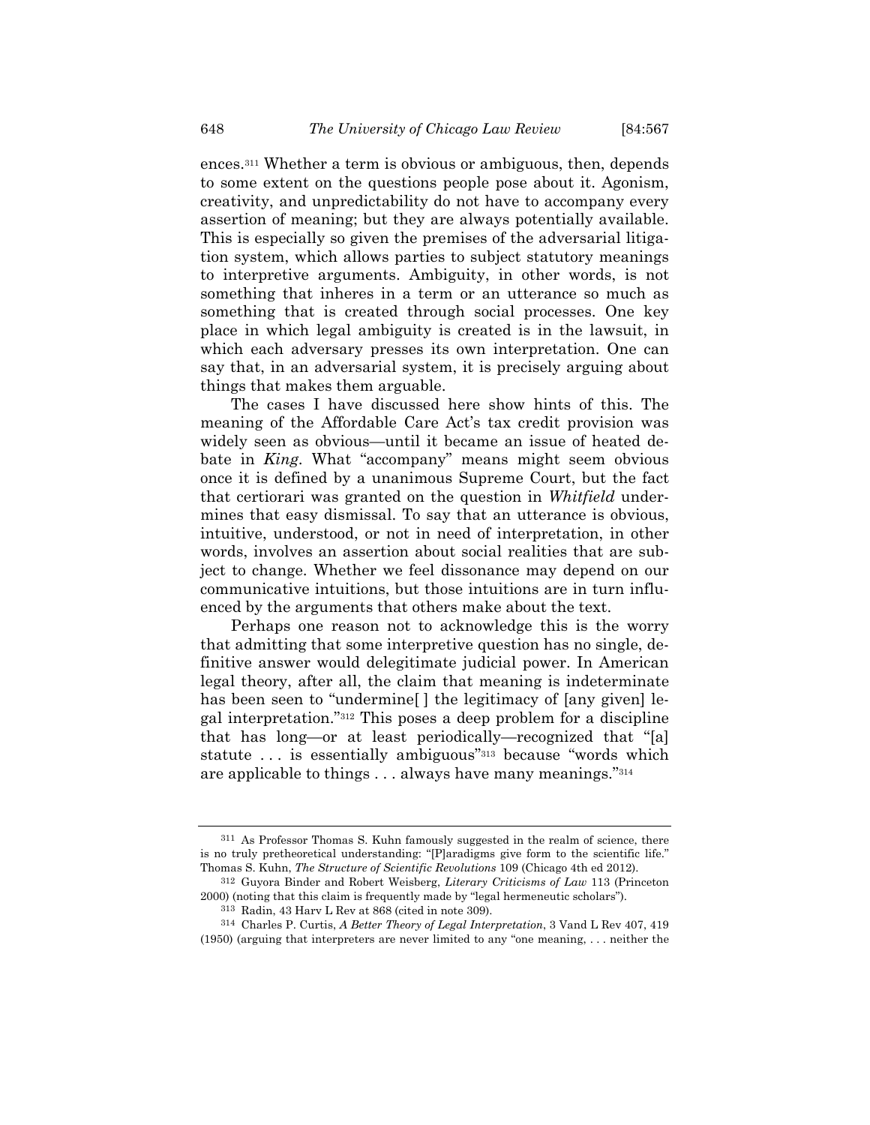ences.311 Whether a term is obvious or ambiguous, then, depends to some extent on the questions people pose about it. Agonism, creativity, and unpredictability do not have to accompany every assertion of meaning; but they are always potentially available. This is especially so given the premises of the adversarial litigation system, which allows parties to subject statutory meanings to interpretive arguments. Ambiguity, in other words, is not something that inheres in a term or an utterance so much as something that is created through social processes. One key place in which legal ambiguity is created is in the lawsuit, in which each adversary presses its own interpretation. One can say that, in an adversarial system, it is precisely arguing about things that makes them arguable.

The cases I have discussed here show hints of this. The meaning of the Affordable Care Act's tax credit provision was widely seen as obvious—until it became an issue of heated debate in *King*. What "accompany" means might seem obvious once it is defined by a unanimous Supreme Court, but the fact that certiorari was granted on the question in *Whitfield* undermines that easy dismissal. To say that an utterance is obvious, intuitive, understood, or not in need of interpretation, in other words, involves an assertion about social realities that are subject to change. Whether we feel dissonance may depend on our communicative intuitions, but those intuitions are in turn influenced by the arguments that others make about the text.

Perhaps one reason not to acknowledge this is the worry that admitting that some interpretive question has no single, definitive answer would delegitimate judicial power. In American legal theory, after all, the claim that meaning is indeterminate has been seen to "undermine" the legitimacy of [any given] legal interpretation."312 This poses a deep problem for a discipline that has long—or at least periodically—recognized that "[a] statute ... is essentially ambiguous<sup>"313</sup> because "words which are applicable to things . . . always have many meanings."314

<sup>311</sup> As Professor Thomas S. Kuhn famously suggested in the realm of science, there is no truly pretheoretical understanding: "[P]aradigms give form to the scientific life." Thomas S. Kuhn, *The Structure of Scientific Revolutions* 109 (Chicago 4th ed 2012).

<sup>312</sup> Guyora Binder and Robert Weisberg, *Literary Criticisms of Law* 113 (Princeton 2000) (noting that this claim is frequently made by "legal hermeneutic scholars").

<sup>313</sup> Radin, 43 Harv L Rev at 868 (cited in note 309).

<sup>314</sup> Charles P. Curtis, *A Better Theory of Legal Interpretation*, 3 Vand L Rev 407, 419 (1950) (arguing that interpreters are never limited to any "one meaning, . . . neither the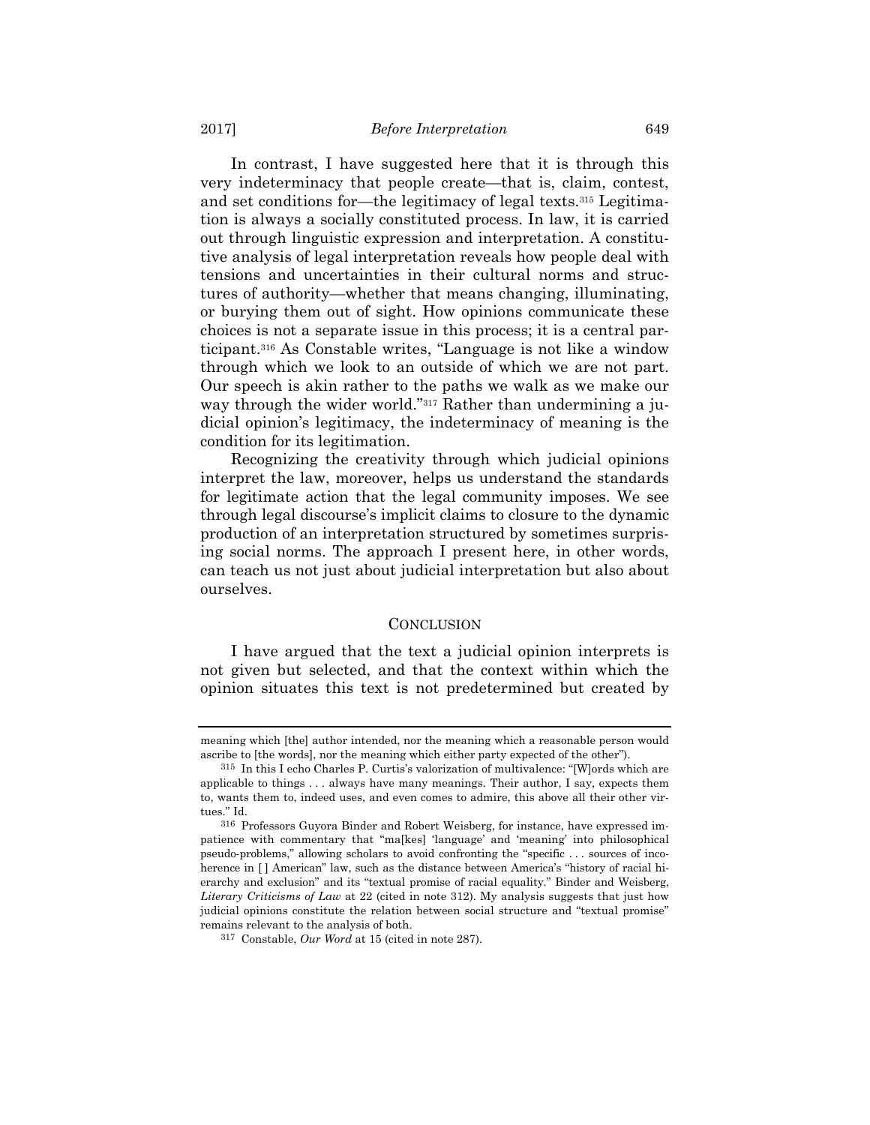In contrast, I have suggested here that it is through this very indeterminacy that people create—that is, claim, contest, and set conditions for—the legitimacy of legal texts.315 Legitimation is always a socially constituted process. In law, it is carried out through linguistic expression and interpretation. A constitutive analysis of legal interpretation reveals how people deal with tensions and uncertainties in their cultural norms and structures of authority—whether that means changing, illuminating, or burying them out of sight. How opinions communicate these choices is not a separate issue in this process; it is a central participant.316 As Constable writes, "Language is not like a window through which we look to an outside of which we are not part. Our speech is akin rather to the paths we walk as we make our way through the wider world."<sup>317</sup> Rather than undermining a judicial opinion's legitimacy, the indeterminacy of meaning is the condition for its legitimation.

Recognizing the creativity through which judicial opinions interpret the law, moreover, helps us understand the standards for legitimate action that the legal community imposes. We see through legal discourse's implicit claims to closure to the dynamic production of an interpretation structured by sometimes surprising social norms. The approach I present here, in other words, can teach us not just about judicial interpretation but also about ourselves.

## **CONCLUSION**

I have argued that the text a judicial opinion interprets is not given but selected, and that the context within which the opinion situates this text is not predetermined but created by

meaning which [the] author intended, nor the meaning which a reasonable person would ascribe to [the words], nor the meaning which either party expected of the other").

<sup>315</sup> In this I echo Charles P. Curtis's valorization of multivalence: "[W]ords which are applicable to things . . . always have many meanings. Their author, I say, expects them to, wants them to, indeed uses, and even comes to admire, this above all their other virtues." Id.

<sup>316</sup> Professors Guyora Binder and Robert Weisberg, for instance, have expressed impatience with commentary that "ma[kes] 'language' and 'meaning' into philosophical pseudo-problems," allowing scholars to avoid confronting the "specific . . . sources of incoherence in [ ] American" law, such as the distance between America's "history of racial hierarchy and exclusion" and its "textual promise of racial equality." Binder and Weisberg, *Literary Criticisms of Law* at 22 (cited in note 312). My analysis suggests that just how judicial opinions constitute the relation between social structure and "textual promise" remains relevant to the analysis of both.

<sup>317</sup> Constable, *Our Word* at 15 (cited in note 287).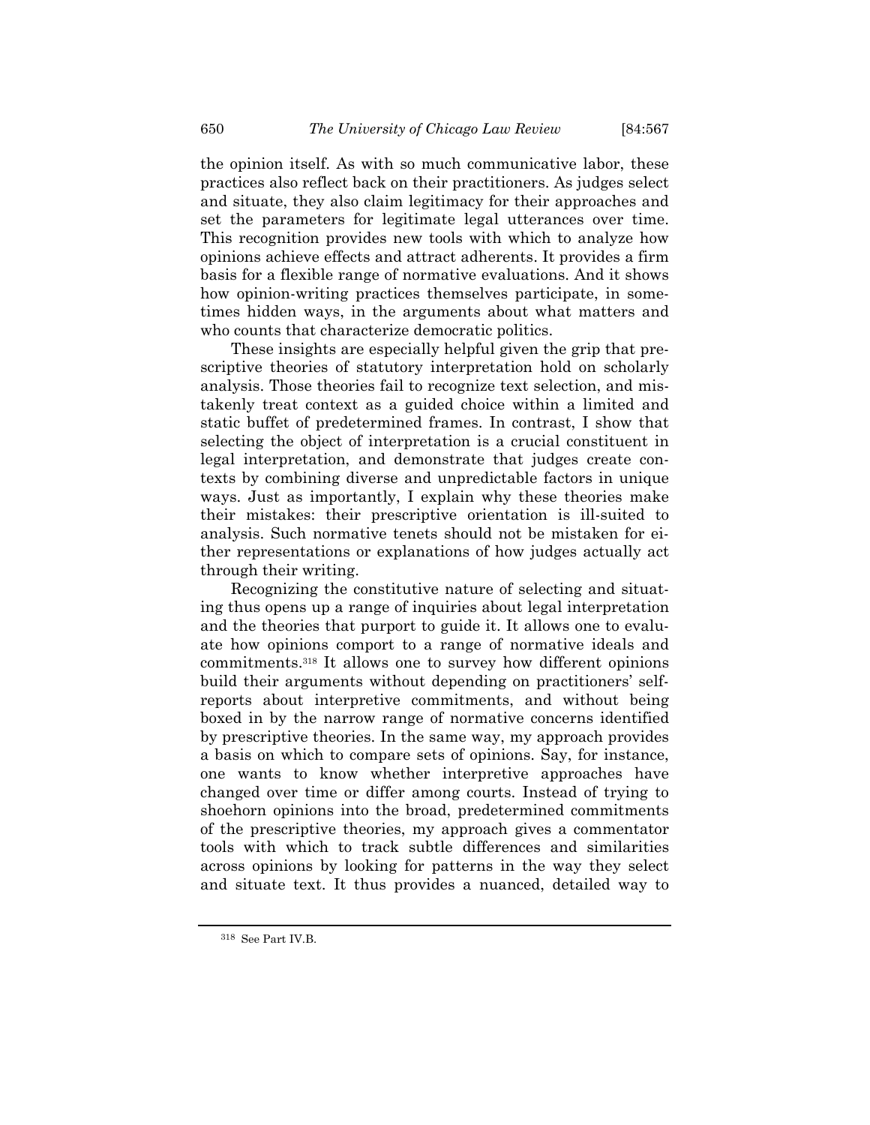the opinion itself. As with so much communicative labor, these practices also reflect back on their practitioners. As judges select and situate, they also claim legitimacy for their approaches and set the parameters for legitimate legal utterances over time. This recognition provides new tools with which to analyze how opinions achieve effects and attract adherents. It provides a firm basis for a flexible range of normative evaluations. And it shows how opinion-writing practices themselves participate, in sometimes hidden ways, in the arguments about what matters and who counts that characterize democratic politics.

These insights are especially helpful given the grip that prescriptive theories of statutory interpretation hold on scholarly analysis. Those theories fail to recognize text selection, and mistakenly treat context as a guided choice within a limited and static buffet of predetermined frames. In contrast, I show that selecting the object of interpretation is a crucial constituent in legal interpretation, and demonstrate that judges create contexts by combining diverse and unpredictable factors in unique ways. Just as importantly, I explain why these theories make their mistakes: their prescriptive orientation is ill-suited to analysis. Such normative tenets should not be mistaken for either representations or explanations of how judges actually act through their writing.

Recognizing the constitutive nature of selecting and situating thus opens up a range of inquiries about legal interpretation and the theories that purport to guide it. It allows one to evaluate how opinions comport to a range of normative ideals and commitments.318 It allows one to survey how different opinions build their arguments without depending on practitioners' selfreports about interpretive commitments, and without being boxed in by the narrow range of normative concerns identified by prescriptive theories. In the same way, my approach provides a basis on which to compare sets of opinions. Say, for instance, one wants to know whether interpretive approaches have changed over time or differ among courts. Instead of trying to shoehorn opinions into the broad, predetermined commitments of the prescriptive theories, my approach gives a commentator tools with which to track subtle differences and similarities across opinions by looking for patterns in the way they select and situate text. It thus provides a nuanced, detailed way to

<sup>318</sup> See Part IV.B.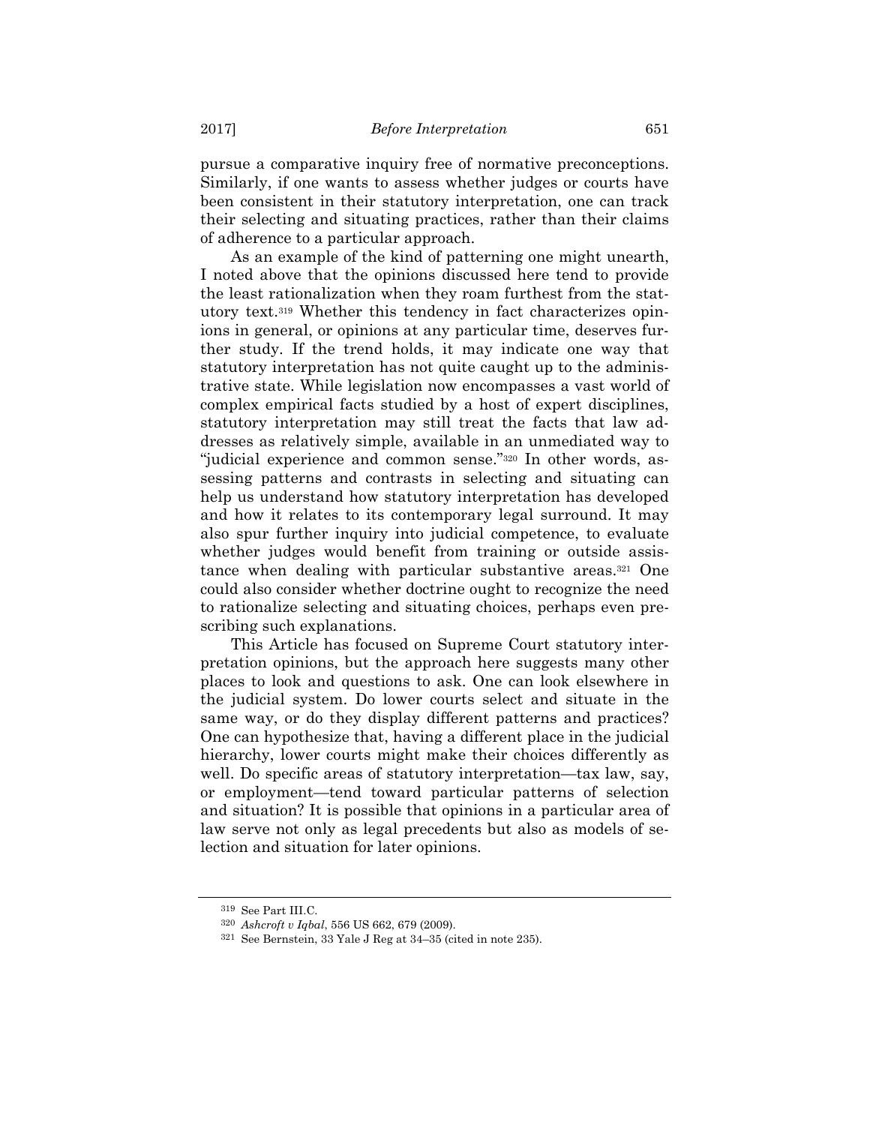pursue a comparative inquiry free of normative preconceptions. Similarly, if one wants to assess whether judges or courts have been consistent in their statutory interpretation, one can track their selecting and situating practices, rather than their claims of adherence to a particular approach.

As an example of the kind of patterning one might unearth, I noted above that the opinions discussed here tend to provide the least rationalization when they roam furthest from the statutory text.319 Whether this tendency in fact characterizes opinions in general, or opinions at any particular time, deserves further study. If the trend holds, it may indicate one way that statutory interpretation has not quite caught up to the administrative state. While legislation now encompasses a vast world of complex empirical facts studied by a host of expert disciplines, statutory interpretation may still treat the facts that law addresses as relatively simple, available in an unmediated way to "judicial experience and common sense."320 In other words, assessing patterns and contrasts in selecting and situating can help us understand how statutory interpretation has developed and how it relates to its contemporary legal surround. It may also spur further inquiry into judicial competence, to evaluate whether judges would benefit from training or outside assistance when dealing with particular substantive areas.321 One could also consider whether doctrine ought to recognize the need to rationalize selecting and situating choices, perhaps even prescribing such explanations.

This Article has focused on Supreme Court statutory interpretation opinions, but the approach here suggests many other places to look and questions to ask. One can look elsewhere in the judicial system. Do lower courts select and situate in the same way, or do they display different patterns and practices? One can hypothesize that, having a different place in the judicial hierarchy, lower courts might make their choices differently as well. Do specific areas of statutory interpretation—tax law, say, or employment—tend toward particular patterns of selection and situation? It is possible that opinions in a particular area of law serve not only as legal precedents but also as models of selection and situation for later opinions.

<sup>319</sup> See Part III.C.

<sup>320</sup> *Ashcroft v Iqbal*, 556 US 662, 679 (2009). 321 See Bernstein, 33 Yale J Reg at 34–35 (cited in note 235).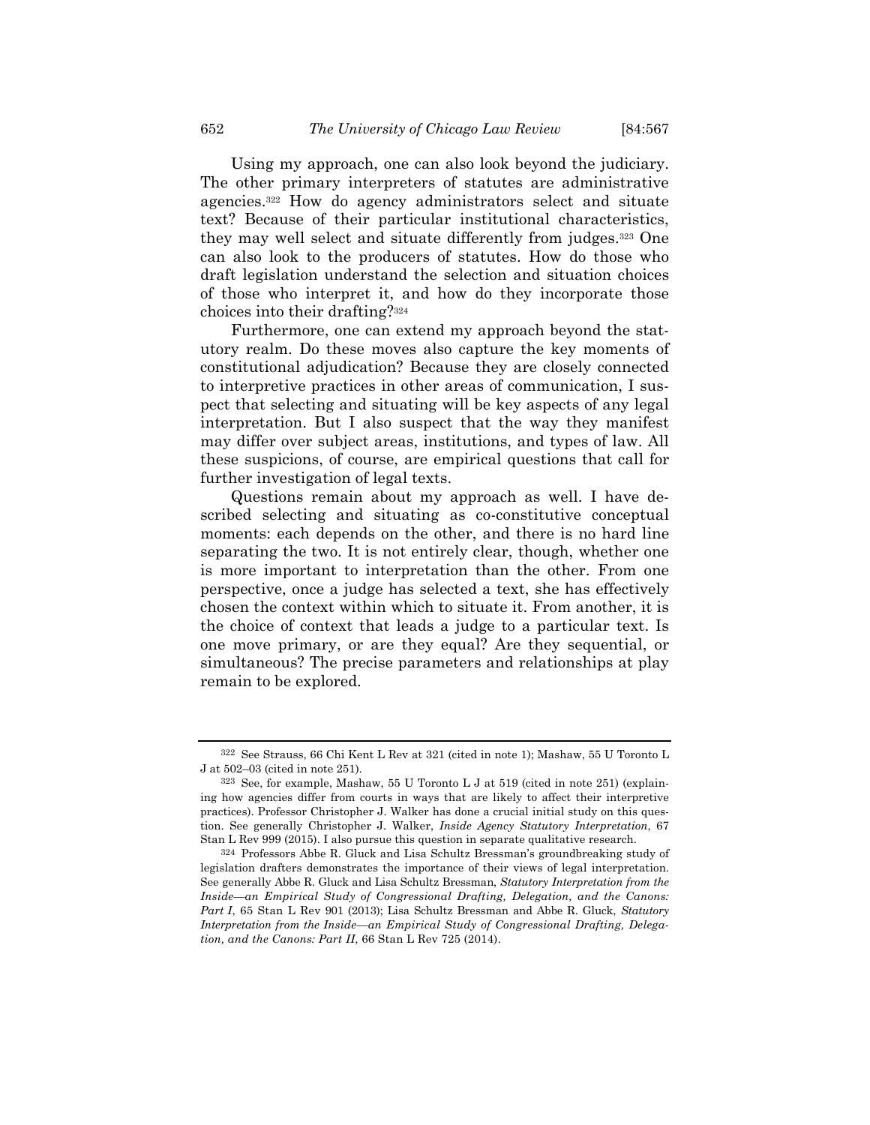Using my approach, one can also look beyond the judiciary. The other primary interpreters of statutes are administrative agencies.322 How do agency administrators select and situate text? Because of their particular institutional characteristics, they may well select and situate differently from judges.323 One can also look to the producers of statutes. How do those who draft legislation understand the selection and situation choices of those who interpret it, and how do they incorporate those choices into their drafting?324

Furthermore, one can extend my approach beyond the statutory realm. Do these moves also capture the key moments of constitutional adjudication? Because they are closely connected to interpretive practices in other areas of communication, I suspect that selecting and situating will be key aspects of any legal interpretation. But I also suspect that the way they manifest may differ over subject areas, institutions, and types of law. All these suspicions, of course, are empirical questions that call for further investigation of legal texts.

Questions remain about my approach as well. I have described selecting and situating as co-constitutive conceptual moments: each depends on the other, and there is no hard line separating the two. It is not entirely clear, though, whether one is more important to interpretation than the other. From one perspective, once a judge has selected a text, she has effectively chosen the context within which to situate it. From another, it is the choice of context that leads a judge to a particular text. Is one move primary, or are they equal? Are they sequential, or simultaneous? The precise parameters and relationships at play remain to be explored.

<sup>322</sup> See Strauss, 66 Chi Kent L Rev at 321 (cited in note 1); Mashaw, 55 U Toronto L J at 502–03 (cited in note 251).

<sup>323</sup> See, for example, Mashaw, 55 U Toronto L J at 519 (cited in note 251) (explaining how agencies differ from courts in ways that are likely to affect their interpretive practices). Professor Christopher J. Walker has done a crucial initial study on this question. See generally Christopher J. Walker, *Inside Agency Statutory Interpretation*, 67 Stan L Rev 999 (2015). I also pursue this question in separate qualitative research.

<sup>324</sup> Professors Abbe R. Gluck and Lisa Schultz Bressman's groundbreaking study of legislation drafters demonstrates the importance of their views of legal interpretation. See generally Abbe R. Gluck and Lisa Schultz Bressman, *Statutory Interpretation from the Inside—an Empirical Study of Congressional Drafting, Delegation, and the Canons: Part I*, 65 Stan L Rev 901 (2013); Lisa Schultz Bressman and Abbe R. Gluck, *Statutory Interpretation from the Inside—an Empirical Study of Congressional Drafting, Delegation, and the Canons: Part II*, 66 Stan L Rev 725 (2014).